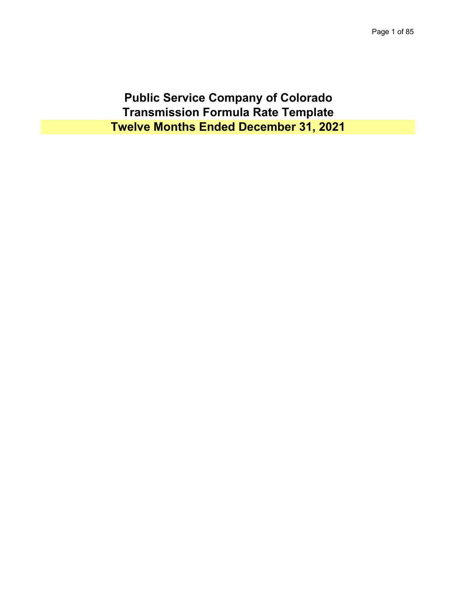**Public Service Company of Colorado Transmission Formula Rate Template Twelve Months Ended December 31, 2021**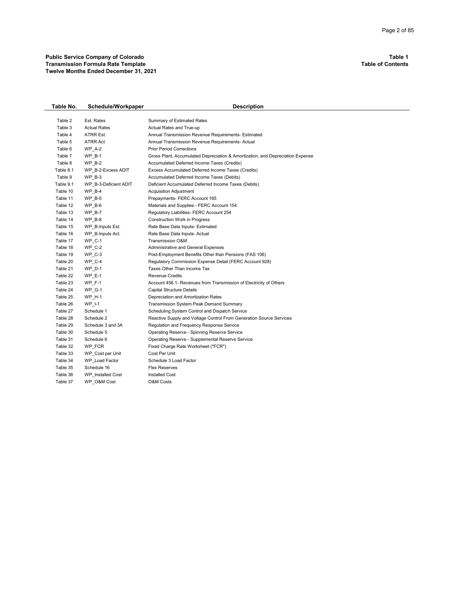| Table No. | Schedule/Workpaper    | <b>Description</b>                                                             |
|-----------|-----------------------|--------------------------------------------------------------------------------|
|           |                       |                                                                                |
| Table 2   | Est. Rates            | Summary of Estimated Rates                                                     |
| Table 3   | <b>Actual Rates</b>   | Actual Rates and True-up                                                       |
| Table 4   | ATRR Est.             | Annual Transmission Revenue Requirements- Estimated                            |
| Table 5   | ATRR Act              | Annual Transmission Revenue Requirements- Actual                               |
| Table 6   | <b>WP A-2</b>         | <b>Prior Period Corrections</b>                                                |
| Table 7   | <b>WP B-1</b>         | Gross Plant, Accumulated Depreciation & Amortization, and Depreciation Expense |
| Table 8   | <b>WP B-2</b>         | Accumulated Deferred Income Taxes (Credits)                                    |
| Table 8.1 | WP B-2-Excess ADIT    | Excess Accumulated Deferred Income Taxes (Credits)                             |
| Table 9   | WP B-3                | Accumulated Deferred Income Taxes (Debits)                                     |
| Table 9.1 | WP B-3-Deficient ADIT | Deficient Accumulated Deferred Income Taxes (Debits)                           |
| Table 10  | $WP$ B-4              | Acquisition Adjustment                                                         |
| Table 11  | <b>WP B-5</b>         | Prepayments- FERC Account 165                                                  |
| Table 12  | $WP_B-6$              | Materials and Supplies - FERC Account 154                                      |
| Table 13  | WP B-7                | Regulatory Liabilities- FERC Account 254                                       |
| Table 14  | <b>WP B-8</b>         | <b>Construction Work in Progress</b>                                           |
| Table 15  | WP B-Inputs Est.      | Rate Base Data Inputs- Estimated                                               |
| Table 16  | WP B-Inputs Act.      | Rate Base Data Inputs- Actual                                                  |
| Table 17  | <b>WP C-1</b>         | Transmission O&M                                                               |
| Table 18  | WP C-2                | <b>Administrative and General Expenses</b>                                     |
| Table 19  | $WP_C-3$              | Post-Employment Benefits Other than Pensions (FAS 106)                         |
| Table 20  | WP C-4                | Regulatory Commission Expense Detail (FERC Account 928)                        |
| Table 21  | $WP_D-1$              | Taxes Other Than Income Tax                                                    |
| Table 22  | $WP E-1$              | <b>Revenue Credits</b>                                                         |
| Table 23  | <b>WP F-1</b>         | Account 456.1- Revenues from Transmission of Electricity of Others             |
| Table 24  | <b>WP G-1</b>         | <b>Capital Structure Details</b>                                               |
| Table 25  | <b>WP_H-1</b>         | Depreciation and Amortization Rates                                            |
| Table 26  | $WP_l-1$              | Transmission System Peak Demand Summary                                        |
| Table 27  | Schedule 1            | Scheduling System Control and Dispatch Service                                 |
| Table 28  | Schedule 2            | Reactive Supply and Voltage Control From Generation Source Services            |
| Table 29  | Schedule 3 and 3A     | Regulation and Frequency Response Service                                      |
| Table 30  | Schedule 5            | Operating Reserve - Spinning Reserve Service                                   |
| Table 31  | Schedule 6            | Operating Reserve - Supplemental Reserve Service                               |
| Table 32  | WP FCR                | Fixed Charge Rate Worksheet ("FCR")                                            |
| Table 33  | WP_Cost per Unit      | Cost Per Unit                                                                  |
| Table 34  | WP Load Factor        | Schedule 3 Load Factor                                                         |
| Table 35  | Schedule 16           | <b>Flex Reserves</b>                                                           |
| Table 36  | WP Installed Cost     | <b>Installed Cost</b>                                                          |
| Table 37  | WP O&M Cost           | <b>O&amp;M Costs</b>                                                           |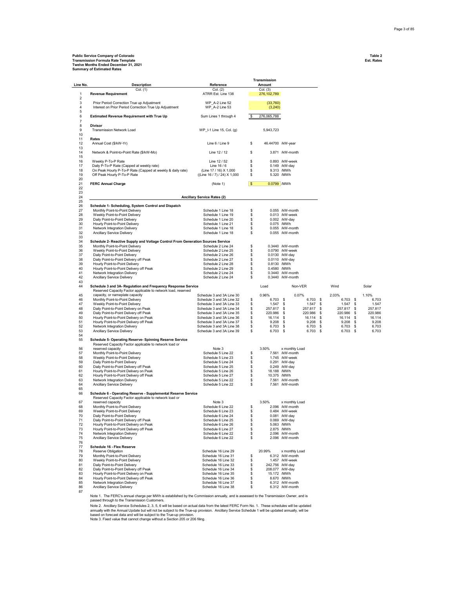## **Public Service Company of Colorado Table 2 Transmission Formula Rate Template Est. Rates Twelve Months Ended December 31, 2021 Summary of Estimated Rates**

|          |                                                                                                                               |                                                        |          | Transmission               |                                    |                          |                          |                    |
|----------|-------------------------------------------------------------------------------------------------------------------------------|--------------------------------------------------------|----------|----------------------------|------------------------------------|--------------------------|--------------------------|--------------------|
| Line No. | <b>Description</b><br>Col. (1)                                                                                                | Reference<br>Col. (2)                                  |          | Amount<br>Col. (3)         |                                    |                          |                          |                    |
| 1        | <b>Revenue Requirement</b>                                                                                                    | ATRR Est. Line 138                                     |          | 276,102,789                |                                    |                          |                          |                    |
| 2        |                                                                                                                               |                                                        |          |                            |                                    |                          |                          |                    |
| 3<br>4   | Prior Period Correction True up Adjustment<br>Interest on Prior Period Correction True Up Adjustment                          | WP A-2 Line 52<br>WP_A-2 Line 53                       |          | (33,760)<br>(3,240)        |                                    |                          |                          |                    |
| 5        |                                                                                                                               |                                                        |          |                            |                                    |                          |                          |                    |
| 6        | <b>Estimated Revenue Requirement with True Up</b>                                                                             | Sum Lines 1 through 4                                  |          | 276,065,788                |                                    |                          |                          |                    |
| 7        |                                                                                                                               |                                                        |          |                            |                                    |                          |                          |                    |
| 8<br>9   | <b>Divisor</b><br><b>Transmission Network Load</b>                                                                            | WP_I-1 Line 15, Col. (g)                               |          |                            |                                    |                          |                          |                    |
| 10       |                                                                                                                               |                                                        |          | 5,943,723                  |                                    |                          |                          |                    |
| 11       | Rates                                                                                                                         |                                                        |          |                            |                                    |                          |                          |                    |
| 12       | Annual Cost (\$/kW-Yr)                                                                                                        | Line 6 / Line 9                                        | \$       | 46.44700 /kW-year          |                                    |                          |                          |                    |
| 13<br>14 | Network & Point-to-Point Rate (\$/kW-Mo)                                                                                      | Line 12 / 12                                           | \$       |                            | 3.871 /kW-month                    |                          |                          |                    |
| 15       |                                                                                                                               |                                                        |          |                            |                                    |                          |                          |                    |
| 16       | Weekly P-To-P Rate                                                                                                            | Line 12 / 52                                           | \$       |                            | 0.893 /kW-week                     |                          |                          |                    |
| 17       | Daily P-To-P Rate (Capped at weekly rate)                                                                                     | Line 16 / 6                                            | \$       |                            | 0.149 /kW-day                      |                          |                          |                    |
| 18<br>19 | On Peak Hourly P-To-P Rate (Capped at weekly & daily rate)<br>Off Peak Hourly P-To-P Rate                                     | (Line 17 / 16) X 1,000<br>((Line 16 / 7) / 24) X 1,000 | \$<br>\$ |                            | 9.313 /MWh<br>5.320 /MWh           |                          |                          |                    |
| 20       |                                                                                                                               |                                                        |          |                            |                                    |                          |                          |                    |
| 21       | <b>FERC Annual Charge</b>                                                                                                     | (Note 1)                                               | \$       | 0.0799 /MWh                |                                    |                          |                          |                    |
| 22       |                                                                                                                               |                                                        |          |                            |                                    |                          |                          |                    |
| 23<br>24 |                                                                                                                               | <b>Ancillary Service Rates (2)</b>                     |          |                            |                                    |                          |                          |                    |
| 25       |                                                                                                                               |                                                        |          |                            |                                    |                          |                          |                    |
| 26       | Schedule 1- Scheduling, System Control and Dispatch                                                                           |                                                        |          |                            |                                    |                          |                          |                    |
| 27       | Monthly Point-to-Point Delivery                                                                                               | Schedule 1 Line 18                                     | \$       |                            | 0.055 /kW-month                    |                          |                          |                    |
| 28<br>29 | Weekly Point-to-Point Delivery<br>Daily Point-to-Point Delivery                                                               | Schedule 1 Line 19<br>Schedule 1 Line 20               | \$<br>\$ |                            | 0.013 /kW-week<br>0.002 /kW-day    |                          |                          |                    |
| 30       | Hourly Point-to-Point Delivery                                                                                                | Schedule 1 Line 21                                     | \$       |                            | 0.075 /MWh                         |                          |                          |                    |
| 31       | Network Integration Delivery                                                                                                  | Schedule 1 Line 18                                     | \$       |                            | 0.055 /kW-month                    |                          |                          |                    |
| 32       | Ancillary Service Delivery                                                                                                    | Schedule 1 Line 18                                     | \$       |                            | 0.055 /kW-month                    |                          |                          |                    |
| 33<br>34 | Schedule 2- Reactive Supply and Voltage Control From Generation Sources Service                                               |                                                        |          |                            |                                    |                          |                          |                    |
| 35       | Monthly Point-to-Point Delivery                                                                                               | Schedule 2 Line 24                                     | \$       |                            | 0.3440 /kW-month                   |                          |                          |                    |
| 36       | Weekly Point-to-Point Delivery                                                                                                | Schedule 2 Line 25                                     | \$       |                            | 0.0790 /kW-week                    |                          |                          |                    |
| 37       | Daily Point-to-Point Delivery                                                                                                 | Schedule 2 Line 26                                     | \$       |                            | 0.0130 /kW-day                     |                          |                          |                    |
| 38       | Daily Point-to-Point Delivery off Peak                                                                                        | Schedule 2 Line 27                                     | \$       | 0.8130 /MWh                | 0.0110 /kW-day                     |                          |                          |                    |
| 39<br>40 | Hourly Point-to-Point Delivery<br>Hourly Point-to-Point Delivery off Peak                                                     | Schedule 2 Line 28<br>Schedule 2 Line 29               | \$<br>\$ | 0.4580 /MWh                |                                    |                          |                          |                    |
| 41       | Network Integration Delivery                                                                                                  | Schedule 2 Line 24                                     | \$       |                            | 0.3440 /kW-month                   |                          |                          |                    |
| 42       | Ancillary Service Delivery                                                                                                    | Schedule 2 Line 24                                     | \$       |                            | 0.3440 /kW-month                   |                          |                          |                    |
| 43<br>44 |                                                                                                                               |                                                        |          | Load                       |                                    |                          | Wind                     | Solar              |
|          | Schedule 3 and 3A- Regulation and Frequency Response Service<br>Reserved Capacity Factor applicable to network load, reserved |                                                        |          |                            | Non-VER                            |                          |                          |                    |
| 45       | capacity, or nameplate capacity                                                                                               | Schedule 3 and 3A Line 30                              |          | 0.96%                      | 0.07%                              |                          | 2.03%                    | 1.10%              |
| 46       | Monthly Point-to-Point Delivery                                                                                               | Schedule 3 and 3A Line 32                              | \$       | $6.703$ \$                 |                                    | $6.703$ \$               | $6.703$ \$               | 6.703              |
| 47<br>48 | Weekly Point-to-Point Delivery                                                                                                | Schedule 3 and 3A Line 33<br>Schedule 3 and 3A Line 34 | s        | $1.547$ \$                 |                                    | $1.547$ \$               | $1.547$ \$               | 1.547              |
| 49       | Daily Point-to-Point Delivery on Peak<br>Daily Point-to-Point Delivery off Peak                                               | Schedule 3 and 3A Line 35                              | \$<br>s  | 257.817 \$<br>220.986 \$   |                                    | 257.817 \$<br>220.986 \$ | 257.817 \$<br>220.986 \$ | 257.817<br>220.986 |
| 50       | Hourly Point-to-Point Delivery on Peak                                                                                        | Schedule 3 and 3A Line 36                              | s        | $16.114$ \$                |                                    | 16.114 \$                | 16.114 \$                | 16.114             |
| 51       | Hourly Point-to-Point Delivery off Peak                                                                                       | Schedule 3 and 3A Line 37                              | s        | $9.208$ \$                 |                                    | $9.208$ \$               | $9.208$ \$               | 9.208              |
| 52<br>53 | Network Integration Delivery                                                                                                  | Schedule 3 and 3A Line 38                              | \$<br>s  | $6.703$ \$                 |                                    | $6.703$ \$<br>$6.703$ \$ | 6.703 \$                 | 6.703<br>6.703     |
| 54       | Ancillary Service Delivery                                                                                                    | Schedule 3 and 3A Line 39                              |          | $6.703$ \$                 |                                    |                          | $6.703$ \$               |                    |
| 55       | Schedule 5- Operating Reserve- Spinning Reserve Service                                                                       |                                                        |          |                            |                                    |                          |                          |                    |
|          | Reserved Capacity Factor applicable to network load or                                                                        |                                                        |          |                            |                                    |                          |                          |                    |
| 56<br>57 | reserved capacity<br>Monthly Point-to-Point Delivery                                                                          | Note 3<br>Schedule 5 Line 22                           | \$       | 3.50%                      | x monthly Load<br>7.561 /kW-month  |                          |                          |                    |
| 58       | Weekly Point-to-Point Delivery                                                                                                | Schedule 5 Line 23                                     | \$       |                            | 1.745 /kW-week                     |                          |                          |                    |
| 59       | Daily Point-to-Point Delivery                                                                                                 | Schedule 5 Line 24                                     | \$       |                            | 0.291 /kW-day                      |                          |                          |                    |
| 60       | Daily Point-to-Point Delivery off Peak                                                                                        | Schedule 5 Line 25                                     | \$       |                            | 0.249 /kW-day                      |                          |                          |                    |
| 61<br>62 | Hourly Point-to-Point Delivery on Peak<br>Hourly Point-to-Point Delivery off Peak                                             | Schedule 5 Line 26                                     | \$       | 18.188 /MWh<br>10.375 /MWh |                                    |                          |                          |                    |
| 63       | Network Integration Delivery                                                                                                  | Schedule 5 Line 27<br>Schedule 5 Line 22               | \$<br>\$ |                            | 7.561 /kW-month                    |                          |                          |                    |
| 64       | Ancillary Service Delivery                                                                                                    | Schedule 5 Line 22                                     | \$       |                            | 7.561 /kW-month                    |                          |                          |                    |
| 65       |                                                                                                                               |                                                        |          |                            |                                    |                          |                          |                    |
| 66       | Schedule 6 - Operating Reserve - Supplemental Reserve Service                                                                 |                                                        |          |                            |                                    |                          |                          |                    |
| 67       | Reserved Capacity Factor applicable to network load or<br>reserved capacity                                                   | Note 3                                                 |          | 3.50%                      | x monthly Load                     |                          |                          |                    |
| 68       | Monthly Point-to-Point Delivery                                                                                               | Schedule 6 Line 22                                     | \$       |                            | 2.096 /kW-month                    |                          |                          |                    |
| 69       | Weekly Point-to-Point Delivery                                                                                                | Schedule 6 Line 23                                     | \$.      |                            | 0.484 /kW-week                     |                          |                          |                    |
| 70       | Daily Point-to-Point Delivery                                                                                                 | Schedule 6 Line 24                                     | \$       |                            | 0.081 /kW-day                      |                          |                          |                    |
| 71<br>72 | Daily Point-to-Point Delivery off Peak<br>Hourly Point-to-Point Delivery on Peak                                              | Schedule 6 Line 25<br>Schedule 6 Line 26               | \$<br>\$ |                            | 0.069 /kW-day<br>5.063 /MWh        |                          |                          |                    |
| 73       | Hourly Point-to-Point Delivery off Peak                                                                                       | Schedule 6 Line 27                                     | \$       |                            | 2.875 /MWh                         |                          |                          |                    |
| 74       | Network Integration Delivery                                                                                                  | Schedule 6 Line 22                                     | \$       |                            | 2.096 /kW-month                    |                          |                          |                    |
| 75       | Ancillary Service Delivery                                                                                                    | Schedule 6 Line 22                                     | \$       |                            | 2.096 /kW-month                    |                          |                          |                    |
| 76<br>77 | Schedule 16 - Flex Reserve                                                                                                    |                                                        |          |                            |                                    |                          |                          |                    |
| 78       | Reserve Obligation                                                                                                            | Schedule 16 Line 29                                    |          | 20.99%                     | x monthly Load                     |                          |                          |                    |
| 79       | Monthly Point-to-Point Delivery                                                                                               | Schedule 16 Line 31                                    | \$       |                            | 6.312 /kW-month                    |                          |                          |                    |
| 80       | Weekly Point-to-Point Delivery                                                                                                | Schedule 16 Line 32                                    | s        |                            | 1.457 /kW-week                     |                          |                          |                    |
| 81<br>82 | Daily Point-to-Point Delivery<br>Daily Point-to-Point Delivery off Peak                                                       | Schedule 16 Line 33<br>Schedule 16 Line 34             | s<br>\$  |                            | 242.756 /kW-day<br>208.077 /kW-day |                          |                          |                    |
| 83       | Hourly Point-to-Point Delivery on Peak                                                                                        | Schedule 16 Line 35                                    | s        | 15.172 /MWh                |                                    |                          |                          |                    |
| 84       | Hourly Point-to-Point Delivery off Peak                                                                                       | Schedule 16 Line 36                                    | \$       |                            | 8.670 /MWh                         |                          |                          |                    |
| 85       | Network Integration Delivery                                                                                                  | Schedule 16 Line 37                                    | \$       |                            | 6.312 /kW-month                    |                          |                          |                    |
| 86<br>87 | Ancillary Service Delivery                                                                                                    | Schedule 16 Line 38                                    | \$       |                            | 6.312 /kW-month                    |                          |                          |                    |
|          |                                                                                                                               |                                                        |          |                            |                                    |                          |                          |                    |

Note 1. The FERC's annual charge per MWh is established by the Commission annually, and is assessed to the Transmission Owner, and is passed through to the Transmission Customers.

Note 2. Ancillary Service Schedules 2, 3, 5, 6 will be based on actual data from the latest FERC Form No. 1. These schedules will be updated<br>annually with the Annual Update but will not be subject to the True-up provision

Note 3. Fixed value that cannot change without a Section 205 or 206 filing.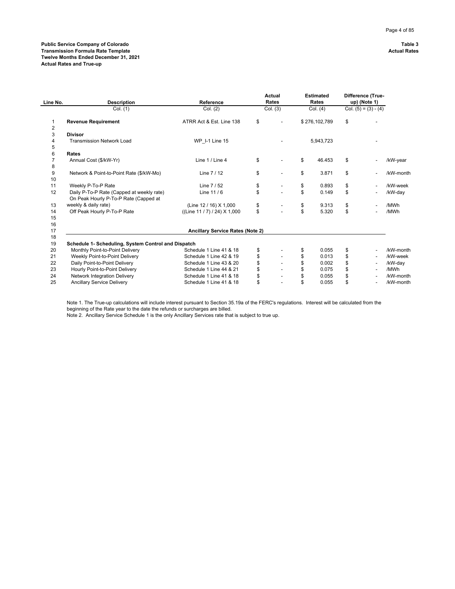| Line No.       | <b>Description</b>                                                                 | Reference                               | Actual<br>Rates      | <b>Estimated</b><br>Rates | Difference (True-<br>up) (Note 1) |           |
|----------------|------------------------------------------------------------------------------------|-----------------------------------------|----------------------|---------------------------|-----------------------------------|-----------|
|                | Col. (1)                                                                           | Col. (2)                                | Col. (3)             | Col. (4)                  | Col. $(5) = (3) - (4)$            |           |
|                | <b>Revenue Requirement</b>                                                         | ATRR Act & Est. Line 138                | \$<br>$\overline{a}$ | \$276,102,789             | \$                                |           |
| $\overline{2}$ |                                                                                    |                                         |                      |                           |                                   |           |
| 3              | <b>Divisor</b>                                                                     |                                         |                      |                           |                                   |           |
| 4              | <b>Transmission Network Load</b>                                                   | <b>WP 1-1 Line 15</b>                   |                      | 5,943,723                 |                                   |           |
| 5              |                                                                                    |                                         |                      |                           |                                   |           |
| 6              | Rates                                                                              |                                         |                      |                           |                                   |           |
|                | Annual Cost (\$/kW-Yr)                                                             | Line 1 / Line 4                         | \$                   | \$<br>46.453              | \$                                | /kW-year  |
| 8              |                                                                                    |                                         |                      |                           |                                   |           |
| 9              | Network & Point-to-Point Rate (\$/kW-Mo)                                           | Line $7/12$                             | \$<br>$\overline{a}$ | \$<br>3.871               | \$                                | /kW-month |
| 10             |                                                                                    |                                         |                      |                           |                                   |           |
| 11             | Weekly P-To-P Rate                                                                 | Line 7 / 52                             | \$                   | \$<br>0.893               | \$                                | /kW-week  |
| 12             | Daily P-To-P Rate (Capped at weekly rate)<br>On Peak Hourly P-To-P Rate (Capped at | Line $11/6$                             | \$                   | \$<br>0.149               | \$                                | /kW-day   |
| 13             | weekly & daily rate)                                                               | (Line 12 / 16) X 1,000                  | \$                   | \$<br>9.313               | \$                                | /MWh      |
| 14             | Off Peak Hourly P-To-P Rate                                                        | ((Line 11/7)/24) X 1,000                | \$                   | \$<br>5.320               | \$                                | /MWh      |
| 15             |                                                                                    |                                         |                      |                           |                                   |           |
| 16             |                                                                                    |                                         |                      |                           |                                   |           |
| 17             |                                                                                    | <b>Ancillary Service Rates (Note 2)</b> |                      |                           |                                   |           |
| 18             |                                                                                    |                                         |                      |                           |                                   |           |
| 19             | Schedule 1- Scheduling, System Control and Dispatch                                |                                         |                      |                           |                                   |           |
| 20             | Monthly Point-to-Point Delivery                                                    | Schedule 1 Line 41 & 18                 | \$                   | \$<br>0.055               | \$                                | /kW-month |
| 21             | Weekly Point-to-Point Delivery                                                     | Schedule 1 Line 42 & 19                 | \$                   | \$<br>0.013               | \$                                | /kW-week  |
| 22             | Daily Point-to-Point Delivery                                                      | Schedule 1 Line 43 & 20                 |                      | \$<br>0.002               | \$                                | /kW-day   |
| 23             | Hourly Point-to-Point Delivery                                                     | Schedule 1 Line 44 & 21                 |                      | \$<br>0.075               | \$                                | /MWh      |
| 24             | Network Integration Delivery                                                       | Schedule 1 Line 41 & 18                 |                      | \$<br>0.055               | \$                                | /kW-month |
| 25             | <b>Ancillary Service Delivery</b>                                                  | Schedule 1 Line 41 & 18                 | \$<br>$\overline{a}$ | \$<br>0.055               | \$                                | /kW-month |

Note 1. The True-up calculations will include interest pursuant to Section 35.19a of the FERC's regulations. Interest will be calculated from the beginning of the Rate year to the date the refunds or surcharges are billed.

Note 2. Ancillary Service Schedule 1 is the only Ancillary Services rate that is subject to true up.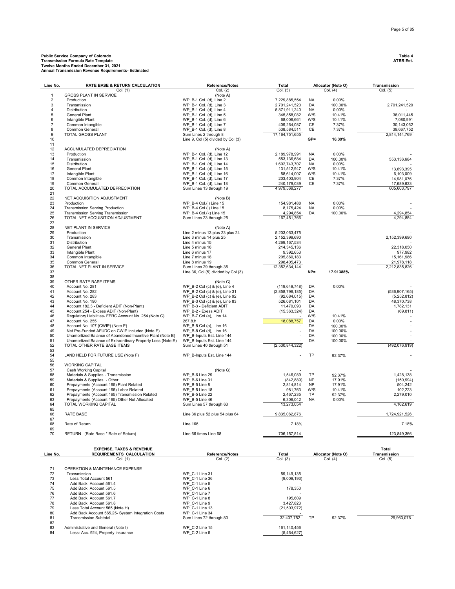| Line No.             | RATE BASE & RETURN CALCULATION                                                    | Reference/Notes                                    | Total                      | Allocator (Note O) |                    |                         |  | Transmission |
|----------------------|-----------------------------------------------------------------------------------|----------------------------------------------------|----------------------------|--------------------|--------------------|-------------------------|--|--------------|
|                      | Col. (1)                                                                          | Col. (2)                                           | Col. (3)                   |                    | Col. (4)           | Col. (5)                |  |              |
| $\mathbf{1}$         | <b>GROSS PLANT IN SERVICE</b>                                                     | (Note A)                                           |                            |                    |                    |                         |  |              |
| $\overline{c}$       | Production                                                                        | WP B-1 Col. (d), Line 2                            | 7,229,885,554              | <b>NA</b>          | 0.00%              |                         |  |              |
| 3                    | Transmission                                                                      | WP B-1 Col. (d), Line 3                            | 2,701,241,520              | DA                 | 100.00%            | 2,701,241,520           |  |              |
| $\overline{4}$       | Distribution                                                                      | WP B-1 Col. (d), Line 4                            | 5,871,911,240              | <b>NA</b>          | 0.00%              |                         |  |              |
| 5                    | General Plant                                                                     | WP B-1 Col. (d), Line 5<br>WP B-1 Col. (d), Line 6 | 345,858,082                | W/S<br>W/S         | 10.41%<br>10.41%   | 36,011,445              |  |              |
| 6<br>$\overline{7}$  | Intangible Plant<br>Common Intangible                                             | WP_B-1 Col. (d), Line 7                            | 68,006,661<br>409,264,087  | CE                 | 7.37%              | 7,080,991<br>30,143,062 |  |              |
| 8                    | Common General                                                                    | WP B-1 Col. (d), Line 8                            | 538,584,511                | CE                 | 7.37%              | 39,667,752              |  |              |
| 9                    | <b>TOTAL GROSS PLANT</b>                                                          | Sum Lines 2 through 8                              | 17, 164, 751, 655          |                    |                    | 2,814,144,769           |  |              |
| 10                   |                                                                                   | Line 9, Col (5) divided by Col (3)                 |                            | $GP =$             | 16.39%             |                         |  |              |
| 11                   |                                                                                   |                                                    |                            |                    |                    |                         |  |              |
| 12                   | ACCUMULATED DEPRECIATION                                                          | (Note A)                                           |                            |                    |                    |                         |  |              |
| 13                   | Production                                                                        | WP B-1 Col. (d), Line 12                           | 2,189,978,991              | <b>NA</b>          | 0.00%              |                         |  |              |
| 14                   | Transmission                                                                      | WP B-1 Col. (d), Line 13                           | 553,136,684                | DA                 | 100.00%            | 553,136,684             |  |              |
| 15                   | Distribution                                                                      | WP B-1 Col. (d), Line 14                           | 1,602,743,707              | NA                 | 0.00%              |                         |  |              |
| 16                   | General Plant                                                                     | WP B-1 Col. (d), Line 15                           | 131,512,947                | W/S                | 10.41%             | 13,693,395              |  |              |
| 17                   | Intangible Plant                                                                  | WP_B-1 Col. (d), Line 16                           | 58,614,007                 | W/S                | 10.41%             | 6,103,009               |  |              |
| 18                   | Common Intangible                                                                 | WP B-1 Col. (d), Line 17                           | 203,403,904                | CE                 | 7.37%              | 14,981,076              |  |              |
| 19                   | Common General                                                                    | WP B-1 Col. (d), Line 18                           | 240,179,039                | CE                 | 7.37%              | 17,689,633              |  |              |
| 20                   | TOTAL ACCUMULATED DEPRECIATION                                                    | Sum Lines 13 through 19                            | 4,979,569,277              |                    |                    | 605,603,797             |  |              |
| 21                   |                                                                                   |                                                    |                            |                    |                    |                         |  |              |
| 22                   | NET ACQUISITION ADJUSTMENT                                                        | (Note B)                                           |                            |                    |                    |                         |  |              |
| 23                   | Production                                                                        | WP B-4 Col.(i) Line 15                             | 154,981,488                | <b>NA</b>          | 0.00%              |                         |  |              |
| 24                   | <b>Transmission Serving Production</b>                                            | WP B-4 Col.(j) Line 15                             | 8,175,424                  | <b>NA</b>          | 0.00%              |                         |  |              |
| 25                   | <b>Transmission Serving Transmission</b>                                          | WP B-4 Col.(k) Line 15                             | 4,294,854                  | DA                 | 100.00%            | 4,294,854               |  |              |
| 26                   | TOTAL NET ACQUISITION ADJUSTMENT                                                  | Sum Lines 23 through 25                            | 167,451,766                |                    |                    | 4,294,854               |  |              |
| 27                   |                                                                                   |                                                    |                            |                    |                    |                         |  |              |
| 28                   | NET PLANT IN SERVICE                                                              | (Note A)                                           |                            |                    |                    |                         |  |              |
| 29                   | Production                                                                        | Line 2 minus 13 plus 23 plus 24                    | 5,203,063,475              |                    |                    |                         |  |              |
| 30                   | Transmission                                                                      | Line 3 minus 14 plus 25                            | 2,152,399,690              |                    |                    | 2,152,399,690           |  |              |
| 31                   | Distribution                                                                      | Line 4 minus 15                                    | 4,269,167,534              |                    |                    |                         |  |              |
| 32                   | General Plant                                                                     | Line 5 minus 16                                    | 214,345,136                |                    |                    | 22,318,050              |  |              |
| 33                   | Intangible Plant                                                                  | Line 6 minus 17                                    | 9,392,653                  |                    |                    | 977,982                 |  |              |
| 34<br>35             | Common Intangible                                                                 | Line 7 minus 18                                    | 205,860,183<br>298,405,473 |                    |                    | 15,161,986              |  |              |
| 36                   | Common General<br>TOTAL NET PLANT IN SERVICE                                      | Line 8 minus 19<br>Sum Lines 29 through 35         |                            |                    |                    | 21,978,118              |  |              |
| 37                   |                                                                                   | Line 36, Col (5) divided by Col (3)                | 12,352,634,144             | $NP =$             | 17.91388%          | 2,212,835,826           |  |              |
| 38                   |                                                                                   |                                                    |                            |                    |                    |                         |  |              |
| 39                   | OTHER RATE BASE ITEMS                                                             | (Note C)                                           |                            |                    |                    |                         |  |              |
| 40                   | Account No. 281                                                                   | WP B-2 Col (c) & (e), Line 4                       | (119, 649, 748)            | DA                 | 0.00%              |                         |  |              |
| 41                   | Account No. 282                                                                   | WP B-2 Col (c) & (e), Line 31                      | (2,858,796,185)            | DA                 |                    | (536, 907, 165)         |  |              |
| 42                   | Account No. 283                                                                   | WP_B-2 Col (c) & (e), Line 92                      | (92,684,015)               | DA                 |                    | (5,252,812)             |  |              |
| 43                   | Account No. 190                                                                   | WP B-3 Col (c) & (e), Line 83                      | 526,081,101                | DA                 |                    | 48,370,738              |  |              |
| 44                   | Account 182.3 - Deficient ADIT (Non-Plant)                                        | WP B-3 - Deficient ADIT                            | 11,479,093                 | DA                 |                    | 1,782,131               |  |              |
| 45                   | Account 254 - Excess ADIT (Non-Plant)                                             | WP B-2 - Exess ADIT                                | (15, 363, 324)             | DA                 |                    | (69, 811)               |  |              |
| 46                   | Regulatory Liabilities- FERC Account No. 254 (Note C)                             | WP B-7 Col (e), Line 14                            |                            | W/S                | 10.41%             |                         |  |              |
| 47                   | Account No. 255                                                                   | 267.8.h                                            | 18,088,757                 | DA                 | 0.00%              |                         |  |              |
| 48                   | Account No. 107 (CWIP) (Note E)                                                   | WP B-8 Col (a), Line 16                            |                            | DA                 | 100.00%            |                         |  |              |
| 49                   | Net Pre-Funded AFUDC on CWIP included (Note E)                                    | WP B-8 Col (d), Line 16                            |                            | DA                 | 100.00%            |                         |  |              |
| 50                   | Unamortized Balance of Abandoned Incentive Plant (Note E)                         | WP B-Inputs Est. Line 144                          |                            | DA                 | 100.00%            |                         |  |              |
| 51                   | Unamortized Balance of Extraordinary Property Loss (Note E)                       | WP B-Inputs Est. Line 144                          |                            | DA                 | 100.00%            |                         |  |              |
| 52                   | TOTAL OTHER RATE BASE ITEMS                                                       | Sum Lines 40 through 51                            | (2,530,844,322)            |                    |                    | (492, 076, 919)         |  |              |
| 53                   |                                                                                   |                                                    |                            |                    |                    |                         |  |              |
| 54                   | LAND HELD FOR FUTURE USE (Note F)                                                 | WP B-Inputs Est. Line 144                          |                            | TP                 | 92.37%             |                         |  |              |
| 55                   |                                                                                   |                                                    |                            |                    |                    |                         |  |              |
| 56                   | <b>WORKING CAPITAL</b>                                                            |                                                    |                            |                    |                    |                         |  |              |
| 57                   | Cash Working Capital                                                              | (Note G)                                           |                            |                    |                    |                         |  |              |
| 58                   | Materials & Supplies - Transmission                                               | WP B-6 Line 29                                     | 1,546,089                  | TP                 | 92.37%             | 1.428.138               |  |              |
| 59                   | Materials & Supplies - Other                                                      | WP B-6 Line 31                                     | (842, 889)                 | <b>NP</b>          | 17.91%             | (150, 994)              |  |              |
| 60                   | Prepayments (Account 165) Plant Related                                           | WP B-5 Line 8                                      | 2,814,814                  | <b>NP</b>          | 17.91%             | 504,242                 |  |              |
| 61                   | Prepayments (Account 165) Labor Related                                           | WP B-5 Line 18                                     | 981,763                    | W/S                | 10.41%             | 102,223                 |  |              |
| 62                   | Prepayments (Account 165) Transmission Related                                    | WP B-5 Line 22                                     | 2,467,235                  | TP                 | 92.37%             | 2,279,010               |  |              |
| 63                   | Prepayments (Account 165) Other Not Allocated                                     | WP B-5 Line 46                                     | 6,306,042                  | <b>NA</b>          | 0.00%              |                         |  |              |
| 64<br>65             | TOTAL WORKING CAPITAL                                                             | Sum Lines 57 through 63                            | 13,273,054                 |                    |                    | 4,162,619               |  |              |
| 66                   | RATE BASE                                                                         | Line 36 plus 52 plus 54 plus 64                    | 9,835,062,876              |                    |                    | 1,724,921,526           |  |              |
| 67                   |                                                                                   |                                                    |                            |                    |                    |                         |  |              |
| 68                   | Rate of Return                                                                    | Line 166                                           | 7.18%                      |                    |                    | 7.18%                   |  |              |
| 69                   |                                                                                   |                                                    |                            |                    |                    |                         |  |              |
| 70                   | RETURN (Rate Base * Rate of Return)                                               | Line 66 times Line 68                              | 706,157,514                |                    |                    | 123,849,366             |  |              |
|                      |                                                                                   |                                                    |                            |                    |                    |                         |  |              |
|                      |                                                                                   |                                                    |                            |                    |                    |                         |  |              |
|                      | <b>EXPENSE, TAXES &amp; REVENUE</b>                                               |                                                    |                            |                    |                    | Total                   |  |              |
| Line No.             | <b>REQUIREMENTS CALCULATION</b>                                                   | <b>Reference/Notes</b>                             | Total                      |                    | Allocator (Note O) | Transmission            |  |              |
|                      | Col. (1)                                                                          | Col. (2)                                           | Col. (3)                   |                    | Col. (4)           | Col. (5)                |  |              |
|                      |                                                                                   |                                                    |                            |                    |                    |                         |  |              |
| 71                   | OPERATION & MAINTENANCE EXPENSE                                                   |                                                    |                            |                    |                    |                         |  |              |
| 72                   | Transmission                                                                      | WP C-1 Line 31                                     | 59, 149, 135               |                    |                    |                         |  |              |
| 73                   | Less Total Account 561                                                            | WP C-1 Line 36                                     | (9,009,193)                |                    |                    |                         |  |              |
| 74                   | Add Back Account 561.4                                                            | WP_C-1 Line 5                                      |                            |                    |                    |                         |  |              |
| 75                   | Add Back Account 561.5                                                            | WP C-1 Line 6                                      | 178,350                    |                    |                    |                         |  |              |
| 76                   | Add Back Account 561.6                                                            | WP C-1 Line 7                                      |                            |                    |                    |                         |  |              |
| 77                   | Add Back Account 561.7                                                            | WP_C-1 Line 8                                      | 195,609                    |                    |                    |                         |  |              |
| 78                   | Add Back Account 561.8                                                            | WP_C-1 Line 9                                      | 3,427,823                  |                    |                    |                         |  |              |
| 79                   | Less Total Account 565 (Note H)                                                   | WP_C-1 Line 13                                     | (21, 503, 972)             |                    |                    |                         |  |              |
| 80<br>R <sub>1</sub> | Add Back Account 565.25- System Integration Costs<br><b>Tranemiecion Subtotal</b> | WP C-1 Line 34<br>Sum Lines 72 through 80          | 32 437 752                 |                    | 02.270             | 20,063,076              |  |              |

| , , | Auu Dack Account Junio                            | WI VILLING 3            | <b>U.TEL.ULU</b> |        |            |
|-----|---------------------------------------------------|-------------------------|------------------|--------|------------|
| 79  | Less Total Account 565 (Note H)                   | WP C-1 Line 13          | (21, 503, 972)   |        |            |
| 80  | Add Back Account 565.25- System Integration Costs | WP C-1 Line 34          |                  |        |            |
|     | <b>Transmission Subtotal</b>                      | Sum Lines 72 through 80 | 32.437.752       | 92.37% | 29.963.076 |
| 82  |                                                   |                         |                  |        |            |
| 83  | Administrative and General (Note I)               | WP C-2 Line 15          | 161.140.456      |        |            |
| 84  | Less: Acc. 924, Property Insurance                | WP C-2 Line 5           | (5.464.627)      |        |            |
|     |                                                   |                         |                  |        |            |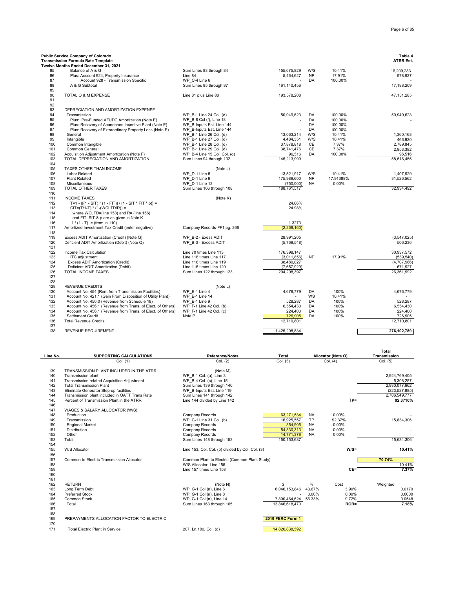### **Public Service Company of Colorado Table 4 Transmission Formula Rate Template Twelve Months Ended December 31, 2021** 4155,675,829 W/S 10.41% 16,209,283 16,209,283 Sum Lines 83 through 84 16,209,283<br>1398,927 17,91% 16,209,923 16,444,627 NP 17,91% 86 Plus: Account 924, Property Insurance Line 84 Line 84 Convertions of the SALE of the SALE of the SALE of the SALE of the SALE of the SALE of the SALE of the SALE of the SALE of the SALE of the SALE of the SALE of the SA 87 Account 928 - Transmission Specific WP\_C-4 Line 6 - DA 100.00% - Sum Lines 85 through 87 89 90 TOTAL O & M EXPENSE Line 81 plus Line 88 193,578,208 47,151,285 91 92 93 DEPRECIATION AND AMORTIZATION EXPENSE<br>94 Transmission<br>95 Plus: Pre-Funded AFUDC Amortization (Note E 91 VP\_B-1 Line 24 Col. (d) 50,949,623 DA 100.00% 50,949,623 DA 100.00% 50,949,623<br>PMP\_B-1 Col. (f) Line 18<br>PDA 100.00% 50,949,623 DA 100.00% 50,949,623 DA 100.00% 95 Plus: Pre-Funded AFUDC Amortization (Note E) WP\_B-8 Col (f), Line 18<br>
Plus: Recovery of Abandoned Incentive Plant (Note E) WP\_B-Inputs Est. Line 144 96 Plus: Recovery of Abandoned Incentive Plant (Note E) WP\_B-Inputs Est. Line 144 - Plus: Recovery of Extraordinary Property Loss (Note E) WP\_B-Inputs Est. Line 144 - Plus: Recovery of Extraordinary Property Loss (Note E) 97 Plus: Recovery of Extraordinary Property Loss (Note E) WP\_B-Inputs Est. Line 144 - Pus: Recovery of Extraordinary Property Loss (Note E) WP\_B-Inputs Est. Line 144 - Pus: Recovery of Extraordinary Property Loss (Note E) 98 General و99 General WP\_B-1 Line 26 Col. (d) 13,063,214 W/S 10.41% 1,360,168 10.41% 1,360,168<br>199 Intangible (1980) WP\_B-1 Line 27 Col. (d) 37,878,845 WP\_B-1 Line 27,89,945 10.41% 10.41% 10.41% 10.41% 1,<br>100 Common Inta 99 Intangible https://www.com.com/intangible with the collumn of the collumn of the collumn of the collumn of the collumn of the collumn of the collumn of the collumn of the collumn of the collumn of the collumn of the col 100 Common Intangible WP\_B-1 Line 28 Col. (d) 37,878,818 CE 7.37% 2,789,845 101 Common General Common General Medicine Providence of the U.S. And M. D. M. D. M. D. M. D. M. D. M. D. M. D<br>102 Acquisition Adiustment Amortization (Note F) WP B-4 Line 15 Col. (d) 38,741,476 CE 7.37% 2,853,382<br>102 Acqu 102 Acquisition Adjustment Amortization (Note F) <br>103 TOTAL DEPRECIATION AND AMORTIZATION Sum Lines 94 through 102 145,213,999 90.516 DA 100.00% 96,516,455 103 TOTAL DEPRECIATION AND AMORTIZATION 104 105 TAXES OTHER THAN INCOME (Note J) 106 Labor Related WP\_D-1 Line 5 13,521,917 W/S 10.41% 1,407,929 107 Plant Related WP\_D-1 Line 9 175,989,600 NP 17.91388% 31,526,562 108 Miscellaneous WP\_D-1 Line 12 (750,000) NA 0.00% - 109 TOTAL OTHER TAXES SUM DIRECTOR SUM LINES 106 through 108 188,761,517 1011 SUCCASE 2009 108 188,761,517 32,934,492 110 111 INCOME TAXES (Note K)<br>
112 T=1 -  $f(f1 - SIT)^* (1 - FIT)^1 / (1 - SIT^* FIN^*) =$ 112 T=1 - {[(1 - SIT) \* (1 - FIT)] / (1 - SIT \* FIT \* p)} = 24.66%<br>113 CIT=(T/1-T) \* (1-(WCLTD/R)) = 24.98% 113  $CIT = (T/1-T) * (1-(WCLTD/R)) =$ <br>114 where WCLTD=(line 153) and 114 where WCLTD=(line 153) and R= (line 156) 115 and FIT, SIT & p are as given in Note K. 116 1/(1 - T) = (from ln 110)<br>117 Amortized Investment Tax Credit (enter negative) Company Records-FF1 pg. 266 268 269, 160) Amortized Investment Tax Credit (enter negative) 118 119 Excess ADIT Amortization (Credit) (Note Q) WP\_B-2 - Exess ADIT 28,991,205 (3,547,025) 120 Deficient ADIT Amortization (Debit) (Note Q) WP\_B-3 - Excess ADIT (5,769,548) 506,236  $121$ <br> $122$ 122 Income Tax Calculation Line 70 times Line 113 176,398,147 30,937,572 123 ITC adjustment<br>
123 ITC adjustment<br>
124 Excess ADIT Amortization (Credit) Line 116 times Line 117 (3,011,856) NP 17.91% (539,540)<br>
125 Deficient ADIT Amortization (Debit) Line 116 times Line 120 (7,657,920) (7,657,920) 124 Excess ADIT Amortization (Credit)<br>
125 Deficient ADIT Amortization (Debit) Line 116 times Line 120 (7,657,920) 125 Deficient ADIT Amortization (Debit) Line 116 times Line 120 671,927<br>126 TOTAL INCOME TAXES Sum Lines 122 through 123 204,208,397 127 128 129 REVENUE CREDITS<br>129 Account No. 454 (Rent from Transmission Facilities) WP E-1 Line 4 130 Account No. 454 (Rent from Transmission Facilities) WP\_E-1 Line 4 (Note L) 4,676,779 DA 100% 4,676,779 DA 100% 4,676,779 DA 4,676,779 DA 4,676,779 DA 4,676,779 DA 4,676,779 DA 4,676,779 DA 4,676,779 DA 4,676,779 DA 4,6 131 Account No. 421.1 (Gain From Disposition of Utility Plant) WP\_E-1 Line 14 - WS 10.41% - WS 10.41% - WS 10.41% - WS 10.41% - WS 10.41% - WS 10.41% - WS 10.41% - WS 10.41% - WS 10.41% - WS 10.41% - WS 10.41% - WS 10.41% 132 Account No. 456.0 (Revenue from Schedule 18) WP\_E-1 Line 9 528,287 S. 528,287 DA 100% 528,287 DA 100% 528,287<br>133 Account No. 456.1 (Revenue from Trans. of Elect. of Others) WP\_F-1 Line 42 Col. (b) 6,554,430 6,554,430 133 Account No. 456.1 (Revenue from Trans. of Elect. of Others) WP\_F-1 Line 42 Col. (b) 6,554,430 DA 100% 6,554,430 DA 100% 6,554,430 DA 100% 6,554,430 DA 100% 6,554,430 DA 100% 6,554,430 DA 100% 6,554,430 DA 100% 6,554,43 134 Account No. 456.1 (Revenue from Trans. of Elect. of Others) WP\_F-1 Line 42 Col. (c) 224,400 DA 100% 224,400 135 Settlement Credit Note P 726,905 DA 100% 726,905 136 Total Revenue Credits 12,710,801 12,710,801 137

| Line No. | <b>SUPPORTING CALCULATIONS</b>                 | <b>Reference/Notes</b>                           | <b>Total</b>     |           | Allocator (Note O) | Total<br>Transmission |
|----------|------------------------------------------------|--------------------------------------------------|------------------|-----------|--------------------|-----------------------|
|          | Col. (1)                                       | Col. (2)                                         | Col. (3)         |           | Col. (4)           | Col. (5)              |
| 139      | TRANSMISSION PLANT INCLUDED IN THE ATRR        | (Note M)                                         |                  |           |                    |                       |
| 140      | Transmission plant                             | WP B-1 Col. (a), Line 3                          |                  |           |                    | 2,924,769,405         |
| 141      | Transmission related Acquisition Adjustment    | WP B-4 Col. (c), Line 15                         |                  |           |                    | 5,308,257             |
| 142      | <b>Total Transmission Plant</b>                | Sum Lines 139 through 140                        |                  |           |                    | 2,930,077,662         |
| 143      | Eliminate Generator Step-up facilities         | WP B-Inputs Est. Line 119                        |                  |           |                    | (223, 527, 885)       |
| 144      | Transmission plant included in OATT Trans Rate | Sum Lines 141 through 142                        |                  |           |                    | 2,706,549,777         |
| 145      | Percent of Transmission Plant in the ATRR      | Line 144 divided by Line 142                     |                  |           | $TP =$             | 92.3710%              |
| 146      |                                                |                                                  |                  |           |                    |                       |
| 147      | WAGES & SALARY ALLOCATOR (W/S)                 |                                                  |                  |           |                    |                       |
| 148      | Production                                     | Company Records                                  | 63,271,534       | <b>NA</b> | 0.00%              |                       |
| 149      | Transmission                                   | WP C-1 Line 31 Col. (b)                          | 16,925,557       | TP        | 92.37%             | 15,634,306            |
| 150      | <b>Regional Market</b>                         | Company Records                                  | 354,905          | <b>NA</b> | 0.00%              |                       |
| 151      | <b>Distribution</b>                            | Company Records                                  | 54,830,313       | <b>NA</b> | 0.00%              |                       |
| 152      | Other                                          | Company Records                                  | 14,771,378       | <b>NA</b> | 0.00%              |                       |
| 153      | Total                                          | Sum Lines 148 through 152                        | 150, 153, 687    |           |                    | 15.634.306            |
| 154      |                                                |                                                  |                  |           |                    |                       |
| 155      | W/S Allocator                                  | Line 153, Col. Col. (5) divided by Col. Col. (3) |                  |           | $W/S =$            | 10.41%                |
| 156      |                                                |                                                  |                  |           |                    |                       |
| 157      | Common to Electric Transmission Allocator      | Common Plant to Electric (Common Plant Study)    |                  |           |                    | 70.74%                |
| 158      |                                                | W/S Allocator, Line 155                          |                  |           |                    | 10.41%                |
| 159      |                                                | Line 157 times Line 158                          |                  |           | $CE =$             | 7.37%                 |
| 160      |                                                |                                                  |                  |           |                    |                       |
| 161      |                                                |                                                  |                  |           |                    |                       |
| 162      | <b>RETURN</b>                                  | (Note N)                                         | \$               | $\%$      | Cost               | Weighted              |
| 163      | Long Term Debt                                 | WP G-1 Col (n), Line 6                           | 6.046.153.846    | 43.67%    | 3.90%              | 0.0170                |
| 164      | <b>Preferred Stock</b>                         | WP G-1 Col (n), Line 8                           |                  | 0.00%     | 0.00%              | 0.0000                |
| 165      | Common Stock                                   | WP G-1 Col (n), Line 14                          | 7,800,464,624    | 56.33%    | 9.72%              | 0.0548                |
| 166      | Total                                          | Sum Lines 163 through 165                        | 13,846,618,470   |           | ROR=               | 7.18%                 |
| 167      |                                                |                                                  |                  |           |                    |                       |
| 168      |                                                |                                                  |                  |           |                    |                       |
| 169      | PREPAYMENTS ALLOCATION FACTOR TO ELECTRIC      |                                                  | 2019 FERC Form 1 |           |                    |                       |
| 170      |                                                |                                                  |                  |           |                    |                       |
| 171      | <b>Total Electric Plant in Service</b>         | 207, Ln.100, Col. (g)                            | 14.820.838.592   |           |                    |                       |

138 REVENUE REQUIREMENT 1,425,208,834 **276,102,789**

÷,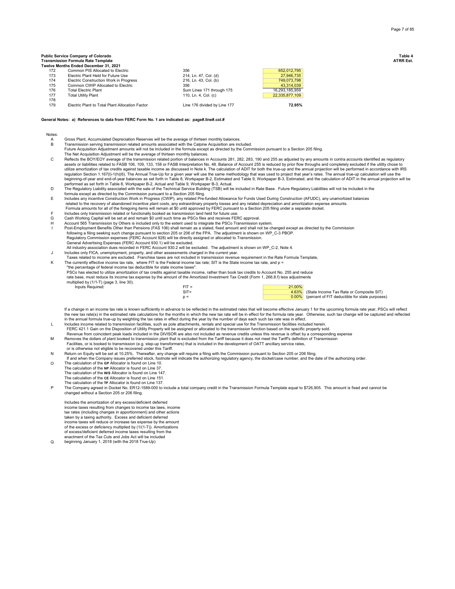## **Public Service Company of Colorado Table 4 Transmission Formula Rate Template ATRR Est.**

|     | Twelve Months Ended December 31. 2021           |                              |                |
|-----|-------------------------------------------------|------------------------------|----------------|
| 172 | Common PIS Allocated to Electric                | 356                          | 652,012,795    |
| 173 | Electric Plant Held for Future Use              | 214, Ln. 47, Col. (d)        | 27,946,735     |
| 174 | <b>Electric Construction Work in Progress</b>   | 216. Ln. 43. Col. (b)        | 749,073,798    |
| 175 | Common CWIP Allocated to Electric               | 356                          | 43.314.039     |
| 176 | <b>Total Electric Plant</b>                     | Sum Lines 171 through 175    | 16,293,185,959 |
| 177 | <b>Total Utility Plant</b>                      | 110. Ln. 4. Col. (c)         | 22,335,877,109 |
| 178 |                                                 |                              |                |
| 179 | Electric Plant to Total Plant Allocation Factor | Line 176 divided by Line 177 | 72.95%         |

## **General Notes: a) References to data from FERC Form No. 1 are indicated as: page#.line#.col.#**

Notes:

- A Gross Plant, Accumulated Depreciation Reserves will be the average of thirteen monthly balances.<br>B Transmission serving transmission related amounts associated with the Calpine Acquisition are inc
- B Transmission serving transmission related amounts associated with the Calpine Acquisition are included. Future Acquisition Adjustment amounts will not be included in the formula except as directed by the Commission pursuant to a Section 205 filing. The Net Acquisition Adjustment will be the average of thirteen monthly balances.
- C Reflects the BOY/EOY average of the transmission related portion of balances in Accounts 281, 282, 283, 190 and 255 as adjusted by any amounts in contra accounts identified as regulatory<br>assets or liabilities related to FA regulation Section 1.167(l)-1(h)(6). The Annual True-Up for a given year will use the same methodology that was used to project that year's rates. The annual true-up calculation will use the<br>beginning-of-year and end-of-ye
- performed as set forth in Table 8, Workpaper B-2, Actual and Table 9, Workpaper B-3, Actual.<br>D The Regulatory Liability associated with the sale of the Technical Service Building (TSB) will be included in Rate Base. Futur
- formula except as directed by the Commission pursuant to a Section 205 filing.<br>E Includes any incentive Construction Work in Progress (CWIP), any related Pre-funded Allowance for Funds Used During Construction (AFU related to the recovery of abandoned incentive plant costs, any extraordinary property losses and any related depreciation and amortization expense amounts.
- Formula amounts for all of the foregoing items will remain at \$0 until approved by FERC pursuant to a Section 205 filing under a separate docket.<br>Includes only transmission related or functionally booked as transmission la
- 
- 
- Haccount 565 Transmission by Others is included only to the extent used to integrate the PSCo Transmission system.<br>I Post-Employment Benefits Other than Pensions (FAS 106) shall remain as a stated, fixed amount and shall n following a filing seeking such change pursuant to section 205 or 206 of the FPA. The adjustment is shown on WP\_C-3 PBOP.<br>Regulatory Commission expenses (FERC Account 928) will be directly assigned or allocated to Transmis
- General Advertising Expenses (FERC Account 930.1) will be excluded.
- All industry association dues recorded in FERC Account 930.2 will be excluded. The adjustment is shown on WP\_C-2, Note 4.
- J Includes only FICA, unemployment, property, and other assessments charged in the current year. Taxes related to income are excluded. Franchise taxes are not included in transmission revenue requirement in the Rate Formula Template,
- K The currently effective income tax rate, where FIT is the Federal income tax rate; SIT is the State income tax rate, and p = "the percentage of federal income tax deductible for state income taxes".

PSCo has elected to utilize amortization of tax credits against taxable income, rather than book tax credits to Account No. 255 and reduce

|                                          | rate base, must reduce its income tax expense by the amount of the Amortized Investment Tax Credit (Form 1, 266.8.f) less adjustments |        |
|------------------------------------------|---------------------------------------------------------------------------------------------------------------------------------------|--------|
| multiplied by (1/1-T) (page 3, line 30). |                                                                                                                                       |        |
| Inputs Required:                         | $FIT =$                                                                                                                               | 21.00% |

| $FIT =$ | 21.00% |                                                      |
|---------|--------|------------------------------------------------------|
| $SIT =$ |        | 4.63% (State Income Tax Rate or Composite SIT)       |
|         |        | 0.00% (percent of FIT deductible for state purposes) |

If a change in an income tax rate is known sufficiently in advance to be reflected in the estimated rates that will become effective January 1 for the upcoming formula rate year, PSCo will reflect the new tax rate(s) in the estimated rate calculations for the months in which the new tax rate will be in effect for the formula rate year. Otherwise, such tax change will be captured and reflected  $\alpha$ 

- in the annual formula true-up by weighting the tax rates in effect during the year by the number of days each such tax rate was in effect.<br>Lacknoldes income related to transmission facilities, such as pole attachments, ren FERC 421.1 Gain on the Disposition of Utility Property will be assigned or allocated to the transmission function based on the specific property sold.
- Revenue from coincident peak loads included in the DIVISOR are also not included as revenue credits unless this revenue is offset by a corresponding expense M Removes the dollars of plant booked to transmission plant that is excluded from the Tariff because it does not meet the Tariff's definition of Transmission
- Facilities, or is booked to transmission (e.g. step-up transformers) that is included in the development of OATT ancillary service rates,
- or is otherwise not eligible to be recovered under this Tariff. N Return on Equity will be set at 10.25%. Thereafter, any change will require a filing with the Commission pursuant to Section 205 or 206 filing.
- If and when the Company issues preferred stock, footnote will indicate the authorizing regulatory agency, the docket/case number, and the date of the authorizing order.
- O The calculation of the **GP** Allocator is found on Line 10. The calculation of the **NP** Allocator is found on Line 37. The calculation of the **W/S** Allocator is found on Line 147. The calculation of the **CE** Allocator is found on Line 151. The calculation of the **TP** Allocator is found on Line 137.
- P The Company agreed in Docket No. ER12-1589-000 to include a total company credit in the Transmission Formula Template equal to \$726,905. This amount is fixed and cannot be changed without a Section 205 or 206 filing.

Includes the amortization of any excess/deficient deferred income taxes resulting from changes to income tax laws, income tax rates (including changes in apportionment) and other actions taken by a taxing authority. Excess and deficient deferred income taxes will reduce or increase tax expense by the amount of the excess or deficiency multiplied by (1/(1-T)). Amortizations of excess/deficient deferred income taxes resulting from the enactment of the Tax Cuts and Jobs Act will be included

Q beginning January 1, 2018 (with the 2018 True-Up)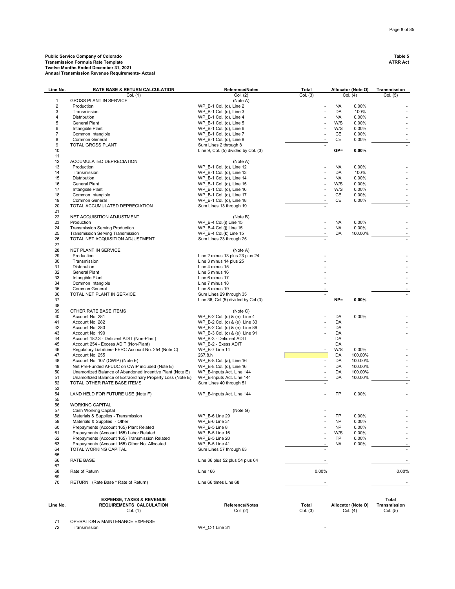# **Public Service Company of Colorado Table 5 Transmission Formula Rate Template ATRR Act Twelve Months Ended December 31, 2021 Annual Transmission Revenue Requirements- Actual**

| Line No.       | <b>RATE BASE &amp; RETURN CALCULATION</b>                                    | <b>Reference/Notes</b>                               | Total          |            | Allocator (Note O) | Transmission |
|----------------|------------------------------------------------------------------------------|------------------------------------------------------|----------------|------------|--------------------|--------------|
|                | Col. (1)                                                                     | Col. (2)                                             | Col. (3)       |            | Col. (4)           | Col. (5)     |
| $\mathbf{1}$   | <b>GROSS PLANT IN SERVICE</b>                                                | (Note A)                                             |                |            |                    |              |
| $\overline{2}$ | Production                                                                   | WP B-1 Col. (d), Line 2                              |                | <b>NA</b>  | 0.00%              |              |
| 3              | Transmission                                                                 | WP B-1 Col. (d), Line 3                              |                | DA         | 100%               |              |
| 4              | Distribution                                                                 | WP B-1 Col. (d), Line 4                              |                | NA         | 0.00%              |              |
| 5              | General Plant                                                                | WP B-1 Col. (d), Line 5                              | ä,             | W/S<br>W/S | 0.00%              |              |
| 6<br>7         | Intangible Plant<br>Common Intangible                                        | WP B-1 Col. (d), Line 6<br>WP B-1 Col. (d), Line 7   |                | CE         | 0.00%<br>0.00%     |              |
| 8              | Common General                                                               | WP B-1 Col. (d), Line 8                              |                | CE         | 0.00%              |              |
| 9              | TOTAL GROSS PLANT                                                            | Sum Lines 2 through 8                                |                |            |                    |              |
| 10             |                                                                              | Line 9, Col. (5) divided by Col. (3)                 |                | $GP =$     | 0.00%              |              |
| 11             |                                                                              |                                                      |                |            |                    |              |
| 12             | ACCUMULATED DEPRECIATION                                                     | (Note A)                                             |                |            |                    |              |
| 13             | Production                                                                   | WP B-1 Col. (d), Line 12                             |                | NA         | 0.00%              |              |
| 14             | Transmission                                                                 | WP_B-1 Col. (d), Line 13                             |                | DA         | 100%               |              |
| 15             | Distribution                                                                 | WP_B-1 Col. (d), Line 14                             |                | NA         | 0.00%              |              |
| 16             | General Plant                                                                | WP B-1 Col. (d), Line 15                             |                | W/S        | 0.00%              |              |
| 17             | Intangible Plant                                                             | WP_B-1 Col. (d), Line 16                             | ä,             | W/S        | 0.00%              |              |
| 18             | Common Intangible                                                            | WP_B-1 Col. (d), Line 17                             |                | CE         | 0.00%              |              |
| 19             | Common General                                                               | WP_B-1 Col. (d), Line 18                             |                | CE         | 0.00%              |              |
| 20             | TOTAL ACCUMULATED DEPRECIATION                                               | Sum Lines 13 through 19                              |                |            |                    |              |
| 21             |                                                                              |                                                      |                |            |                    |              |
| 22             | NET ACQUISITION ADJUSTMENT                                                   | (Note B)                                             |                |            |                    |              |
| 23             | Production                                                                   | WP B-4 Col.(i) Line 15                               | ä,             | NA         | 0.00%              |              |
| 24<br>25       | <b>Transmission Serving Production</b>                                       | WP B-4 Col.(j) Line 15<br>WP B-4 Col.(k) Line 15     |                | NA         | 0.00%<br>100.00%   |              |
| 26             | <b>Transmission Serving Transmission</b><br>TOTAL NET ACQUISITION ADJUSTMENT |                                                      |                | DA         |                    |              |
| 27             |                                                                              | Sum Lines 23 through 25                              |                |            |                    |              |
| 28             | NET PLANT IN SERVICE                                                         | (Note A)                                             |                |            |                    |              |
| 29             | Production                                                                   | Line 2 minus 13 plus 23 plus 24                      |                |            |                    |              |
| 30             | Transmission                                                                 | Line 3 minus 14 plus 25                              |                |            |                    |              |
| 31             | Distribution                                                                 | Line 4 minus 15                                      |                |            |                    |              |
| 32             | <b>General Plant</b>                                                         | Line 5 minus 16                                      |                |            |                    |              |
| 33             | Intangible Plant                                                             | Line 6 minus 17                                      |                |            |                    |              |
| 34             | Common Intangible                                                            | Line 7 minus 18                                      |                |            |                    |              |
| 35             | Common General                                                               | Line 8 minus 19                                      |                |            |                    |              |
| 36             | TOTAL NET PLANT IN SERVICE                                                   | Sum Lines 29 through 35                              |                |            |                    |              |
| 37             |                                                                              | Line 36, Col (5) divided by Col (3)                  |                | $NP =$     | $0.00\%$           |              |
| 38             |                                                                              |                                                      |                |            |                    |              |
| 39             | OTHER RATE BASE ITEMS                                                        | (Note C)                                             |                |            |                    |              |
| 40             | Account No. 281                                                              | WP B-2 Col. (c) & (e), Line 4                        |                | DA         | 0.00%              |              |
| 41             | Account No. 282                                                              | WP B-2 Col. (c) & (e), Line 33                       |                | DA         |                    |              |
| 42             | Account No. 283                                                              | WP_B-2 Col. (c) & (e), Line 89                       |                | DA         |                    |              |
| 43             | Account No. 190                                                              | WP_B-3 Col. (c) & (e), Line 91                       |                | DA         |                    |              |
| 44             | Account 182.3 - Deficient ADIT (Non-Plant)                                   | WP B-3 - Deficient ADIT                              |                | DA         |                    |              |
| 45             | Account 254 - Excess ADIT (Non-Plant)                                        | WP B-2 - Exess ADIT                                  |                | DA         |                    |              |
| 46             | Regulatory Liabilities- FERC Account No. 254 (Note C)                        | WP_B-7 Line 14                                       |                | W/S        | 0.00%              |              |
| 47             | Account No. 255                                                              | 267.8.h                                              |                | DA         | 100.00%            |              |
| 48             | Account No. 107 (CWIP) (Note E)                                              | WP_B-8 Col. (a), Line 16                             | $\blacksquare$ | DA         | 100.00%            |              |
| 49             | Net Pre-Funded AFUDC on CWIP included (Note E)                               | WP B-8 Col. (d), Line 16                             |                | DA         | 100.00%            |              |
| 50             | Unamortized Balance of Abandoned Incentive Plant (Note E)                    | WP B-Inputs Act. Line 144                            |                | DA         | 100.00%            |              |
| 51             | Unamortized Balance of Extraordinary Property Loss (Note E)                  | WP B-Inputs Act. Line 144<br>Sum Lines 40 through 51 |                | DA         | 100.00%            |              |
| 52<br>53       | TOTAL OTHER RATE BASE ITEMS                                                  |                                                      |                |            |                    |              |
| 54             | LAND HELD FOR FUTURE USE (Note F)                                            | WP B-Inputs Act. Line 144                            |                | TP         | 0.00%              |              |
| 55             |                                                                              |                                                      |                |            |                    |              |
| 56             | <b>WORKING CAPITAL</b>                                                       |                                                      |                |            |                    |              |
| 57             | Cash Working Capital                                                         | (Note G)                                             |                |            |                    |              |
| 58             | Materials & Supplies - Transmission                                          | WP_B-6 Line 29                                       |                | TP         | 0.00%              |              |
| 59             | Materials & Supplies - Other                                                 | WP B-6 Line 31                                       |                | <b>NP</b>  | 0.00%              | ٠            |
| 60             | Prepayments (Account 165) Plant Related                                      | WP B-5 Line 8                                        |                | <b>NP</b>  | 0.00%              | ÷.           |
| 61             | Prepayments (Account 165) Labor Related                                      | WP B-5 Line 16                                       |                | W/S        | 0.00%              |              |
| 62             | Prepayments (Account 165) Transmission Related                               | WP B-5 Line 20                                       |                | TP         | 0.00%              |              |
| 63             | Prepayments (Account 165) Other Not Allocated                                | WP B-5 Line 41                                       |                | <b>NA</b>  | 0.00%              |              |
| 64             | TOTAL WORKING CAPITAL                                                        | Sum Lines 57 through 63                              |                |            |                    |              |
| 65             |                                                                              |                                                      |                |            |                    |              |
| 66             | RATE BASE                                                                    | Line 36 plus 52 plus 54 plus 64                      |                |            |                    |              |
| 67             |                                                                              |                                                      |                |            |                    |              |
| 68             | Rate of Return                                                               | <b>Line 166</b>                                      | 0.00%          |            |                    | 0.00%        |
| 69             |                                                                              |                                                      |                |            |                    |              |
| 70             | RETURN (Rate Base * Rate of Return)                                          | Line 66 times Line 68                                |                |            |                    |              |
|                |                                                                              |                                                      |                |            |                    |              |
|                | <b>EXPENSE, TAXES &amp; REVENUE</b>                                          |                                                      |                |            |                    | Total        |
| Line No.       | REQUIREMENTS CALCULATION                                                     | Reference/Notes                                      | Total          |            | Allocator (Note O) | Transmission |
|                | Col. (1)                                                                     | Col. (2)                                             | Col. (3)       |            | Col. (4)           | Col. (5)     |
|                |                                                                              |                                                      |                |            |                    |              |

71 OPERATION & MAINTENANCE EXPENSE<br>72 Transmission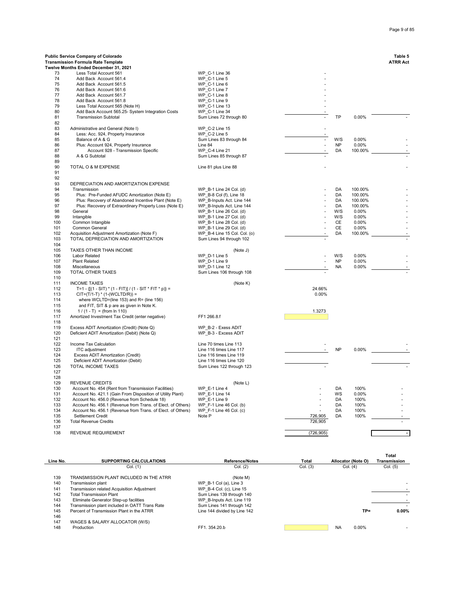|            | Public Service Company of Colorado<br><b>Transmission Formula Rate Template</b> |                                                    |                |           |         | Table 5<br><b>ATRR Act</b> |
|------------|---------------------------------------------------------------------------------|----------------------------------------------------|----------------|-----------|---------|----------------------------|
|            | Twelve Months Ended December 31, 2021                                           |                                                    |                |           |         |                            |
| 73         | Less Total Account 561                                                          | WP C-1 Line 36                                     |                |           |         |                            |
| 74         | Add Back Account 561.4                                                          | WP C-1 Line 5                                      |                |           |         |                            |
| 75         | Add Back Account 561.5                                                          | WP C-1 Line 6                                      |                |           |         |                            |
| 76         | Add Back Account 561.6                                                          | WP C-1 Line 7                                      |                |           |         |                            |
| 77         | Add Back Account 561.7                                                          | WP C-1 Line 8                                      |                |           |         |                            |
| 78         | Add Back Account 561.8                                                          | WP C-1 Line 9                                      |                |           |         |                            |
| 79         | Less Total Account 565 (Note H)                                                 | WP C-1 Line 13                                     |                |           |         |                            |
| 80         | Add Back Account 565.25- System Integration Costs                               | WP C-1 Line 34                                     |                |           |         |                            |
| 81         | <b>Transmission Subtotal</b>                                                    | Sum Lines 72 through 80                            |                | <b>TP</b> | 0.00%   |                            |
| 82         |                                                                                 |                                                    |                |           |         |                            |
| 83         | Administrative and General (Note I)                                             | WP C-2 Line 15                                     | $\overline{a}$ |           |         |                            |
| 84         | Less: Acc. 924, Property Insurance                                              | WP C-2 Line 5                                      |                |           |         |                            |
| 85         | Balance of A & G                                                                | Sum Lines 83 through 84                            | $\blacksquare$ | W/S       | 0.00%   |                            |
| 86         | Plus: Account 924, Property Insurance                                           | Line 84                                            |                | <b>NP</b> | 0.00%   |                            |
| 87         | Account 928 - Transmission Specific                                             | WP C-4 Line 21                                     |                | DA        | 100.00% |                            |
| 88         | A & G Subtotal                                                                  | Sum Lines 85 through 87                            |                |           |         |                            |
| 89         |                                                                                 |                                                    |                |           |         |                            |
| 90         | TOTAL O & M EXPENSE                                                             | Line 81 plus Line 88                               |                |           |         |                            |
| 91         |                                                                                 |                                                    |                |           |         |                            |
| 92         |                                                                                 |                                                    |                |           |         |                            |
| 93<br>94   | DEPRECIATION AND AMORTIZATION EXPENSE<br>Transmission                           | WP_B-1 Line 24 Col. (d)                            |                | DA        | 100.00% |                            |
| 95         | Plus: Pre-Funded AFUDC Amortization (Note E)                                    | WP_B-8 Col (f), Line 18                            |                | DA        | 100.00% |                            |
| 96         | Plus: Recovery of Abandoned Incentive Plant (Note E)                            | WP B-Inputs Act. Line 144                          |                | DA        | 100.00% |                            |
| 97         | Plus: Recovery of Extraordinary Property Loss (Note E)                          | WP B-Inputs Act. Line 144                          |                | DA        | 100.00% |                            |
| 98         | General                                                                         | WP B-1 Line 26 Col. (d)                            |                | W/S       | 0.00%   |                            |
| 99         | Intangible                                                                      | WP B-1 Line 27 Col. (d)                            |                | W/S       | 0.00%   |                            |
| 100        | Common Intangible                                                               | WP B-1 Line 28 Col. (d)                            |                | CE        | 0.00%   |                            |
| 101        | Common General                                                                  | WP B-1 Line 29 Col. (d)                            |                | CE        | 0.00%   |                            |
| 102        | Acquisition Adjustment Amortization (Note F)                                    | WP B-4 Line 15 Col. Col. (o)                       |                | DA        | 100.00% |                            |
| 103        | TOTAL DEPRECIATION AND AMORTIZATION                                             | Sum Lines 94 through 102                           |                |           |         |                            |
| 104        |                                                                                 |                                                    |                |           |         |                            |
| 105        | TAXES OTHER THAN INCOME                                                         | (Note J)                                           |                |           |         |                            |
| 106        | Labor Related                                                                   | WP D-1 Line 5                                      |                | W/S       | 0.00%   |                            |
| 107        | <b>Plant Related</b>                                                            | WP D-1 Line 9                                      |                | <b>NP</b> | 0.00%   |                            |
| 108        | Miscellaneous                                                                   | WP D-1 Line 12                                     |                | <b>NA</b> | 0.00%   |                            |
| 109        | TOTAL OTHER TAXES                                                               | Sum Lines 106 through 108                          |                |           |         |                            |
| 110        |                                                                                 |                                                    |                |           |         |                            |
| 111        | <b>INCOME TAXES</b>                                                             | (Note K)                                           |                |           |         |                            |
| 112        | T=1 - {[(1 - SIT) * (1 - FIT)] / (1 - SIT * FIT * p)} =                         |                                                    | 24.66%         |           |         |                            |
| 113        | CIT=(T/1-T) * (1-(WCLTD/R)) =                                                   |                                                    | 0.00%          |           |         |                            |
| 114        | where WCLTD=(line 153) and R= (line 156)                                        |                                                    |                |           |         |                            |
| 115        | and FIT, SIT & p are as given in Note K.                                        |                                                    |                |           |         |                            |
| 116        | $1/(1 - T) = (from ln 110)$                                                     |                                                    | 1.3273         |           |         |                            |
| 117        | Amortized Investment Tax Credit (enter negative)                                | FF1 266.8.f                                        |                |           |         |                            |
| 118        |                                                                                 |                                                    |                |           |         |                            |
| 119        | Excess ADIT Amortization (Credit) (Note Q)                                      | WP_B-2 - Exess ADIT                                |                |           |         |                            |
| 120        | Deficient ADIT Amortization (Debit) (Note Q)                                    | WP B-3 - Excess ADIT                               |                |           |         |                            |
| 121        |                                                                                 |                                                    |                |           |         |                            |
| 122        | Income Tax Calculation                                                          | Line 70 times Line 113                             |                |           |         |                            |
| 123        | ITC adjustment                                                                  | Line 116 times Line 117                            |                | <b>NP</b> | 0.00%   |                            |
| 124<br>125 | Excess ADIT Amortization (Credit)<br>Deficient ADIT Amortization (Debit)        | Line 116 times Line 119<br>Line 116 times Line 120 |                |           |         |                            |
| 126        | TOTAL INCOME TAXES                                                              | Sum Lines 122 through 123                          |                |           |         |                            |
| 127        |                                                                                 |                                                    |                |           |         |                            |
| 128        |                                                                                 |                                                    |                |           |         |                            |
| 129        | <b>REVENUE CREDITS</b>                                                          | (Note L)                                           |                |           |         |                            |
| 130        | Account No. 454 (Rent from Transmission Facilities)                             | WP E-1 Line 4                                      |                | DA        | 100%    |                            |
| 131        | Account No. 421.1 (Gain From Disposition of Utility Plant)                      | WP E-1 Line 14                                     |                | WS        | 0.00%   |                            |
| 132        | Account No. 456.0 (Revenue from Schedule 18)                                    | WP E-1 Line 9                                      |                | DA        | 100%    |                            |
| 133        | Account No. 456.1 (Revenue from Trans. of Elect. of Others)                     | WP_F-1 Line 46 Col. (b)                            |                | DA        | 100%    |                            |
| 134        | Account No. 456.1 (Revenue from Trans. of Elect. of Others)                     | WP F-1 Line 46 Col. (c)                            |                | DA        | 100%    |                            |
| 135        | Settlement Credit                                                               | Note P                                             | 726,905        | DA        | 100%    |                            |
| 136        | <b>Total Revenue Credits</b>                                                    |                                                    | 726,905        |           |         |                            |
| 137        |                                                                                 |                                                    |                |           |         |                            |
| 138        | REVENUE REQUIREMENT                                                             |                                                    | (726, 905)     |           |         | $\blacksquare$             |
|            |                                                                                 |                                                    |                |           |         |                            |
|            |                                                                                 |                                                    |                |           |         |                            |

| Line No. | <b>SUPPORTING CALCULATIONS</b><br>Col. $(1)$   | <b>Reference/Notes</b><br>Col. (2) | Total<br>Col. (3) | Allocator (Note O)<br>Col. (4) | Total<br><b>Transmission</b><br>Col. (5) |
|----------|------------------------------------------------|------------------------------------|-------------------|--------------------------------|------------------------------------------|
|          |                                                |                                    |                   |                                |                                          |
| 139      | TRANSMISSION PLANT INCLUDED IN THE ATRR        | (Note M)                           |                   |                                |                                          |
| 140      | Transmission plant                             | WP $B-1$ Col (a), Line 3           |                   |                                |                                          |
| 141      | Transmission related Acquisition Adjustment    | WP B-4 Col. (c), Line 15           |                   |                                |                                          |
| 142      | <b>Total Transmission Plant</b>                | Sum Lines 139 through 140          |                   |                                |                                          |
| 143      | Eliminate Generator Step-up facilities         | WP B-Inputs Act. Line 119          |                   |                                |                                          |
| 144      | Transmission plant included in OATT Trans Rate | Sum Lines 141 through 142          |                   |                                |                                          |
| 145      | Percent of Transmission Plant in the ATRR      | Line 144 divided by Line 142       |                   | TP=                            | $0.00\%$                                 |
| 146      |                                                |                                    |                   |                                |                                          |
| 147      | WAGES & SALARY ALLOCATOR (W/S)                 |                                    |                   |                                |                                          |
| 148      | Production                                     | FF1.354.20.b                       |                   | <b>NA</b><br>$0.00\%$          |                                          |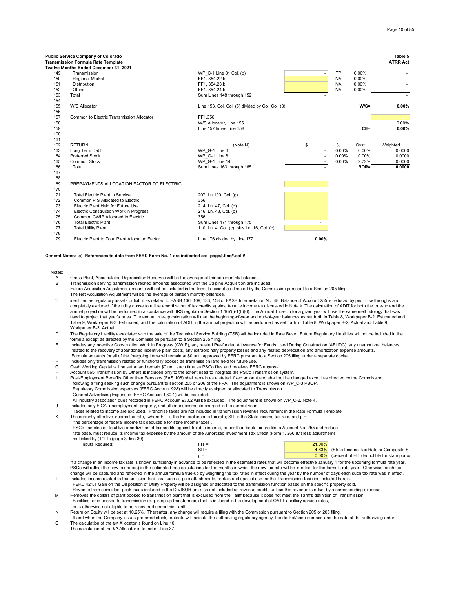|            | Public Service Company of Colorado<br><b>Transmission Formula Rate Template</b> |                                                    |                          |           |         | Table 5<br><b>ATRR Act</b> |
|------------|---------------------------------------------------------------------------------|----------------------------------------------------|--------------------------|-----------|---------|----------------------------|
| 149        | Twelve Months Ended December 31, 2021<br>Transmission                           | WP C-1 Line 31 Col. (b)                            |                          | <b>TP</b> | 0.00%   |                            |
| 150        | <b>Regional Market</b>                                                          | FF1.354.22.b                                       | ٠                        | <b>NA</b> | 0.00%   |                            |
| 151        | Distribution                                                                    | FF1.354.23.b                                       |                          | <b>NA</b> | 0.00%   |                            |
| 152        | Other                                                                           | FF1.354.24.b                                       |                          | <b>NA</b> | 0.00%   |                            |
| 153        | Total                                                                           | Sum Lines 148 through 152                          |                          |           |         |                            |
| 154        |                                                                                 |                                                    |                          |           |         |                            |
|            | W/S Allocator                                                                   |                                                    |                          |           | $W/S =$ |                            |
| 155        |                                                                                 | Line 153, Col. Col. (5) divided by Col. Col. (3)   |                          |           |         | 0.00%                      |
| 156        | Common to Electric Transmission Allocator                                       |                                                    |                          |           |         |                            |
| 157<br>158 |                                                                                 | FF1.356                                            |                          |           |         | 0.00%                      |
| 159        |                                                                                 | W/S Allocator, Line 155<br>Line 157 times Line 158 |                          |           | CE=     | 0.00%                      |
|            |                                                                                 |                                                    |                          |           |         |                            |
| 160        |                                                                                 |                                                    |                          |           |         |                            |
| 161        |                                                                                 |                                                    |                          |           |         |                            |
| 162        | <b>RETURN</b>                                                                   | (Note N)                                           | \$                       | %         | Cost    | Weighted                   |
| 163        | Long Term Debt                                                                  | WP G-1 Line 6                                      | $\overline{\phantom{a}}$ | 0.00%     | 0.00%   | 0.0000                     |
| 164        | <b>Preferred Stock</b>                                                          | WP G-1 Line 8                                      | $\blacksquare$           | 0.00%     | 0.00%   | 0.0000                     |
| 165        | Common Stock                                                                    | WP G-1 Line 14                                     |                          | 0.00%     | 9.72%   | 0.0000                     |
| 166        | Total                                                                           | Sum Lines 163 through 165                          |                          |           | $ROR =$ | 0.0000                     |
| 167        |                                                                                 |                                                    |                          |           |         |                            |
| 168        |                                                                                 |                                                    |                          |           |         |                            |
| 169        | PREPAYMENTS ALLOCATION FACTOR TO ELECTRIC                                       |                                                    |                          |           |         |                            |
| 170        |                                                                                 |                                                    |                          |           |         |                            |
| 171        | <b>Total Electric Plant in Service</b>                                          | 207, Ln.100, Col. (g)                              |                          |           |         |                            |
| 172        | Common PIS Allocated to Electric                                                | 356                                                |                          |           |         |                            |
| 173        | Electric Plant Held for Future Use                                              | 214, Ln. 47, Col. (d)                              |                          |           |         |                            |
| 174        | Electric Construction Work in Progress                                          | 216, Ln. 43, Col. (b)                              |                          |           |         |                            |
| 175        | Common CWIP Allocated to Electric                                               | 356                                                |                          |           |         |                            |
| 176        | <b>Total Electric Plant</b>                                                     | Sum Lines 171 through 175                          |                          |           |         |                            |
| 177        | <b>Total Utility Plant</b>                                                      | 110, Ln. 4, Col. (c), plus Ln. 16, Col. (c)        |                          |           |         |                            |
| 178        |                                                                                 |                                                    |                          |           |         |                            |
| 179        | Electric Plant to Total Plant Allocation Factor                                 | Line 176 divided by Line 177                       | 0.00%                    |           |         |                            |

**General Notes: a) References to data from FERC Form No. 1 are indicated as: page#.line#.col.#**

### Notes:

- A Gross Plant, Accumulated Depreciation Reserves will be the average of thirteen monthly balances.<br>B Transmission serving transmission related amounts associated with the Calpine Acquisition are incl
- B Transmission serving transmission related amounts associated with the Calpine Acquisition are included. Future Acquisition Adjustment amounts will not be included in the formula except as directed by the Commission pursuant to a Section 205 filing. The Net Acquisition Adjustment will be the average of thirteen monthly balances.  $\mathcal{L}(\mathcal{L})$
- C identified as regulatory assets or liabilities related to FASB 106, 109, 133, 158 or FASB Interpretation No. 48. Balance of Account 255 is reduced by prior flow throughs and completely excluded if the utility chose to utilize amortization of tax credits against taxable income as discussed in Note k. The calculation of ADIT for both the true-up and the annual projection will be performed in accordance with IRS regulation Section 1.167(l)-1(h)(6). The Annual True-Up for a given year will use the same methodology that was used to project that year's rates. The annual true-up calculation will use the beginning-of-year and end-of-year balances as set forth in Table 8, Workpaper B-2, Estimated and<br>Table 9, Workpaper B-3, Estimated; and the cal Workpaper B-3, Actual.
- D The Regulatory Liability associated with the sale of the Technical Service Building (TSB) will be included in Rate Base. Future Regulatory Liabilities will not be included in the formula except as directed by the Commission pursuant to a Section 205 filing.
- E Includes any incentive Construction Work in Progress (CWIP), any related Pre-funded Allowance for Funds Used During Construction (AFUDC), any unamortized balances related to the recovery of abandoned incentive plant costs, any extraordinary property losses and any related depreciation and amortization expense amounts. Formula amounts for all of the foregoing items will remain at \$0 until approved by FERC pursuant to a Section 205 filing under a separate docket.
- F Includes only transmission related or functionally booked as transmission land held for future use.<br>G Cash Working Capital will be set at and remain \$0 until such time as PSCo files and receives FEF
- G Cash Working Capital will be set at and remain \$0 until such time as PSCo files and receives FERC approval.
- H Account 565 Transmission by Others is included only to the extent used to integrate the PSCo Transmission system.
- Post-Employment Benefits Other than Pensions (FAS 106) shall remain as a stated, fixed amount and shall not be changed except as directed by the Commission following a filing seeking such change pursuant to section 205 or 206 of the FPA. The adjustment is shown on WP\_C-3 PBOP.<br>Regulatory Commission expenses (FERC Account 928) will be directly assigned or allocated to Transmis
	- General Advertising Expenses (FERC Account 930.1) will be excluded.
- All industry association dues recorded in FERC Account 930.2 will be excluded. The adjustment is shown on WP\_C-2, Note 4.
- J Includes only FICA, unemployment, property, and other assessments charged in the current year.
	- Taxes related to income are excluded. Franchise taxes are not included in transmission revenue requirement in the Rate Formula Template,
- K The currently effective income tax rate, where FIT is the Federal income tax rate; SIT is the State income tax rate, and p = "the percentage of federal income tax deductible for state income taxes". PSCo has elected to utilize amortization of tax credits against taxable income, rather than book tax credits to Account No. 255 and reduce
	- rate base, must reduce its income tax expense by the amount of the Amortized Investment Tax Credit (Form 1, 266.8.f) less adjustments multiplied by (1/1-T) (page 3, line 30). Inputs Required: FIT = 21.000 PHT = 21.000 PHT = 21.000 PHT = 21.000 PHT = 21.000 PHT = 21.000 PHT = 21.000 PHT

| $FIT =$ | 21.00% |                                                  |
|---------|--------|--------------------------------------------------|
| $SIT =$ |        | 4.63% (State Income Tax Rate or Composite SI     |
| $p =$   |        | 0.00% (percent of FIT deductible for state purpo |
|         |        |                                                  |

L Includes income related to transmission facilities, such as pole attachments, rentals and special use for the Transmission facilities included herein. If a change in an income tax rate is known sufficiently in advance to be reflected in the estimated rates that will become effective January 1 for the upcoming formula rate year, PSCo will reflect the new tax rate(s) in the estimated rate calculations for the months in which the new tax rate will be in effect for the formula rate year. Otherwise, such tax change will be captured and reflected in the annual formula true-up by weighting the tax rates in effect during the year by the number of days each such tax rate was in effect.

- FERC 421.1 Gain on the Disposition of Utility Property will be assigned or allocated to the transmission function based on the specific property sold. Revenue from coincident peak loads included in the DIVISOR are also not included as revenue credits unless this revenue is offset by a corresponding expense
- M Removes the dollars of plant booked to transmission plant that is excluded from the Tariff because it does not meet the Tariff's definition of Transmission Facilities, or is booked to transmission (e.g. step-up transformers) that is included in the development of OATT ancillary service rates, or is otherwise not eligible to be recovered under this Tariff.
- N Return on Equity will be set at 10.25%. Thereafter, any change will require a filing with the Commission pursuant to Section 205 or 206 filing.

 If and when the Company issues preferred stock, footnote will indicate the authorizing regulatory agency, the docket/case number, and the date of the authorizing order. O The calculation of the **GP** Allocator is found on Line 10.

The calculation of the **NP** Allocator is found on Line 37.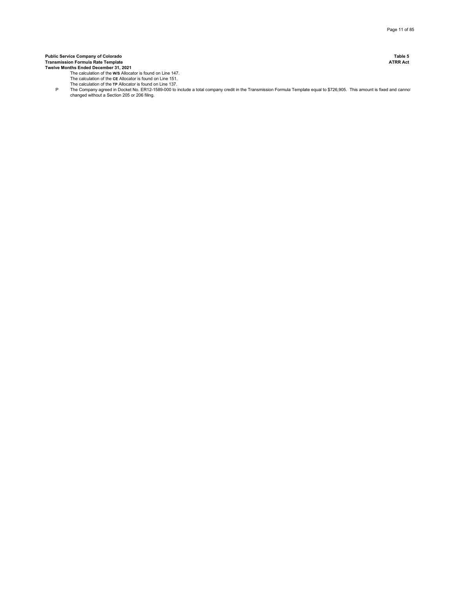**Public Service Company of Colorado Table 5 Transmission Formula Rate Template ATRR Act Twelve Months Ended December 31, 2021**

- The calculation of the **W/S** Allocator is found on Line 147. The calculation of the **CE** Allocator is found on Line 151.
- The calculation of the **TP** Allocator is found on Line 137.
- P The Company agreed in Docket No. ER12-1589-000 to include a total company credit in the Transmission Formula Template equal to \$726,905. This amount is fixed and cannot changed without a Section 205 or 206 filing.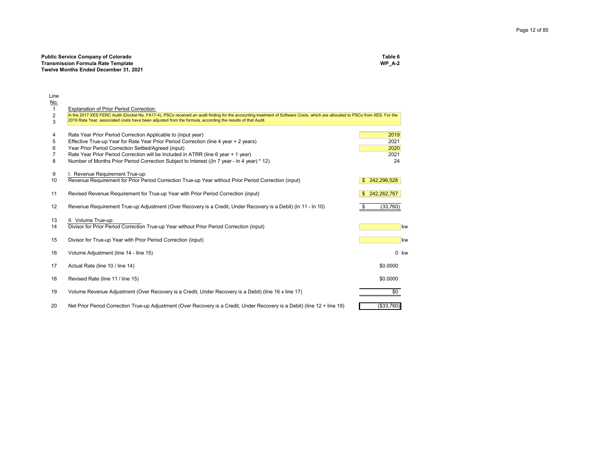| <b>Public Service Company of Colorado</b> | Table 6  |
|-------------------------------------------|----------|
| <b>Transmission Formula Rate Template</b> | WP $A-2$ |
| Twelve Months Ended December 31, 2021     |          |

|                                                                                                                           |                                                                                                                                                                                                                                                                                                                                                                                                                                                                                                                                                                                                                                                                                                                                                                                                                                                                                                                    | 2020       |                                                                                                                                                                                                                                               |
|---------------------------------------------------------------------------------------------------------------------------|--------------------------------------------------------------------------------------------------------------------------------------------------------------------------------------------------------------------------------------------------------------------------------------------------------------------------------------------------------------------------------------------------------------------------------------------------------------------------------------------------------------------------------------------------------------------------------------------------------------------------------------------------------------------------------------------------------------------------------------------------------------------------------------------------------------------------------------------------------------------------------------------------------------------|------------|-----------------------------------------------------------------------------------------------------------------------------------------------------------------------------------------------------------------------------------------------|
|                                                                                                                           |                                                                                                                                                                                                                                                                                                                                                                                                                                                                                                                                                                                                                                                                                                                                                                                                                                                                                                                    | 2021       |                                                                                                                                                                                                                                               |
| Number of Months Prior Period Correction Subject to Interest ((In 7 year - In 4 year) * 12)                               |                                                                                                                                                                                                                                                                                                                                                                                                                                                                                                                                                                                                                                                                                                                                                                                                                                                                                                                    | 24         |                                                                                                                                                                                                                                               |
|                                                                                                                           |                                                                                                                                                                                                                                                                                                                                                                                                                                                                                                                                                                                                                                                                                                                                                                                                                                                                                                                    |            |                                                                                                                                                                                                                                               |
|                                                                                                                           |                                                                                                                                                                                                                                                                                                                                                                                                                                                                                                                                                                                                                                                                                                                                                                                                                                                                                                                    |            |                                                                                                                                                                                                                                               |
|                                                                                                                           |                                                                                                                                                                                                                                                                                                                                                                                                                                                                                                                                                                                                                                                                                                                                                                                                                                                                                                                    |            |                                                                                                                                                                                                                                               |
| Revised Revenue Requirement for True-up Year with Prior Period Correction (input)                                         | \$.                                                                                                                                                                                                                                                                                                                                                                                                                                                                                                                                                                                                                                                                                                                                                                                                                                                                                                                |            |                                                                                                                                                                                                                                               |
|                                                                                                                           |                                                                                                                                                                                                                                                                                                                                                                                                                                                                                                                                                                                                                                                                                                                                                                                                                                                                                                                    |            |                                                                                                                                                                                                                                               |
| Revenue Requirement True-up Adjustment (Over Recovery is a Credit, Under Recovery is a Debit) (In 11 - In 10)             |                                                                                                                                                                                                                                                                                                                                                                                                                                                                                                                                                                                                                                                                                                                                                                                                                                                                                                                    | (33,760)   |                                                                                                                                                                                                                                               |
|                                                                                                                           |                                                                                                                                                                                                                                                                                                                                                                                                                                                                                                                                                                                                                                                                                                                                                                                                                                                                                                                    |            |                                                                                                                                                                                                                                               |
|                                                                                                                           |                                                                                                                                                                                                                                                                                                                                                                                                                                                                                                                                                                                                                                                                                                                                                                                                                                                                                                                    |            | kw                                                                                                                                                                                                                                            |
|                                                                                                                           |                                                                                                                                                                                                                                                                                                                                                                                                                                                                                                                                                                                                                                                                                                                                                                                                                                                                                                                    |            |                                                                                                                                                                                                                                               |
| Divisor for True-up Year with Prior Period Correction (input)                                                             |                                                                                                                                                                                                                                                                                                                                                                                                                                                                                                                                                                                                                                                                                                                                                                                                                                                                                                                    |            | kw                                                                                                                                                                                                                                            |
|                                                                                                                           |                                                                                                                                                                                                                                                                                                                                                                                                                                                                                                                                                                                                                                                                                                                                                                                                                                                                                                                    |            |                                                                                                                                                                                                                                               |
|                                                                                                                           |                                                                                                                                                                                                                                                                                                                                                                                                                                                                                                                                                                                                                                                                                                                                                                                                                                                                                                                    |            | 0 kw                                                                                                                                                                                                                                          |
|                                                                                                                           |                                                                                                                                                                                                                                                                                                                                                                                                                                                                                                                                                                                                                                                                                                                                                                                                                                                                                                                    |            |                                                                                                                                                                                                                                               |
|                                                                                                                           |                                                                                                                                                                                                                                                                                                                                                                                                                                                                                                                                                                                                                                                                                                                                                                                                                                                                                                                    |            |                                                                                                                                                                                                                                               |
| Revised Rate (line 11 / line 15)                                                                                          |                                                                                                                                                                                                                                                                                                                                                                                                                                                                                                                                                                                                                                                                                                                                                                                                                                                                                                                    | \$0.0000   |                                                                                                                                                                                                                                               |
|                                                                                                                           |                                                                                                                                                                                                                                                                                                                                                                                                                                                                                                                                                                                                                                                                                                                                                                                                                                                                                                                    |            |                                                                                                                                                                                                                                               |
|                                                                                                                           |                                                                                                                                                                                                                                                                                                                                                                                                                                                                                                                                                                                                                                                                                                                                                                                                                                                                                                                    |            |                                                                                                                                                                                                                                               |
| Net Prior Period Correction True-up Adjustment (Over Recovery is a Credit, Under Recovery is a Debit) (line 12 + line 19) |                                                                                                                                                                                                                                                                                                                                                                                                                                                                                                                                                                                                                                                                                                                                                                                                                                                                                                                    | (\$33,760) |                                                                                                                                                                                                                                               |
|                                                                                                                           | <b>Explanation of Prior Period Correction:</b><br>2019 Rate Year, associated costs have been adjusted from the formula, according the results of that Audit.<br>Rate Year Prior Period Correction Applicable to (input year)<br>Effective True-up Year for Rate Year Prior Period Correction (line 4 year + 2 years)<br>Year Prior Period Correction Settled/Agreed (input)<br>Rate Year Prior Period Correction will be Included in ATRR (line 6 year + 1 year)<br>I. Revenue Requirement True-up:<br>Revenue Requirement for Prior Period Correction True-up Year without Prior Period Correction (input)<br>II. Volume True-up:<br>Divisor for Prior Period Correction True-up Year without Prior Period Correction (input)<br>Volume Adjustment (line 14 - line 15)<br>Actual Rate (line 10 / line 14)<br>Volume Revenue Adjustment (Over Recovery is a Credit, Under Recovery is a Debit) (line 16 x line 17) |            | In the 2017 XES FERC Audit (Docket No. FA17-4), PSCo received an audit finding for the accounting treatment of Software Costs, which are allocated to PSCo from XES. For the<br>2019<br>2021<br>242,296,528<br>242,262,767<br>\$0.0000<br>\$0 |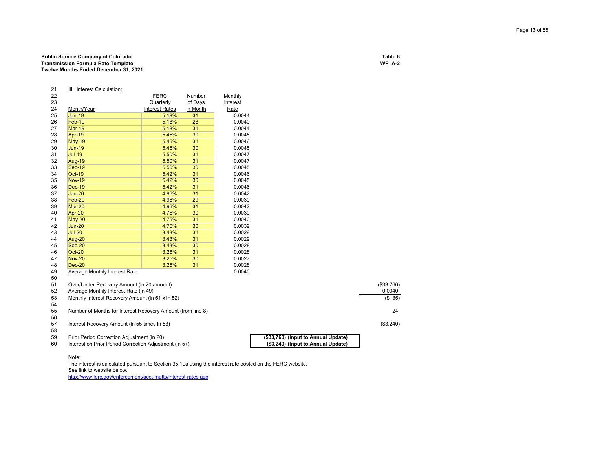## Page 13 of 85

## **Public Service Company of Colorado Table 6 Transmission Formula Rate Template Twelve Months Ended December 31, 2021**

### 21 <u>III. Interest Calculation:</u> 22 **FERC** Number Monthly<br>23 **Cuarterly** of Days Interest 23 Quarterly<br>24 <u>Month/Year</u> **Contains Interest Rate** Month/Year Interest Rates in Month**Rate** 25 Jan-19 5.18% 31 0.00440.0044<br>0.0040 26 Feb-19 5.18% 28 0.0040 27 Mar-19 5.18% 31 0.004428 <mark>Apr-19</mark> 20 .0045 **5.45% 30 10.0045** 29 <mark>May-19</mark> | 5.45% 31 | 0.0046 30 Jun-19 5.45% 30 0.00450.0045<br>0.0047 31 Jul-19 5.50% 31 0.00470.0047 32 Aug-19 5.50% 31 0.0047 33 Sep-19 5.50% 30 0.0045<br>34 Oct-19 5.42% 31 0.0046 34 **Oct-19** 5.42% 31 0.0046 0.0045 35 Nov-19 5.42% 30 0.004536 Dec-19 5.42% 31 37 Jan-20 4.96% 31 0.00420.0042<br>0.0039 38 Feb-20 4.96% 29 0.003939 Mar-20 4.96% 31 0.004240 Apr-20 4.75% 30 0.0039 41 May-20 4.75% 31 0.0040 42 Jun-20 4.75% 30 0.00390.0039<br>0.0029 43 Jul-20 3.43% 31 0.00290.0029 44 Aug-20 3.43% 31 0.0029 45 Sep-20 3.43% 30 0.0028 46 Oct-20 3.25% 31 0.00280.0028 47 Nov-20 3.25% 30 0.0027 48 Dec-20 3.25% 31 0.00280.0040 49 Average Monthly Interest Rate 50 $E^4$

| 51 | Over/Under Recovery Amount (In 20 amount)                   |                                     | $($ \$33,760) |
|----|-------------------------------------------------------------|-------------------------------------|---------------|
| 52 | Average Monthly Interest Rate (In 49)                       |                                     | 0.0040        |
| 53 | Monthly Interest Recovery Amount (In 51 x In 52)            |                                     | (\$135)       |
| 54 |                                                             |                                     |               |
| 55 | Number of Months for Interest Recovery Amount (from line 8) |                                     | 24            |
| 56 |                                                             |                                     |               |
| 57 | Interest Recovery Amount (In 55 times In 53)                |                                     | (\$3,240)     |
| 58 |                                                             |                                     |               |
| 59 | Prior Period Correction Adjustment (In 20)                  | (\$33,760) (Input to Annual Update) |               |
| 60 | Interest on Prior Period Correction Adjustment (In 57)      | (\$3,240) (Input to Annual Update)  |               |
|    |                                                             |                                     |               |

### Note:

The interest is calculated pursuant to Section 35.19a using the interest rate posted on the FERC website. See link to website below.

http://www.ferc.gov/enforcement/acct-matts/interest-rates.asp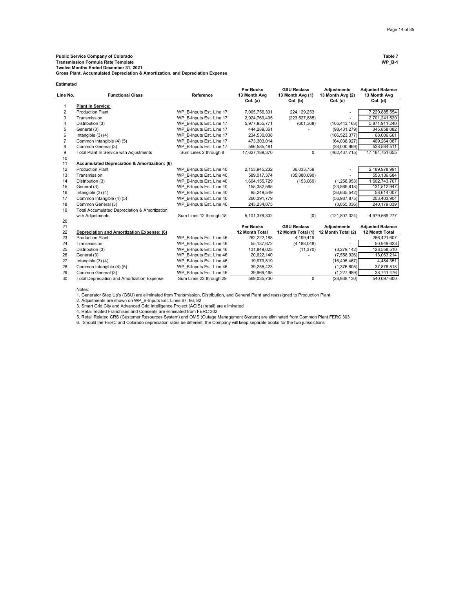**Gross Plant, Accumulated Depreciation & Amortization, and Depreciation Expense**

| <b>Estimated</b> |                                               |                          |                           |                                        |                                        |                                         |
|------------------|-----------------------------------------------|--------------------------|---------------------------|----------------------------------------|----------------------------------------|-----------------------------------------|
| Line No.         | <b>Functional Class</b>                       | Reference                | Per Books<br>13 Month Avg | <b>GSU Reclass</b><br>13 Month Avg (1) | <b>Adiustments</b><br>13 Month Avg (2) | <b>Adjusted Balance</b><br>13 Month Avg |
|                  |                                               |                          | Col. (a)                  | Col. (b)                               | Col. (c)                               | Col. (d)                                |
| 1                | <b>Plant in Service:</b>                      |                          |                           |                                        |                                        |                                         |
| $\overline{2}$   | <b>Production Plant</b>                       | WP B-Inputs Est. Line 17 | 7,005,756,301             | 224, 129, 253                          |                                        | 7,229,885,554                           |
| 3                | Transmission                                  | WP B-Inputs Est. Line 17 | 2,924,769,405             | (223, 527, 885)                        |                                        | 2,701,241,520                           |
| $\overline{4}$   | Distribution (3)                              | WP B-Inputs Est. Line 17 | 5,977,955,771             | (601, 368)                             | (105, 443, 163)                        | 5,871,911,240                           |
| 5                | General (3)                                   | WP B-Inputs Est. Line 17 | 444,289,361               |                                        | (98, 431, 279)                         | 345,858,082                             |
| 6                | Intangible $(3)$ $(4)$                        | WP B-Inputs Est. Line 17 | 234,530,038               |                                        | (166, 523, 377)                        | 68,006,661                              |
| $\overline{7}$   | Common Intangible (4) (5)                     | WP B-Inputs Est. Line 17 | 473,303,014               |                                        | (64, 038, 927)                         | 409,264,087                             |
| 8                | Common General (3)                            | WP B-Inputs Est. Line 17 | 566,585,481               |                                        | (28,000,969)                           | 538,584,511                             |
| 9                | Total Plant In Service with Adjustments       | Sum Lines 2 through 8    | 17,627,189,370            | $\Omega$                               | (462, 437, 715)                        | 17, 164, 751, 655                       |
| 10               |                                               |                          |                           |                                        |                                        |                                         |
| 11               | Accumulated Depreciation & Amortization: (6)  |                          |                           |                                        |                                        |                                         |
| 12               | <b>Production Plant</b>                       | WP B-Inputs Est. Line 40 | 2,153,945,232             | 36,033,759                             |                                        | 2,189,978,991                           |
| 13               | Transmission                                  | WP B-Inputs Est. Line 40 | 589,017,374               | (35,880,690)                           |                                        | 553,136,684                             |
| 14               | Distribution (3)                              | WP B-Inputs Est. Line 40 | 1,604,155,729             | (153,069)                              | (1,258,953)                            | 1,602,743,707                           |
| 15               | General (3)                                   | WP B-Inputs Est. Line 40 | 155,382,565               |                                        | (23,869,618)                           | 131,512,947                             |
| 16               | Intangible $(3)$ $(4)$                        | WP B-Inputs Est. Line 40 | 95.249.549                |                                        | (36, 635, 542)                         | 58,614,007                              |
| 17               | Common Intangible (4) (5)                     | WP B-Inputs Est. Line 40 | 260,391,779               |                                        | (56, 987, 875)                         | 203,403,904                             |
| 18               | Common General (3)                            | WP B-Inputs Est. Line 40 | 243,234,075               |                                        | (3,055,036)                            | 240,179,039                             |
| 19               | Total Accumulated Depreciation & Amortization |                          |                           |                                        |                                        |                                         |
|                  | with Adjustments                              | Sum Lines 12 through 18  | 5,101,376,302             | (0)                                    | (121, 807, 024)                        | 4,979,569,277                           |
| 20               |                                               |                          |                           |                                        |                                        |                                         |
| 21               |                                               |                          | Per Books                 | <b>GSU Reclass</b>                     | <b>Adjustments</b>                     | <b>Adjusted Balance</b>                 |
| 22               | Depreciation and Amortization Expense: (6)    |                          | 12 Month Total            | 12 Month Total (1)                     | 12 Month Total (2)                     | 12 Month Total                          |
| 23               | <b>Production Plant</b>                       | WP B-Inputs Est. Line 46 | 262,222,188               | 4,199,419                              |                                        | 266,421,607                             |
| 24               | Transmission                                  | WP B-Inputs Est. Line 46 | 55, 137, 672              | (4, 188, 048)                          |                                        | 50,949,623                              |
| 25               | Distribution (3)                              | WP B-Inputs Est. Line 46 | 131,849,023               | (11, 370)                              | (3,279,142)                            | 128,558,510                             |
| 26               | General (3)                                   | WP B-Inputs Est. Line 46 | 20,622,140                |                                        | (7,558,926)                            | 13,063,214                              |
| 27               | Intangible $(3)$ $(4)$                        | WP B-Inputs Est. Line 46 | 19,979,819                |                                        | (15, 495, 467)                         | 4,484,351                               |
| 28               | Common Intangible (4) (5)                     | WP B-Inputs Est. Line 46 | 39,255,423                |                                        | (1,376,605)                            | 37,878,818                              |
| 29               | Common General (3)                            | WP B-Inputs Est. Line 46 | 39,969,465                |                                        | (1,227,989)                            | 38,741,476                              |
| 30               | Total Depreciation and Amortization Expense   | Sum Lines 23 through 29  | 569,035,730               | $\mathbf 0$                            | (28,938,130)                           | 540,097,600                             |

Notes:

1. Generator Step Up's (GSU) are eliminated from Transmission, Distribution, and General Plant and reassigned to Production Plant

2. Adjustments are shown on WP\_B-Inputs Est. Lines 67, 86, 92

3. Smart Grid City and Advanced Grid Intelligence Project (AGIS) (retail) are eliminated

4. Retail related Franchises and Consents are eliminated from FERC 302<br>5. Retail Related CRS (Customer Resources System) and OMS (Outage Management System) are eliminated from Common Plant FERC 303<br>6. Should the FERC and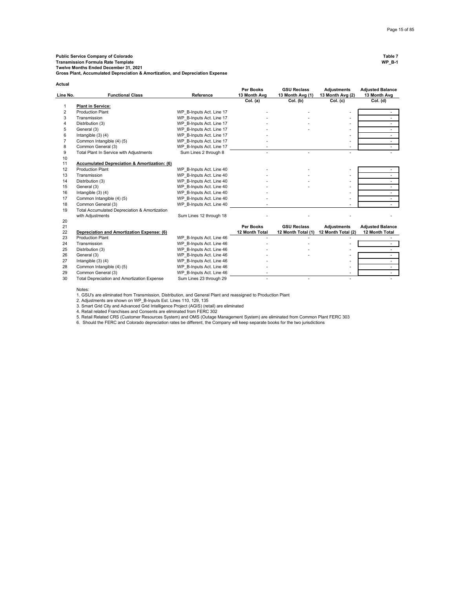**Public Service Company of Colorado Table 7 Transmission Formula Rate Template WP\_B-1 Twelve Months Ended December 31, 2021**

**Gross Plant, Accumulated Depreciation & Amortization, and Depreciation Expense**

| Actual         |                                                         |                          |                           |                                        |                                        |                                         |
|----------------|---------------------------------------------------------|--------------------------|---------------------------|----------------------------------------|----------------------------------------|-----------------------------------------|
| Line No.       | <b>Functional Class</b>                                 | Reference                | Per Books<br>13 Month Avg | <b>GSU Reclass</b><br>13 Month Avg (1) | <b>Adjustments</b><br>13 Month Avg (2) | <b>Adjusted Balance</b><br>13 Month Avg |
|                |                                                         |                          | Col. (a)                  | Col. (b)                               | Col. (c)                               | Col. (d)                                |
| 1              | <b>Plant in Service:</b>                                |                          |                           |                                        |                                        |                                         |
| 2              | <b>Production Plant</b>                                 | WP B-Inputs Act. Line 17 |                           |                                        |                                        |                                         |
| 3              | Transmission                                            | WP B-Inputs Act. Line 17 |                           |                                        |                                        |                                         |
| 4              | Distribution (3)                                        | WP B-Inputs Act. Line 17 |                           |                                        | ۰                                      |                                         |
| 5              | General (3)                                             | WP B-Inputs Act. Line 17 |                           |                                        | ٠                                      |                                         |
| 6              | Intangible $(3)$ $(4)$                                  | WP B-Inputs Act. Line 17 |                           |                                        | ٠                                      |                                         |
| $\overline{7}$ | Common Intangible (4) (5)                               | WP B-Inputs Act. Line 17 |                           |                                        | ٠                                      |                                         |
| 8              | Common General (3)                                      | WP B-Inputs Act. Line 17 |                           |                                        |                                        |                                         |
| 9              | Total Plant In Service with Adjustments                 | Sum Lines 2 through 8    |                           |                                        |                                        |                                         |
| 10             |                                                         |                          |                           |                                        |                                        |                                         |
| 11             | <b>Accumulated Depreciation &amp; Amortization: (6)</b> |                          |                           |                                        |                                        |                                         |
| 12             | <b>Production Plant</b>                                 | WP B-Inputs Act. Line 40 |                           |                                        |                                        |                                         |
| 13             | Transmission                                            | WP B-Inputs Act. Line 40 |                           |                                        |                                        |                                         |
| 14             | Distribution (3)                                        | WP B-Inputs Act. Line 40 |                           |                                        | $\sim$                                 |                                         |
| 15             | General (3)                                             | WP B-Inputs Act. Line 40 |                           |                                        | ٠                                      |                                         |
| 16             | Intangible $(3)$ $(4)$                                  | WP B-Inputs Act. Line 40 |                           |                                        | ٠                                      |                                         |
| 17             | Common Intangible (4) (5)                               | WP B-Inputs Act. Line 40 |                           |                                        |                                        |                                         |
| 18             | Common General (3)                                      | WP B-Inputs Act. Line 40 |                           |                                        |                                        |                                         |
| 19             | Total Accumulated Depreciation & Amortization           |                          |                           |                                        |                                        |                                         |
|                | with Adjustments                                        | Sum Lines 12 through 18  |                           |                                        |                                        |                                         |
| 20             |                                                         |                          |                           |                                        |                                        |                                         |
| 21             |                                                         |                          | <b>Per Books</b>          | <b>GSU Reclass</b>                     | <b>Adjustments</b>                     | <b>Adjusted Balance</b>                 |
| 22             | Depreciation and Amortization Expense: (6)              |                          | 12 Month Total            | 12 Month Total (1)                     | 12 Month Total (2)                     | 12 Month Total                          |
| 23             | <b>Production Plant</b>                                 | WP B-Inputs Act. Line 46 |                           |                                        |                                        |                                         |
| 24             | Transmission                                            | WP B-Inputs Act. Line 46 |                           |                                        |                                        |                                         |
| 25             | Distribution (3)                                        | WP B-Inputs Act. Line 46 |                           |                                        |                                        |                                         |
| 26             | General (3)                                             | WP B-Inputs Act. Line 46 |                           |                                        |                                        |                                         |
| 27             | Intangible $(3)$ $(4)$                                  | WP B-Inputs Act. Line 46 |                           |                                        |                                        |                                         |
| 28             | Common Intangible (4) (5)                               | WP B-Inputs Act. Line 46 |                           |                                        |                                        | $\overline{\phantom{a}}$                |
| 29             | Common General (3)                                      | WP B-Inputs Act. Line 46 |                           |                                        |                                        | $\sim$                                  |
| 30             | Total Depreciation and Amortization Expense             | Sum Lines 23 through 29  |                           | ٠                                      | ٠                                      |                                         |

Notes:

1. GSU's are eliminated from Transmission, Distribution, and General Plant and reassigned to Production Plant<br>2. Adjustments are shown on WP\_B-Inputs Est. Lines 110, 129, 135

3. Smart Grid City and Advanced Grid Intelligence Project (AGIS) (retail) are eliminated

4. Retail related Franchises and Consents are eliminated from FERC 302<br>5. Retail Related CRS (Customer Resources System) and OMS (Outage Management System) are eliminated from Common Plant FERC 303<br>6. Should the FERC and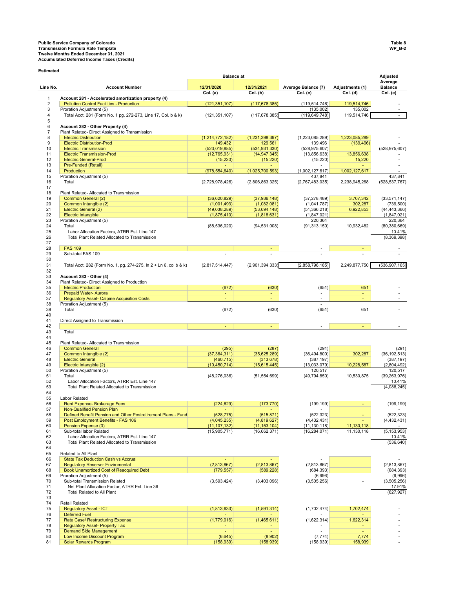**Estimated**

**Adjusted Line No. Account Number 12/31/2020 12/31/2021 Average Balance (7) Adjustments (1) Average**  Balance<br>Col. (e) **Col. (a) Col. (b) Col. (c) Col. (d) Col. (e)** 1 **Account 281 - Accelerated amortization property (4)** 2 Pollution Control Facilities - Production (121,351,107) (121,351,107) (117,678,385) (119,514,746 - 119,514,746 - 119,514,746 - 119,514,746 - 119,514,746 - 119,514,746 - 119,514,746 - 121,55002 (121,351,002 - 135,002 - 13 Proration Adjustment (5) 135,002 135,002 135,002 135,002 135,002 135,002 135,002 135,002 135,002 135,002 135,002 135,002 135,002 135,002 135,002 135,002 135,002 135,002 135,002 135,002 119,544.746 1 mdata Acct. 281 (Form N 4 Total Acct. 281 (Form No. 1 pg. 272-273, Line 17, Col. b & k) (121,351,107) 5 6 **Account 282 - Other Property (4)** 7 Plant Related- Direct Assigned to Transmission<br>8 Electric Distribution 8 Electric Distribution (1,214,772,182) (1,214,772,182) (1,231,398,397) (1,223,085,289) 1,223,085,289<br>9 Electric Distribution-Prod (139,496) 149,432 (129,561 139,496 (139,496) 9 Electric Distribution-Prod 149,432 129,561 139,496 (139,496) - 10 Electric Transmission 13.856.638<br>10 Electric Transmission 13.856.638<br>13.856.638 Electric Transmission-Prod 13.856.638 11 Electric Transmission-Prod (12,765,931) (14,947,345) (13,856,638) 13,856,638 - 12 Electric General-Prod (15,220) (15,220) (15,220) (15,220) (15,220) (15,220) (15,220) (15,220) (15,220 - 15,220 - 15,220 - 15,220 - 15,220 - 15,220 - 15,220 - 15,220 - 15,220 - 15,220 - 15,220 - 15,220 - 15,220 - 15,220 13 Pre-Funded (Retail) - - - - - 14 Production (978,554,640) (1,025,700,593) (1,002,127,617) 1,002,127,617 - 15 Proration Adjustment (5) 237,841 437,841 437,841 437,841 437,841 437,841 437,841 437,841 437,841 437,841 437,841 437,841 437,841 437,841 437,841 437,841 437,841 437,841 437,841 437,841 437,841 437,841 437,841 437,841 43 16 Total (2,728,978,426) (2,806,863,325) (2,767,483,035) 2,238,945,268 (528,537,767) 17 18 Plant Related- Allocated to Transmission<br>19 Common General (2) 19 Common General (2) (36,620,829) (37,936,148) (37,278,489) 3,707,342 (33,571,147)<br>20 Common Intangible (2) (1,001,493) (1,001,493) (1,082,081) (1,084,787) 302,287 (739,500) 20 Common Intangible (2) 20 Common Intangible (2) 20 Common Intangible (2) 20 Common Intangible (2) 235,500<br>21 Electric General (2) 22 Electric (49,038,289 (1,082,284,148,289 (1,084,148,218) (1,081,218,285 (1,041,787)<br>22 E 21 Electric General (2) **21 Electric General (2)** (49,038,289) (53,694,148) (51,366,218) (51,366,218) (51,366,218<br>21 Electric Intangible (1.875,410) (1.818,631) (1.8147,021) (1.8147,021) 22 Electric Intangible (1,875,410) (1,818,631) (1,847,021) (1,847,021) 23 Proration Adjustment (5)<br>
220,364 200,364 220,364 220,364 220,364 220,364 220,364 220,364 230,364 230,364 24 220,364 230,364 230,364 23<br>
230,3669) 230,364 230,364 230,364 230,364 230,364 230,364 230,364 230,364 230,366 24 Total (88,536,020) (94,531,008) (91,313,150) 10,932,482 (80,380,669) 25 Labor Allocation Factors, ATRR Est. Line 147<br>26 Total Plant Related Allocated to Transmission and the control of the control of the control of the control of the control of the control of the control of the control of t Total Plant Related Allocated to Transmission  $\frac{27}{28}$ 28 FAS 109 - - - - 29 Sub-total FAS 109 30 31 Total Acct. 282 (Form No. 1, pg. 274-275, ln 2 + Ln 6, col b & k) (2,817,514,447) (2,901,394,333) (2,858,796,185) 2,249,877,750 (536,907,165) 32 33 **Account 283 - Other (4)** 34 Plant Related- Direct Assigned to Production<br>35 **PELECTRIC Production** 35 Electric Production (672) (630) (651) 651 - 36 Prepaid Water- Aurora<br>37 Regulatory Asset- Calp 37 Regulatory Asset- Calpine Acquisition Costs<br>38 Proration Adjustment (5) 38 Proration Adjustment (5) **2008 Proration Adjustment (5)** 2009 (631) 2014 12:33 Total (651) 39 Total (630) (672) (651) 651 - 40 41 Direct Assigned to Transmission<br>42 42 - - - - - 43 Total 44 Plant Related- Allocated to Transmission 46 Common General (295) (287) (291) (291) 47 Common Intangible (2) (37,364,311) (35,625,289) (36,494,800) 302,287 (36,192,513) 48 <mark>Electric General (387,197) (387,197) (313,678) (313,678)</mark> (387,197) (387,197) (387,197) 49 **Electric Intangible (2) Case 10, 228,587 (2,804,492) (10,450,714) (15,615,445)** (13,033,079) **10,228,587 (2,804,492)** 51 Proration Adjustment (5) 120,517<br>51 Total 10,530,875 (18,263,976 (48,276,036) (48,276,036) (51,554,699) (49,794,850) 10,530,875 (39,263,976 51 Total (48,276,036) (51,554,699) (49,794,850) 10,530,875 (39,263,976) External School (1999) Labor Allocation Factors, ATRR Est. Line 147<br>
52 Labor Allocated Allocated to Transmission<br>
10.41% (4,088,245) Total Plant Related Allocated to Transmission 54 55 Labor Related<br>56 **Rent Expens** Front Expense- Brokerage Fees (224,629) (173,770) (199,199) (199,199) (199,199) (199,199) (199,199) 57 Non-Qualified Pension Plan<br>
58 Defined Benefit Pension and Other Postretirement Plans - Fund (528,775) (515,871) (522,323) (522,323) (522,323) The Sample of the Defined Benefit Pension and Other Postretirement Plans - Fund (528,775) (515,871) (522,323)<br>
59 Post Employment Benefits - FAS 106 (1,813,875) (4,819,627) (4,819,627) (4,432,431) (4,432,431) 59 Post Employment Benefits - FAS 106 New York (4,045,235) (4,819,627) (4,432,431) - (4,432,431) - (4,432,431)<br>60 Pension Expense (3) (11,107,132) (11,107,132) (11,153,104) (11,130,118) 11,130,118 Pension Expense (3) 61 Sub-total labor Related (15,905,771) (16,662,371) (16,284,071) 11,130,118 (5,153,953) 62 Labor Allocation Factors, ATRR Est. Line 147<br>
63 Total Plant Related Allocated to Transmission<br>
63 Total Plant Related Allocated to Transmission Total Plant Related Allocated to Transmission (536,640) and the control of the control of the control of the control of the control of the control of the control of the control of the control of the control of the control 64<br>65 65 Related to All Plant<br>66 **State Tax Deduct** of the State Tax Deduction Cash vs Accrual and the Cash of the Cash of the Cash of the Cash of the Cash of the Cash of the Cash of the Cash of the Cash of the Cash of the Cash of the Cash of the Cash of the Cash of the Cas Regulatory Reserve- Enviromental 68 Book Unamortized Cost of Reacquired Debt (779,557) (589,228) (684,393) (684,393) (684,393) 69 Proration Adjustment (5) (6,996)<br>70 Sub-total Transmission Related (6.996) (3,593,424) (3,593,424) (3,403,096) (3,595,256) (5,996) (5,595,256) 70 Sub-total Transmission Related (3,593,424) (3,593,424) (3,403,096) (3,505,256) - (3,505,256) (3,505,256)<br>71.91% - Net Plant Allocation Factor, ATRR Est. Line 36 The Met Plant Allocation Factor, ATRR Est. Line 36<br>The State of Allocation Factor, ATRR Est. Line 36 17.91% and the State of Allocation of the State of Allocation<br>The Campion of Campion of Campion of Campion of Campion of Total Related to All Plant 73 74 Retail Related<br>75 **Regulatory A** 75 Regulatory Asset - ICT 1,702,474 (1,813,633) (1,591,314) (1,702,474 (1,702,474 - 1,702,474 ) 1,702,474 (1,702,474 ) (1,702,474 ) (1,702,474 ) (1,702,474 ) (1,702,474 ) (1,702,474 ) (1,702,474 ) (1,702,474 ) (1,702,474 ) 76 Deferred Fuel - - - - - 77 Rate Case/ Restructuring Expense (1,779,016) (1,779,016) (1,465,611) (1,622,314) 1,622,314 78 Regulatory Asset- Property Tax 19 Demand Side Management 1988 Control 1998 Control 1998 Control 1998 Control 1998 Control 1998 Control 1998 C<br>1998 Cow Income Discount Program 1999 Control 1999 Control 1999 Control 1999 Control 1999 Control 1999 Control

**Balance at**

80 Low Income Discount Program (6,645) (8,645) (8,902) (7,774)<br>81 Solar Rewards Program (158,939) (158,939) (158,939) (158,939) (158,939)

81 Solar Rewards Program (158,939) (158,939) (158,939) (158,939) (158,939) (158,939) (158,939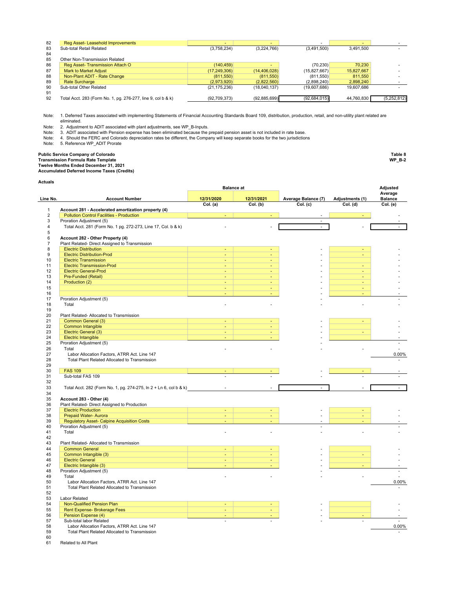| 82 | Reg Asset- Leasehold Improvements                            | -              |                          |                |            |             |
|----|--------------------------------------------------------------|----------------|--------------------------|----------------|------------|-------------|
| 83 | Sub-total Retail Related                                     | (3,758,234)    | (3,224,766)              | (3,491,500)    | 3.491.500  |             |
| 84 |                                                              |                |                          |                |            |             |
| 85 | Other Non-Transmission Related                               |                |                          |                |            |             |
| 86 | Reg Asset-Transmission Attach O                              | (140, 459)     | $\overline{\phantom{0}}$ | (70.230)       | 70.230     |             |
| 87 | <b>Mark to Market Adjust</b>                                 | (17, 249, 306) | (14, 406, 028)           | (15.827.667)   | 15,827,667 |             |
| 88 | Non-Plant ADIT - Rate Change                                 | (811,550)      | (811,550)                | (811.550)      | 811,550    |             |
| 89 | <b>Rate Surcharge</b>                                        | (2,973,920)    | (2,822,560)              | (2.898.240)    | 2.898.240  |             |
| 90 | Sub-total Other Related                                      | (21, 175, 236) | (18,040,137)             | (19,607,686)   | 19.607.686 |             |
| 91 |                                                              |                |                          |                |            |             |
| 92 | Total Acct. 283 (Form No. 1, pg. 276-277, line 9, col b & k) | (92,709,373)   | (92,885,699)             | (92, 684, 015) | 44,760,830 | (5,252,812) |

Note: 1. Deferred Taxes associated with implementing Statements of Financial Accounting Standards Board 109, distribution, production, retail, and non-utility plant related are eliminated.

Note: 2. Adjustment to ADIT associated with plant adjustments, see WP\_B-Inputs.<br>Note: 3. ADIT associated with Pension expense has been eliminated because the prepaid pension asset is not included in rate base.<br>Note:

Note: 5. Reference WP\_ADIT Prorate

**Public Service Company of Colorado Table 8**

**Transmission Formula Rate Template WP\_B-2 Twelve Months Ended December 31, 2021**

**Accumulated Deferred Income Taxes (Credits)**

**Actuals**

| <b>\ctuals</b>                 |                                                                                                         | <b>Balance</b> at   |            |                     |                 | Adjusted                  |
|--------------------------------|---------------------------------------------------------------------------------------------------------|---------------------|------------|---------------------|-----------------|---------------------------|
| Line No.                       | <b>Account Number</b>                                                                                   | 12/31/2020          | 12/31/2021 | Average Balance (7) | Adjustments (1) | Average<br><b>Balance</b> |
|                                |                                                                                                         | Col. (a)            | Col. (b)   | Col. (c)            | Col. (d)        | Col. (e)                  |
| $\mathbf{1}$<br>$\overline{2}$ | Account 281 - Accelerated amortization property (4)<br><b>Pollution Control Facilities - Production</b> |                     |            |                     |                 |                           |
| 3                              | Proration Adjustment (5)                                                                                |                     |            | ×.                  |                 |                           |
| 4                              | Total Acct. 281 (Form No. 1 pg. 272-273, Line 17, Col. b & k)                                           |                     |            | $\blacksquare$      |                 |                           |
| 5                              |                                                                                                         |                     |            |                     |                 |                           |
| 6                              | Account 282 - Other Property (4)                                                                        |                     |            |                     |                 |                           |
| $\overline{\mathfrak{c}}$      | Plant Related- Direct Assigned to Transmission                                                          |                     |            |                     |                 |                           |
| 8                              | <b>Electric Distribution</b>                                                                            |                     |            |                     |                 |                           |
| 9                              | <b>Electric Distribution-Prod</b>                                                                       |                     |            |                     |                 |                           |
| 10                             | <b>Electric Transmission</b>                                                                            | $\blacksquare$      |            |                     |                 |                           |
| 11<br>12                       | <b>Electric Transmission-Prod</b><br><b>Electric General-Prod</b>                                       | ÷                   | ÷          |                     |                 |                           |
| 13                             | Pre-Funded (Retail)                                                                                     | ÷                   |            |                     |                 |                           |
| 14                             | Production (2)<br><u> 1990 - Johann Barnett, mars ann an t-</u>                                         | ÷                   |            |                     |                 |                           |
| 15                             |                                                                                                         |                     |            |                     |                 |                           |
| 16                             |                                                                                                         | ÷                   |            |                     |                 |                           |
| 17                             | Proration Adjustment (5)                                                                                |                     |            |                     |                 |                           |
| 18                             | Total                                                                                                   | ÷.                  |            |                     |                 |                           |
| 19                             |                                                                                                         |                     |            |                     |                 |                           |
| 20                             | Plant Related- Allocated to Transmission                                                                |                     |            |                     |                 |                           |
| 21                             | Common General (3)                                                                                      |                     |            |                     |                 |                           |
| 22                             | Common Intangible<br><u> 1989 - Andrea Station, amerikansk politik (</u>                                | ÷,                  |            |                     |                 |                           |
| 23<br>24                       | Electric General (3)<br>Electric Intangible                                                             | ÷,                  |            |                     |                 |                           |
| 25                             | Proration Adjustment (5)                                                                                |                     |            |                     |                 |                           |
| 26                             | Total                                                                                                   |                     |            |                     |                 |                           |
| 27                             | Labor Allocation Factors, ATRR Act. Line 147                                                            |                     |            |                     |                 | 0.00%                     |
| 28                             | Total Plant Related Allocated to Transmission                                                           |                     |            |                     |                 |                           |
| 29                             |                                                                                                         |                     |            |                     |                 |                           |
| 30                             | <b>FAS 109</b>                                                                                          |                     |            |                     |                 |                           |
| 31                             | Sub-total FAS 109                                                                                       |                     |            |                     |                 |                           |
| 32                             |                                                                                                         |                     |            |                     |                 |                           |
| 33                             | Total Acct. 282 (Form No. 1, pg. 274-275, ln 2 + Ln 6, col b & k)                                       | L,                  |            |                     |                 |                           |
| 34                             |                                                                                                         |                     |            |                     |                 |                           |
| 35<br>36                       | Account 283 - Other (4)<br>Plant Related- Direct Assigned to Production                                 |                     |            |                     |                 |                           |
| 37                             | <b>Electric Production</b>                                                                              | $\blacksquare$      |            |                     |                 |                           |
| 38                             | Prepaid Water- Aurora                                                                                   | ÷.                  |            |                     |                 |                           |
| 39                             | <b>Regulatory Asset- Calpine Acquisition Costs</b>                                                      |                     |            |                     |                 |                           |
| 40                             | Proration Adjustment (5)                                                                                |                     |            |                     |                 |                           |
| 41                             | Total                                                                                                   |                     |            |                     |                 |                           |
| 42                             |                                                                                                         |                     |            |                     |                 |                           |
| 43                             | Plant Related- Allocated to Transmission                                                                |                     |            |                     |                 |                           |
| 44                             | <b>Common General</b>                                                                                   |                     |            |                     |                 |                           |
| 45                             | Common Intangible (3)                                                                                   |                     |            |                     |                 |                           |
| 46<br>47                       | <b>Electric General</b><br>Electric Intangible (3)                                                      | $\blacksquare$<br>÷ |            |                     |                 |                           |
| 48                             | Proration Adjustment (5)                                                                                |                     |            |                     |                 |                           |
| 49                             | Total                                                                                                   |                     |            |                     |                 |                           |
| 50                             | Labor Allocation Factors, ATRR Act. Line 147                                                            |                     |            |                     |                 | 0.00%                     |
| 51                             | Total Plant Related Allocated to Transmission                                                           |                     |            |                     |                 |                           |
| 52                             |                                                                                                         |                     |            |                     |                 |                           |
| 53                             | Labor Related                                                                                           |                     |            |                     |                 |                           |
| 54                             | Non-Qualified Pension Plan                                                                              |                     |            |                     |                 |                           |
| 55                             | Rent Expense- Brokerage Fees                                                                            | ٠                   |            |                     |                 |                           |
| 56                             | Pension Expense (4)                                                                                     | ÷,                  |            |                     |                 |                           |
| 57                             | Sub-total labor Related                                                                                 | L.                  |            |                     | $\mathbb{Z}^2$  | ä,                        |
| 58<br>59                       | Labor Allocation Factors, ATRR Act. Line 147                                                            |                     |            |                     |                 | 0.00%                     |
| $\alpha$                       | Total Plant Related Allocated to Transmission                                                           |                     |            |                     |                 |                           |

 $61$ Related to All Plant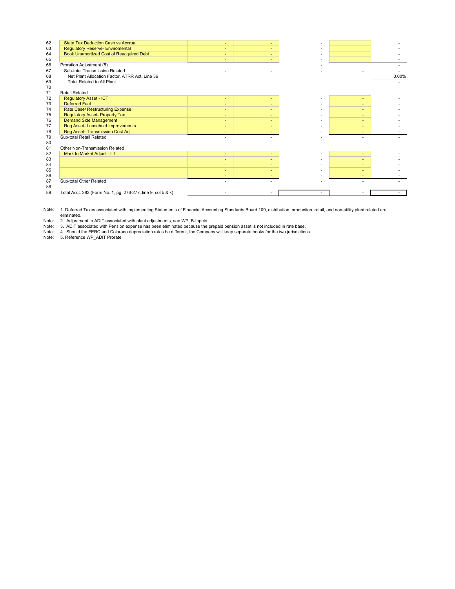| 62 | <b>State Tax Deduction Cash vs Accrual</b>                   | ٠      |   |   |       |
|----|--------------------------------------------------------------|--------|---|---|-------|
| 63 | <b>Regulatory Reserve- Enviromental</b>                      | ٠      |   |   |       |
| 64 | Book Unamortized Cost of Reacquired Debt                     | $\sim$ |   |   |       |
| 65 |                                                              | ۰      |   |   |       |
| 66 | Proration Adjustment (5)                                     |        |   |   |       |
| 67 | Sub-total Transmission Related                               |        |   |   |       |
| 68 | Net Plant Allocation Factor, ATRR Act. Line 36               |        |   |   | 0.00% |
| 69 | Total Related to All Plant                                   |        |   |   |       |
| 70 |                                                              |        |   |   |       |
| 71 | <b>Retail Related</b>                                        |        |   |   |       |
| 72 | <b>Requlatory Asset - ICT</b>                                | ÷      | ٠ | ٠ |       |
| 73 | <b>Deferred Fuel</b>                                         | ٠      |   |   |       |
| 74 | Rate Case/ Restructuring Expense                             | ۰      |   |   |       |
| 75 | <b>Regulatory Asset- Property Tax</b>                        | ٠      |   |   |       |
| 76 | <b>Demand Side Management</b>                                | ۰      |   |   |       |
| 77 | Reg Asset- Leasehold Improvements                            | $\sim$ |   |   |       |
| 78 | Reg Asset-Transmission Cost Adj                              | ÷      |   |   |       |
| 79 | Sub-total Retail Related                                     |        |   |   |       |
| 80 |                                                              |        |   |   |       |
| 81 | Other Non-Transmission Related                               |        |   |   |       |
| 82 | Mark to Market Adjust - LT                                   | $\sim$ | ٠ | ٠ |       |
| 83 |                                                              | ٠      |   |   |       |
| 84 |                                                              | ٠      |   |   |       |
| 85 |                                                              | ٠      |   | ٠ |       |
| 86 |                                                              |        |   |   |       |
| 87 | Sub-total Other Related                                      |        |   |   |       |
| 88 |                                                              |        |   |   |       |
| 89 | Total Acct. 283 (Form No. 1, pg. 276-277, line 9, col b & k) |        |   |   |       |
|    |                                                              |        |   |   |       |

Note: 1. Deferred Taxes associated with implementing Statements of Financial Accounting Standards Board 109, distribution, production, retail, and non-utility plant related are eliminated.

Note: 2. Adjustment to ADIT associated with plant adjustments, see WP\_B-Inputs.<br>Note: 3. ADIT associated with Pension expense has been eliminated because the prepaid pension asset is not included in rate base.<br>Note: 4.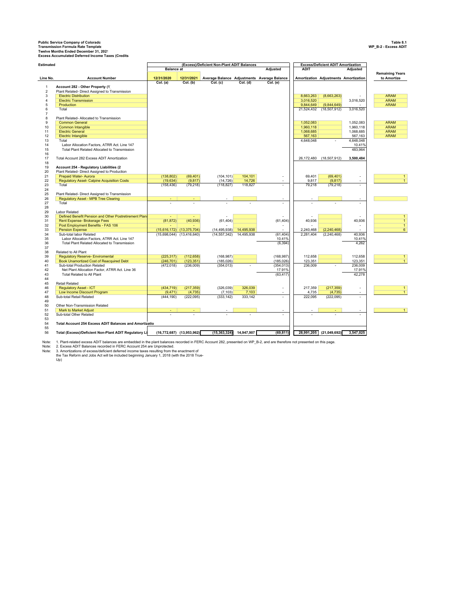169 Public Service Company of Colorado<br>Transmission Formula Rate Templats<br>Twelve Months Ended December 31, 2021<br>Excess Accumulated Deferred Income Taxes (Credits<br>Excess Accumulated Deferred Income Taxes (Credits

| <b>Estimated</b> |                                                               |                   |                                                 | (Excess)/Deficient Non-Plant ADIT Balances  |                          |                 |                        | <b>Excess/Deficient ADIT Amortization</b> |                 |                                       |
|------------------|---------------------------------------------------------------|-------------------|-------------------------------------------------|---------------------------------------------|--------------------------|-----------------|------------------------|-------------------------------------------|-----------------|---------------------------------------|
|                  |                                                               | <b>Balance</b> at |                                                 |                                             |                          | <b>Adjusted</b> | <b>ADIT</b>            |                                           | <b>Adjusted</b> |                                       |
| Line No.         | <b>Account Number</b>                                         | 12/31/2020        | 12/31/2021                                      | Average Balance Adjustments Average Balance |                          |                 |                        | Amortization Adjustments Amortization     |                 | <b>Remaining Years</b><br>to Amortize |
|                  |                                                               | Col. (a)          | Col. (b)                                        | Col. (c)                                    | Col. (d)                 | Col. (e)        |                        |                                           |                 |                                       |
| $\overline{1}$   | Account 282 - Other Property (1)                              |                   |                                                 |                                             |                          |                 |                        |                                           |                 |                                       |
| $\sqrt{2}$       | Plant Related- Direct Assigned to Transmission                |                   |                                                 |                                             |                          |                 |                        |                                           |                 |                                       |
| 3                | <b>Electric Distribution</b>                                  |                   |                                                 |                                             |                          |                 | 8,663,263              | (8,663,263)                               |                 | <b>ARAM</b>                           |
| $\overline{4}$   | <b>Electric Transmission</b>                                  |                   |                                                 |                                             |                          |                 | 3,016,520              |                                           | 3,016,520       | <b>ARAM</b>                           |
| 5                | Production                                                    |                   |                                                 |                                             |                          |                 | 9,844,649              | (9,844,649)                               |                 | <b>ARAM</b>                           |
| 6                | Total                                                         |                   |                                                 |                                             |                          |                 | 21,524,432             | (18, 507, 912)                            | 3,016,520       |                                       |
| $\overline{7}$   |                                                               |                   |                                                 |                                             |                          |                 |                        |                                           |                 |                                       |
| 8                | Plant Related- Allocated to Transmission                      |                   |                                                 |                                             |                          |                 |                        |                                           |                 |                                       |
| 9                | <b>Common General</b>                                         |                   |                                                 |                                             |                          |                 | 1,052,083              |                                           | 1,052,083       | <b>ARAM</b>                           |
| 10               | Common Intangible                                             |                   |                                                 |                                             |                          |                 | 1.960.118              |                                           | 1,960,118       | <b>ARAM</b>                           |
| 11               | <b>Electric General</b>                                       |                   |                                                 |                                             |                          |                 | 1,068,685              |                                           | 1,068,685       | <b>ARAM</b>                           |
| 12               | <b>Electric Intangible</b>                                    |                   |                                                 |                                             |                          |                 | 567,163                |                                           | 567,163         | <b>ARAM</b>                           |
| 13               | Total                                                         |                   |                                                 |                                             |                          |                 | 4.648.048              |                                           | 4,648,048       |                                       |
| 14               | Labor Allocation Factors, ATRR Act. Line 147                  |                   |                                                 |                                             |                          |                 |                        |                                           | 10.41%          |                                       |
| 15               | Total Plant Related Allocated to Transmission                 |                   |                                                 |                                             |                          |                 |                        |                                           | 483.964         |                                       |
| 16               |                                                               |                   |                                                 |                                             |                          |                 |                        |                                           |                 |                                       |
| 17               | Total Account 282 Excess ADIT Amortization                    |                   |                                                 |                                             |                          |                 | 26,172,480             | (18,507,912)                              | 3,500,484       |                                       |
| 18               |                                                               |                   |                                                 |                                             |                          |                 |                        |                                           |                 |                                       |
| 19               | Account 254 - Regulatory Liabilities (2                       |                   |                                                 |                                             |                          |                 |                        |                                           |                 |                                       |
| 20               | Plant Related- Direct Assigned to Production                  |                   |                                                 |                                             |                          |                 |                        |                                           |                 |                                       |
| 21               | Prepaid Water- Aurora                                         | (138, 802)        | (69, 401)                                       | (104, 101)                                  | 104,101                  |                 | 69,401                 | (69, 401)                                 |                 | $\overline{1}$                        |
| 22               | <b>Regulatory Asset- Calpine Acquisition Costs</b>            | (19, 634)         | (9, 817)                                        | (14, 726)                                   | 14,726                   |                 | 9,817                  | (9, 817)                                  | $\sim$          | $\overline{1}$                        |
| 23               | Total                                                         | (158, 436)        | (79, 218)                                       | (118, 827)                                  | 118,827                  |                 | 79,218                 | (79, 218)                                 |                 |                                       |
| 24               |                                                               |                   |                                                 |                                             |                          |                 |                        |                                           |                 |                                       |
| 25               | Plant Related- Direct Assigned to Transmission                |                   |                                                 |                                             |                          |                 |                        |                                           |                 |                                       |
| 26               | <b>Regulatory Asset - MPB Tree Clearing</b>                   |                   |                                                 |                                             |                          |                 |                        |                                           |                 |                                       |
| 27               | Total                                                         |                   |                                                 |                                             |                          | $\sim$          |                        |                                           | $\sim$          |                                       |
| 28               |                                                               |                   |                                                 |                                             |                          |                 |                        |                                           |                 |                                       |
| 29               | <b>Labor Related</b>                                          |                   |                                                 |                                             |                          |                 |                        |                                           |                 |                                       |
| 30               | Defined Benefit Pension and Other Postretirement Plar         |                   |                                                 |                                             |                          |                 |                        |                                           |                 | $\mathbf{1}$                          |
| 31               | Rent Expense- Brokerage Fees                                  | (81, 872)         | (40, 936)                                       | (61, 404)                                   |                          | (61, 404)       | 40,936                 |                                           | 40,936          | $\overline{1}$                        |
| 32               | Post Employment Benefits - FAS 106                            |                   |                                                 |                                             |                          |                 |                        |                                           |                 | $\mathbf{1}$<br>$6\overline{6}$       |
| 33<br>34         | <b>Pension Expense</b><br>Sub-total labor Related             | (15,698,044)      | $(15,616,172)$ $(13,375,704)$<br>(13, 416, 640) | (14, 495, 938)                              | 14,495,938<br>14,495,938 | (61, 404)       | 2,240,468<br>2,281,404 | (2, 240, 468)<br>(2, 240, 468)            | 40,936          |                                       |
| 35               | Labor Allocation Factors, ATRR Act. Line 147                  |                   |                                                 | (14, 557, 342)                              |                          | 10.41%          |                        |                                           | 10.41%          |                                       |
| 36               | Total Plant Related Allocated to Transmission                 |                   |                                                 |                                             |                          | (6, 394)        |                        |                                           | 4,262           |                                       |
| 37               |                                                               |                   |                                                 |                                             |                          |                 |                        |                                           |                 |                                       |
| 38               | Related to All Plant                                          |                   |                                                 |                                             |                          |                 |                        |                                           |                 |                                       |
| 39               | <b>Regulatory Reserve- Enviromental</b>                       | (225, 317)        | (112, 658)                                      | (168, 987)                                  |                          | (168, 987)      | 112,658                |                                           | 112,658         | $\mathbf{1}$                          |
| 40               | <b>Book Unamortized Cost of Reacquired Debt</b>               | (246, 701)        | (123, 351)                                      | (185, 026)                                  |                          | (185, 026)      | 123,351                |                                           | 123,351         | $\overline{1}$                        |
| 41               | Sub-total Production Related                                  | (472, 018)        | (236,009)                                       | (354, 013)                                  |                          | (354, 013)      | 236,009                |                                           | 236,009         |                                       |
| 42               | Net Plant Allocation Factor, ATRR Act. Line 36                |                   |                                                 |                                             |                          | 17.91%          |                        |                                           | 17.91%          |                                       |
| 43               | Total Related to All Plant                                    |                   |                                                 |                                             |                          | (63, 417)       |                        |                                           | 42,278          |                                       |
| 44               |                                                               |                   |                                                 |                                             |                          |                 |                        |                                           |                 |                                       |
| 45               | <b>Retail Related</b>                                         |                   |                                                 |                                             |                          |                 |                        |                                           |                 |                                       |
| 46               | <b>Regulatory Asset - ICT</b>                                 | (434, 719)        | (217, 359)                                      | (326, 039)                                  | 326,039                  |                 | 217,359                | (217, 359)                                | $\sim$          | $\mathbf{1}$                          |
| 47               | Low Income Discount Program                                   | (9, 471)          | (4, 735)                                        | (7, 103)                                    | 7,103                    |                 | 4,735                  | (4, 735)                                  |                 | $\overline{1}$                        |
| 48               | Sub-total Retail Related                                      | (444, 190)        | (222.095)                                       | (333, 142)                                  | 333,142                  | $\sim$          | 222,095                | (222, 095)                                | $\sim$          |                                       |
| 49               |                                                               |                   |                                                 |                                             |                          |                 |                        |                                           |                 |                                       |
| 50               | Other Non-Transmission Related                                |                   |                                                 |                                             |                          |                 |                        |                                           |                 |                                       |
| 51               | <b>Mark to Market Adjust</b>                                  |                   |                                                 |                                             |                          | ٠               |                        |                                           | $\sim$          | $\mathbf{1}$                          |
| 52               | Sub-total Other Related                                       |                   |                                                 |                                             |                          |                 |                        |                                           |                 |                                       |
| 53               |                                                               |                   |                                                 |                                             |                          |                 |                        |                                           |                 |                                       |
| 54               | <b>Total Account 254 Excess ADIT Balances and Amortizatio</b> |                   |                                                 |                                             |                          |                 |                        |                                           |                 |                                       |
| 55               |                                                               |                   |                                                 |                                             |                          |                 |                        |                                           |                 |                                       |
| 56               | Total (Excess)/Deficient Non-Plant ADIT Regulatory Li         |                   | (16,772,687) (13,953,962)                       | (15, 363, 324)                              | 14,947,907               | (69, 811)       | 28,991,205             | (21,049,692)                              | 3,547,025       |                                       |
|                  |                                                               |                   |                                                 |                                             |                          |                 |                        |                                           |                 |                                       |

Note: 1. Plant-related excess ADIT balances are embedded in the plant balances recorded in FERC Account 282, presented on WP\_B-2, and are therefore not presented on this page.<br>Note: 2. Excess ADIT Balances recorded i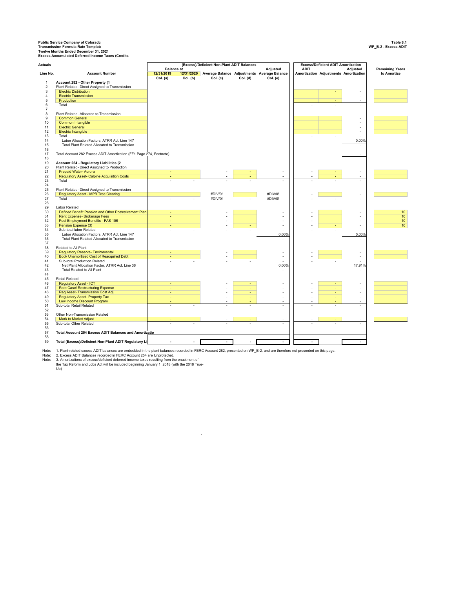169 Public Service Company of Colorado<br>Transmission Formula Rate Templats<br>Twelve Months Ended December 31, 2021<br>Excess Accumulated Deferred Income Taxes (Credits<br>Excess Accumulated Deferred Income Taxes (Credits

| <b>Actuals</b> |                                                                                         |                   |          | (Excess)/Deficient Non-Plant ADIT Balances |          |                                                        |             | <b>Excess/Deficient ADIT Amortization</b> |                 |                        |
|----------------|-----------------------------------------------------------------------------------------|-------------------|----------|--------------------------------------------|----------|--------------------------------------------------------|-------------|-------------------------------------------|-----------------|------------------------|
|                |                                                                                         | <b>Balance</b> at |          |                                            |          | <b>Adjusted</b>                                        | <b>ADIT</b> |                                           | <b>Adjusted</b> | <b>Remaining Years</b> |
| Line No.       | <b>Account Number</b>                                                                   | 12/31/2019        |          |                                            |          | 12/31/2020 Average Balance Adjustments Average Balance |             | Amortization Adjustments Amortization     |                 | to Amortize            |
| $\mathbf{1}$   | Account 282 - Other Property (1)                                                        | Col. (a)          | Col. (b) | Col. (c)                                   | Col. (d) | Col. (e)                                               |             |                                           |                 |                        |
| $\overline{2}$ | Plant Related- Direct Assigned to Transmission                                          |                   |          |                                            |          |                                                        |             |                                           |                 |                        |
| 3              | <b>Electric Distribution</b>                                                            |                   |          |                                            |          |                                                        |             | ٠                                         |                 |                        |
| 4              | <b>Electric Transmission</b>                                                            |                   |          |                                            |          |                                                        |             |                                           | $\sim$          |                        |
| 5              | Production                                                                              |                   |          |                                            |          |                                                        |             |                                           |                 |                        |
| 6              | Total                                                                                   |                   |          |                                            |          |                                                        |             |                                           |                 |                        |
| $\overline{7}$ |                                                                                         |                   |          |                                            |          |                                                        |             |                                           |                 |                        |
| 8              | Plant Related- Allocated to Transmission                                                |                   |          |                                            |          |                                                        |             |                                           |                 |                        |
| 9              | <b>Common General</b>                                                                   |                   |          |                                            |          |                                                        |             |                                           |                 |                        |
| 10             | Common Intangible                                                                       |                   |          |                                            |          |                                                        |             |                                           | $\sim$          |                        |
| 11             | <b>Electric General</b>                                                                 |                   |          |                                            |          |                                                        |             |                                           | ÷.              |                        |
| 12             | Electric Intangible                                                                     |                   |          |                                            |          |                                                        |             |                                           | $\sim$          |                        |
| 13             | Total                                                                                   |                   |          |                                            |          |                                                        |             |                                           |                 |                        |
| 14             | Labor Allocation Factors, ATRR Act. Line 147                                            |                   |          |                                            |          |                                                        |             |                                           | 0.00%           |                        |
| 15             | Total Plant Related Allocated to Transmission                                           |                   |          |                                            |          |                                                        |             |                                           | $\sim$          |                        |
| 16             |                                                                                         |                   |          |                                            |          |                                                        |             |                                           |                 |                        |
| 17             | Total Account 282 Excess ADIT Amortization (FF1 Page 274, Footnote)                     |                   |          |                                            |          |                                                        |             |                                           |                 |                        |
| 18<br>19       |                                                                                         |                   |          |                                            |          |                                                        |             |                                           |                 |                        |
| 20             | Account 254 - Regulatory Liabilities (2<br>Plant Related- Direct Assigned to Production |                   |          |                                            |          |                                                        |             |                                           |                 |                        |
| 21             | Prepaid Water- Aurora                                                                   |                   |          |                                            |          |                                                        |             |                                           |                 |                        |
| 22             | <b>Regulatory Asset- Calpine Acquisition Costs</b>                                      |                   |          |                                            |          |                                                        |             |                                           |                 |                        |
| 23             | Total                                                                                   |                   |          |                                            |          |                                                        |             |                                           |                 |                        |
| 24             |                                                                                         |                   |          |                                            |          |                                                        |             |                                           |                 |                        |
| 25             | Plant Related- Direct Assigned to Transmission                                          |                   |          |                                            |          |                                                        |             |                                           |                 |                        |
| 26             | <b>Regulatory Asset - MPB Tree Clearing</b>                                             |                   |          | #DIV/0!                                    |          | #DIV/0!                                                |             |                                           |                 |                        |
| 27             | Total                                                                                   | ä,                |          | #DIV/0!                                    |          | #DIV/0!                                                |             |                                           |                 |                        |
| 28             |                                                                                         |                   |          |                                            |          |                                                        |             |                                           |                 |                        |
| 29             | Labor Related                                                                           |                   |          |                                            |          |                                                        |             |                                           |                 |                        |
| 30             | Defined Benefit Pension and Other Postretirement Plan                                   |                   |          |                                            |          |                                                        |             |                                           |                 | 10                     |
| 31             | Rent Expense- Brokerage Fees                                                            | ÷                 |          |                                            |          |                                                        |             |                                           | $\sim$          | 10                     |
| 32             | Post Employment Benefits - FAS 106                                                      | ÷                 |          | ٠                                          |          | ÷.                                                     | ÷.          |                                           | $\sim$          | 10                     |
| 33             | Pension Expense (3)                                                                     | ٠                 |          |                                            |          |                                                        |             |                                           |                 | 10                     |
| 34             | Sub-total labor Related                                                                 |                   |          | $\sim$                                     |          | $\sim$                                                 |             |                                           | $\sim$          |                        |
| 35             | Labor Allocation Factors, ATRR Act. Line 147                                            |                   |          |                                            |          | 0.00%                                                  |             |                                           | 0.00%           |                        |
| 36             | Total Plant Related Allocated to Transmission                                           |                   |          |                                            |          |                                                        |             |                                           | ÷.              |                        |
| 37             |                                                                                         |                   |          |                                            |          |                                                        |             |                                           |                 |                        |
| 38<br>39       | Related to All Plant<br><b>Regulatory Reserve- Enviromental</b>                         |                   |          |                                            |          |                                                        |             |                                           |                 |                        |
| 40             | Book Unamortized Cost of Reacquired Debt                                                |                   |          |                                            |          |                                                        |             |                                           | ä,              |                        |
| 41             | Sub-total Production Related                                                            |                   |          |                                            |          |                                                        |             |                                           |                 |                        |
| 42             | Net Plant Allocation Factor, ATRR Act. Line 36                                          |                   |          |                                            |          | 0.00%                                                  |             |                                           | 17.91%          |                        |
| 43             | Total Related to All Plant                                                              |                   |          |                                            |          |                                                        |             |                                           |                 |                        |
| 44             |                                                                                         |                   |          |                                            |          |                                                        |             |                                           |                 |                        |
| 45             | Retail Related                                                                          |                   |          |                                            |          |                                                        |             |                                           |                 |                        |
| 46             | <b>Regulatory Asset - ICT</b>                                                           |                   |          |                                            |          |                                                        |             |                                           |                 |                        |
| 47             | Rate Case/ Restructuring Expense                                                        | ٠                 |          |                                            |          |                                                        |             | ÷                                         |                 |                        |
| 48             | Reg Asset- Transmission Cost Adj                                                        | ÷                 |          |                                            | ÷        |                                                        |             | ÷                                         |                 |                        |
| 49             | <b>Regulatory Asset- Property Tax</b>                                                   | ÷.                |          | $\bar{a}$                                  |          | $\bar{a}$                                              | ä,          | ÷.                                        | ÷               |                        |
| 50             | Low Income Discount Program                                                             | ٠                 |          | ٠                                          | ÷        | ٠                                                      |             | ٠                                         | $\sim$          |                        |
| 51             | Sub-total Retail Related                                                                |                   |          |                                            |          |                                                        |             |                                           |                 |                        |
| 52             |                                                                                         |                   |          |                                            |          |                                                        |             |                                           |                 |                        |
| 53             | Other Non-Transmission Related                                                          |                   |          |                                            |          |                                                        |             |                                           |                 |                        |
| 54             | Mark to Market Adjust                                                                   |                   |          |                                            |          |                                                        |             |                                           |                 |                        |
| 55             | Sub-total Other Related                                                                 |                   |          |                                            |          |                                                        |             |                                           |                 |                        |
| 56             |                                                                                         |                   |          |                                            |          |                                                        |             |                                           |                 |                        |
| 57<br>58       | Total Account 254 Excess ADIT Balances and Amortizatio                                  |                   |          |                                            |          |                                                        |             |                                           |                 |                        |
| 59             | Total (Excess)/Deficient Non-Plant ADIT Regulatory Li                                   |                   |          |                                            |          | $\blacksquare$                                         |             |                                           |                 |                        |
|                |                                                                                         |                   |          |                                            |          |                                                        |             |                                           |                 |                        |

Note: 1. Plant-related excess ADIT balances are embedded in the plant balances recorded in FERC Account 282, presented on WP\_B-2, and are therefore not presented on this page.<br>Note: 2. Excess ADIT Balances recorded i

 $\sim$ 

2. Excess ADIT Balances recorded in FERC Account 254 are Unprotected.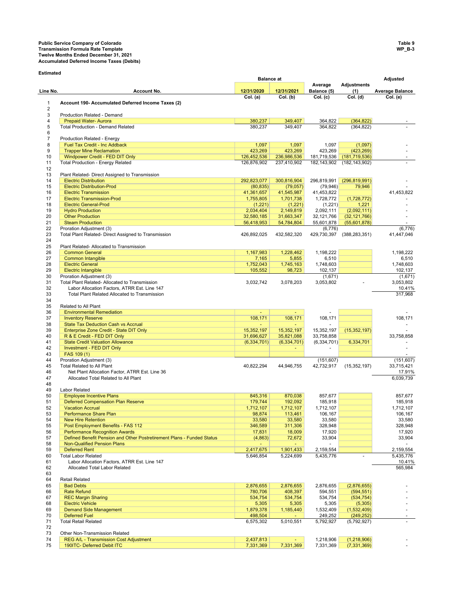## **Public Service Company of Colorado Table 9 Transmission Formula Rate Template WP\_B-3 Twelve Months Ended December 31, 2021 Accumulated Deferred Income Taxes (Debits)**

**Estimated**

|                     |                                                                                                              | <b>Balance</b> at        |                          |                          |                                | Adjusted                 |
|---------------------|--------------------------------------------------------------------------------------------------------------|--------------------------|--------------------------|--------------------------|--------------------------------|--------------------------|
| Line No.            | Account No.                                                                                                  | 12/31/2020               | 12/31/2021               | Average<br>Balance (5)   | <b>Adjustments</b><br>(1)      | <b>Average Balance</b>   |
|                     |                                                                                                              | Col. (a)                 | Col. (b)                 | Col. (c)                 | $\overline{Col}$ . (d)         | Col. (e)                 |
| $\mathbf{1}$        | Account 190- Accumulated Deferred Income Taxes (2)                                                           |                          |                          |                          |                                |                          |
| $\overline{2}$<br>3 | Production Related - Demand                                                                                  |                          |                          |                          |                                |                          |
| $\overline{4}$      | <b>Prepaid Water- Aurora</b>                                                                                 | 380,237                  | 349,407                  | 364,822                  | (364, 822)                     |                          |
| 5                   | <b>Total Production - Demand Related</b>                                                                     | 380,237                  | 349,407                  | 364,822                  | (364, 822)                     |                          |
| 6                   |                                                                                                              |                          |                          |                          |                                |                          |
| $\overline{7}$      | Production Related - Energy                                                                                  |                          |                          |                          |                                |                          |
| 8<br>9              | Fuel Tax Credit - Inc Addback<br><b>Trapper Mine Reclamation</b>                                             | 1,097<br>423,269         | 1,097<br>423,269         | 1,097<br>423,269         | (1,097)<br>(423, 269)          |                          |
| 10                  | Windpower Credit - FED DIT Only                                                                              | 126,452,536              | 236,986,536              | 181,719,536              | (181, 719, 536)                |                          |
| 11                  | <b>Total Production - Energy Related</b>                                                                     | 126,876,902              | 237,410,902              | 182,143,902              | (182, 143, 902)                |                          |
| 12                  |                                                                                                              |                          |                          |                          |                                |                          |
| 13                  | Plant Related- Direct Assigned to Transmission                                                               |                          |                          |                          |                                |                          |
| 14<br>15            | <b>Electric Distribution</b><br><b>Electric Distribution-Prod</b>                                            | 292,823,077<br>(80, 835) | 300,816,904<br>(79,057)  | 296,819,991<br>(79, 946) | (296, 819, 991)<br>79,946      |                          |
| 16                  | <b>Electric Transmission</b>                                                                                 | 41,361,657               | 41,545,987               | 41,453,822               |                                | 41,453,822               |
| 17                  | <b>Electric Transmission-Prod</b>                                                                            | 1,755,805                | 1,701,738                | 1,728,772                | (1,728,772)                    |                          |
| 18                  | <b>Electric General-Prod</b>                                                                                 | (1,221)                  | (1,221)                  | (1,221)                  | 1,221                          |                          |
| 19                  | <b>Hydro Production</b>                                                                                      | 2,034,404                | 2,149,819                | 2,092,111                | (2,092,111)                    |                          |
| 20<br>21            | <b>Other Production</b><br><b>Steam Production</b>                                                           | 32,580,185<br>56,418,953 | 31,663,347<br>54,784,804 | 32,121,766<br>55,601,878 | (32, 121, 766)<br>(55,601,878) |                          |
| 22                  | Proration Adjustment (3)                                                                                     |                          |                          | (6,776)                  |                                | (6,776)                  |
| 23                  | Total Plant Related- Direct Assigned to Transmission                                                         | 426,892,025              | 432,582,320              | 429,730,397              | (388, 283, 351)                | 41,447,046               |
| 24                  |                                                                                                              |                          |                          |                          |                                |                          |
| 25                  | Plant Related- Allocated to Transmission                                                                     |                          |                          |                          |                                |                          |
| 26<br>27            | <b>Common General</b><br><b>Common Intangible</b>                                                            | 1,167,983<br>7,165       | 1,228,462<br>5,855       | 1,198,222<br>6,510       |                                | 1,198,222<br>6,510       |
| 28                  | <b>Electric General</b>                                                                                      | 1,752,043                | 1,745,163                | 1,748,603                |                                | 1,748,603                |
| 29                  | <b>Electric Intangible</b>                                                                                   | 105,552                  | 98,723                   | 102,137                  |                                | 102,137                  |
| 30                  | Proration Adjustment (3)                                                                                     |                          |                          | (1,671)                  |                                | (1,671)                  |
| 31                  | Total Plant Related- Allocated to Transmission                                                               | 3,032,742                | 3,078,203                | 3,053,802                |                                | 3,053,802                |
| 32<br>33            | Labor Allocation Factors, ATRR Est. Line 147<br><b>Total Plant Related Allocated to Transmission</b>         |                          |                          |                          |                                | 10.41%<br>317,968        |
| 34                  |                                                                                                              |                          |                          |                          |                                |                          |
| 35                  | Related to All Plant                                                                                         |                          |                          |                          |                                |                          |
| 36                  | <b>Environmental Remediation</b>                                                                             |                          |                          |                          |                                |                          |
| 37                  | <b>Inventory Reserve</b>                                                                                     | 108,171                  | 108,171                  | 108,171                  |                                | 108,171                  |
| 38<br>39            | <b>State Tax Deduction Cash vs Accrual</b><br>Enterprise Zone Credit - State DIT Only                        | 15,352,197               | 15,352,197               | 15,352,197               | (15, 352, 197)                 |                          |
| 40                  | R & E Credit - FED DIT Only                                                                                  | 31,696,627               | 35,821,088               | 33,758,858               |                                | 33,758,858               |
| 41                  | <b>State Credit Valuation Allowance</b>                                                                      | (6, 334, 701)            | (6, 334, 701)            | (6, 334, 701)            | 6,334,701                      |                          |
| 42                  | Investment - FED DIT Only                                                                                    |                          |                          |                          |                                |                          |
| 43                  | FAS 109 (1)                                                                                                  |                          |                          |                          |                                |                          |
| 44<br>45            | Proration Adjustment (3)<br>Total Related to All Plant                                                       | 40,822,294               | 44,946,755               | (151, 607)<br>42,732,917 | (15, 352, 197)                 | (151, 607)<br>33,715,421 |
| 46                  | Net Plant Allocation Factor, ATRR Est. Line 36                                                               |                          |                          |                          |                                | 17.91%                   |
| 47                  | Allocated Total Related to All Plant                                                                         |                          |                          |                          |                                | 6,039,739                |
| 48                  |                                                                                                              |                          |                          |                          |                                |                          |
| 49                  | Labor Related                                                                                                |                          |                          |                          |                                |                          |
| 50<br>51            | <b>Employee Incentive Plans</b><br><b>Deferred Compensation Plan Reserve</b>                                 | 845,316<br>179,744       | 870,038<br>192,092       | 857,677<br>185,918       |                                | 857,677<br>185,918       |
| 52                  | <b>Vacation Accrual</b>                                                                                      | 1,712,107                | 1.712.107                | 1,712,107                |                                | 1,712,107                |
| 53                  | Performance Share Plan                                                                                       | 98,874                   | 113,461                  | 106,167                  |                                | 106,167                  |
| 54                  | <b>New Hire Retention</b>                                                                                    | 33,580                   | 33,580                   | 33,580                   |                                | 33,580                   |
| 55                  | Post Employment Benefits - FAS 112                                                                           | 346,589                  | 311,306                  | 328,948                  |                                | 328,948                  |
| 56                  | <b>Performance Recognition Awards</b>                                                                        | 17,831                   | 18,009                   | 17,920                   |                                | 17,920                   |
| 57<br>58            | Defined Benefit Pension and Other Postretirement Plans - Funded Status<br><b>Non-Qualified Pension Plans</b> | (4,863)                  | 72,672                   | 33,904                   |                                | 33,904                   |
| 59                  | <b>Deferred Rent</b>                                                                                         | 2,417,675                | 1,901,433                | 2,159,554                |                                | 2,159,554                |
| 60                  | <b>Total Labor Related</b>                                                                                   | 5,646,854                | 5,224,699                | 5,435,776                |                                | 5,435,776                |
| 61                  | Labor Allocation Factors, ATRR Est. Line 147                                                                 |                          |                          |                          |                                | 10.41%                   |
| 62<br>63            | Allocated Total Labor Related                                                                                |                          |                          |                          |                                | 565,984                  |
| 64                  | <b>Retail Related</b>                                                                                        |                          |                          |                          |                                |                          |
| 65                  | <b>Bad Debts</b>                                                                                             | 2,876,655                | 2,876,655                | 2,876,655                | (2,876,655)                    |                          |
| 66                  | <b>Rate Refund</b>                                                                                           | 780.706                  | 408,397                  | 594,551                  | (594, 551)                     |                          |
| 67                  | <b>REC Margin Sharing</b>                                                                                    | 534,754                  | 534,754                  | 534,754                  | (534, 754)                     |                          |
| 68<br>69            | <b>Electric Vehicle</b>                                                                                      | 5,305                    | 5,305                    | 5,305                    | (5,305)                        |                          |
| 70                  | <b>Demand Side Management</b><br><b>Deferred Fuel</b>                                                        | 1,879,378<br>498,504     | 1,185,440                | 1,532,409<br>249,252     | (1,532,409)<br>(249, 252)      |                          |
| 71                  | <b>Total Retail Related</b>                                                                                  | 6,575,302                | 5,010,551                | 5,792,927                | (5,792,927)                    |                          |
| 72                  |                                                                                                              |                          |                          |                          |                                |                          |
| 73                  | Other Non-Transmission Related                                                                               |                          |                          |                          |                                |                          |
| 74<br>75            | REG A/L - Transmission Cost Adjustment<br>190ITC- Deferred Debit ITC                                         | 2,437,813                |                          | 1,218,906                | (1,218,906)<br>(7, 331, 369)   |                          |
|                     |                                                                                                              | 7,331,369                | 7,331,369                | 7,331,369                |                                |                          |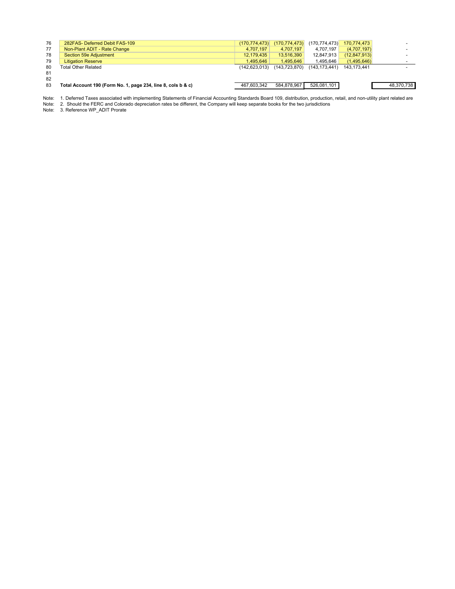| 76 | 282FAS- Deferred Debit FAS-109                               | (170, 774, 473) | (170, 774, 473) | (170, 774, 473)                     | 170.774.473  |            |
|----|--------------------------------------------------------------|-----------------|-----------------|-------------------------------------|--------------|------------|
| 77 | Non-Plant ADIT - Rate Change                                 | 4.707.197       | 4.707.197       | 4.707.197                           | (4,707,197)  |            |
| 78 | Section 59e Adjustment                                       | 12.179.435      | 13.516.390      | 12.847.913                          | (12.847.913) |            |
| 79 | <b>Litigation Reserve</b>                                    | 1.495.646       | 1.495.646       | 1.495.646                           | (1.495.646)  |            |
| 80 | Total Other Related                                          | (142.623.013)   |                 | $(143, 723, 870)$ $(143, 173, 441)$ | 143.173.441  |            |
| 81 |                                                              |                 |                 |                                     |              |            |
| 82 |                                                              |                 |                 |                                     |              |            |
| 83 | Total Account 190 (Form No. 1, page 234, line 8, cols b & c) | 467.603.342     | 584.878.967     | 526,081,101                         |              | 48,370,738 |

1. Deferred Taxes associated with implementing Statements of Financial Accounting Standards Board 109, distribution, production, retail, and non-utility plant related are

Note: 1. Deferred Taxes associated with implementing Statements of Financial Accounting Standards Board 109, distribution, productior<br>Note: 2. Should the FERC and Colorado depreciation rates be different, the Compan

Note: 3. Reference WP\_ADIT Prorate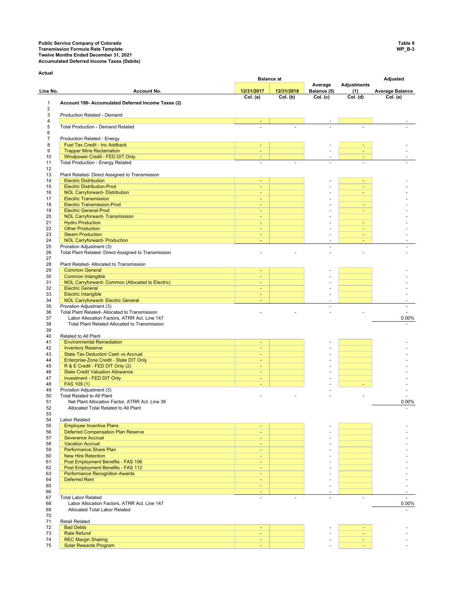## **Public Service Company of Colorado Table 9 Transmission Formula Rate Template WP\_B-3 Twelve Months Ended December 31, 2021 Accumulated Deferred Income Taxes (Debits)**

**Actual**

|                 |                                                                                               |                             | <b>Balance at</b> |                        |                           | Adjusted               |
|-----------------|-----------------------------------------------------------------------------------------------|-----------------------------|-------------------|------------------------|---------------------------|------------------------|
| Line No.        | <b>Account No.</b>                                                                            | 12/31/2017                  | 12/31/2018        | Average<br>Balance (5) | <b>Adjustments</b><br>(1) | <b>Average Balance</b> |
|                 |                                                                                               | Col. (a)                    | Col. (b)          | Col. (c)               | $\overline{Col}$ . (d)    | Col. (e)               |
| $\mathbf 1$     | Account 190- Accumulated Deferred Income Taxes (2)                                            |                             |                   |                        |                           |                        |
| $\sqrt{2}$<br>3 | Production Related - Demand                                                                   |                             |                   |                        |                           |                        |
| $\sqrt{4}$      |                                                                                               |                             |                   |                        |                           |                        |
| 5               | <b>Total Production - Demand Related</b>                                                      |                             |                   |                        |                           |                        |
| 6               |                                                                                               |                             |                   |                        |                           |                        |
| $\overline{7}$  | Production Related - Energy                                                                   |                             |                   |                        |                           |                        |
| 8<br>9          | Fuel Tax Credit - Inc Addback<br><b>Trapper Mine Reclamation</b>                              | ÷<br>$\blacksquare$         |                   |                        | ٠                         |                        |
| 10              | Windpower Credit - FED DIT Only                                                               | ٠                           |                   |                        |                           |                        |
| 11              | Total Production - Energy Related                                                             |                             |                   |                        |                           |                        |
| 12              |                                                                                               |                             |                   |                        |                           |                        |
| 13<br>14        | Plant Related- Direct Assigned to Transmission<br><b>Electric Distribution</b>                | ٠                           |                   |                        |                           |                        |
| 15              | <b>Electric Distribution-Prod</b>                                                             | $\equiv$                    |                   |                        | Ξ                         |                        |
| 16              | <b>NOL Carryforward- Distribution</b>                                                         | $\sim$                      |                   |                        | $\blacksquare$            |                        |
| 17              | <b>Electric Transmission</b>                                                                  | $\sim$                      |                   |                        |                           |                        |
| 18              | <b>Electric Transmission-Prod</b>                                                             | $\sim$                      |                   |                        |                           |                        |
| 19<br>20        | <b>Electric General-Prod</b><br><b>NOL Carryforward- Transmission</b>                         | $\blacksquare$<br>$\sim$    |                   |                        | $\overline{\phantom{a}}$  |                        |
| 21              | <b>Hydro Production</b>                                                                       | $\sim$                      |                   |                        |                           |                        |
| 22              | <b>Other Production</b>                                                                       | ٠                           |                   |                        | $\sim$                    |                        |
| 23              | <b>Steam Production</b>                                                                       | $\sim$                      |                   | ٠                      | ٠                         |                        |
| 24              | <b>NOL Carryforward- Production</b>                                                           | $\sim$                      |                   | ÷,                     | ٠                         |                        |
| 25<br>26        | Proration Adjustment (3)<br>Total Plant Related- Direct Assigned to Transmission              |                             |                   | ÷.                     |                           |                        |
| 27              |                                                                                               |                             |                   |                        |                           |                        |
| 28              | Plant Related- Allocated to Transmission                                                      |                             |                   |                        |                           |                        |
| 29              | <b>Common General</b>                                                                         | ÷                           |                   |                        |                           |                        |
| 30              | <b>Common Intangible</b>                                                                      | ÷                           |                   |                        |                           |                        |
| 31<br>32        | NOL Carryforward- Common (Allocated to Electric)<br><b>Electric General</b>                   | $\sim$<br>÷                 |                   |                        |                           |                        |
| 33              | <b>Electric Intangible</b>                                                                    | $\omega$                    |                   |                        |                           |                        |
| 34              | <b>NOL Carryforward- Electric General</b>                                                     | $\sim$                      |                   |                        |                           |                        |
| 35              | Proration Adjustment (3)                                                                      |                             |                   | ÷,                     |                           |                        |
| 36<br>37        | Total Plant Related- Allocated to Transmission                                                |                             |                   |                        |                           |                        |
| 38              | Labor Allocation Factors, ATRR Act. Line 147<br>Total Plant Related Allocated to Transmission |                             |                   |                        |                           | 0.00%                  |
| 39              |                                                                                               |                             |                   |                        |                           |                        |
| 40              | Related to All Plant                                                                          |                             |                   |                        |                           |                        |
| 41              | <b>Environmental Remediation</b>                                                              | $\blacksquare$              |                   |                        |                           |                        |
| 42<br>43        | <b>Inventory Reserve</b><br><b>State Tax Deduction Cash vs Accrual</b>                        | $\sim$                      |                   |                        |                           |                        |
| 44              | Enterprise Zone Credit - State DIT Only                                                       | $\blacksquare$              |                   |                        |                           |                        |
| 45              | R & E Credit - FED DIT Only (2)                                                               | ÷                           |                   |                        |                           |                        |
| 46              | <b>State Credit Valuation Allowance</b>                                                       | $\sim$                      |                   |                        |                           |                        |
| 47              | Investment - FED DIT Only                                                                     | $\sim$                      |                   |                        |                           |                        |
| 48<br>49        | FAS 109 (1)<br>Proration Adjustment (3)                                                       | ٠                           |                   |                        |                           |                        |
| 50              | Total Related to All Plant                                                                    |                             |                   |                        |                           |                        |
| 51              | Net Plant Allocation Factor, ATRR Act. Line 36                                                |                             |                   |                        |                           | 0.00%                  |
| 52              | Allocated Total Related to All Plant                                                          |                             |                   |                        |                           |                        |
| 53<br>54        | Labor Related                                                                                 |                             |                   |                        |                           |                        |
| 55              | <b>Employee Incentive Plans</b>                                                               | ÷                           |                   |                        |                           |                        |
| 56              | <b>Deferred Compensation Plan Reserve</b>                                                     | $\sim$                      |                   |                        |                           |                        |
| 57              | <b>Severance Accrual</b>                                                                      | ٠                           |                   |                        |                           |                        |
| 58              | <b>Vacation Accrual</b>                                                                       | ÷                           |                   |                        |                           |                        |
| 59<br>60        | Performance Share Plan<br><b>New Hire Retention</b>                                           | $\sim$<br>٠                 |                   | ٠                      |                           |                        |
| 61              | Post Employment Benefits - FAS 106                                                            | $\sim$                      |                   |                        |                           |                        |
| 62              | Post Employment Benefits - FAS 112                                                            | ÷                           |                   | ٠                      |                           |                        |
| 63              | <b>Performance Recognition Awards</b>                                                         | $\blacksquare$              |                   |                        |                           |                        |
| 64              | <b>Deferred Rent</b>                                                                          | ÷.                          |                   |                        |                           |                        |
| 65<br>66        |                                                                                               | $\sim$<br>÷                 |                   |                        |                           |                        |
| 67              | <b>Total Labor Related</b>                                                                    | $\mathcal{L}_{\mathcal{A}}$ | $\sim$            | $\blacksquare$         | ä,                        | $\mathbf{r}$           |
| 68              | Labor Allocation Factors, ATRR Act. Line 147                                                  |                             |                   |                        |                           | 0.00%                  |
| 69              | Allocated Total Labor Related                                                                 |                             |                   |                        |                           |                        |
| 70              |                                                                                               |                             |                   |                        |                           |                        |
| 71<br>72        | <b>Retail Related</b><br><b>Bad Debts</b>                                                     |                             |                   |                        |                           |                        |
| 73              | <b>Rate Refund</b>                                                                            | ٠<br>÷                      |                   |                        | ٠                         |                        |
| 74              | <b>REC Margin Sharing</b>                                                                     | $\sim$                      |                   |                        |                           |                        |
| 75              | <b>Solar Rewards Program</b>                                                                  | ٠                           |                   |                        |                           |                        |
|                 |                                                                                               |                             |                   |                        |                           |                        |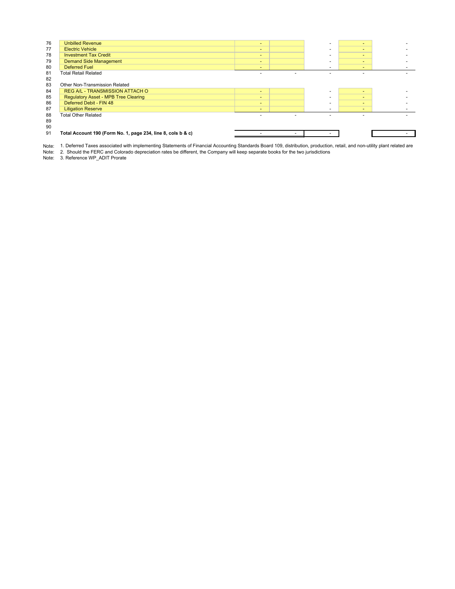| 76 | <b>Unbilled Revenue</b>                                      | $\overline{\phantom{a}}$ | $\overline{\phantom{a}}$ | $\overline{\phantom{a}}$ |  |
|----|--------------------------------------------------------------|--------------------------|--------------------------|--------------------------|--|
| 77 | <b>Electric Vehicle</b>                                      | $\sim$                   | $\overline{\phantom{0}}$ | $\blacksquare$           |  |
| 78 | <b>Investment Tax Credit</b>                                 | $\sim$                   | <b>.</b>                 | $\overline{\phantom{a}}$ |  |
| 79 | <b>Demand Side Management</b>                                | $\overline{\phantom{0}}$ | $\overline{\phantom{a}}$ | $\overline{\phantom{a}}$ |  |
| 80 | <b>Deferred Fuel</b>                                         | -                        | $\overline{\phantom{0}}$ | $\sim$                   |  |
| 81 | Total Retail Related                                         |                          |                          |                          |  |
| 82 |                                                              |                          |                          |                          |  |
| 83 | Other Non-Transmission Related                               |                          |                          |                          |  |
| 84 | REG A/L - TRANSMISSION ATTACH O                              | $\overline{\phantom{0}}$ |                          | $\sim$                   |  |
| 85 | <b>Regulatory Asset - MPB Tree Clearing</b>                  | $\sim$                   |                          | $\blacksquare$           |  |
| 86 | Deferred Debit - FIN 48                                      | $\sim$                   | $\sim$                   | $\overline{\phantom{a}}$ |  |
| 87 | <b>Litigation Reserve</b>                                    | $\overline{\phantom{a}}$ | $\overline{\phantom{a}}$ | $\overline{\phantom{0}}$ |  |
| 88 | <b>Total Other Related</b>                                   |                          |                          |                          |  |
| 89 |                                                              |                          |                          |                          |  |
| 90 |                                                              |                          |                          |                          |  |
| 91 | Total Account 190 (Form No. 1, page 234, line 8, cols b & c) |                          |                          |                          |  |
|    |                                                              |                          |                          |                          |  |

Note: 1. Deferred Taxes associated with implementing Statements of Financial Accounting Standards Board 109, distribution, productior<br>Note: 2. Should the FERC and Colorado depreciation rates be different, the Company wi 1. Deferred Taxes associated with implementing Statements of Financial Accounting Standards Board 109, distribution, production, retail, and non-utility plant related are

Note: 3. Reference WP\_ADIT Prorate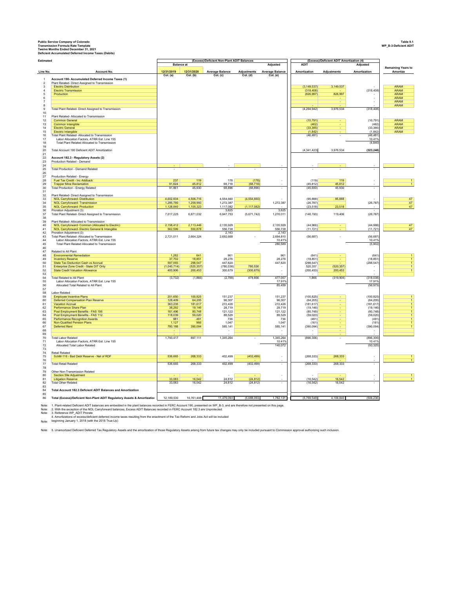Public Service Company of Colorado<br>Transmission Formula Rate Template<br>Transmission Formula Rate Template<br>Deficient Accumulated Deferred Income Taxes (Debits)<br>Deficient Accumulated Deferred Income Taxes (Debits)

| Estimated                                 |                                                                                                      |                        |                        | (Excess)/Deficient Non-Plant ADIT Balances |                         |                                    |                        | (Excess)/Deficient ADIT Amortization (4) |                        |                            |
|-------------------------------------------|------------------------------------------------------------------------------------------------------|------------------------|------------------------|--------------------------------------------|-------------------------|------------------------------------|------------------------|------------------------------------------|------------------------|----------------------------|
|                                           |                                                                                                      | <b>Balance</b> at      |                        |                                            |                         | <b>Adjusted</b>                    | <b>ADIT</b>            |                                          | Adjusted               | <b>Remaining Years to</b>  |
| Line No.                                  | <b>Account No</b>                                                                                    | 12/31/2019<br>Col. (a) | 12/31/2020<br>Col. (b) | <b>Average Balance</b><br>Col. (c)         | Adjustments<br>Col. (d) | <b>Average Balance</b><br>Col. (e) | Amortization           | Adjustments                              | Amortization           | Amortize                   |
| $\overline{1}$<br>$\overline{\mathbf{c}}$ | Account 190- Accumulated Deferred Income Taxes (1)<br>Plant Related- Direct Assigned to Transmission |                        |                        |                                            |                         |                                    |                        |                                          |                        |                            |
| 3                                         | <b>Electric Distribution</b>                                                                         |                        |                        |                                            |                         |                                    | (3, 149, 537)          | 3,149,537                                |                        | <b>ARAM</b>                |
| $\sqrt{4}$                                | <b>Electric Transmission</b>                                                                         |                        |                        |                                            |                         |                                    | (318, 408)             |                                          | (318, 408)             | <b>ARAM</b>                |
|                                           | Production                                                                                           |                        |                        |                                            |                         |                                    | (826, 997)             | 826,997                                  | ÷                      | <b>ARAM</b><br><b>ARAM</b> |
|                                           |                                                                                                      |                        |                        |                                            |                         |                                    |                        |                                          |                        | <b>ARAM</b>                |
|                                           |                                                                                                      |                        |                        |                                            |                         |                                    |                        |                                          |                        | <b>ARAM</b>                |
|                                           | Total Plant Related- Direct Assigned to Transmission                                                 |                        |                        |                                            |                         |                                    | (4.294.942)            | 3.976.534                                | (318, 408)             |                            |
| 10<br>11                                  | Plant Related- Allocated to Transmission                                                             |                        |                        |                                            |                         |                                    |                        |                                          |                        |                            |
| 12                                        | <b>Common General</b>                                                                                |                        |                        |                                            |                         |                                    | (10, 791)              |                                          | (10, 791)              | <b>ARAM</b>                |
| 13                                        | Common Intangible                                                                                    |                        |                        |                                            |                         |                                    | (462)<br>(33.385)      |                                          | (462)<br>(33, 385)     | <b>ARAM</b><br><b>ARAM</b> |
| 14<br>15                                  | <b>Electric General</b><br><b>Electric Intangible</b>                                                |                        |                        |                                            |                         |                                    | (1, 842)               |                                          | (1, 842)               | <b>ARAM</b>                |
|                                           | Total Plant Related- Allocated to Transmission                                                       |                        |                        |                                            |                         |                                    | (46, 481)              |                                          | (46, 481)              |                            |
|                                           | Labor Allocation Factors, ATRR Est. Line 155                                                         |                        |                        |                                            |                         |                                    |                        |                                          | 10 41%                 |                            |
|                                           | Total Plant Related Allocated to Transmission                                                        |                        |                        |                                            |                         |                                    |                        |                                          | (4, 840)               |                            |
|                                           | Total Account 190 Deficient ADIT Amortization                                                        |                        |                        |                                            |                         |                                    | (4,341,423)            | 3,976,534                                | (323, 248)             |                            |
|                                           |                                                                                                      |                        |                        |                                            |                         |                                    |                        |                                          |                        |                            |
|                                           | Account 182.3 - Regulatory Assets (2)<br>Production Related - Demand                                 |                        |                        |                                            |                         |                                    |                        |                                          |                        |                            |
|                                           |                                                                                                      |                        |                        |                                            |                         |                                    |                        |                                          |                        |                            |
|                                           | Total Production - Demand Related                                                                    |                        |                        |                                            |                         | $\sim$                             |                        |                                          |                        |                            |
|                                           |                                                                                                      |                        |                        |                                            |                         |                                    |                        |                                          |                        |                            |
|                                           | Production Related - Energy<br>Fuel Tax Credit - Inc Addback                                         | 237                    | 119                    | 178                                        | (178)                   |                                    | (119)                  | 119                                      |                        |                            |
|                                           | <b>Trapper Mine Reclamation</b>                                                                      | 91,624                 | 45,812                 | 68,718                                     | (68, 718)               |                                    | (45, 812)              | 45.812                                   |                        |                            |
|                                           | Total Production - Energy Related                                                                    | 91,861                 | 45,930                 | 68,896                                     | (68, 896)               | $\sim$                             | (45, 930)              | 45,930                                   | ÷,                     |                            |
|                                           | Plant Related- Direct Assigned to Transmission                                                       |                        |                        |                                            |                         |                                    |                        |                                          |                        |                            |
|                                           | NOL Carryforward- Distribution                                                                       | 4,602,604              | 4,506,716              | 4,554,660                                  | (4, 554, 660)           |                                    | (95, 888)              | 95,888                                   |                        | 47                         |
|                                           | <b>NOL Carryforward- Transmission</b>                                                                | 1,285,780              | 1,258,993              | 1,272,387                                  |                         | 1,272,387                          | (26, 787)              |                                          | (26, 787)              | 47                         |
|                                           | <b>NOL Carryforward- Production</b>                                                                  | 1,128,840              | 1 105 323              | 1,117,082                                  | (1, 117, 082)           | 3.625                              | (23, 518)              | 23.518                                   | ÷                      | 47                         |
|                                           | Proration Adjustment (3)<br>Total Plant Related- Direct Assigned to Transmission                     | 7,017,225              | 6,871,032              | 3,625<br>6,947,753                         | (5,671,742)             | 1,276,011                          | (146, 193)             | 119,406                                  | (26, 787)              |                            |
|                                           |                                                                                                      |                        |                        |                                            |                         |                                    |                        |                                          |                        |                            |
|                                           | Plant Related- Allocated to Transmission                                                             |                        |                        |                                            |                         |                                    |                        |                                          |                        |                            |
|                                           | NOL Carryforward- Common (Allocated to Electric)<br>NOL Carryforward- Electric General & Intangible  | 2.158.412<br>562.599   | 2,113,446<br>550,878   | 2,135,929<br>556,738                       |                         | 2,135,929<br>556,738               | (44, 966)<br>(11, 721) |                                          | (44, 966)<br>(11, 721) | 47<br>47                   |
|                                           | Proration Adjustment (3)                                                                             |                        |                        | 2.143                                      |                         | 2.143                              |                        |                                          |                        |                            |
|                                           | Total Plant Related- Allocated to Transmission                                                       | 2,721,011              | 2,664,324              | 2.692.668                                  |                         | 2,694,810                          | (56, 687)              | ×,                                       | (56, 687)              |                            |
|                                           | Labor Allocation Factors, ATRR Est. Line 155<br>Total Plant Related Allocated to Transmission        |                        |                        |                                            |                         | 10.41%<br>280,589                  |                        |                                          | 10.41%<br>(5,902)      |                            |
| 45<br>46                                  |                                                                                                      |                        |                        |                                            |                         |                                    |                        |                                          |                        |                            |
| 47<br>48                                  | Related to All Plant                                                                                 |                        |                        |                                            |                         |                                    |                        |                                          |                        |                            |
|                                           | <b>Environmental Remediation</b><br><b>Inventory Reserve</b>                                         | 1,282<br>37,702        | 641<br>18,851          | 961<br>28,276                              |                         | 961<br>28.276                      | (641)<br>(18, 851)     |                                          | (641)<br>(18, 851)     |                            |
|                                           | <b>State Tax Deduction Cash vs Accrual</b>                                                           | 597,093                | 298.547                | 447.820                                    |                         | 447,820                            | (298.547)              |                                          | (298, 547)             |                            |
|                                           | Enterprise Zone Credit - State DIT Only                                                              | (1,040,714)            | (520, 357)             | (780, 536)                                 | 780,536                 |                                    | 520,357                | (520, 357)                               |                        |                            |
|                                           | <b>State Credit Valuation Allowance</b>                                                              | 400,906                | 200,453                | 300,679                                    | (300, 679)              |                                    | (200, 453)             | 200,453                                  |                        |                            |
|                                           | <b>Total Related to All Plant</b>                                                                    | (3, 732)               | (1,866)                | (2,799)                                    | 479,856                 | 477,057                            | 1.866                  | (319, 904)                               | (318, 038)             |                            |
|                                           | Labor Allocation Factors, ATRR Est. Line 155                                                         |                        |                        |                                            |                         | 17.91%                             |                        |                                          | 17.91%                 |                            |
|                                           | Allocated Total Related to All Plant                                                                 |                        |                        |                                            |                         | 85,459                             |                        |                                          | (56, 973)              |                            |
|                                           | Labor Related                                                                                        |                        |                        |                                            |                         |                                    |                        |                                          |                        |                            |
|                                           | <b>Employee Incentive Plans</b>                                                                      | 201,650                | 100,825                | 151,237                                    |                         | 151,237                            | (100, 825)             |                                          | (100, 825)             |                            |
|                                           | Deferred Compensation Plan Reserve                                                                   | 128,409                | 64.205                 | 96,307                                     |                         | 96.307                             | (64.205)               |                                          | (64.205)               |                            |
|                                           | <b>Vacation Accrual</b>                                                                              | 363.235                | 181.617                | 272,426                                    |                         | 272.426                            | (181, 617)             |                                          | (181.617)              |                            |
|                                           | Performance Share Plan<br>Post Employment Benefits - FAS 106                                         | 38,292<br>161,496      | 19,146<br>80,748       | 28,719<br>121,122                          |                         | 28,719<br>121,122                  | (19, 146)<br>(80, 748) |                                          | (19, 146)<br>(80, 748) |                            |
|                                           | Post Employment Benefits - FAS 112                                                                   | 118,039                | 59,020                 | 88,529                                     |                         | 88,529                             | (59,020)               |                                          | (59,020)               |                            |
|                                           | <b>Performance Recognition Awards</b>                                                                | 981                    | 491                    | 736                                        |                         | 736                                | (491)                  |                                          | (491)                  |                            |
|                                           | Non-Qualified Pension Plans                                                                          | 1,127                  | 966                    | 1,047                                      |                         | 1,047                              | (161)                  |                                          | (161)                  |                            |
|                                           | <b>Deferred Rent</b>                                                                                 | 780,188                | 390,094                | 585,141                                    |                         | 585,141                            | (390, 094)             |                                          | (390, 094)             |                            |
|                                           |                                                                                                      |                        |                        |                                            |                         |                                    |                        |                                          |                        |                            |
|                                           | <b>Total Labor Related</b>                                                                           | 1,793,417              | 897,111                | 1,345,264                                  |                         | 1,345,264                          | (896, 306)             |                                          | (896,306               |                            |
|                                           | Labor Allocation Factors, ATRR Est. Line 155<br>Allocated Total Labor Related                        |                        |                        |                                            |                         | 10419                              |                        |                                          | 10 41%<br>(93, 325)    |                            |
|                                           |                                                                                                      |                        |                        |                                            |                         | 140,072                            |                        |                                          |                        |                            |
|                                           | <b>Retail Related</b>                                                                                |                        |                        |                                            |                         |                                    |                        |                                          |                        |                            |
|                                           | SchM-116 - Bad Debt Reserve - Net of RDF                                                             | 536,665                | 268,333                | 402,499                                    | (402, 499)              | ÷                                  | (268, 333)             | 268,333                                  |                        |                            |
|                                           | <b>Total Retail Related</b>                                                                          | 536,665                | 268,333                | 402,499                                    | (402, 499)              |                                    | (268, 333)             | 268,333                                  |                        |                            |
|                                           |                                                                                                      |                        |                        |                                            |                         |                                    |                        |                                          |                        |                            |
|                                           | Other Non-Transmission Related                                                                       |                        |                        |                                            |                         |                                    |                        |                                          |                        |                            |
|                                           | Section 59e Adjustment                                                                               |                        |                        |                                            |                         |                                    |                        |                                          |                        |                            |
|                                           | <b>Litigation Reserve</b><br><b>Total Other Related</b>                                              | 33,083<br>33.083       | 16,542<br>16.542       | 24,812<br>24.812                           | (24, 812)<br>(24, 812)  |                                    | (16, 542)<br>(16, 542) | 16,542<br>16.542                         |                        |                            |
| 82<br>84                                  |                                                                                                      |                        |                        |                                            |                         |                                    |                        |                                          |                        |                            |
|                                           | Total Account 182.3 Deficient ADIT Balances and Amortization                                         |                        |                        |                                            |                         |                                    |                        |                                          |                        |                            |
|                                           | Total (Excess)/Deficient Non-Plant ADIT Regulatory Assets & Amortization                             | 12.189.530             | 10.761.406             | 11.479.093                                 | (5.688.093)             | 1.782.131                          | (5.769.548)            | 4.106.840                                | (506,236)              |                            |
|                                           |                                                                                                      |                        |                        |                                            |                         |                                    |                        |                                          |                        |                            |

Note: 1. Plant-related Deficient ADIT balances are embedded in the plant balances recorded in FERC Account 190, presented on WP\_B-3, and are therefore not presented on this page.<br>Note: 2. Reference WP\_ADIT Prorate<br>Note: 3.

2. With the exception of the NOL Carryforward balances, Excess ADIT Balances recorded in FERC Account 182.3 are Unprotected.

4. Amortizations of excess/deficient deferred income taxes resulting from the enactment of the Tax Reform and Jobs Act will be included beginning January 1, 2018 (with the 2018 True-Up)

Note:

Note: 5. Unamortized Deficient Deferred Tax Regulatory Assets and the amortization of those Regulatory Assets arising from future tax changes may only be included pursuant to Commission approval authorizing such inclusion.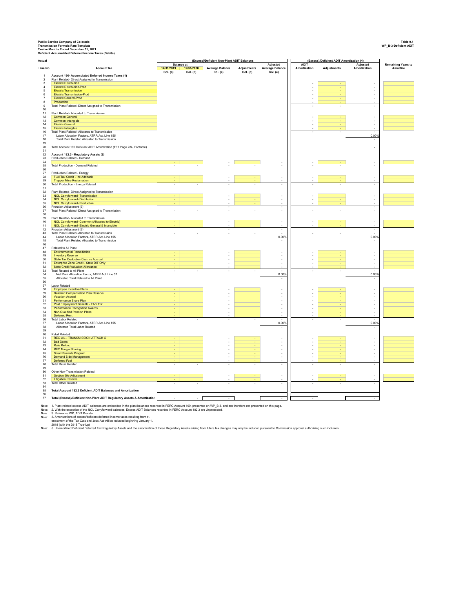Public Service Company of Colorado<br>Transmission Formula Rate Template<br>Transmission Formula Rate Template<br>Deficient Accumulated Deferred Income Taxes (Debits)<br>Deficient Accumulated Deferred Income Taxes (Debits)

| Actual                        |                                                                                                |                   |                       | (Excess)/Deficient Non-Plant ADIT Balances |                    |                                   |                                            | (Excess)/Deficient ADIT Amortization (4) |                                            |                           |
|-------------------------------|------------------------------------------------------------------------------------------------|-------------------|-----------------------|--------------------------------------------|--------------------|-----------------------------------|--------------------------------------------|------------------------------------------|--------------------------------------------|---------------------------|
|                               |                                                                                                | <b>Balance</b> at | 12/31/2019 12/31/2020 | Average Balance                            | <b>Adjustments</b> | Adjusted<br>Average Balance       | <b>ADIT</b><br>Amortization                | Adjustments                              | Adjusted<br>Amortization                   | <b>Remaining Years to</b> |
| Line No.                      | Account No.                                                                                    | Col. (a)          | Col. (b)              | Col. (c)                                   | Col. (d)           | Col. (e)                          |                                            |                                          |                                            | Amortize                  |
| $\overline{1}$                | Account 190- Accumulated Deferred Income Taxes (1)                                             |                   |                       |                                            |                    |                                   |                                            |                                          |                                            |                           |
| $\overline{2}$<br>$\mathsf 3$ | Plant Related- Direct Assigned to Transmission<br><b>Electric Distribution</b>                 |                   |                       |                                            |                    |                                   |                                            |                                          |                                            |                           |
| $\sqrt{4}$                    | <b>Electric Distribution-Prod</b>                                                              |                   |                       |                                            |                    |                                   |                                            |                                          | ÷                                          |                           |
| $\sqrt{5}$                    | <b>Electric Transmission</b>                                                                   |                   |                       |                                            |                    |                                   |                                            |                                          | ÷                                          |                           |
| $\,6\,$                       | Electric Transmission-Prod<br><b>Electric General-Prod</b>                                     |                   |                       |                                            |                    |                                   | ÷<br>$\overline{\phantom{a}}$              |                                          | ÷.<br>÷                                    |                           |
| $\overline{7}$<br>8           | Production                                                                                     |                   |                       |                                            |                    |                                   |                                            |                                          |                                            |                           |
| $\boldsymbol{9}$              | Total Plant Related- Direct Assigned to Transmission                                           |                   |                       |                                            |                    |                                   | $\overline{\phantom{a}}$                   | ÷,                                       | $\sim$                                     |                           |
| 10                            |                                                                                                |                   |                       |                                            |                    |                                   |                                            |                                          |                                            |                           |
| 11                            | Plant Related- Allocated to Transmission<br><b>Common General</b>                              |                   |                       |                                            |                    |                                   |                                            |                                          |                                            |                           |
| $12\,$<br>13                  | Common Intangible                                                                              |                   |                       |                                            |                    |                                   |                                            |                                          | $\overline{\phantom{a}}$                   |                           |
| 14                            | <b>Flectric General</b>                                                                        |                   |                       |                                            |                    |                                   |                                            |                                          | ÷.                                         |                           |
| $15\,$                        | Electric Intangible                                                                            |                   |                       |                                            |                    |                                   |                                            |                                          |                                            |                           |
| 16<br>$17$                    | Total Plant Related- Allocated to Transmission<br>Labor Allocation Factors, ATRR Act. Line 155 |                   |                       |                                            |                    |                                   |                                            |                                          | 0.00%                                      |                           |
| 18                            | Total Plant Related Allocated to Transmission                                                  |                   |                       |                                            |                    |                                   |                                            |                                          |                                            |                           |
| 19                            |                                                                                                |                   |                       |                                            |                    |                                   |                                            |                                          |                                            |                           |
| $20\,$<br>21                  | Total Account 190 Deficient ADIT Amortization (FF1 Page 234, Footnote)                         |                   |                       |                                            |                    |                                   |                                            |                                          |                                            |                           |
| $\bf 22$                      | Account 182.3 - Regulatory Assets (2)                                                          |                   |                       |                                            |                    |                                   |                                            |                                          |                                            |                           |
| $23\,$                        | Production Related - Demand                                                                    |                   |                       |                                            |                    |                                   |                                            |                                          |                                            |                           |
| 24                            |                                                                                                |                   |                       |                                            |                    |                                   |                                            |                                          |                                            |                           |
| 25<br>${\bf 26}$              | <b>Total Production - Demand Related</b>                                                       |                   |                       |                                            |                    |                                   |                                            |                                          |                                            |                           |
| $27\,$                        | Production Related - Energy                                                                    |                   |                       |                                            |                    |                                   |                                            |                                          |                                            |                           |
| ${\bf 28}$                    | Fuel Tax Credit - Inc Addback                                                                  |                   |                       |                                            |                    |                                   |                                            |                                          |                                            |                           |
| 29<br>$30\,$                  | <b>Trapper Mine Reclamation</b>                                                                |                   |                       |                                            |                    |                                   |                                            |                                          |                                            |                           |
| 31                            | <b>Total Production - Energy Related</b>                                                       |                   |                       |                                            |                    |                                   |                                            |                                          |                                            |                           |
| 32                            | Plant Related- Direct Assigned to Transmission                                                 |                   |                       |                                            |                    |                                   |                                            |                                          |                                            |                           |
| 33                            | NOL Carryforward- Transmission                                                                 |                   |                       |                                            |                    |                                   |                                            |                                          |                                            |                           |
| $34\,$<br>35                  | <b>NOL Carryforward- Distribution</b><br><b>NOL Carryforward- Production</b>                   |                   |                       |                                            |                    | ÷,                                |                                            |                                          |                                            |                           |
| 36                            | Proration Adjustment (3)                                                                       |                   |                       |                                            |                    | $\overline{\phantom{a}}$          |                                            |                                          | $\sim$                                     |                           |
| 37                            | Total Plant Related- Direct Assigned to Transmission                                           |                   |                       |                                            |                    | ÷                                 |                                            |                                          |                                            |                           |
| 38                            |                                                                                                |                   |                       |                                            |                    |                                   |                                            |                                          |                                            |                           |
| 39<br>40                      | Plant Related- Allocated to Transmission<br>NOL Carryforward- Common (Allocated to Electric)   |                   |                       |                                            |                    |                                   |                                            |                                          |                                            |                           |
| 41                            | NOL Carryforward- Electric General & Intangible                                                |                   |                       |                                            |                    | $\overline{\phantom{a}}$          |                                            |                                          |                                            |                           |
| 42                            | Proration Adjustment (3)                                                                       |                   |                       |                                            |                    |                                   |                                            |                                          | $\overline{\phantom{a}}$                   |                           |
| 43<br>44                      | Total Plant Related- Allocated to Transmission<br>Labor Allocation Factors, ATRR Act. Line 155 |                   |                       |                                            |                    | 0.00%                             |                                            |                                          | 0.00%                                      |                           |
| 45                            | Total Plant Related Allocated to Transmission                                                  |                   |                       |                                            |                    |                                   |                                            |                                          |                                            |                           |
| 46                            |                                                                                                |                   |                       |                                            |                    |                                   |                                            |                                          |                                            |                           |
| $\frac{47}{48}$               | Related to All Plant                                                                           |                   |                       |                                            |                    |                                   |                                            |                                          |                                            |                           |
| 49                            | <b>Environmental Remediation</b><br><b>Inventory Reserve</b>                                   |                   |                       | ÷,                                         |                    | $\sim$<br>$\sim$                  |                                            |                                          | $\overline{\phantom{a}}$                   |                           |
| 50                            | State Tax Deduction Cash vs Accrual                                                            |                   |                       |                                            |                    |                                   |                                            |                                          |                                            |                           |
| 51                            | Enterprise Zone Credit - State DIT Only                                                        |                   |                       | $\sim$                                     |                    | ÷                                 | ٠                                          |                                          | ×                                          |                           |
| 52                            | <b>State Credit Valuation Allowance</b>                                                        |                   |                       |                                            |                    |                                   |                                            |                                          |                                            |                           |
| 53<br>54                      | Total Related to All Plant<br>Net Plant Allocation Factor, ATRR Act. Line 37                   |                   |                       |                                            |                    | $\overline{\phantom{a}}$<br>0.00% | ÷                                          |                                          | 0.00%                                      |                           |
| 55                            | Allocated Total Related to All Plant                                                           |                   |                       |                                            |                    |                                   |                                            |                                          |                                            |                           |
| 56                            |                                                                                                |                   |                       |                                            |                    |                                   |                                            |                                          |                                            |                           |
| 57<br>58                      | <b>Labor Related</b>                                                                           |                   |                       |                                            |                    |                                   |                                            |                                          |                                            |                           |
| 59                            | <b>Employee Incentive Plans</b><br>Deferred Compensation Plan Reserve                          |                   |                       | $\sim$                                     |                    | ÷.                                | ÷,                                         |                                          | ×                                          |                           |
| 60                            | <b>Vacation Accrual</b>                                                                        |                   |                       | $\overline{\phantom{a}}$                   |                    | $\overline{\phantom{a}}$          | J.                                         |                                          | $\sim$                                     |                           |
| 61                            | Performance Share Plan                                                                         |                   |                       |                                            |                    |                                   |                                            |                                          |                                            |                           |
| 62<br>63                      | Post Employment Benefits - FAS 112<br>Performance Recognition Awards                           |                   |                       | $\overline{\phantom{a}}$<br>$\sim$         |                    | $\sim$<br>$\overline{a}$          | $\overline{\phantom{a}}$<br>$\overline{a}$ |                                          | $\overline{\phantom{a}}$<br>$\overline{a}$ |                           |
| 64                            | Non-Qualified Pension Plans                                                                    |                   |                       | $\overline{a}$                             |                    | $\overline{a}$                    | l,                                         |                                          | ÷                                          |                           |
| 65                            | <b>Deferred Rent</b>                                                                           |                   |                       |                                            |                    |                                   |                                            |                                          |                                            |                           |
| 66                            | <b>Total Labor Related</b>                                                                     |                   |                       |                                            |                    |                                   |                                            |                                          |                                            |                           |
| 67<br>68                      | Labor Allocation Factors, ATRR Act. Line 155<br>Allocated Total Labor Related                  |                   |                       |                                            |                    | 0.00%                             |                                            |                                          | 0.00%                                      |                           |
| 69                            |                                                                                                |                   |                       |                                            |                    |                                   |                                            |                                          |                                            |                           |
| 70                            | <b>Retail Related</b>                                                                          |                   |                       |                                            |                    |                                   |                                            |                                          |                                            |                           |
| $71\,$                        | <b>REG A/L - TRANSMISSION ATTACH O</b><br><b>Bad Debts</b>                                     |                   |                       |                                            |                    | $\overline{\phantom{a}}$          |                                            |                                          |                                            |                           |
| $\scriptstyle{72}$<br>73      | <b>Rate Refund</b>                                                                             |                   |                       | $\overline{\phantom{a}}$                   |                    | $\sim$                            | ٠                                          |                                          | $\overline{\phantom{a}}$                   |                           |
| $\bf 74$                      | <b>REC Margin Sharing</b>                                                                      |                   |                       | $\sim$                                     |                    | $\sim$                            | $\overline{\phantom{a}}$                   |                                          | $\sim$                                     |                           |
| 75                            | Solar Rewards Program                                                                          |                   |                       | $\sim$                                     |                    | $\overline{\phantom{a}}$          | J.                                         |                                          | $\sim$                                     |                           |
| 76<br>77                      | <b>Demand Side Management</b><br><b>Deferred Fuel</b>                                          |                   |                       | ÷.                                         |                    | ÷,                                | ÷,                                         |                                          | ÷.                                         |                           |
| 78                            | <b>Total Retail Related</b>                                                                    |                   |                       |                                            |                    |                                   |                                            |                                          |                                            |                           |
| 79                            |                                                                                                |                   |                       |                                            |                    |                                   |                                            |                                          |                                            |                           |
| 80                            | Other Non-Transmission Related                                                                 |                   |                       |                                            |                    |                                   |                                            |                                          |                                            |                           |
| 81<br>82                      | Section 59e Adjustment<br><b>Litigation Reserve</b>                                            |                   |                       |                                            |                    | ÷                                 |                                            |                                          |                                            |                           |
| 83                            | <b>Total Other Related</b>                                                                     |                   |                       |                                            |                    |                                   |                                            |                                          |                                            |                           |
| 84                            |                                                                                                |                   |                       |                                            |                    |                                   |                                            |                                          |                                            |                           |
| 85                            | Total Account 182.3 Deficient ADIT Balances and Amortization                                   |                   |                       |                                            |                    |                                   |                                            |                                          |                                            |                           |
| 86<br>87                      | Total (Excess)/Deficient Non-Plant ADIT Regulatory Assets & Amortization                       |                   |                       |                                            |                    |                                   |                                            |                                          |                                            |                           |
|                               |                                                                                                |                   |                       |                                            |                    |                                   |                                            |                                          |                                            |                           |

2. With the exception of the NOL Carryforward balances, Excess ADIT Balances recorded in FERC Account 182.3 are Unprotected.

Note: 1. Plant-related excess ADIT balances are embedded in the plant balances recorded in FERC Account 190, presented on WP\_B-3, and are therefore not presented on this page.<br>Note: 2. With the exception of the NOL Carryfo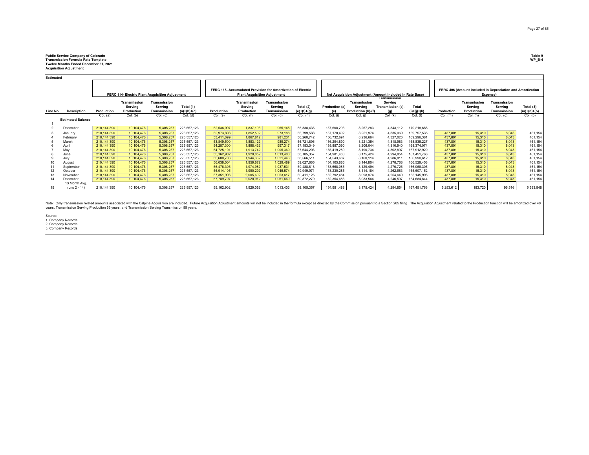## **Public Service Company of Colorado Table 9 Transmission Formula Rate Template WP\_B-4 Twelve Months Ended December 31, 2021 Acquisition Adjustment**

**Estimated**

| FERC 114- Electric Plant Acquisition Adjustment |                                                                                                                                    |                                                                                                                                                                   |                                                                                                                                                                | FERC 115- Accumulated Provision for Amortization of Electric<br><b>Plant Acquisition Adjustment</b>                                                      |                                                                                                                                                                                 |                                                                                                                                                            |                                                                                                                                             |                                                                                                                                         |                                                                                                                                                        |                                                                                                                                                                     |                                                                                                                                             | FERC 406 (Amount included in Depreciation and Amortization<br>Expense)                                                                                                            |                                                                                                                                                                                                                                |                                                                                                              |                                                                                                             |                                                                                                  |
|-------------------------------------------------|------------------------------------------------------------------------------------------------------------------------------------|-------------------------------------------------------------------------------------------------------------------------------------------------------------------|----------------------------------------------------------------------------------------------------------------------------------------------------------------|----------------------------------------------------------------------------------------------------------------------------------------------------------|---------------------------------------------------------------------------------------------------------------------------------------------------------------------------------|------------------------------------------------------------------------------------------------------------------------------------------------------------|---------------------------------------------------------------------------------------------------------------------------------------------|-----------------------------------------------------------------------------------------------------------------------------------------|--------------------------------------------------------------------------------------------------------------------------------------------------------|---------------------------------------------------------------------------------------------------------------------------------------------------------------------|---------------------------------------------------------------------------------------------------------------------------------------------|-----------------------------------------------------------------------------------------------------------------------------------------------------------------------------------|--------------------------------------------------------------------------------------------------------------------------------------------------------------------------------------------------------------------------------|--------------------------------------------------------------------------------------------------------------|-------------------------------------------------------------------------------------------------------------|--------------------------------------------------------------------------------------------------|
|                                                 |                                                                                                                                    | Transmission                                                                                                                                                      | Transmission                                                                                                                                                   |                                                                                                                                                          |                                                                                                                                                                                 | Transmission                                                                                                                                               | Transmission                                                                                                                                |                                                                                                                                         |                                                                                                                                                        | Transmission                                                                                                                                                        | Servina                                                                                                                                     |                                                                                                                                                                                   |                                                                                                                                                                                                                                | Transmission                                                                                                 | Transmission                                                                                                |                                                                                                  |
|                                                 |                                                                                                                                    | Serving                                                                                                                                                           | Serving                                                                                                                                                        | Total (1)                                                                                                                                                |                                                                                                                                                                                 | Serving                                                                                                                                                    | Serving                                                                                                                                     | Total (2)                                                                                                                               | Production (a)-                                                                                                                                        | Servina                                                                                                                                                             | Transmission (c)-                                                                                                                           | Total                                                                                                                                                                             |                                                                                                                                                                                                                                | Serving                                                                                                      | Serving                                                                                                     | Total (3)                                                                                        |
| <b>Description</b>                              | Production                                                                                                                         | Production                                                                                                                                                        | Transmissior                                                                                                                                                   | $(a)+(b)+(c)$                                                                                                                                            | Production                                                                                                                                                                      | Production                                                                                                                                                 | Transmission                                                                                                                                | $(e)+(f)+(q)$                                                                                                                           | (e)                                                                                                                                                    |                                                                                                                                                                     | (q)                                                                                                                                         | $(i)+(i)+(k)$                                                                                                                                                                     | Production                                                                                                                                                                                                                     | Production                                                                                                   | Transmission                                                                                                | $(m)+(n)+(o)$                                                                                    |
|                                                 | Col. (a)                                                                                                                           | Col. (b)                                                                                                                                                          | Col. (c)                                                                                                                                                       | Col. (d)                                                                                                                                                 | Col. (e)                                                                                                                                                                        | Col. (f)                                                                                                                                                   | Col. (q)                                                                                                                                    | Col. (h)                                                                                                                                | Col. (i)                                                                                                                                               | Col. (i)                                                                                                                                                            | Col. (k)                                                                                                                                    | Col. (I)                                                                                                                                                                          | $Col.$ (m)                                                                                                                                                                                                                     | Col. (n)                                                                                                     | Col. (o)                                                                                                    | Col. (p)                                                                                         |
|                                                 |                                                                                                                                    |                                                                                                                                                                   |                                                                                                                                                                |                                                                                                                                                          |                                                                                                                                                                                 |                                                                                                                                                            |                                                                                                                                             |                                                                                                                                         |                                                                                                                                                        |                                                                                                                                                                     |                                                                                                                                             |                                                                                                                                                                                   |                                                                                                                                                                                                                                |                                                                                                              |                                                                                                             |                                                                                                  |
|                                                 |                                                                                                                                    |                                                                                                                                                                   |                                                                                                                                                                |                                                                                                                                                          |                                                                                                                                                                                 |                                                                                                                                                            |                                                                                                                                             |                                                                                                                                         |                                                                                                                                                        |                                                                                                                                                                     |                                                                                                                                             |                                                                                                                                                                                   |                                                                                                                                                                                                                                |                                                                                                              |                                                                                                             |                                                                                                  |
|                                                 |                                                                                                                                    |                                                                                                                                                                   |                                                                                                                                                                |                                                                                                                                                          |                                                                                                                                                                                 |                                                                                                                                                            |                                                                                                                                             |                                                                                                                                         |                                                                                                                                                        |                                                                                                                                                                     |                                                                                                                                             |                                                                                                                                                                                   |                                                                                                                                                                                                                                |                                                                                                              |                                                                                                             |                                                                                                  |
| January                                         | 210,144,390                                                                                                                        | 10,104,476                                                                                                                                                        |                                                                                                                                                                | 225,557,123                                                                                                                                              | 52,973,898                                                                                                                                                                      | 1,852,502                                                                                                                                                  | 973,188                                                                                                                                     | 55,799,588                                                                                                                              | 157, 170, 492                                                                                                                                          | 8,251,974                                                                                                                                                           | 4,335,069                                                                                                                                   | 169,757,535                                                                                                                                                                       | 437,801                                                                                                                                                                                                                        |                                                                                                              |                                                                                                             | 461,154                                                                                          |
| February                                        | 210.144.390                                                                                                                        | 10.104.476                                                                                                                                                        | 5,308,257                                                                                                                                                      | 225,557,123                                                                                                                                              | 53.411.699                                                                                                                                                                      | 1,867,812                                                                                                                                                  | 981,231                                                                                                                                     | 56,260,742                                                                                                                              | 156.732.691                                                                                                                                            | 8,236,664                                                                                                                                                           | 4.327.026                                                                                                                                   | 169.296.381                                                                                                                                                                       | 437.801                                                                                                                                                                                                                        | 15.310                                                                                                       | 8.043                                                                                                       | 461,154                                                                                          |
| March                                           | 210.144.390                                                                                                                        | 10.104.476                                                                                                                                                        | 5,308,257                                                                                                                                                      | 225, 557, 123                                                                                                                                            | 53.849.500                                                                                                                                                                      | 1,883,122                                                                                                                                                  | 989,274                                                                                                                                     | 56,721,896                                                                                                                              | 156.294.890                                                                                                                                            | 8,221,354                                                                                                                                                           | 4,318,983                                                                                                                                   | 168.835.227                                                                                                                                                                       | 437.801                                                                                                                                                                                                                        | 15,310                                                                                                       | 8.043                                                                                                       | 461,154                                                                                          |
| April                                           |                                                                                                                                    |                                                                                                                                                                   |                                                                                                                                                                |                                                                                                                                                          |                                                                                                                                                                                 |                                                                                                                                                            |                                                                                                                                             |                                                                                                                                         |                                                                                                                                                        |                                                                                                                                                                     |                                                                                                                                             |                                                                                                                                                                                   |                                                                                                                                                                                                                                |                                                                                                              |                                                                                                             | 461,154                                                                                          |
|                                                 |                                                                                                                                    |                                                                                                                                                                   |                                                                                                                                                                |                                                                                                                                                          |                                                                                                                                                                                 |                                                                                                                                                            |                                                                                                                                             |                                                                                                                                         |                                                                                                                                                        |                                                                                                                                                                     |                                                                                                                                             |                                                                                                                                                                                   |                                                                                                                                                                                                                                |                                                                                                              |                                                                                                             | 461,154                                                                                          |
| June                                            |                                                                                                                                    |                                                                                                                                                                   |                                                                                                                                                                |                                                                                                                                                          |                                                                                                                                                                                 |                                                                                                                                                            |                                                                                                                                             |                                                                                                                                         |                                                                                                                                                        |                                                                                                                                                                     |                                                                                                                                             |                                                                                                                                                                                   |                                                                                                                                                                                                                                |                                                                                                              |                                                                                                             | 461,154                                                                                          |
|                                                 |                                                                                                                                    |                                                                                                                                                                   |                                                                                                                                                                |                                                                                                                                                          |                                                                                                                                                                                 |                                                                                                                                                            |                                                                                                                                             |                                                                                                                                         |                                                                                                                                                        |                                                                                                                                                                     |                                                                                                                                             |                                                                                                                                                                                   |                                                                                                                                                                                                                                |                                                                                                              |                                                                                                             | 461,154                                                                                          |
| August                                          |                                                                                                                                    |                                                                                                                                                                   |                                                                                                                                                                |                                                                                                                                                          |                                                                                                                                                                                 |                                                                                                                                                            |                                                                                                                                             |                                                                                                                                         |                                                                                                                                                        |                                                                                                                                                                     |                                                                                                                                             |                                                                                                                                                                                   |                                                                                                                                                                                                                                |                                                                                                              |                                                                                                             | 461,154                                                                                          |
|                                                 |                                                                                                                                    |                                                                                                                                                                   |                                                                                                                                                                |                                                                                                                                                          |                                                                                                                                                                                 |                                                                                                                                                            |                                                                                                                                             |                                                                                                                                         |                                                                                                                                                        |                                                                                                                                                                     |                                                                                                                                             |                                                                                                                                                                                   |                                                                                                                                                                                                                                |                                                                                                              |                                                                                                             | 461,154                                                                                          |
|                                                 |                                                                                                                                    |                                                                                                                                                                   |                                                                                                                                                                |                                                                                                                                                          |                                                                                                                                                                                 |                                                                                                                                                            |                                                                                                                                             |                                                                                                                                         |                                                                                                                                                        |                                                                                                                                                                     |                                                                                                                                             |                                                                                                                                                                                   |                                                                                                                                                                                                                                |                                                                                                              |                                                                                                             | 461,154                                                                                          |
| November                                        |                                                                                                                                    |                                                                                                                                                                   |                                                                                                                                                                |                                                                                                                                                          |                                                                                                                                                                                 |                                                                                                                                                            |                                                                                                                                             |                                                                                                                                         |                                                                                                                                                        |                                                                                                                                                                     |                                                                                                                                             |                                                                                                                                                                                   |                                                                                                                                                                                                                                |                                                                                                              |                                                                                                             | 461,154                                                                                          |
| December                                        |                                                                                                                                    |                                                                                                                                                                   |                                                                                                                                                                |                                                                                                                                                          |                                                                                                                                                                                 |                                                                                                                                                            |                                                                                                                                             |                                                                                                                                         |                                                                                                                                                        |                                                                                                                                                                     |                                                                                                                                             |                                                                                                                                                                                   |                                                                                                                                                                                                                                |                                                                                                              |                                                                                                             | 461,154                                                                                          |
|                                                 |                                                                                                                                    |                                                                                                                                                                   |                                                                                                                                                                |                                                                                                                                                          |                                                                                                                                                                                 |                                                                                                                                                            |                                                                                                                                             |                                                                                                                                         |                                                                                                                                                        |                                                                                                                                                                     |                                                                                                                                             |                                                                                                                                                                                   |                                                                                                                                                                                                                                |                                                                                                              |                                                                                                             |                                                                                                  |
|                                                 |                                                                                                                                    |                                                                                                                                                                   |                                                                                                                                                                |                                                                                                                                                          |                                                                                                                                                                                 |                                                                                                                                                            |                                                                                                                                             |                                                                                                                                         |                                                                                                                                                        |                                                                                                                                                                     |                                                                                                                                             |                                                                                                                                                                                   |                                                                                                                                                                                                                                |                                                                                                              |                                                                                                             | 5,533,848                                                                                        |
|                                                 | ьэшникы<br>Line No<br><b>Estimated Balance</b><br>December<br>May<br>July<br>September<br>October<br>13 Month Avg.<br>(Lns 2 - 14) | 210.144.390<br>210,144,390<br>210.144.390<br>210.144.390<br>210.144.390<br>210,144,390<br>210,144,390<br>210.144.390<br>210.144.390<br>210,144,390<br>210,144,390 | 10, 104, 476<br>10,104,476<br>10.104.476<br>10.104.476<br>10,104,476<br>10, 104, 476<br>10, 104, 476<br>10,104,476<br>10.104.476<br>10, 104, 476<br>10,104,476 | 5,308,257<br>5,308,257<br>5,308,257<br>5,308,257<br>5,308,257<br>5,308,257<br>5,308,257<br>5,308,257<br>5,308,257<br>5,308,257<br>5,308,257<br>5,308,257 | 225, 557, 123<br>225,557,123<br>225,557,123<br>225, 557, 123<br>225,557,123<br>225, 557, 123<br>225,557,123<br>225, 557, 123<br>225, 557, 123<br>225, 557, 123<br>225, 557, 123 | 52,536,097<br>54,287,300<br>54.725.101<br>55, 162, 902<br>55,600.703<br>56,038,504<br>56.476.305<br>56,914,105<br>57.351.906<br>57,789,707<br>55, 162, 902 | 1,837,193<br>1,898,432<br>1,913,742<br>1,929,052<br>1.944.362<br>1,959,672<br>1,974,982<br>1,990,292<br>2,005,602<br>2,020,912<br>1,929,052 | 965,145<br>997,317<br>1,005,360<br>1,013,403<br>1,021,446<br>1,029,489<br>1,037,531<br>1,045,574<br>1,053,617<br>1,061,660<br>1,013,403 | 55,338,435<br>57,183,049<br>57,644,203<br>58,105,357<br>58,566,511<br>59,027,665<br>59,488,818<br>59,949,971<br>60.411.125<br>60,872,279<br>58,105,357 | 157,608,293<br>155,857,090<br>155.419.289<br>154,981,488<br>154.543.687<br>154, 105, 886<br>153,668,085<br>153,230,285<br>152.792.484<br>152,354,683<br>154,981,488 | 8,267,283<br>8,206,044<br>8,190,734<br>8,175,424<br>8,160,114<br>8,144,804<br>8,129,494<br>8,114,184<br>8,098,874<br>8,083,564<br>8,175,424 | Transmission<br>Production (b)-(f)<br>4,343,112<br>4,310,940<br>4,302,897<br>4,294,854<br>4,286,811<br>4,278,768<br>4,270,726<br>4,262,683<br>4.254.640<br>4,246,597<br>4,294,854 | Net Acquisition Adjustment (Amount included in Rate Base)<br>170,218,688<br>168.374.074<br>167.912.920<br>167.451.766<br>166.990.612<br>166,529,458<br>166.068.305<br>165,607,152<br>165.145.998<br>164,684,844<br>167,451,766 | 437,801<br>437.801<br>437,801<br>437.801<br>437,801<br>437.801<br>437,801<br>437,801<br>437.801<br>5,253,612 | 15,310<br>15.310<br>15.310<br>15.310<br>15.310<br>15,310<br>15,310<br>15.310<br>15.310<br>15.310<br>183,720 | 8,043<br>8,043<br>8.043<br>8,043<br>8.043<br>8,043<br>8,043<br>8,043<br>8,043<br>8.043<br>96,516 |

Note: Only transmission related amounts associated with the Calpine Acquisition and except Acquisition Adjustment amounts will not be included in the formula except as directed by the Commission presum to a Section 205 fli

Source: 1. Company Records 2. Company Records 3. Company Records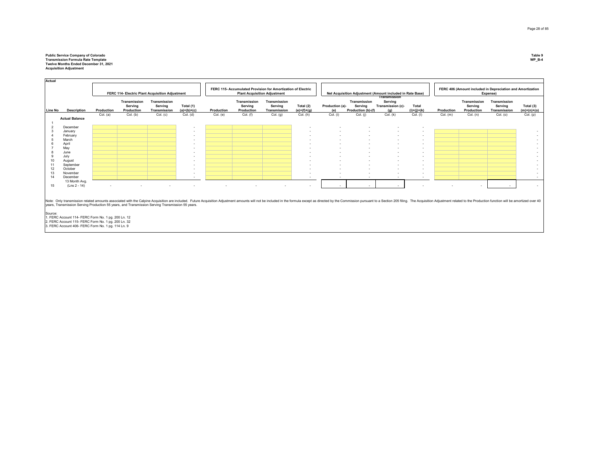## **Public Service Company of Colorado Table 9 Transmission Formula Rate Template WP\_B-4 Twelve Months Ended December 31, 2021 Acquisition Adjustment**

|                |                                 |            |                                       | FERC 114- Electric Plant Acquisition Adjustment |                            |            | FERC 115- Accumulated Provision for Amortization of Electric<br><b>Plant Acquisition Adjustment</b><br>Net Acquisition Adjustment (Amount included in Rate Base) |                                         |                            |                          | <b>Transmission</b>                           |                                     |                        |            | FERC 406 (Amount included in Depreciation and Amortization<br>Expense) |                                         |                            |
|----------------|---------------------------------|------------|---------------------------------------|-------------------------------------------------|----------------------------|------------|------------------------------------------------------------------------------------------------------------------------------------------------------------------|-----------------------------------------|----------------------------|--------------------------|-----------------------------------------------|-------------------------------------|------------------------|------------|------------------------------------------------------------------------|-----------------------------------------|----------------------------|
| <b>Line No</b> | Description                     | Production | Transmission<br>Serving<br>Production | Transmission<br>Serving<br>Transmission         | Total (1)<br>$(a)+(b)+(c)$ | Production | Transmission<br>Serving<br>Production                                                                                                                            | Transmission<br>Serving<br>Transmission | Total (2)<br>$(e)+(f)+(g)$ | Production (a)-<br>(e)   | Transmission<br>Serving<br>Production (b)-(f) | Serving<br>Transmission (c)-<br>(q) | Total<br>$(i)+(j)+(k)$ | Production | Transmission<br>Serving<br>Production                                  | Transmission<br>Serving<br>Transmission | Total (3)<br>$(m)+(n)+(o)$ |
|                | <b>Actual Balance</b>           | Col. (a)   | Col. (b)                              | Col. (c)                                        | Col. (d)                   | Col. (e)   | Col. (f)                                                                                                                                                         | Col. (g)                                | Col. (h)                   | Col. (i)                 | Col. (i)                                      | Col. (k)                            | Col. (I)               | $Col.$ (m) | Col. (n)                                                               | Col. (o)                                | Col. (p)                   |
|                |                                 |            |                                       |                                                 |                            |            |                                                                                                                                                                  |                                         |                            |                          |                                               |                                     |                        |            |                                                                        |                                         |                            |
| $\overline{2}$ | December                        |            |                                       |                                                 | . .                        |            |                                                                                                                                                                  |                                         |                            |                          |                                               |                                     |                        |            |                                                                        |                                         |                            |
|                | January                         |            |                                       |                                                 |                            |            |                                                                                                                                                                  |                                         | $\sim$                     | $\sim$                   | . .                                           | $\sim$                              |                        |            |                                                                        |                                         |                            |
|                | February                        |            |                                       |                                                 | $\sim$                     |            |                                                                                                                                                                  |                                         | $\sim$                     | $\overline{\phantom{a}}$ |                                               |                                     | $\sim$                 |            |                                                                        |                                         |                            |
|                | March                           |            |                                       |                                                 | $\overline{\phantom{a}}$   |            |                                                                                                                                                                  |                                         |                            |                          |                                               |                                     | $\sim$                 |            |                                                                        |                                         |                            |
|                | April                           |            |                                       |                                                 |                            |            |                                                                                                                                                                  |                                         | $\overline{\phantom{a}}$   | $\overline{\phantom{a}}$ |                                               |                                     | $\sim$                 |            |                                                                        |                                         |                            |
|                | May                             |            |                                       |                                                 | $\overline{\phantom{a}}$   |            |                                                                                                                                                                  |                                         | $\sim$                     | $\sim$                   |                                               |                                     | $\sim$                 |            |                                                                        |                                         |                            |
| 8              | June                            |            |                                       |                                                 | $\overline{\phantom{a}}$   |            |                                                                                                                                                                  |                                         | $\overline{\phantom{a}}$   | $\overline{\phantom{a}}$ |                                               |                                     | $\sim$                 |            |                                                                        |                                         |                            |
| 9              | July                            |            |                                       |                                                 | $\sim$                     |            |                                                                                                                                                                  |                                         | $\overline{\phantom{a}}$   | $\sim$                   |                                               | $\sim$                              | $\sim$                 |            |                                                                        |                                         |                            |
| 10             | August                          |            |                                       |                                                 | $\overline{\phantom{a}}$   |            |                                                                                                                                                                  |                                         |                            |                          |                                               |                                     | $\sim$                 |            |                                                                        |                                         |                            |
| 11             | September                       |            |                                       |                                                 | $\overline{\phantom{a}}$   |            |                                                                                                                                                                  |                                         | . .                        |                          |                                               |                                     | $\sim$                 |            |                                                                        |                                         |                            |
| 12             | October                         |            |                                       |                                                 | $\overline{\phantom{a}}$   |            |                                                                                                                                                                  |                                         | $\overline{\phantom{a}}$   | $\sim$                   |                                               |                                     | $\sim$                 |            |                                                                        |                                         |                            |
| 13             | November                        |            |                                       |                                                 |                            |            |                                                                                                                                                                  |                                         |                            | $\overline{\phantom{a}}$ |                                               | - 1                                 | $\sim$                 |            |                                                                        |                                         |                            |
| 14             | December                        |            |                                       |                                                 | $\sim$                     |            |                                                                                                                                                                  |                                         | $\sim$                     | $\overline{\phantom{a}}$ | $\overline{\phantom{a}}$                      | $\sim$                              | $\sim$                 |            |                                                                        |                                         |                            |
| 15             | 13 Month Avg.<br>$(Lns 2 - 14)$ | - 1        | $\overline{\phantom{a}}$              | $\overline{\phantom{a}}$                        | . .                        | $\sim$     | $\overline{a}$                                                                                                                                                   | . .                                     | $\overline{a}$             | $\sim$                   | . .                                           |                                     |                        |            |                                                                        |                                         |                            |

Note: Only transmission related amounts associated with the Calpine Acquisition and probled. Future Acquisition Adjustment amounts will not be included in the formula except as directed by the Commission presum to a Sectio

Source:<br>1. FERC Account 114- FERC Form No. 1 pg. 200 Ln. 12<br>2. FERC Account 115- FERC Form No. 1 pg. 114 Ln. 9<br>3. FERC Account 406- FERC Form No. 1 pg. 114 Ln. 9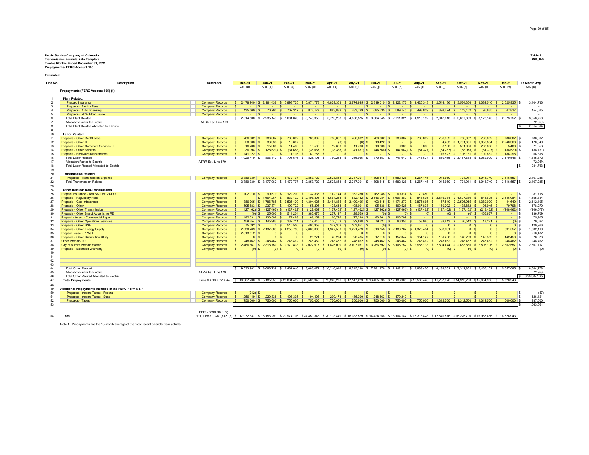## Public Service Company of Colorado<br>Premission Formula Rate Template<br>Transmission Formula Rate Template<br>Prepayments- FERC Account 165

**Estimated**

| Line No. | <b>Description</b>                                                                          | Reference                                        | <b>Dec-20</b>                         | $Jan-21$                                                                                                                                                                              | <b>Feb-21</b>                | <b>Mar-21</b>                            | <b>Apr-21</b>            | <b>May-21</b>                                                      | <b>Jun-21</b>           | <b>Jul-21</b>                  | <b>Aug-21</b>         | <b>Sep-21</b>  | <b>Oct-21</b>                    | <b>Nov-21</b>                                     | <b>Dec-21</b>                    | 13 Month Avg                        |
|----------|---------------------------------------------------------------------------------------------|--------------------------------------------------|---------------------------------------|---------------------------------------------------------------------------------------------------------------------------------------------------------------------------------------|------------------------------|------------------------------------------|--------------------------|--------------------------------------------------------------------|-------------------------|--------------------------------|-----------------------|----------------|----------------------------------|---------------------------------------------------|----------------------------------|-------------------------------------|
|          | Prepayments (FERC Account 165) (1)                                                          |                                                  | Col. (a)                              | Col. (b)                                                                                                                                                                              | Col. (a)                     | Col. (d)                                 | Col. (e)                 | Col. (f)                                                           | Col. (q)                | Col. (h)                       | Col. (i)              | Col. (i)       | Col. (k)                         | Col. (I)                                          | $Col.$ (m)                       | Col. (n)                            |
|          |                                                                                             |                                                  |                                       |                                                                                                                                                                                       |                              |                                          |                          |                                                                    |                         |                                |                       |                |                                  |                                                   |                                  |                                     |
|          | <b>Plant Related:</b>                                                                       |                                                  |                                       |                                                                                                                                                                                       |                              |                                          |                          |                                                                    |                         |                                |                       |                |                                  |                                                   |                                  |                                     |
|          | <b>Prepaid Insurance</b>                                                                    | <b>Company Records</b>                           |                                       | \$2.478.940 \$2.164.438 \$6.898.725 \$5.871.778 \$4.829.369 \$3.874.845 \$2.819.010 \$2.122.176 \$1.425.343 \$2.544.136 \$3.524.356 \$3.082.510 \$2.625.935 \$                        |                              |                                          |                          |                                                                    |                         |                                |                       |                |                                  |                                                   |                                  | 3,404,736                           |
|          | Prepaids - Facility Fees                                                                    | <b>Company Records</b>                           |                                       |                                                                                                                                                                                       |                              |                                          | -S                       |                                                                    |                         |                                |                       |                | ∣\$                              |                                                   |                                  |                                     |
|          | Prepaids - Auto Licensing                                                                   | <b>Company Records</b>                           | $135.560$ \$<br>-S                    | $70.702$ \$                                                                                                                                                                           |                              | 702.317 \$ 872.177 \$                    | 883,839 \$               | 783.729 S                                                          | 685,535 \$              | $589.145$ \$                   | $493.809$ \$          |                | 398.474 \$143.452 \$             | $95.635$ \$                                       | 47,817                           | 454.015                             |
|          | Prepaids - NCE Fiber Lease                                                                  | <b>Company Records</b>                           |                                       |                                                                                                                                                                                       |                              |                                          |                          |                                                                    |                         |                                |                       |                |                                  |                                                   |                                  |                                     |
|          | <b>Total Plant Related</b>                                                                  |                                                  |                                       | \$ 2.614.500 \$ 2.235.140 \$ 7.601.043 \$ 6.743.955 \$ 5.713.208 \$ 4.658.575 \$ 3.504.545 \$ 2.711.321 \$ 1.919.152 \$ 2.942.610 \$ 3.667.809 \$ 3.178.145 \$ 2.673.752 \$           |                              |                                          |                          |                                                                    |                         |                                |                       |                |                                  |                                                   |                                  | 3.858.750                           |
|          | Allocation Factor to Electric                                                               | ATRR Est. Line 179                               |                                       |                                                                                                                                                                                       |                              |                                          |                          |                                                                    |                         |                                |                       |                |                                  |                                                   |                                  | 72.95%                              |
|          | Total Plant Related Allocated to Electric                                                   |                                                  |                                       |                                                                                                                                                                                       |                              |                                          |                          |                                                                    |                         |                                |                       |                |                                  |                                                   |                                  | 2,814,814                           |
|          |                                                                                             |                                                  |                                       |                                                                                                                                                                                       |                              |                                          |                          |                                                                    |                         |                                |                       |                |                                  |                                                   |                                  |                                     |
| 10       | <b>Labor Related:</b>                                                                       |                                                  |                                       |                                                                                                                                                                                       |                              |                                          |                          |                                                                    |                         |                                |                       |                |                                  |                                                   |                                  |                                     |
| 11       | Prepaids - Other Rent/Lease                                                                 | <b>Company Records</b>                           | 786,002<br>-S                         | 786,002<br>۱s                                                                                                                                                                         | 786,002 \$                   | 786,002 S                                | 786,002 S                | 786,002 S                                                          | 786,002 \$              | 786,002 \$                     | 786,002 \$            | 786,002 \$     | 786.002                          | 786,002 \$<br>l S                                 | 786,002 \$                       | 786.002                             |
| 12       | Prepaids - Other IT                                                                         | <b>Company Records</b>                           | $\mathbf{S}$<br>50,000                | 33.333                                                                                                                                                                                | 16.667                       | 0 <sup>1</sup>                           | $(0)$ S                  | $(0)$ S                                                            | 18,422                  | <b>COL</b>                     | l S<br><b>Service</b> | 4,283          | \$1.791.631                      | $S$ 1.959.834 $S$                                 | 2.240.368 \$                     | 470,349                             |
| 13<br>14 | Prepaids - Other Corporate Services IT<br><b>Prepaids - Other Benefits</b>                  | <b>Company Records</b>                           | $\mathbf{s}$<br>16,200<br>$36.094$ \$ | 15,300<br>$(28.523)$ \$                                                                                                                                                               | 14,400                       | $13,500$ S<br>∣ S.                       | $12,600$ \$              | $11,700$ S                                                         | 10,800                  | 9,900                          | $9.000$ \ \$<br>۱s۶   | $(54.757)$ \$  | 8.100 \$ 531.996<br>$(58.073)$ S | 268,698 \$<br>$\sim$<br>$(61.397)$ \$             | $5,400$ \$                       | 71,353<br>(38.151)                  |
| 15       | Prepaids - Hardware Maintenance                                                             | <b>Company Records</b><br><b>Company Records</b> | l S<br>$141,122$ \$                   |                                                                                                                                                                                       | $(31,688)$ \$<br>$11.135$ \$ | $(35,067)$ \$<br>60,756                  | $(38, 338)$ \$           | $(41, 637)$ S                                                      | $(44, 766)$ \$          | $(47,962)$ \$                  | $(51,327)$ \$         | $116,827$ \$   | $106.131$ S                      | $109.862$ \$                                      | $(38,520)$ \$<br>186,298         | 56,318                              |
| 16       | <b>Total Labor Related</b>                                                                  |                                                  |                                       | \$1,029,419 \$806,112 \$796,516 \$825,191 \$760,264 \$756,065 \$770,457 \$747,940 \$743,674 \$                                                                                        |                              |                                          |                          |                                                                    |                         |                                |                       |                |                                  | 860,455 \$3,157,688 \$3,062,999 \$3,179,548 \$    |                                  | 1,345,872                           |
| 17       | Allocation Factor to Electric                                                               | ATRR Est. Line 179                               |                                       |                                                                                                                                                                                       |                              |                                          |                          |                                                                    |                         |                                |                       |                |                                  |                                                   |                                  | 72.95%                              |
| 18       | Total Labor Related Allocated to Electric                                                   |                                                  |                                       |                                                                                                                                                                                       |                              |                                          |                          |                                                                    |                         |                                |                       |                |                                  |                                                   |                                  | 981,763                             |
| 19       |                                                                                             |                                                  |                                       |                                                                                                                                                                                       |                              |                                          |                          |                                                                    |                         |                                |                       |                |                                  |                                                   |                                  |                                     |
| 20       | <b>Transmission Related:</b>                                                                |                                                  |                                       |                                                                                                                                                                                       |                              |                                          |                          |                                                                    |                         |                                |                       |                |                                  |                                                   |                                  |                                     |
| 21       | Prepaids - Transmission Expense                                                             | <b>Company Records</b>                           | 3,789,330                             | 3.477.962                                                                                                                                                                             | 3,172,797                    | 2,853,722                                | 2,528,858                | 2,217,301                                                          | 1.898.615               | 1,582,426                      | 1,267,145             | 945,660        | 774,941                          | 3.948.740                                         | 3,616,557                        | 2,467,235                           |
| 22       | <b>Total Transmission Related</b>                                                           |                                                  |                                       | \$ 3,789,330 \$ 3,477,962 \$ 3,172,797 \$ 2,853,722 \$ 2,528,858 \$ 2,217,301 \$ 1,898,615 \$ 1,582,426 \$ 1,267,145 \$                                                               |                              |                                          |                          |                                                                    |                         |                                |                       | 945,660 \$     |                                  | 774,941 \$ 3,948,740 \$                           | 3,616,557                        | 2,467,235                           |
| 23       |                                                                                             |                                                  |                                       |                                                                                                                                                                                       |                              |                                          |                          |                                                                    |                         |                                |                       |                |                                  |                                                   |                                  |                                     |
| 24       | <b>Other Related: Non-Transmission</b>                                                      |                                                  |                                       |                                                                                                                                                                                       |                              |                                          |                          |                                                                    |                         |                                |                       |                |                                  |                                                   |                                  |                                     |
| 25       | Prepaid Insurance - Neil NML WCR-GO                                                         | <b>Company Records</b>                           | $102.910$ \$<br>-S                    | 99.579                                                                                                                                                                                | 122,200                      | 132,336                                  | 142,144<br>-S            | 152,280                                                            | 162.088                 | 69.314                         | 79,450                |                |                                  |                                                   |                                  | 81.715<br><b>s</b>                  |
| 26       | Prepaids - Regulatory Fees                                                                  | <b>Company Records</b>                           |                                       | \$1.664.264                                                                                                                                                                           | 832.132                      | \$2.496,396                              | s.<br>1.664.264          | 832.132<br>۱s<br>$\sim$                                            | 2.546.084               | 1.697.389<br>$\sim$            | 848,695               | \$ 2.546,084   | \$1.697,389                      | 848,695<br>- 93                                   | 2.546.084 \$                     | 1,555,354                           |
| 27       | Prepaids - Gas Imbalances                                                                   | <b>Company Records</b>                           | $386.765$ \$                          | 1.786.785                                                                                                                                                                             | 2.525.420                    | $\frac{1}{2}$ \$4.304.625 \$             | 3.484.835                | S 3.190.495                                                        | 403.415                 | \$4.471,270                    | 2.875.665             | 67.540         | \$2,526,915                      | 1.389.000                                         | 44.640 \$                        | 2,112,105                           |
| 28       | Prepaids - Other                                                                            | <b>Company Records</b>                           | 595,883                               | 237,371                                                                                                                                                                               |                              | 155,296                                  | l Si<br>$128.614$ S      | 108.091<br>l S                                                     | 95.336                  | 160.528<br>l S                 | 167,838<br>- \$       | 160.202        | l S<br>138,882                   | $98.945$ \$                                       | 79.798 \$                        | 178,270                             |
| 29       | Prepaids - Other Transmission                                                               | <b>Company Records</b>                           | -S<br>$(127.462)$ \$                  | $(127.462)$ \$                                                                                                                                                                        | $(127.462)$ \$               | $(127.462)$ S                            | $(127.462)$ S            | $(127, 462)$ \$                                                    | $(127, 462)$ \$         | $(127, 462)$ \$                | $(127, 462)$ \$       |                | $(127, 462)$ \$ $(127, 462)$ \$  | $(248.462)$ \$                                    | $(248, 462)$ \$                  | (146, 077)                          |
| 30       | Prepaids - Other Brand Advertising RE                                                       | <b>Company Records</b>                           |                                       | $(0)$ \$<br>25,000<br>130,508                                                                                                                                                         | 514.234<br>77 488            | 385,676                                  | $257.117$ S<br>∣ s       | 128,559                                                            | $(0)$ \$<br>$83,761$ \$ | $(0)$ \$                       | $(0)$ \$              | $(0)$ \$       | $(0)$ S                          | 466,627 \$<br><b>Service</b>                      | <b>Service</b><br><b>Service</b> | 136,709<br><b>s</b><br>75,905<br>-S |
| 31<br>32 | Prepaid Interest - Commercial Paper<br>Prepaids - Other Operations Services                 | <b>Company Records</b><br><b>Company Records</b> | 159 254                               | 145 983                                                                                                                                                                               | 132 711                      | 168.159<br>119 440                       | 160.726<br>۱s<br>106.169 | 77,288<br>92.898                                                   | 79.627                  | $106,799$ \$<br>66,356         | 53.085                | 39.813         | 26.542<br>l S                    | $13,271$ \$<br>l S                                | $(0)$ \$                         | 79,627                              |
| 33       | Prepaids - Other DSM                                                                        | <b>Company Records</b>                           | 75.092                                | $\Omega$                                                                                                                                                                              | 515 556<br>l S               | 490.953                                  | 327,302<br>-S.           | 163.651<br>-S                                                      | $(0)$ \$                | 0 <sup>1</sup>                 | $\Omega$              | 0 <sup>8</sup> | $\Omega$                         | 0 <sup>1</sup>                                    | 0 <sup>5</sup>                   | 120,966                             |
| 34       | Prepaids - Other Energy Supply                                                              | <b>Company Records</b>                           | 2.630.769                             | $$2.137.500$ $$$                                                                                                                                                                      | 1.258.750                    | \$2.660,000                              | $1.947.500$ S<br>۱s      | 1.221.429                                                          |                         | $516.758$ \$ 2.186.767 \$      | 1.378.484             | 598,031        | $\mathbf{0}$                     | 0 <sup>1</sup>                                    | 391,557 \$                       | 1,302,119                           |
| 35       | Prepaid Lease - PPAs LT                                                                     | <b>Company Records</b>                           | 2.813.612                             |                                                                                                                                                                                       | $\Omega$                     | 0 <sup>1</sup>                           | $\overline{0}$           | <b>S</b><br>$\Omega$                                               | $\Omega$                | 0 <sup>1</sup>                 | $\Omega$              | $0 \mid S$     | $\overline{0}$                   | 0 <sup>1</sup>                                    | 0 <sup>5</sup>                   | 216,432                             |
| 36       | Prepaids - Other Distribution Utility                                                       | <b>Company Records</b>                           |                                       | 0 <sup>1</sup><br>0 <sup>1</sup>                                                                                                                                                      | $\mathbf{0}$                 | $26.274$ S<br>۱s۶                        | $26.274$ S               | 20.435<br>∣ s                                                      | $17.516$ \ \$           | 157,047                        | 154.127<br>۱s۶        | $151.208$ \$   | 148,289                          | 145,369 \$                                        | 142,450 \$                       | 76.076                              |
| 37       | Other Prepaid-TU                                                                            | <b>Company Records</b>                           | 248,462 \$<br>-S                      | $248.462$ \$                                                                                                                                                                          | 248.462                      | 248,462                                  | 248,462<br>-S.           | 248,462<br>-8                                                      | 248,462                 | 248,462                        | 248.462<br>S          | 248,462        | 248.462<br>l S                   | 248,462                                           | 248,462 \$                       | 248.462                             |
| 38       | City of Aurora Prepaid Water                                                                | <b>Company Records</b>                           | $$2,466,667$ \ \$                     |                                                                                                                                                                                       |                              | $2,318,750$ \$ 2,170,833 \$ 2,022,917 \$ |                          | $1,875,000$ \$ 3,407,031 \$ 3,256,392 \$ 3,105,752 \$ 2,955,113 \$ |                         |                                |                       |                |                                  | 2,804,474 \$ 2,653,835 \$ 2,503,196 \$            | 2,352,557 \$                     | 2,607,117                           |
| 39       | Prepaids - Extended Warranty                                                                | <b>Company Records</b>                           | $\mathbf{s}$                          | $(0)$ \$<br>$(0)$ \$                                                                                                                                                                  | $(0)$ \$                     | $(0)$ S                                  | $(0)$ S                  | $(0)$ S                                                            | $(0)$ \$                | $(0)$ \$                       | $(0)$ \$              | $(0)$ \$       | $(0)$ S                          | $(0)$ \$                                          | $(0)$ \$                         | (0)                                 |
| 40       |                                                                                             |                                                  |                                       |                                                                                                                                                                                       |                              |                                          |                          |                                                                    |                         |                                |                       |                |                                  |                                                   |                                  |                                     |
| 41       |                                                                                             |                                                  |                                       |                                                                                                                                                                                       |                              |                                          |                          |                                                                    |                         |                                |                       |                |                                  |                                                   |                                  |                                     |
| 42       |                                                                                             |                                                  |                                       |                                                                                                                                                                                       |                              |                                          |                          |                                                                    |                         |                                |                       |                |                                  |                                                   |                                  |                                     |
| 43       |                                                                                             |                                                  |                                       |                                                                                                                                                                                       |                              |                                          |                          |                                                                    |                         |                                |                       |                |                                  |                                                   |                                  |                                     |
| 44<br>45 | <b>Total Other Related</b><br>Allocation Factor to Electric                                 | ATRR Est. Line 179                               |                                       | \$ 9,533,982 \$ 8,666,739 \$ 8,461,046 \$13,083,071 \$ 10,240,946 \$ 9,515,288 \$ 7,281,976 \$ 12,142,221 \$ 8,633,456 \$ 6,488,351 \$ 7,312,852 \$ 5,465,102 \$ 5,557,085 \$         |                              |                                          |                          |                                                                    |                         |                                |                       |                |                                  |                                                   |                                  | 8.644.778<br>72.95%                 |
| 46       | Total Other Related Allocated to Electric                                                   |                                                  |                                       |                                                                                                                                                                                       |                              |                                          |                          |                                                                    |                         |                                |                       |                |                                  |                                                   |                                  | \$ 6.306.041.95                     |
|          |                                                                                             |                                                  |                                       |                                                                                                                                                                                       |                              |                                          |                          |                                                                    |                         |                                |                       |                |                                  |                                                   |                                  |                                     |
| 47       | <b>Total Prepayments</b>                                                                    | Lines $6 + 16 + 22 + 44$                         |                                       | \$ 16,967,230 \$ 15,185,953 \$ 20,031,402 \$ 23,505,940 \$ 19,243,276 \$ 17,147,229 \$ 13,455,593 \$ 17,183,908 \$ 12,563,428 \$ 11,237,076 \$ 14,913,290 \$ 15,654,986 \$ 15,026,943 |                              |                                          |                          |                                                                    |                         |                                |                       |                |                                  |                                                   |                                  |                                     |
| 48<br>49 |                                                                                             |                                                  |                                       |                                                                                                                                                                                       |                              |                                          |                          |                                                                    |                         |                                |                       |                |                                  |                                                   |                                  |                                     |
| 50       | Additional Prepayments included in the FERC Form No. 1<br>Prepaids - Income Taxes - Federal | <b>Company Records</b>                           | $(742)$ \$                            |                                                                                                                                                                                       |                              |                                          | -S                       | ۱s<br><b>COL</b><br>∣s:                                            |                         | <b>A</b>                       |                       |                |                                  |                                                   |                                  | (57)<br>-S                          |
| 51       | Prepaids - Income Taxes - State                                                             | <b>Company Records</b>                           | $256.149$ \$<br>-S                    | $220.338$ \$                                                                                                                                                                          | $193.305$ \$                 | $194.408$ S                              | $200.173$ S              | 186,300 S                                                          | $218,663$ \$            | $170.240$ \$                   |                       |                | l S                              | $\mathbf{s}$<br>l S                               |                                  | 126.121<br><b>s</b>                 |
| 52       | Prepaids - Taxes                                                                            | <b>Company Records</b>                           | $750.000$ \$<br>$\sim$                | 750,000 \$                                                                                                                                                                            |                              | 750,000 \$750,000 \$                     | $750,000$ \$             |                                                                    |                         | 750,000 \$750,000 \$750,000 \$ |                       |                |                                  | 750.000 \$ 1.312.500 \$ 1.312.500 \$ 1.312.500 \$ | $1.500.000$ \$                   | 937,500                             |
| 53       |                                                                                             |                                                  |                                       |                                                                                                                                                                                       |                              |                                          |                          |                                                                    |                         |                                |                       |                |                                  |                                                   |                                  | 1,063,564                           |
|          |                                                                                             |                                                  |                                       |                                                                                                                                                                                       |                              |                                          |                          |                                                                    |                         |                                |                       |                |                                  |                                                   |                                  |                                     |
|          |                                                                                             | FERC Form No. 1 pg.                              |                                       |                                                                                                                                                                                       |                              |                                          |                          |                                                                    |                         |                                |                       |                |                                  |                                                   |                                  |                                     |

**Total**

FERC Form No. 1 pg.<br>111, Line 57, Col. (c) & (d) \$ 17,972,637 \$ 16,156,291 \$20,974,706 \$24,450,348 \$ 20,193,449 \$ 14,042,526 \$ 18,104,127 \$ 13,313,428 \$ 12,549,576 \$ 16,525,790 \$ 16,967,486 \$ 16,526,943

Note 1: Prepayments are the 13-month average of the most recent calendar year actuals.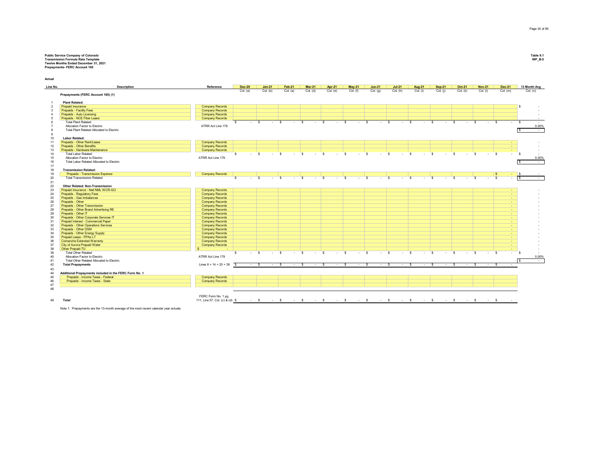## Public Service Company of Colorado<br>Premission Formula Rate Template<br>Transmission Formula Rate Template<br>Prepayments- FERC Account 165

**Actual**

| Line No.       | <b>Description</b>                                           | Reference                                        | <b>Dec-20</b> | <b>Jan-21</b>               | Feb-21       | <b>Mar-21</b>          | <b>Apr-21</b> | <b>May-21</b>          | <b>Jun-21</b>               | $Jul-21$               | <b>Aug-21</b>                  | <b>Sep-21</b>      | <b>Oct-21</b>          | <b>Nov-21</b> | <b>Dec-21</b>          | 13 Month Avg   |
|----------------|--------------------------------------------------------------|--------------------------------------------------|---------------|-----------------------------|--------------|------------------------|---------------|------------------------|-----------------------------|------------------------|--------------------------------|--------------------|------------------------|---------------|------------------------|----------------|
|                |                                                              |                                                  | Col. (a)      | Col. (b)                    | Col. (a)     | Col. (d)               | Col. (e)      | Col. (f)               | Col. (g)                    | Col. (h)               | Col. (i)                       | Col. (i)           | Col. (k)               | Col. (I)      | Col. (m)               | Col. (n)       |
|                | Prepayments (FERC Account 165) (1)                           |                                                  |               |                             |              |                        |               |                        |                             |                        |                                |                    |                        |               |                        |                |
|                | <b>Plant Related:</b>                                        |                                                  |               |                             |              |                        |               |                        |                             |                        |                                |                    |                        |               |                        |                |
| $\overline{2}$ | <b>Prepaid Insurance</b>                                     | <b>Company Records</b>                           |               |                             |              |                        |               |                        |                             |                        |                                |                    |                        |               |                        |                |
|                | <b>Prepaids - Facility Fees</b>                              | <b>Company Records</b>                           |               |                             |              |                        |               |                        |                             |                        |                                |                    |                        |               |                        |                |
|                | Prepaids - Auto Licensing                                    | <b>Company Records</b>                           |               |                             |              |                        |               |                        |                             |                        |                                |                    |                        |               |                        |                |
|                | Prepaids - NCE Fiber Lease                                   | <b>Company Records</b>                           |               |                             |              |                        |               |                        |                             |                        |                                |                    |                        |               |                        |                |
|                | <b>Total Plant Related</b>                                   |                                                  | $-5$<br>s.    | $-5$                        |              | $\mathbf{s}$           | $ S$          | $\cdot$ s<br>$\cdot$ s | $\sim$ $\sim$ $\sim$ $\sim$ | $\sim$ s               | $-5$                           | <b>Contract</b>    | $\mathbf{s}$<br>$-5$   | $-5$          |                        | $-5$<br>$\sim$ |
|                | Allocation Factor to Electric                                | ATRR Act Line 179                                |               |                             |              |                        |               |                        |                             |                        |                                |                    |                        |               |                        | 0.00%          |
|                | Total Plant Related Allocated to Electric                    |                                                  |               |                             |              |                        |               |                        |                             |                        |                                |                    |                        |               |                        | $\sim$ $-$     |
|                |                                                              |                                                  |               |                             |              |                        |               |                        |                             |                        |                                |                    |                        |               |                        |                |
| 10             | <b>Labor Related:</b>                                        |                                                  |               |                             |              |                        |               |                        |                             |                        |                                |                    |                        |               |                        |                |
| 11             | Prepaids - Other Rent/Lease                                  | <b>Company Records</b>                           |               |                             |              |                        |               |                        |                             |                        |                                |                    |                        |               | $\sim$                 |                |
| 12             | Prepaids - Other Benefits                                    | <b>Company Records</b>                           |               |                             |              |                        |               |                        |                             |                        |                                |                    |                        |               | <b>A</b>               |                |
| 13             | Prepaids - Hardware Maintenance                              | <b>Company Records</b>                           |               |                             |              |                        |               |                        |                             |                        |                                |                    |                        |               | $\sim$                 |                |
| 14             | <b>Total Labor Related</b>                                   |                                                  | s.<br>$-5$    | $\sim$ 100 $\sim$           | S.<br>$\sim$ | $\mathbf{s}$<br>$\sim$ | -S.           | $-5$<br>$\sim$         | -S<br>$\sim$                | $\mathbf{s}$<br>$\sim$ | $\mathbf{s}$<br><b>Service</b> | <b>S</b><br>$\sim$ | $\mathbf{s}$<br>$\sim$ | -S<br>$\sim$  | $^{\circ}$             | $-5$           |
| 15             | Allocation Factor to Electric                                | ATRR Act Line 179                                |               |                             |              |                        |               |                        |                             |                        |                                |                    |                        |               |                        | 0.00%          |
| 16             | Total Labor Related Allocated to Electric                    |                                                  |               |                             |              |                        |               |                        |                             |                        |                                |                    |                        |               |                        | $\sim$         |
| 17             |                                                              |                                                  |               |                             |              |                        |               |                        |                             |                        |                                |                    |                        |               |                        |                |
| 18             | <b>Transmission Related:</b>                                 |                                                  |               |                             |              |                        |               |                        |                             |                        |                                |                    |                        |               |                        |                |
| 19             | Prepaids - Transmission Expense                              | <b>Company Records</b>                           |               |                             |              |                        |               |                        |                             |                        |                                |                    |                        |               |                        |                |
| 20             | <b>Total Transmission Related</b>                            |                                                  | s.<br>$-5$    | $\sim$ s                    | $-5$         | $\sim$ s               |               | $\sim$ s<br>$\sim$ s   | $-5$                        | $-5$                   | $-5$                           | $\sim$ 100 $\pm$   | <b>S</b><br>$\sim$     | s.<br>$\sim$  | <b>S</b><br>$\sim$     | Γs<br>$\sim$   |
| 21             |                                                              |                                                  |               |                             |              |                        |               |                        |                             |                        |                                |                    |                        |               |                        |                |
| 22             | Other Related: Non-Transmission                              |                                                  |               |                             |              |                        |               |                        |                             |                        |                                |                    |                        |               |                        |                |
| 23             | Prepaid Insurance - Neil NML WCR-GO                          | <b>Company Records</b>                           |               |                             |              |                        |               |                        |                             |                        |                                |                    |                        |               | <b>A</b>               |                |
| 24             | Prepaids - Regulatory Fees                                   | <b>Company Records</b>                           |               |                             |              |                        |               |                        |                             |                        |                                |                    |                        |               | <b>Section</b>         |                |
| 25             | Prepaids - Gas Imbalances                                    | <b>Company Records</b>                           |               |                             |              |                        |               |                        |                             |                        |                                |                    |                        |               | $\sim$                 |                |
| 26             | Prepaids - Other                                             | <b>Company Records</b>                           |               |                             |              |                        |               |                        |                             |                        |                                |                    |                        |               | <b>A</b>               |                |
| 27             | Prepaids - Other Transmission                                | <b>Company Records</b>                           |               |                             |              |                        |               |                        |                             |                        |                                |                    |                        |               | <b>A</b>               |                |
| 28             | Prepaids - Other Brand Advertising RE                        | <b>Company Records</b>                           |               |                             |              |                        |               |                        |                             |                        |                                |                    |                        |               | $\sim$                 |                |
| 29             | Prepaids - Other IT                                          | <b>Company Records</b>                           |               |                             |              |                        |               |                        |                             |                        |                                |                    |                        |               | $\sim$                 |                |
| 30             | Prepaids - Other Corporate Services IT                       | <b>Company Records</b>                           |               |                             |              |                        |               |                        |                             |                        |                                |                    |                        |               | $\sim$                 |                |
| 31             | Prepaid Interest - Commercial Paper                          | <b>Company Records</b>                           |               |                             |              |                        |               |                        |                             |                        |                                |                    |                        |               | <b>Section</b>         |                |
| 32             | Prepaids - Other Operations Services                         | <b>Company Records</b>                           |               |                             |              |                        |               |                        |                             |                        |                                |                    |                        |               | $\sim$                 |                |
| 33             | Prepaids - Other DSM                                         | <b>Company Records</b>                           |               |                             |              |                        |               |                        |                             |                        |                                |                    |                        |               | $\sim$                 |                |
| 34             | Prepaids - Other Energy Supply                               | <b>Company Records</b>                           |               |                             |              |                        |               |                        |                             |                        |                                |                    |                        |               | <b>Section</b>         |                |
| 35<br>36       | Prepaid Lease - PPAs LT<br><b>Comanche Extended Warranty</b> | <b>Company Records</b>                           |               |                             |              |                        |               |                        |                             |                        |                                |                    |                        |               | $\sim$                 |                |
| 37             | City of Aurora Prepaid Water                                 | <b>Company Records</b><br><b>Company Records</b> |               |                             |              |                        |               |                        |                             |                        |                                |                    |                        |               | $\sim$                 |                |
| 38             | Other Prepaid-TU                                             |                                                  |               |                             |              |                        |               |                        |                             |                        |                                |                    |                        |               | <b>COL</b><br><b>A</b> |                |
| 39             | <b>Total Other Related</b>                                   |                                                  | $-5$<br>s.    | $-5$                        | $-5$         | $\sim$ s               |               | $-5$<br>$\sim$ s       | $\sim$                      | $-5$<br>$\mathbf{s}$   | $-5$                           | $-5$               | $\sim$                 | $-5$<br>-S    |                        | $-5$           |
| 40             | Allocation Factor to Electric                                | ATRR Act Line 179                                |               |                             |              |                        |               |                        |                             |                        |                                |                    |                        |               |                        | 0.00%          |
| 41             | Total Other Related Allocated to Electric                    |                                                  |               |                             |              |                        |               |                        |                             |                        |                                |                    |                        |               |                        | $\sim$         |
| 42             | <b>Total Prepayments</b>                                     | Lines $6 + 14 + 20 + 39$ \$                      | $-5$          | $\sim$ $\sim$ $\sim$ $\sim$ | $-5$         | $\sim$ s               | $-5$          | $\sim$ $s$             | $-5$                        | $-5$                   | $-5$                           | $-5$               | $\sim$ s               | $-5$          |                        |                |
| 43             |                                                              |                                                  |               |                             |              |                        |               |                        |                             |                        |                                |                    |                        |               |                        |                |
| 44             | Additional Prepayments included in the FERC Form No. 1       |                                                  |               |                             |              |                        |               |                        |                             |                        |                                |                    |                        |               |                        |                |
| 45             | Prepaids - Income Taxes - Federal                            | <b>Company Records</b>                           |               |                             |              |                        |               |                        |                             |                        |                                |                    |                        |               |                        |                |
| 46             | Prepaids - Income Taxes - State                              |                                                  |               |                             |              |                        |               |                        |                             |                        |                                |                    |                        |               |                        |                |
| 47             |                                                              | <b>Company Records</b>                           |               |                             |              |                        |               |                        |                             |                        |                                |                    |                        |               |                        |                |
| 48             |                                                              |                                                  |               |                             |              |                        |               |                        |                             |                        |                                |                    |                        |               |                        |                |
|                |                                                              |                                                  |               |                             |              |                        |               |                        |                             |                        |                                |                    |                        |               |                        |                |
|                |                                                              | FERC Form No. 1 pg.                              |               |                             |              |                        |               |                        |                             |                        |                                |                    |                        |               |                        |                |
| 49             | Total                                                        |                                                  |               |                             |              |                        |               |                        |                             |                        |                                |                    |                        |               |                        |                |

Note 1: Prepayments are the 13-month average of the most recent calendar year actuals.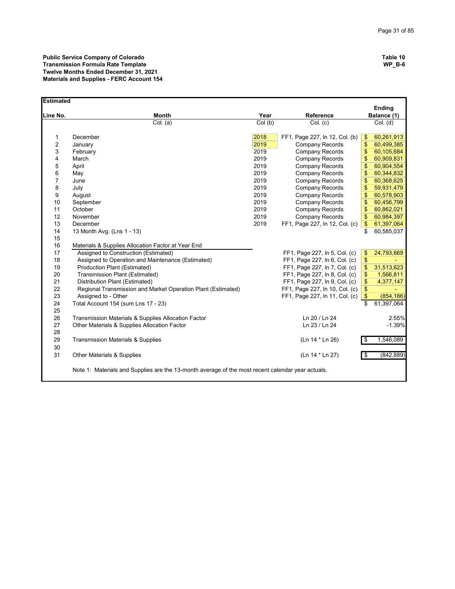| <b>Estimated</b> |                                                                                                   |                     |                                |                              |
|------------------|---------------------------------------------------------------------------------------------------|---------------------|--------------------------------|------------------------------|
| Line No.         | <b>Month</b>                                                                                      | Year                | Reference                      | <b>Ending</b><br>Balance (1) |
|                  | Col. (a)                                                                                          | $\overline{Col(b)}$ | Col. (c)                       | Col. (d)                     |
|                  |                                                                                                   |                     |                                |                              |
| $\mathbf{1}$     | December                                                                                          | 2018                | FF1, Page 227, In 12, Col. (b) | 60,261,913<br>$\mathsf{\$}$  |
| $\overline{2}$   | January                                                                                           | 2019                | Company Records                | \$<br>60,499,385             |
| 3                | February                                                                                          | 2019                | Company Records                | 60,105,684<br>\$             |
| 4                | March                                                                                             | 2019                | Company Records                | \$<br>60,909,831             |
| 5                | April                                                                                             | 2019                | Company Records                | \$<br>60,904,554             |
| 6                | May                                                                                               | 2019                | Company Records                | \$<br>60,344,832             |
| $\overline{7}$   | June                                                                                              | 2019                | Company Records                | \$<br>60,368,625             |
| 8                | July                                                                                              | 2019                | Company Records                | 59,931,479<br>\$             |
| 9                | August                                                                                            | 2019                | Company Records                | \$<br>60,578,903             |
| 10               | September                                                                                         | 2019                | Company Records                | \$<br>60,456,799             |
| 11               | October                                                                                           | 2019                | Company Records                | \$<br>60,862,021             |
| 12               | November                                                                                          | 2019                | Company Records                | \$<br>60,984,397             |
| 13               | December                                                                                          | 2019                | FF1, Page 227, In 12, Col. (c) | $\frac{3}{2}$<br>61,397,064  |
| 14               | 13 Month Avg. (Lns 1 - 13)                                                                        |                     |                                | \$<br>60,585,037             |
| 15               |                                                                                                   |                     |                                |                              |
| 16               | Materials & Supplies Allocation Factor at Year End                                                |                     |                                |                              |
| 17               | Assigned to Construction (Estimated)                                                              |                     | FF1, Page 227, In 5, Col. (c)  | \$<br>24,793,669             |
| 18               | Assigned to Operation and Maintenance (Estimated)                                                 |                     | FF1, Page 227, In 6, Col. (c)  | $\sqrt{3}$                   |
| 19               | Production Plant (Estimated)                                                                      |                     | FF1, Page 227, In 7, Col. (c)  | \$<br>31,513,623             |
| 20               | Transmission Plant (Estimated)                                                                    |                     | FF1, Page 227, In 8, Col. (c)  | $\frac{1}{2}$<br>1,566,811   |
| 21               | Distribution Plant (Estimated)                                                                    |                     | FF1, Page 227, In 9, Col. (c)  | \$<br>4,377,147              |
| 22               | Regional Transmission and Market Operation Plant (Estimated)                                      |                     | FF1, Page 227, In 10, Col. (c) | \$                           |
| 23               | Assigned to - Other                                                                               |                     | FF1, Page 227, In 11, Col. (c) | $\sqrt{3}$<br>(854, 186)     |
| 24               | Total Account 154 (sum Lns 17 - 23)                                                               |                     |                                | \$<br>61,397,064             |
| 25<br>26         | Transmission Materials & Supplies Allocation Factor                                               |                     | Ln 20 / Ln 24                  | 2.55%                        |
| 27               | Other Materials & Supplies Allocation Factor                                                      |                     | Ln 23 / Ln 24                  | $-1.39%$                     |
| 28               |                                                                                                   |                     |                                |                              |
| 29               | <b>Transmission Materials &amp; Supplies</b>                                                      |                     | (Ln 14 * Ln 26)                | 1,546,089<br>\$              |
| 30               |                                                                                                   |                     |                                |                              |
| 31               | Other Materials & Supplies                                                                        |                     | (Ln 14 * Ln 27)                | (842, 889)<br>\$             |
|                  | Note 1: Materials and Supplies are the 13-month average of the most recent calendar year actuals. |                     |                                |                              |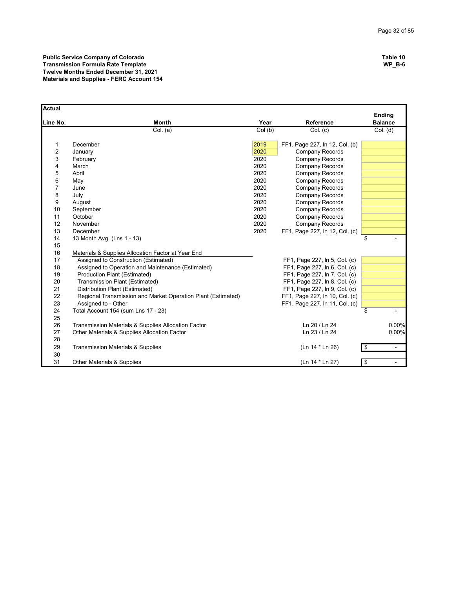**Public Service Company of Colorado Table 10 Transmission Formula Rate Template WP\_B-6 Twelve Months Ended December 31, 2021 Materials and Supplies - FERC Account 154**

| Actual         |                                                              |        |                                |                                 |
|----------------|--------------------------------------------------------------|--------|--------------------------------|---------------------------------|
| Line No.       | <b>Month</b>                                                 | Year   | Reference                      | <b>Ending</b><br><b>Balance</b> |
|                | Col. (a)                                                     | Col(b) | Col. (c)                       | Col. (d)                        |
| 1              | December                                                     | 2019   | FF1, Page 227, In 12, Col. (b) |                                 |
| $\overline{2}$ | January                                                      | 2020   | Company Records                |                                 |
| 3              | February                                                     | 2020   | Company Records                |                                 |
| 4              | March                                                        | 2020   | Company Records                |                                 |
| 5              | April                                                        | 2020   | Company Records                |                                 |
| 6              | May                                                          | 2020   | <b>Company Records</b>         |                                 |
| $\overline{7}$ | June                                                         | 2020   | Company Records                |                                 |
| 8              | July                                                         | 2020   | Company Records                |                                 |
| 9              | August                                                       | 2020   | Company Records                |                                 |
| 10             | September                                                    | 2020   | <b>Company Records</b>         |                                 |
| 11             | October                                                      | 2020   | Company Records                |                                 |
| 12             | November                                                     | 2020   | <b>Company Records</b>         |                                 |
| 13             | December                                                     | 2020   | FF1, Page 227, In 12, Col. (c) |                                 |
| 14             | 13 Month Avg. (Lns 1 - 13)                                   |        |                                | \$                              |
| 15             |                                                              |        |                                |                                 |
| 16             | Materials & Supplies Allocation Factor at Year End           |        |                                |                                 |
| 17             | Assigned to Construction (Estimated)                         |        | FF1, Page 227, In 5, Col. (c)  |                                 |
| 18             | Assigned to Operation and Maintenance (Estimated)            |        | FF1, Page 227, In 6, Col. (c)  |                                 |
| 19             | Production Plant (Estimated)                                 |        | FF1, Page 227, In 7, Col. (c)  |                                 |
| 20             | Transmission Plant (Estimated)                               |        | FF1, Page 227, In 8, Col. (c)  |                                 |
| 21             | Distribution Plant (Estimated)                               |        | FF1, Page 227, In 9, Col. (c)  |                                 |
| 22             | Regional Transmission and Market Operation Plant (Estimated) |        | FF1, Page 227, In 10, Col. (c) |                                 |
| 23             | Assigned to - Other                                          |        | FF1, Page 227, In 11, Col. (c) |                                 |
| 24             | Total Account 154 (sum Lns 17 - 23)                          |        |                                | \$                              |
| 25             |                                                              |        |                                |                                 |
| 26             | Transmission Materials & Supplies Allocation Factor          |        | Ln 20 / Ln 24                  | 0.00%                           |
| 27             | Other Materials & Supplies Allocation Factor                 |        | Ln 23 / Ln 24                  | 0.00%                           |
| 28             |                                                              |        |                                |                                 |
| 29             | <b>Transmission Materials &amp; Supplies</b>                 |        | (Ln 14 * Ln 26)                | \$<br>$\overline{\phantom{a}}$  |
| 30             |                                                              |        |                                |                                 |
| 31             | <b>Other Materials &amp; Supplies</b>                        |        | (Ln 14 * Ln 27)                | \$                              |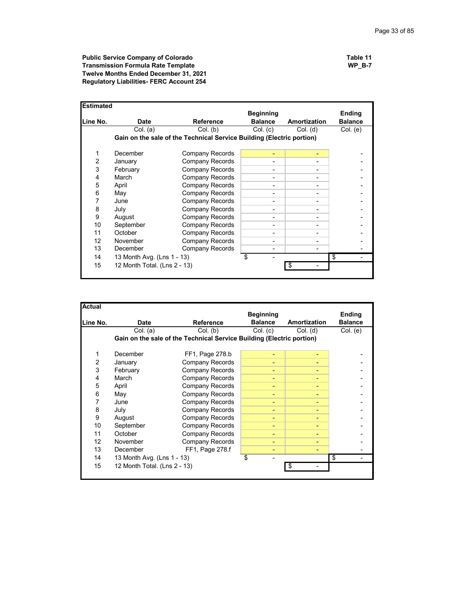**Public Service Company of Colorado Table 11 Transmission Formula Rate Template WP\_B-7 Twelve Months Ended December 31, 2021 Regulatory Liabilities- FERC Account 254**

| <b>Estimated</b> |                              |                                                                       |                  |                     |                |
|------------------|------------------------------|-----------------------------------------------------------------------|------------------|---------------------|----------------|
|                  |                              |                                                                       | <b>Beginning</b> |                     | <b>Ending</b>  |
| Line No.         | <b>Date</b>                  | <b>Reference</b>                                                      | <b>Balance</b>   | <b>Amortization</b> | <b>Balance</b> |
|                  | Col. (a)                     | Col. (b)                                                              | Col. (c)         | $Col.$ (d)          | Col. (e)       |
|                  |                              | Gain on the sale of the Technical Service Building (Electric portion) |                  |                     |                |
|                  |                              |                                                                       |                  |                     |                |
| 1                | December                     | <b>Company Records</b>                                                |                  |                     |                |
| 2                | January                      | Company Records                                                       |                  |                     |                |
| 3                | February                     | <b>Company Records</b>                                                |                  |                     |                |
| 4                | March                        | <b>Company Records</b>                                                | -                |                     |                |
| 5                | April                        | <b>Company Records</b>                                                |                  |                     |                |
| 6                | May                          | Company Records                                                       |                  |                     |                |
| 7                | June                         | <b>Company Records</b>                                                | -                |                     |                |
| 8                | July                         | <b>Company Records</b>                                                |                  |                     |                |
| 9                | August                       | <b>Company Records</b>                                                |                  |                     |                |
| 10               | September                    | <b>Company Records</b>                                                | -                |                     |                |
| 11               | October                      | <b>Company Records</b>                                                |                  |                     |                |
| 12               | November                     | <b>Company Records</b>                                                |                  |                     |                |
| 13               | <b>December</b>              | Company Records                                                       |                  |                     |                |
| 14               | 13 Month Avg. (Lns 1 - 13)   |                                                                       | \$               |                     | \$             |
| 15               | 12 Month Total. (Lns 2 - 13) |                                                                       |                  | \$                  |                |
|                  |                              |                                                                       |                  |                     |                |

| <b>Actual</b>  |                              |                                                                       |                  |                     |                |
|----------------|------------------------------|-----------------------------------------------------------------------|------------------|---------------------|----------------|
|                |                              |                                                                       | <b>Beginning</b> |                     | Ending         |
| Line No.       | <b>Date</b>                  | <b>Reference</b>                                                      | <b>Balance</b>   | <b>Amortization</b> | <b>Balance</b> |
|                | Col. (a)                     | Col. (b)                                                              | Col. (c)         | $Col.$ (d)          | Col. (e)       |
|                |                              | Gain on the sale of the Technical Service Building (Electric portion) |                  |                     |                |
|                |                              |                                                                       |                  |                     |                |
| 1              | December                     | FF1, Page 278.b                                                       | ٠                |                     |                |
| $\overline{2}$ | January                      | <b>Company Records</b>                                                | ۰                |                     |                |
| 3              | February                     | Company Records                                                       | ۰                |                     |                |
| 4              | March                        | Company Records                                                       | ۰                |                     |                |
| 5              | April                        | Company Records                                                       | ٠                | ۰                   |                |
| 6              | May                          | Company Records                                                       | ۰                |                     |                |
| 7              | June                         | Company Records                                                       | ٠                |                     |                |
| 8              | July                         | Company Records                                                       | ٠                |                     |                |
| 9              | August                       | Company Records                                                       | ٠                |                     |                |
| 10             | September                    | <b>Company Records</b>                                                | ٠                |                     |                |
| 11             | October                      | <b>Company Records</b>                                                | ٠                |                     |                |
| 12             | November                     | <b>Company Records</b>                                                | ۰                |                     |                |
| 13             | December                     | FF1, Page 278.f                                                       | ۰                |                     |                |
| 14             | 13 Month Avg. (Lns 1 - 13)   |                                                                       | \$               |                     | \$             |
| 15             | 12 Month Total. (Lns 2 - 13) |                                                                       |                  | \$                  |                |
|                |                              |                                                                       |                  |                     |                |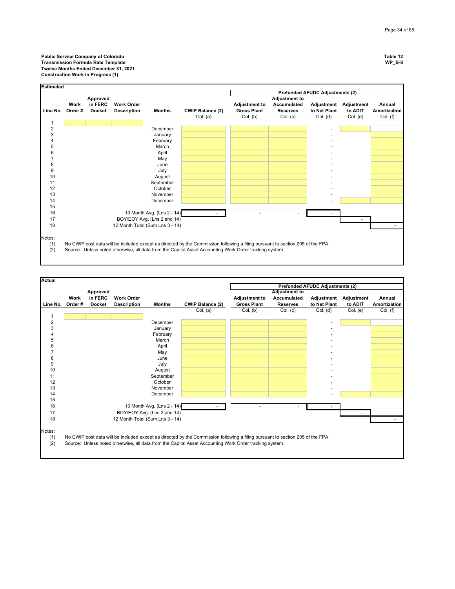

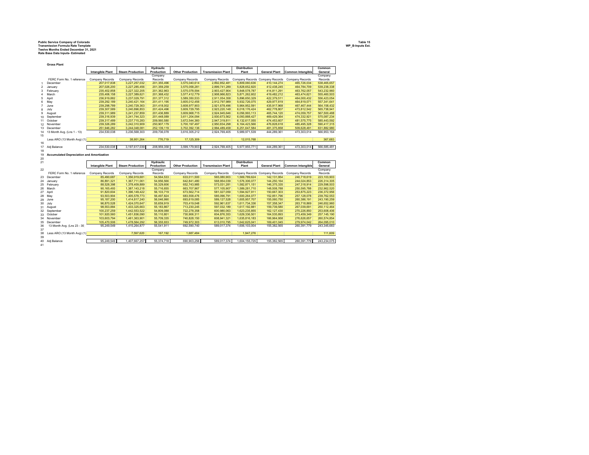## **Public Service Company of Colorado Table 15 Transmission Formula Rate Template WP\_B-Inputs Est. Twelve Months Ended December 31, 2021 Rate Base Data Inputs- Estimated**

|                | <b>Gross Plant</b>                               |                         |                         |                                |                         |                           |                     |                                 |                          |                    |
|----------------|--------------------------------------------------|-------------------------|-------------------------|--------------------------------|-------------------------|---------------------------|---------------------|---------------------------------|--------------------------|--------------------|
|                |                                                  |                         |                         | Hydraulic                      |                         |                           | <b>Distribution</b> |                                 |                          | Common             |
|                |                                                  | <b>Intangible Plant</b> | <b>Steam Production</b> | Production                     | <b>Other Production</b> | <b>Transmission Plant</b> | Plant               | <b>General Plant</b>            | <b>Common Intangible</b> | General            |
|                |                                                  |                         |                         | Company                        |                         |                           |                     |                                 |                          | Company            |
|                | FERC Form No. 1 reference                        | Company Records         | Company Records         | Records                        | Company Records         | Company Records           |                     | Company Records Company Records | Company Records          | Records            |
| 1              | December                                         | 207,017,838             | 3.227.257.032           | 201.355.496                    | 3.575.040.614           | 2.892.852.481             | 5.809.060.636       | 410.144.274                     | 465.726.034              | 538.465.657        |
| $\overline{2}$ | January                                          | 207,026,200             | 3,227,285,456           | 201,359,259                    | 3,575,058,281           | 2,899,741,289             | 5,828,652,820       | 412,438,245                     | 464,784,709              | 539,238,338        |
| 3              | February                                         | 235.402.858             | 3.227.322.205           | 201.362.963                    | 3,575,078,594           | 2,903,427,904             | 5.848.578.787       | 414,811,291                     | 463.762.057              | 543.232.960        |
| 4              | March                                            | 235,406,158             | 3,227,389,621           | 201,368,432                    | 3,577,412,779           | 2,908,966,823             | 5,871,262,602       | 419,482,212                     | 463,474,621              | 555,460,503        |
| 5              | April                                            | 236,919,882             | 3,237,029,791           | 201, 377, 312                  | 3,589,350,533           | 2,911,054,358             | 5,896,650,329       | 422,379,511                     | 464,000,432              | 556,423,054        |
| 6              | May                                              | 239,292,189             | 3,240,421,164           | 201,411,195                    | 3,605,012,456           | 2,912,797,989             | 5,932,726,075       | 429,977,819                     | 464,819,071              | 557,341,641        |
| $\overline{7}$ | June                                             | 239,298,789             | 3,240,729,363           | 201,418,002                    | 3,608,977,903           | 2,921,678,496             | 5,964,952,591       | 435,917,968                     | 467,467,444              | 564, 158, 432      |
| 8              | July                                             | 239.307.589             | 3.240.896.853           | 201.424.496                    | 3.609.729.795           | 2.923.220.148             | 6.018.176.424       | 462.778.807                     | 473.812.542              | 565.738.941        |
| 9              | August                                           | 239,311,989             | 3,241,237,859           | 201,436,889                    | 3,609,968,715           | 2,924,945,646             | 6,056,993,113       | 465,744,120                     | 474,059,757              | 567,500,488        |
| 10             | September                                        | 239.316.939             | 3,241,744,323           | 201.448.089                    | 3,611,204,094           | 2,930,673,562             | 6.093.888.427       | 469,429,364                     | 474.332.921              | 575.087.234        |
|                | 11 October                                       | 239, 317, 489           | 3,237,715,283           | 209,560,580                    | 3,672,544,360           | 2,947,319,811             | 6,132,617,055       | 474,453,607                     | 481,575,775              | 585,443,592        |
| 12             | November                                         | 239.326.289             | 3.242.310.909           | 250.907.179                    | 3.700.197.497           | 2.950.834.298             | 6.164.423.566       | 476.828.618                     | 485.495.328              | 590.417.315        |
| 13             | December                                         | 251,946,282             | 3,244,048,081           | 252, 139, 119                  | 3,702,392,136           | 2,994,489,458             | 6,251,647,584       | 481,375,858                     | 509,628,491              | 631,882,980        |
| 14             | 13 Month Avg. (Lns 1 - 13)                       | 234,530,038             | 3,236,568,303           | 209,736,078                    | 3,616,305,212           | 2,924,769,405             | 5,989,971,539       | 444,289,361                     | 473,303,014              | 566,953,164        |
| 15             |                                                  |                         |                         |                                |                         |                           |                     |                                 |                          |                    |
|                | Less ARO (13 Month Avg) (1)                      |                         | 38.951.264              | 776.719                        | 17,125,309              |                           | 12,015,768          |                                 |                          | 367,683            |
| 16             |                                                  |                         |                         |                                |                         |                           |                     |                                 |                          |                    |
| 17             | Adj Balance                                      | 234,530,038             | 3,197,617,039           | 208,959,358                    | 3,599,179,903           | 2,924,769,405             | 5,977,955,771       | 444,289,361                     | 473,303,014              | 566,585,481        |
| 18             |                                                  |                         |                         |                                |                         |                           |                     |                                 |                          |                    |
| 19             | <b>Accumulated Depreciation and Amortization</b> |                         |                         |                                |                         |                           |                     |                                 |                          |                    |
|                |                                                  |                         |                         |                                |                         |                           |                     |                                 |                          |                    |
|                |                                                  |                         |                         |                                |                         |                           |                     |                                 |                          |                    |
| 20             |                                                  |                         |                         |                                |                         |                           | <b>Distribution</b> |                                 |                          | Common             |
| 21             |                                                  |                         | <b>Steam Production</b> | <b>Hydraulic</b><br>Production | <b>Other Production</b> | <b>Transmission Plant</b> | Plant               | <b>General Plant</b>            |                          | General            |
|                |                                                  | <b>Intangible Plant</b> |                         |                                |                         |                           |                     |                                 | <b>Common Intangible</b> |                    |
| 22             | FERC Form No. 1 reference                        |                         |                         | Company<br>Records             |                         |                           |                     |                                 |                          | Company<br>Records |
|                |                                                  | Company Records         | Company Records         |                                | Company Records         | Company Records           |                     | Company Records Company Records | Company Records          |                    |
| 23             | December                                         | 85,490,687              | 1,356,919,681           | 54,564,533                     | 633,011,500             | 565,080,903               | 1,569,789,624       | 142, 131, 954                   | 240,718,619              | 223, 103, 903      |
| 24             | January                                          | 86,891,321              | 1,367,711,061           | 54,956,566                     | 642,841,480             | 568,954,039               | 1,576,306,077       | 144,250,164                     | 244,024,853              | 226,314,305        |
|                | 25 February                                      | 88,528,398              | 1,378,409,889           | 55,329,606                     | 652,743,985             | 573,031,281               | 1,582,871,151       | 146,375,335                     | 247,318,914              | 229,598,503        |
| 26             | March                                            | 90,165,493              | 1,387,143,218           | 55,716,655                     | 663,707,967             | 577,105,907               | 1,589,281,710       | 148,508,788                     | 250,595,788              | 232,962,520        |
| 27             | April                                            | 91.820.604              | 1,396,149,422           | 56.103.719                     | 673.562.714             | 581.027.059               | 1.594.927.911       | 150,667,303                     | 253.875.223              | 236.372.956        |
| 28             | May                                              | 93,503,904              | 1,405,578,773           | 56,497,824                     | 683,558,476             | 585,096,791               | 1,600,264,077       | 152,851,796                     | 257,128,078              | 239,762,553        |
| 29             | June                                             | 95.187.200              | 1,414,817,240           | 56.046.990                     | 693.619.085             | 589, 127, 528             | 1,605,957,707       | 155.060.750                     | 260.386.191              | 243.190.259        |
| 30             | July                                             | 96,870,528              | 1,424,070,647           | 55,659,919                     | 703,419,048             | 592,961,637               | 1,611,734,336       | 157,358,347                     | 263,718,869              | 246,652,960        |
|                | 31 August                                        | 98.553.884              | 1.433.325.663           | 55.183.867                     | 713.230.245             | 597.032.189               | 1.617.192.881       | 159,739,580                     | 267.039.691              | 250.112.464        |
|                | 32 September                                     | 100,237,259             | 1,442,553,522           | 54,809,088                     | 722,278,358             | 600,980,063               | 1,623,235,855       | 162, 127, 430                   | 270,226,850              | 253,608,406        |
| 33             | October                                          | 101,920,560             | 1,451,836,090           | 55,110,801                     | 730,906,311             | 604,876,353               | 1,629,336,501       | 164,535,893                     | 273,459,349              | 257, 145, 190      |
| 34             | November                                         | 103,603,794             | 1,461,363,901           | 55,709,335                     | 740,828,150             | 608,941,321               | 1,635,816,183       | 166,964,958                     | 276,626,657              | 260,574,854        |
| 35             | December                                         | 105,470,506             | 1,478,564,292           | 56,355,933                     | 749,972,303             | 613,010,795               | 1,642,625,041       | 169,401,045                     | 279,974,042              | 264,095,010        |
| 36             | 13 Month Avg. (Lns 23 - 35)                      | 95.249.549              | 1,415,264,877           | 55,541,911                     | 692,590,740             | 589.017.374               | 1.606.103.004       | 155.382.565                     | 260.391.779              | 243,345,683        |
| 37             |                                                  |                         |                         |                                |                         |                           |                     |                                 |                          |                    |
| 38             | Less ARO (13 Month Avg) (1)                      |                         | 7,597,620               | 167,192                        | 1,687,484               |                           | 1,947,276           |                                 |                          | 111,609            |
| 39             |                                                  |                         |                         |                                |                         |                           |                     |                                 |                          |                    |
| 41             | 40 Adj Balance                                   | 95.249.549              | 1.407.667.257           | 55,374,718                     | 690.903.256             | 589.017.374               | 1.604.155.729       | 155.382.565                     | 260.391.779              | 243,234,075        |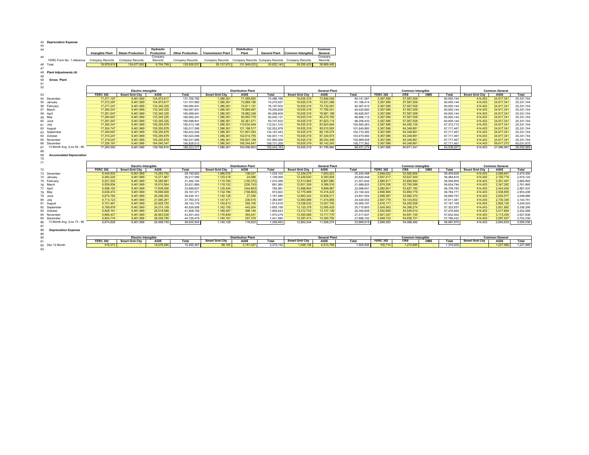| 42 Depreciation Expense                     |                            |                            |                            |                            |                           |                              |                          |                                                 |                          |                          |                        |                          |                          |                                   |                          |                          |
|---------------------------------------------|----------------------------|----------------------------|----------------------------|----------------------------|---------------------------|------------------------------|--------------------------|-------------------------------------------------|--------------------------|--------------------------|------------------------|--------------------------|--------------------------|-----------------------------------|--------------------------|--------------------------|
| 43<br>44                                    | <b>Intangible Plant</b>    | <b>Steam Production</b>    | Hydraulic<br>Production    | <b>Other Production</b>    | <b>Transmission Plant</b> | <b>Distribution</b><br>Plant | <b>General Plant</b>     | <b>Common Intangible</b>                        | Common<br>General        |                          |                        |                          |                          |                                   |                          |                          |
| 45<br>FERC Form No. 1 reference             | Company Records            | <b>Company Records</b>     | Company<br>Records         | Company Records            | Company Records           |                              |                          | Company Records Company Records Company Records | Company<br>Records       |                          |                        |                          |                          |                                   |                          |                          |
| 46 Total                                    | 19.979.81                  | 134.677.852                | 6,704,79                   | 120.839.537                | 55.137.672                | 131.849.02                   | 20.622.140               | 39.255.423                                      | 39,969,465               |                          |                        |                          |                          |                                   |                          |                          |
| 47                                          |                            |                            |                            |                            |                           |                              |                          |                                                 |                          |                          |                        |                          |                          |                                   |                          |                          |
| 48<br><b>Plant Adjustments (4)</b>          |                            |                            |                            |                            |                           |                              |                          |                                                 |                          |                          |                        |                          |                          |                                   |                          |                          |
| 49                                          |                            |                            |                            |                            |                           |                              |                          |                                                 |                          |                          |                        |                          |                          |                                   |                          |                          |
| 50<br><b>Gross Plant</b><br>51              |                            |                            |                            |                            |                           |                              |                          |                                                 |                          |                          |                        |                          |                          |                                   |                          |                          |
| 52                                          |                            |                            |                            |                            |                           |                              |                          |                                                 |                          |                          |                        |                          |                          |                                   |                          |                          |
|                                             | <b>Electric Intangible</b> |                            | <b>Distribution Plant</b>  |                            |                           |                              | <b>General Plant</b>     | <b>Common Intangible</b>                        |                          |                          |                        | <b>Common General</b>    |                          |                                   |                          |                          |
| 53                                          | <b>FERC 302</b>            | <b>Smart Grid City</b>     | <b>AGIS</b>                | Total                      | <b>Smart Grid City</b>    | <b>AGIS</b>                  | Total                    | <b>Smart Grid City</b>                          | <b>AGIS</b>              | <b>Total</b>             | <b>FERC 302</b>        | <b>CRS</b><br>OMS        | Total                    | <b>Smart Grid City</b>            | <b>AGIS</b>              | Total                    |
| 54 December                                 | 17.271.197                 | 9.461.969                  | 104,973,617                | 131,706,782                | 1.386.361                 | 71.099.805                   | 72,486,166               | 16.635.319                                      | 73,506,048               | 90, 141, 367             | 3.367.586              | 57.567.558               | 60,935,144               | 414,403                           | 24,917,341               | 25,331,744               |
| 55 January                                  | 17,272,297                 | 9,461,969                  | 104,973,617                | 131,707,882                | 1,386,361                 | 72,889,196                   | 74,275,557               | 16,635,319                                      | 74,531,095               | 91,166,414               | 3,367,586              | 57,567,558               | 60,935,144               | 414,403                           | 24,917,341               | 25,331,744               |
| 56 February                                 | 17,277,247                 | 9.461.969                  | 133.345.325                | 160.084.541                | 1.386.361                 | 74.811.141                   | 76.197.502               | 16.635.319                                      | 75.732.091               | 92,367,410               | 3.367.586              | 57.567.558               | 60,935,144               | 414,403                           | 24.917.341               | 25,331,744               |
| 57 March                                    | 17,280,547                 | 9.461.969                  | 133.345.325                | 160.087.841                | 1.386.361                 | 76.869.467                   | 78.255.828               | 16.635.319                                      | 77.785.341               | 94.420.660               | 3.367.586              | 57.567.558               | 60.935.144               | 414,403                           | 24.917.341               | 25.331.744               |
| 58 April<br>59 May                          | 17,281,647<br>17,284,947   | 9.461.969<br>9.461.969     | 133,345,325<br>133,345,325 | 160,088,941<br>160,092,241 | 1,386,361<br>1,386,361    | 78.882.248<br>80.655.776     | 80,268,609<br>82.042.137 | 16,635,319<br>16.635.319                        | 78.991.188<br>80,270,793 | 95,626,507<br>96.906.112 | 3,367,586<br>3,367,586 | 57,567,558<br>57.567.558 | 60,935,144<br>60,935,144 | 414 403<br>414,403                | 24.917.341<br>24.917.341 | 25,331,744<br>25,331,744 |
| 60 June                                     | 17,291,547                 | 9,461,969                  | 133, 345, 325              | 160,098,841                | 1,386,361                 | 82,361,471                   | 83,747,832               | 16,635,319                                      | 81,623,114               | 98,258,433               | 3,367,586              | 57,567,558               | 60,935,144               | 414,403                           | 24,917,341               | 25,331,744               |
| 61 July                                     | 17.300.347                 | 9.461.969                  | 155,250,879                | 182.013.195                | 1.386.361                 | 110.634.949                  | 112.021.310              | 16.635.319                                      | 83.924.944               | 100.560.263              | 3.367.586              | 64.005.129               | 67.372.715               | 414,403                           | 24.917.341               | 25.331.744               |
| 62 August                                   | 17,304,747                 | 9,461,969                  | 155,250,879                | 182,017,595                | 1,386,361                 | 121, 166, 517                | 122,552,878              | 16,635,319                                      | 85,010,563               | 101,645,882              | 3,367,586              | 64,349,881               | 67,717,467               | 414,403                           | 24,917,341               | 25,331,744               |
| 63 September                                | 17,309,697                 | 9,461,969                  | 155,250,879                | 182,022,545                | 1,386,36                  | 131,801,083                  | 133, 187, 443            | 16,635,319                                      | 86,135,074               | 102,770,393              | 3,367,586              | 64,349,881               | 67,717,467               | 414,403                           | 24,917,341               | 25,331,744               |
| 64 October                                  | 17,310,247                 | 9,461,969                  | 155,250,879                | 182,023,095                | 1,386,361                 | 142,614,755                  | 144,001,115              | 16,635,319                                      | 87,340,674               | 103,975,993              | 3,367,586              | 64,349,881               | 67,717,467               | 414,403                           | 24,917,341               | 25,331,744               |
| 65 November                                 | 17.319.047                 | 9,461,969                  | 155,250,879                | 182,031,895                | 1.386.361                 | 150.607.168                  | 151,993,529              | 16.635.319                                      | 88.354.309               | 104.989.628              | 3.367.586              | 64,349,881               | 67.717.467               | 414,403                           | 24.917.341               | 25.331.744               |
| 66 Decembe                                  | 17.326.197                 | 9.461.969                  | 164.040.347                | 190.828.512                | 1.386.361                 | 158.344.847                  | 159.731.208              | 16.635.319                                      | 90.142.243               | 106.777.562              | 3,367,586              | 64.349.881               | 67.717.467               | 414,403                           | 59.617.272               | 60.031.675               |
| 13 Month Avg. (Lns 54 - 66)<br>67           | 17,294,593                 | 9,461,969                  | 139,766,816                | 166.523.377                | 1,386,361                 | 104,056,802                  | 105,443,163              | 16,635,319                                      | 81,795,960               | 98,431,279               | 3,367,586              | 60,671,341               | 64,038,927               | 414,403                           | 27,586,567               | 28,000,969               |
| 68<br>69<br><b>Accumulated Depreciation</b> |                            |                            |                            |                            |                           |                              |                          |                                                 |                          |                          |                        |                          |                          |                                   |                          |                          |
| 70                                          |                            |                            |                            |                            |                           |                              |                          |                                                 |                          |                          |                        |                          |                          |                                   |                          |                          |
| 71                                          |                            |                            |                            |                            |                           |                              |                          |                                                 |                          |                          |                        |                          |                          |                                   |                          |                          |
| 72                                          |                            |                            |                            |                            |                           |                              |                          |                                                 |                          |                          |                        |                          |                          |                                   |                          |                          |
| 73 December                                 |                            | <b>Electric Intangible</b> |                            |                            |                           | <b>Distribution Plant</b>    |                          |                                                 | <b>General Plant</b>     |                          |                        | <b>Common Intangible</b> |                          |                                   | <b>Common General</b>    |                          |
|                                             | <b>FERC 302</b>            | <b>Smart Grid City</b>     | <b>AGIS</b>                | Total                      | <b>Smart Grid City</b>    | <b>AGIS</b>                  | Total                    | <b>Smart Grid City</b>                          | <b>AGIS</b>              | <b>Total</b>             | <b>FERC 302</b>        | <b>CRS</b><br>OMS        | Total                    | <b>Smart Grid City</b><br>414 403 | <b>AGIS</b>              | Total                    |
| 74 January                                  | 6.444.933                  | 9.461.969<br>9.461.969     | 13,283,700                 | 29,190,602                 | 1.096.076                 | 138,027                      | 1.234.103                | 12.339.275                                      | 7,903,223<br>8.393.828   | 20.242.498<br>20.820.448 | 2.849.022<br>2.857.417 | 53,560,806               | 56,409.828               | 414,403                           | 2,059,947                | 2,474,350                |
| 75 February                                 | 6,483,220<br>6.521.520     | 9.461.969                  | 14,271,867<br>15.380.661   | 30,217,056<br>31.364.150   | 1,103,418<br>1.110.760    | 24,588<br>(100.372)          | 1,128,006<br>1.010.389   | 12,426,620<br>12.513.964                        | 8.887.680                | 21.401.644               | 2.865.811              | 53,627,400<br>53.693.994 | 56,484,816<br>56.559.805 | 414,403                           | 2,155,719<br>2.251.491   | 2,570,122<br>2.665.893   |
| 76 March                                    | 6.559.836                  | 9.461.969                  | 16.610.084                 | 32.631.889                 | 1.118.102                 | (226, 743)                   | 891.360                  | 12.601.309                                      | 9.388.516                | 21.989.825               | 2.874.206              | 53,760,588               | 56.634.794               | 414,403                           | 2.347.262                | 2.761.665                |
| 77 April                                    | 6,598,162                  | 9.461.969                  | 17,839,506                 | 33,899,637                 | 1,125,444                 | (344, 863)                   | 780,581                  | 12,688,654                                      | 9.899.987                | 22,588,641               | 2,882,601              | 53,827,182               | 56,709,783               | 414,403                           | 2,443,034                | 2,857,437                |
| 78 May                                      | 6,636,474                  | 9,461,969                  | 19,068,928                 | 35, 167, 371               | 1,132,786                 | (158, 865)                   | 973,922                  | 12,775,999                                      | 10,416,423               | 23, 192, 422             | 2,890,995              | 53,893,776               | 56,784,771               | 414,403                           | 2,538,805                | 2,953,208                |
| 79 June                                     | 6.674.782                  | 9.461.969                  | 20.298.350                 | 36.435.101                 | 1.140.128                 | 27,358                       | 1.167.486                | 12.863.344                                      | 10.938.211               | 23.801.554               | 2.899.387              | 53.960.370               | 56.859.757               | 414,403                           | 2.634.577                | 3.048.980                |
| 80 July                                     | 6,713,123                  | 9,461,969                  | 21,585,281                 | 37,760,372                 | 1,147,471                 | 236,516                      | 1,383,987                | 12,950,688                                      | 11,474,865               | 24,425,553               | 2,907,779              | 54,103,602               | 57,011,381               | 414,403                           | 2,730,349                | 3,144,751                |
| 81 August                                   | 6.751.491                  | 9.461.969                  | 22.929.720                 | 39.143.179                 | 1,154,813                 | 359.106                      | 1.513.918                | 13.038.033                                      | 12.027.763               | 25.065.797               | 2.916.171              | 54.250.938               | 57.167.109               | 414,403                           | 2.826.120                | 3,240,523                |
| 82 September                                | 6,789,878                  | 9,461,969                  | 24,274,159                 | 40,526,006                 | 1,162,155                 | 443,004                      | 1,605,158                | 13, 125, 378                                    | 12,585,425               | 25,710,803               | 2,924,563              | 54,398,274               | 57,322,837               | 414,403                           | 2,921,892                | 3,336,295                |
| 83 October                                  | 6,828,191                  | 9,461,969                  | 25,618,598                 | 41,908,758                 | 1,169,497                 | 496,146                      | 1,665,643                | 13,212,723                                      | 13,147,126               | 26,359,848               | 2,932,955              | 54,545,610               | 57,478,565               | 414,403                           | 3.017.664                | 3,432,066                |
| 84 November                                 | 6.866.437                  | 9.461.969                  | 26.963.038                 | 43.291.443                 | 1.176.839                 | 393.441                      | 1.570.279                | 13.300.068                                      | 13,717,770               | 27.017.837               | 2.941.347              | 54.691.155               | 57.632.502               | 414,403                           | 3.113.435                | 3.527.838                |
| 85 December                                 | 6.904.716                  | 9.461.969                  | 28.359.795                 | 44.726.479                 | 1.184.181                 | 257,379                      | 1.441.560                | 13.387.413                                      | 14.300.750               | 27.688.162               | 2.949.732              | 54,836,701               | 57.786.432               | 414,403                           | 3.287.937                | 3.702.339                |
| 13 Month Avg. (Lns 73 - 85)<br>86           | 6.674.828                  | 9,461,969                  | 20.498.745                 | 36.635.542                 | 1,140,128                 | 118,825                      | 1.258.953                | 12.863.344                                      | 11,006,274               | 23,869.618               | 2.899.383              | 54,088,492               | 56,987,875               | 414.403                           | 2,640,633                | 3,055,036                |
| 87<br>88<br><b>Depreciation Expense</b>     |                            |                            |                            |                            |                           |                              |                          |                                                 |                          |                          |                        |                          |                          |                                   |                          |                          |
| 89                                          |                            |                            |                            |                            |                           |                              |                          |                                                 |                          |                          |                        |                          |                          |                                   |                          |                          |
| 90                                          |                            | <b>Electric Intangible</b> |                            |                            |                           | <b>Distribution Plant</b>    |                          |                                                 | <b>General Plant</b>     |                          |                        | <b>Common Intangible</b> |                          |                                   | <b>Common General</b>    |                          |
| 91                                          | <b>FERC 302</b>            | <b>Smart Grid City</b>     | <b>AGIS</b>                | Total                      | <b>Smart Grid City</b>    | <b>AGIS</b>                  | Total                    | <b>Smart Grid City</b>                          | <b>AGIS</b>              | <b>Total</b>             | <b>FERC 302</b>        | <b>CRS</b><br>OMS        | Total                    | <b>Smart Grid City</b>            | <b>AGIS</b>              | Total                    |
| 92 Dec 12 Month<br>93                       | 419,373                    |                            | 15,076,095                 | 15.495.467                 | 88,105                    | 3.191.03                     | 3.279.142                | 1.048.138                                       | 6.510.788                | 7,558,926                | 100.710                | 1.275.895                | 1.376.605                |                                   | 1.227.98                 | 1,227,989                |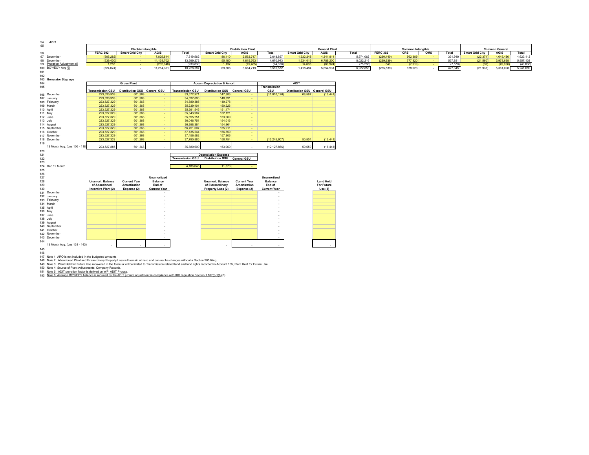| <b>ADIT</b><br>94                                                                                                                                                               |                                         |                                                      |                          |                                       |                                             |                                          |                          |                                        |                                |           |                 |                                 |                |         |                        |                       |           |
|---------------------------------------------------------------------------------------------------------------------------------------------------------------------------------|-----------------------------------------|------------------------------------------------------|--------------------------|---------------------------------------|---------------------------------------------|------------------------------------------|--------------------------|----------------------------------------|--------------------------------|-----------|-----------------|---------------------------------|----------------|---------|------------------------|-----------------------|-----------|
| 95                                                                                                                                                                              |                                         |                                                      |                          |                                       |                                             |                                          |                          |                                        | <b>General Plant</b>           |           |                 |                                 |                |         |                        | <b>Common General</b> |           |
| 96                                                                                                                                                                              | <b>FERC 302</b>                         | <b>Electric Intangible</b><br><b>Smart Grid City</b> | <b>AGIS</b>              | Total                                 | <b>Smart Grid City</b>                      | <b>Distribution Plant</b><br><b>AGIS</b> | Total                    | <b>Smart Grid City</b>                 | <b>AGIS</b>                    | Total     | <b>FERC 302</b> | <b>Common Intangible</b><br>CRS | OMS            | Total   | <b>Smart Grid City</b> | <b>AGIS</b>           | Total     |
| 97 December                                                                                                                                                                     | (506, 282)                              |                                                      | 7,825,844                | 7,319,562                             | 86.110                                      | 2,562,747                                | 2.648.857                | 1,632,248                              | 4.341.814                      | 5,974,062 | (230, 440)      | 562,389                         |                | 331,949 | (22.374)               | 4,645,486             | 4,623,112 |
| 98 December                                                                                                                                                                     | (539, 430)                              |                                                      | 14, 138, 702             | 13,599,272                            | 55,180                                      | 4,615,763                                | 4,670,943                | 1,234,016                              | 6,788,200                      | 8,022,216 | (239, 939)      | 777,820                         |                | 537,881 | (21, 560)              | 5,978,698             | 5,957,138 |
| 99 Proration Adjustment (5)                                                                                                                                                     | 1,218                                   | $\sim$                                               | (232, 048)               | (230, 830)                            | 1,137                                       | (75, 465)                                | (74.328)                 | 14,638                                 | (89, 924)                      | (75, 286) | 349             | (7,919)                         | <b>College</b> | (7,570) | (30)                   | (49,006)              | (49,036)  |
| 100 BOY/EOY Avg (6)<br>101                                                                                                                                                      | (524, 074)                              | $\sim$                                               | 11,214,321               | 10,228,587                            | 69,508                                      | 3,664,719                                | 3,585,572                | 1,418,494                              | 5,654,931                      | 6,922,853 | (235, 539)      | 678,023                         |                | 427,345 | (21, 937)              | 5,361,098             | 5,241,089 |
| 102                                                                                                                                                                             |                                         |                                                      |                          |                                       |                                             |                                          |                          |                                        |                                |           |                 |                                 |                |         |                        |                       |           |
| 103 Generator Step ups                                                                                                                                                          |                                         |                                                      |                          |                                       |                                             |                                          |                          |                                        |                                |           |                 |                                 |                |         |                        |                       |           |
| 104                                                                                                                                                                             |                                         | <b>Gross Plant</b>                                   |                          |                                       | <b>Accum Depreciation &amp; Amort</b>       |                                          |                          | <b>ADIT</b>                            |                                |           |                 |                                 |                |         |                        |                       |           |
| 105                                                                                                                                                                             |                                         |                                                      |                          |                                       |                                             |                                          | <b>Transmission</b>      |                                        |                                |           |                 |                                 |                |         |                        |                       |           |
| 106 December                                                                                                                                                                    | <b>Transmission GSU</b><br>223,530,938  | Distribution GSU General GSU<br>601,368              |                          | <b>Transmission GSU</b><br>33,572,971 | Distribution GSU General GSU<br>147,383     | $\sim$                                   | GSU<br>(11,010,126)      | Distribution GSU General GSU<br>68,597 | (16, 441)                      |           |                 |                                 |                |         |                        |                       |           |
| 107 January                                                                                                                                                                     | 223,530,938                             | 601,368                                              | $\sim$                   | 34,537,600                            | 148,331                                     | $\sim$                                   |                          |                                        |                                |           |                 |                                 |                |         |                        |                       |           |
| 108 February                                                                                                                                                                    | 223,527,329                             | 601.368                                              | $\sim$                   | 34,889,385                            | 149,278                                     | $\sim$                                   |                          |                                        |                                |           |                 |                                 |                |         |                        |                       |           |
| 109 March                                                                                                                                                                       | 223,527,329                             | 601,368                                              | $\sim$                   | 35,239,401                            | 150,226                                     | $\sim$                                   |                          |                                        |                                |           |                 |                                 |                |         |                        |                       |           |
| 110 April                                                                                                                                                                       | 223,527,329                             | 601,368                                              | ÷                        | 35,591,546                            | 151,174                                     | $\sim$                                   |                          |                                        |                                |           |                 |                                 |                |         |                        |                       |           |
| 111 May<br>112 June                                                                                                                                                             | 223,527,329<br>223,527,329              | 601,368<br>601,368                                   | ٠<br>$\sim$              | 35,343,967<br>35,695,251              | 152,121<br>153,069                          | $\sim$<br>$\sim$                         |                          |                                        |                                |           |                 |                                 |                |         |                        |                       |           |
| 113 July                                                                                                                                                                        | 223,527,329                             | 601,368                                              | $\sim$                   | 36,046,751                            | 154,016                                     | $\sim$                                   |                          |                                        |                                |           |                 |                                 |                |         |                        |                       |           |
| 114 August                                                                                                                                                                      | 223,527,329                             | 601,368                                              | $\sim$                   | 36,398,384                            | 154,964                                     | $\sim$                                   |                          |                                        |                                |           |                 |                                 |                |         |                        |                       |           |
| 115 September                                                                                                                                                                   | 223,527,329                             | 601,368                                              | $\sim$                   | 36,751,007                            | 155,911                                     | $\sim$                                   |                          |                                        |                                |           |                 |                                 |                |         |                        |                       |           |
| 116 October                                                                                                                                                                     | 223,527,329                             | 601,368                                              | ÷                        | 37, 135, 244                          | 156,859                                     | ÷                                        |                          |                                        |                                |           |                 |                                 |                |         |                        |                       |           |
| 117 November<br>118 December                                                                                                                                                    | 223,527,329<br>223,527,329              | 601,368<br>601,368                                   | $\sim$<br>$\sim$         | 37,456,582<br>37,790,885              | 157,806<br>158,754                          | <b>Contract</b><br><b>Section</b>        | (13, 245, 607)           | 50,504                                 | (16, 441)                      |           |                 |                                 |                |         |                        |                       |           |
| 119                                                                                                                                                                             |                                         |                                                      |                          |                                       |                                             |                                          |                          |                                        |                                |           |                 |                                 |                |         |                        |                       |           |
| 13 Month Avg. (Lns 106 - 118                                                                                                                                                    | 223.527.885                             | 601.368                                              |                          | 35,880,690                            | 153,069                                     |                                          | (12.127.866)             | 59.550                                 | (16, 441)                      |           |                 |                                 |                |         |                        |                       |           |
| 120                                                                                                                                                                             |                                         |                                                      |                          |                                       |                                             |                                          |                          |                                        |                                |           |                 |                                 |                |         |                        |                       |           |
| 121                                                                                                                                                                             |                                         |                                                      |                          |                                       | <b>Depreciation Expense</b>                 |                                          |                          |                                        |                                |           |                 |                                 |                |         |                        |                       |           |
| 122<br>123                                                                                                                                                                      |                                         |                                                      |                          | <b>Transmission GSU</b>               | Distribution GSU General GSU                |                                          |                          |                                        |                                |           |                 |                                 |                |         |                        |                       |           |
| 124 Dec 12 Month                                                                                                                                                                |                                         |                                                      |                          | 4,188,048                             | 11,370                                      |                                          |                          |                                        |                                |           |                 |                                 |                |         |                        |                       |           |
| 125                                                                                                                                                                             |                                         |                                                      |                          |                                       |                                             |                                          |                          |                                        |                                |           |                 |                                 |                |         |                        |                       |           |
| 126                                                                                                                                                                             |                                         |                                                      |                          |                                       |                                             |                                          |                          |                                        |                                |           |                 |                                 |                |         |                        |                       |           |
| 127                                                                                                                                                                             |                                         |                                                      | <b>Unamortized</b>       |                                       |                                             |                                          | Unamortized              |                                        |                                |           |                 |                                 |                |         |                        |                       |           |
| 128<br>129                                                                                                                                                                      | <b>Unamort, Balance</b><br>of Abandoned | <b>Current Year</b><br>Amortization                  | <b>Balance</b><br>End of |                                       | <b>Unamort, Balance</b><br>of Extraordinary | <b>Current Year</b><br>Amortization      | <b>Balance</b><br>End of |                                        | <b>Land Held</b><br>For Future |           |                 |                                 |                |         |                        |                       |           |
| 130                                                                                                                                                                             | Incentive Plant (2)                     | Expense (2)                                          | <b>Current Year</b>      |                                       | Property Loss (2)                           | Expense (2)                              | <b>Current Year</b>      |                                        | Use(3)                         |           |                 |                                 |                |         |                        |                       |           |
| 131 December                                                                                                                                                                    |                                         |                                                      |                          |                                       |                                             |                                          |                          |                                        |                                |           |                 |                                 |                |         |                        |                       |           |
| 132 January                                                                                                                                                                     |                                         |                                                      |                          |                                       |                                             |                                          |                          |                                        |                                |           |                 |                                 |                |         |                        |                       |           |
| 133 February                                                                                                                                                                    |                                         |                                                      |                          |                                       |                                             |                                          |                          |                                        |                                |           |                 |                                 |                |         |                        |                       |           |
| 134 March<br>135 April                                                                                                                                                          |                                         |                                                      |                          |                                       |                                             |                                          |                          |                                        |                                |           |                 |                                 |                |         |                        |                       |           |
| 136 May                                                                                                                                                                         |                                         |                                                      |                          |                                       |                                             |                                          |                          |                                        |                                |           |                 |                                 |                |         |                        |                       |           |
| 137 June                                                                                                                                                                        |                                         |                                                      |                          |                                       |                                             |                                          |                          |                                        |                                |           |                 |                                 |                |         |                        |                       |           |
| 138 July                                                                                                                                                                        |                                         |                                                      |                          |                                       |                                             |                                          |                          |                                        |                                |           |                 |                                 |                |         |                        |                       |           |
| 139 August                                                                                                                                                                      |                                         |                                                      |                          |                                       |                                             |                                          |                          |                                        |                                |           |                 |                                 |                |         |                        |                       |           |
| 140 September<br>141 October                                                                                                                                                    |                                         |                                                      |                          |                                       |                                             |                                          |                          |                                        |                                |           |                 |                                 |                |         |                        |                       |           |
| 142 November                                                                                                                                                                    |                                         |                                                      |                          |                                       |                                             |                                          |                          |                                        |                                |           |                 |                                 |                |         |                        |                       |           |
| 143 December                                                                                                                                                                    |                                         |                                                      |                          |                                       |                                             |                                          |                          |                                        |                                |           |                 |                                 |                |         |                        |                       |           |
| 144                                                                                                                                                                             |                                         |                                                      |                          |                                       |                                             |                                          |                          |                                        |                                |           |                 |                                 |                |         |                        |                       |           |
| 13 Month Avg. (Lns 131 - 143)                                                                                                                                                   |                                         |                                                      |                          |                                       |                                             |                                          |                          |                                        |                                |           |                 |                                 |                |         |                        |                       |           |
| 145                                                                                                                                                                             |                                         |                                                      |                          |                                       |                                             |                                          |                          |                                        |                                |           |                 |                                 |                |         |                        |                       |           |
| 146<br>147 Note 1. ARO is not included in the budgeted amounts                                                                                                                  |                                         |                                                      |                          |                                       |                                             |                                          |                          |                                        |                                |           |                 |                                 |                |         |                        |                       |           |
| 148 Note 2. Abandoned Plant and Extraordinary Property Loss will remain at zero and can not be changes without a Section 205 filing.                                            |                                         |                                                      |                          |                                       |                                             |                                          |                          |                                        |                                |           |                 |                                 |                |         |                        |                       |           |
| 149 Note 3. Plant Held for Future Use recovered in the formula will be limited to Transmission related land and land rights recorded in Account 105, Plant Held for Future Use. |                                         |                                                      |                          |                                       |                                             |                                          |                          |                                        |                                |           |                 |                                 |                |         |                        |                       |           |
| 150 Note 4. Source of Plant Adjustments: Company Records.                                                                                                                       |                                         |                                                      |                          |                                       |                                             |                                          |                          |                                        |                                |           |                 |                                 |                |         |                        |                       |           |
| 151 Note 5. ADIT proration factor is derived on WP ADIT Prorate.                                                                                                                |                                         |                                                      |                          |                                       |                                             |                                          |                          |                                        |                                |           |                 |                                 |                |         |                        |                       |           |
| 152 Note 6. Average BOY/EOY balance is reduced by the ADIT prorate adjustment in compliance with IRS regulation Section 1.167(I)-1(h)(6).                                       |                                         |                                                      |                          |                                       |                                             |                                          |                          |                                        |                                |           |                 |                                 |                |         |                        |                       |           |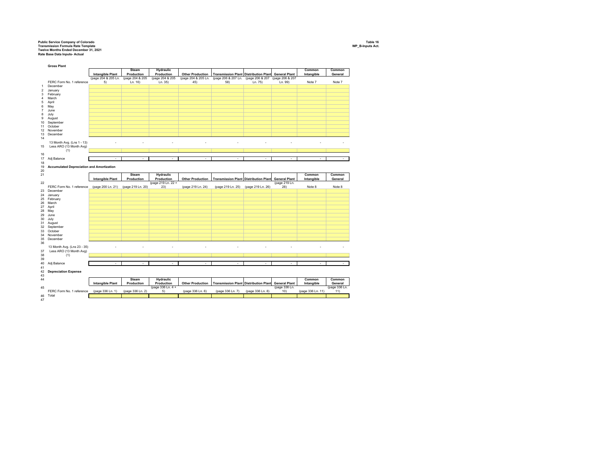## Public Service Company of Colorado<br>Transmission Formula Rate Template<br>Rate Base Data Inputs- Actual<br>Rate Base Data Inputs- Actual

46 Total 47

<u>a sa T</u>

 $\mathbf{1}$ 

 $\mathbf{1}$ 

 $\blacksquare$ 

- 1

a sa T

**The Contract of Street** 

 $\mathcal{L}$ 

a sa T

|                | <b>Gross Plant</b>                               |                         |                   |                    |                         |                                              |                   |                      |            |               |
|----------------|--------------------------------------------------|-------------------------|-------------------|--------------------|-------------------------|----------------------------------------------|-------------------|----------------------|------------|---------------|
|                |                                                  |                         | <b>Steam</b>      | Hydraulic          |                         |                                              |                   |                      | Common     | Common        |
|                |                                                  | <b>Intangible Plant</b> | Production        | Production         | <b>Other Production</b> | <b>Transmission Plant Distribution Plant</b> |                   | <b>General Plant</b> | Intangible | General       |
|                |                                                  | (page 204 & 205 Ln.     | (page 204 & 205   | (page 204 & 205    | (page 204 & 205 Ln.     | (page 206 & 207 Ln. (page 206 & 207          |                   | (page 206 & 207      |            |               |
|                | FERC Form No. 1 reference                        | 5)                      | Ln. 16)           | Ln. 35)            | 45)                     | 58)                                          | Ln. 75)           | Ln. 99)              | Note 7     | Note 7        |
|                | December                                         |                         |                   |                    |                         |                                              |                   |                      |            |               |
| $\overline{1}$ |                                                  |                         |                   |                    |                         |                                              |                   |                      |            |               |
| $\overline{2}$ | January                                          |                         |                   |                    |                         |                                              |                   |                      |            |               |
| 3              | February                                         |                         |                   |                    |                         |                                              |                   |                      |            |               |
| $\overline{4}$ | March                                            |                         |                   |                    |                         |                                              |                   |                      |            |               |
| 5              | April                                            |                         |                   |                    |                         |                                              |                   |                      |            |               |
| 6              | May                                              |                         |                   |                    |                         |                                              |                   |                      |            |               |
| 7              | June                                             |                         |                   |                    |                         |                                              |                   |                      |            |               |
| 8              | July                                             |                         |                   |                    |                         |                                              |                   |                      |            |               |
|                |                                                  |                         |                   |                    |                         |                                              |                   |                      |            |               |
| 9              | August                                           |                         |                   |                    |                         |                                              |                   |                      |            |               |
| 10             | September                                        |                         |                   |                    |                         |                                              |                   |                      |            |               |
| 11             | October                                          |                         |                   |                    |                         |                                              |                   |                      |            |               |
| 12             | November                                         |                         |                   |                    |                         |                                              |                   |                      |            |               |
| 13             | December                                         |                         |                   |                    |                         |                                              |                   |                      |            |               |
| 14             |                                                  |                         |                   |                    |                         |                                              |                   |                      |            |               |
|                | 13 Month Avg. (Lns 1 - 13)                       |                         |                   |                    |                         |                                              |                   |                      |            |               |
| 15             | Less ARO (13 Month Avg)                          |                         |                   |                    |                         |                                              |                   |                      |            |               |
|                | (1)                                              |                         |                   |                    |                         |                                              |                   |                      |            |               |
|                |                                                  |                         |                   |                    |                         |                                              |                   |                      |            |               |
| 16             |                                                  |                         |                   |                    |                         |                                              |                   |                      |            |               |
| 17             | Adj Balance                                      | ٠                       | ٠                 |                    | ٠                       | ٠                                            | ٠                 | ٠                    | ٠          | ٠             |
| 18             |                                                  |                         |                   |                    |                         |                                              |                   |                      |            |               |
| 19             | <b>Accumulated Depreciation and Amortization</b> |                         |                   |                    |                         |                                              |                   |                      |            |               |
| 20             |                                                  |                         |                   |                    |                         |                                              |                   |                      |            |               |
| 21             |                                                  |                         | <b>Steam</b>      | Hydraulic          |                         |                                              |                   |                      | Common     | Common        |
|                |                                                  |                         |                   |                    |                         |                                              |                   |                      |            |               |
|                |                                                  |                         |                   |                    |                         |                                              |                   |                      |            |               |
|                |                                                  | <b>Intangible Plant</b> | Production        | Production         | <b>Other Production</b> | <b>Transmission Plant Distribution Plant</b> |                   | <b>General Plant</b> | Intangible | General       |
|                |                                                  |                         |                   | (page 219 Ln. 22 + |                         |                                              |                   | (page 219 Ln.        |            |               |
|                | FERC Form No. 1 reference                        | (page 200 Ln. 21)       | (page 219 Ln. 20) | 23)                | (page 219 Ln. 24)       | (page 219 Ln. 25)                            | (page 219 Ln. 26) | 28)                  | Note 8     | Note 8        |
| 23             | December                                         |                         |                   |                    |                         |                                              |                   |                      |            |               |
| 24             | January                                          |                         |                   |                    |                         |                                              |                   |                      |            |               |
| 25             | February                                         |                         |                   |                    |                         |                                              |                   |                      |            |               |
| 26             | March                                            |                         |                   |                    |                         |                                              |                   |                      |            |               |
| 27             | April                                            |                         |                   |                    |                         |                                              |                   |                      |            |               |
|                | May                                              |                         |                   |                    |                         |                                              |                   |                      |            |               |
|                |                                                  |                         |                   |                    |                         |                                              |                   |                      |            |               |
|                | June                                             |                         |                   |                    |                         |                                              |                   |                      |            |               |
| 28<br>29<br>30 | July                                             |                         |                   |                    |                         |                                              |                   |                      |            |               |
| 31             | August                                           |                         |                   |                    |                         |                                              |                   |                      |            |               |
|                | 32 September                                     |                         |                   |                    |                         |                                              |                   |                      |            |               |
| 33             | October                                          |                         |                   |                    |                         |                                              |                   |                      |            |               |
| 34             | November                                         |                         |                   |                    |                         |                                              |                   |                      |            |               |
|                | December                                         |                         |                   |                    |                         |                                              |                   |                      |            |               |
| 35<br>36       |                                                  |                         |                   |                    |                         |                                              |                   |                      |            |               |
|                | 13 Month Avg. (Lns 23 - 35)                      |                         |                   |                    |                         |                                              |                   |                      |            |               |
|                | Less ARO (13 Month Avg)                          |                         |                   |                    |                         |                                              |                   |                      |            |               |
|                |                                                  |                         |                   |                    |                         |                                              |                   |                      |            |               |
|                | (1)                                              |                         |                   |                    |                         |                                              |                   |                      |            |               |
|                |                                                  |                         |                   |                    |                         |                                              |                   |                      |            |               |
| 38<br>39<br>40 | Adj Balance                                      | ٠                       | ٠                 | ×                  | ٠                       | ٠                                            | ٠                 | ٠                    | ٠          | $\sim$        |
|                |                                                  |                         |                   |                    |                         |                                              |                   |                      |            |               |
| 41<br>42       | <b>Depreciation Expense</b>                      |                         |                   |                    |                         |                                              |                   |                      |            |               |
| 22<br>37<br>43 |                                                  |                         |                   |                    |                         |                                              |                   |                      |            |               |
| 44             |                                                  |                         | <b>Steam</b>      | <b>Hydraulic</b>   |                         |                                              |                   |                      | Common     | Common        |
|                |                                                  | <b>Intangible Plant</b> | Production        | Production         | <b>Other Production</b> | <b>Transmission Plant Distribution Plant</b> |                   | <b>General Plant</b> | Intangible | General       |
| 45             |                                                  |                         |                   | (page 336 Ln. 4 +  |                         |                                              |                   | (page 336 Ln.        |            | (page 336 Ln. |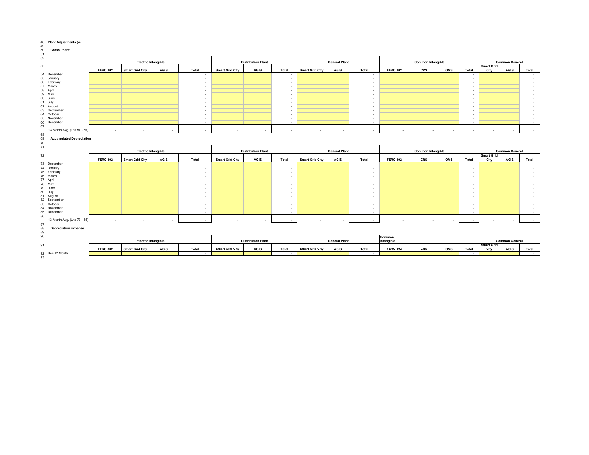| 49                                    |                 |                        |                            |                          |                        |                           |                          |                        |                      |              |                 |                          |     |                                   |                   |                       |            |
|---------------------------------------|-----------------|------------------------|----------------------------|--------------------------|------------------------|---------------------------|--------------------------|------------------------|----------------------|--------------|-----------------|--------------------------|-----|-----------------------------------|-------------------|-----------------------|------------|
| 50<br><b>Gross Plant</b>              |                 |                        |                            |                          |                        |                           |                          |                        |                      |              |                 |                          |     |                                   |                   |                       |            |
| 51<br>52                              |                 |                        |                            |                          |                        |                           |                          |                        |                      |              |                 |                          |     |                                   |                   |                       |            |
|                                       |                 |                        | <b>Electric Intangible</b> |                          |                        |                           |                          |                        | <b>General Plant</b> |              |                 |                          |     |                                   |                   |                       |            |
|                                       |                 |                        |                            |                          |                        | <b>Distribution Plant</b> |                          |                        |                      |              |                 | <b>Common Intangible</b> |     |                                   | <b>Smart Grid</b> | <b>Common General</b> |            |
| 53                                    | <b>FERC 302</b> | <b>Smart Grid City</b> | <b>AGIS</b>                | Total                    | <b>Smart Grid City</b> | <b>AGIS</b>               | Total                    | <b>Smart Grid City</b> | <b>AGIS</b>          | Total        | <b>FERC 302</b> | CRS                      | OMS | Total                             | City              | <b>AGIS</b>           |            |
|                                       |                 |                        |                            |                          |                        |                           |                          |                        |                      |              |                 |                          |     |                                   |                   |                       | Total      |
| 54 December<br>55 January             |                 |                        |                            |                          |                        |                           | $\overline{\phantom{a}}$ |                        |                      |              |                 |                          |     |                                   |                   |                       |            |
|                                       |                 |                        |                            |                          |                        |                           |                          |                        |                      | ٠.           |                 |                          |     | $\overline{a}$                    |                   |                       |            |
| 56 February                           |                 |                        |                            |                          |                        |                           |                          |                        |                      |              |                 |                          |     |                                   |                   |                       |            |
| 57 March<br>58 April                  |                 |                        |                            | $\overline{\phantom{a}}$ |                        |                           | $\overline{\phantom{a}}$ |                        |                      | . .          |                 |                          |     |                                   |                   |                       |            |
|                                       |                 |                        |                            |                          |                        |                           |                          |                        |                      |              |                 |                          |     |                                   |                   |                       |            |
| 59 May                                |                 |                        |                            |                          |                        |                           |                          |                        |                      |              |                 |                          |     |                                   |                   |                       |            |
| 60 June                               |                 |                        |                            |                          |                        |                           |                          |                        |                      |              |                 |                          |     |                                   |                   |                       |            |
| 61 July                               |                 |                        |                            |                          |                        |                           | $\overline{\phantom{a}}$ |                        |                      |              |                 |                          |     |                                   |                   |                       |            |
| 62 August                             |                 |                        |                            |                          |                        |                           | ٠                        |                        |                      | $\sim$       |                 |                          |     |                                   |                   |                       |            |
| 63 September                          |                 |                        |                            |                          |                        |                           | $\overline{\phantom{a}}$ |                        |                      | ٠.           |                 |                          |     |                                   |                   |                       |            |
| 64 October                            |                 |                        |                            |                          |                        |                           |                          |                        |                      |              |                 |                          |     |                                   |                   |                       |            |
| 65 November                           |                 |                        |                            | $\overline{\phantom{a}}$ |                        |                           |                          |                        |                      | . .          |                 |                          |     | $\overline{a}$                    |                   |                       |            |
| 66 December                           |                 |                        |                            |                          |                        |                           |                          |                        |                      | . .          |                 |                          |     |                                   |                   |                       |            |
| 67                                    |                 |                        |                            |                          |                        |                           |                          |                        |                      |              |                 |                          |     |                                   |                   |                       |            |
| 13 Month Avg. (Lns 54 - 66)           |                 |                        |                            | ÷.                       |                        |                           |                          |                        |                      | $\sim$       |                 |                          |     |                                   |                   |                       |            |
| 68                                    |                 |                        |                            |                          |                        |                           |                          |                        |                      |              |                 |                          |     |                                   |                   |                       |            |
| 69<br><b>Accumulated Depreciation</b> |                 |                        |                            |                          |                        |                           |                          |                        |                      |              |                 |                          |     |                                   |                   |                       |            |
| 70                                    |                 |                        |                            |                          |                        |                           |                          |                        |                      |              |                 |                          |     |                                   |                   |                       |            |
| 71                                    |                 |                        |                            |                          |                        |                           |                          |                        |                      |              |                 |                          |     |                                   |                   |                       |            |
|                                       |                 |                        | <b>Electric Intangible</b> |                          |                        | <b>Distribution Plant</b> |                          |                        | <b>General Plant</b> |              |                 | <b>Common Intangible</b> |     |                                   |                   | <b>Common General</b> |            |
| 72                                    |                 |                        |                            |                          |                        |                           |                          |                        |                      |              |                 |                          |     |                                   |                   |                       |            |
|                                       |                 |                        |                            |                          |                        |                           |                          |                        |                      |              |                 |                          |     |                                   | <b>Smart Grid</b> |                       |            |
|                                       | <b>FERC 302</b> | <b>Smart Grid City</b> | <b>AGIS</b>                | Total                    | <b>Smart Grid City</b> | <b>AGIS</b>               | Total                    | <b>Smart Grid City</b> | <b>AGIS</b>          | Total        | <b>FERC 302</b> | CRS                      | OMS | Total                             | City              | <b>AGIS</b>           | Total      |
| 73 December                           |                 |                        |                            |                          |                        |                           |                          |                        |                      |              |                 |                          |     |                                   |                   |                       |            |
| 74 January                            |                 |                        |                            | $\overline{\phantom{a}}$ |                        |                           | $\overline{\phantom{a}}$ |                        |                      | $\sim$       |                 |                          |     | ٠                                 |                   |                       |            |
| 75 February                           |                 |                        |                            |                          |                        |                           |                          |                        |                      | . .          |                 |                          |     | $\overline{a}$                    |                   |                       |            |
| 76 March                              |                 |                        |                            | $\overline{\phantom{a}}$ |                        |                           | $\overline{\phantom{a}}$ |                        |                      | . .          |                 |                          |     |                                   |                   |                       |            |
| 77 April                              |                 |                        |                            |                          |                        |                           | $\overline{\phantom{a}}$ |                        |                      | . .          |                 |                          |     |                                   |                   |                       |            |
| 78 May                                |                 |                        |                            |                          |                        |                           | $\overline{\phantom{a}}$ |                        |                      |              |                 |                          |     |                                   |                   |                       |            |
| 79 June                               |                 |                        |                            | ٠                        |                        |                           |                          |                        |                      |              |                 |                          |     |                                   |                   |                       |            |
| 80 July                               |                 |                        |                            |                          |                        |                           | $\overline{\phantom{a}}$ |                        |                      |              |                 |                          |     |                                   |                   |                       |            |
| 81 August                             |                 |                        |                            |                          |                        |                           |                          |                        |                      |              |                 |                          |     |                                   |                   |                       |            |
| 82 September                          |                 |                        |                            | $\overline{\phantom{a}}$ |                        |                           | ٠                        |                        |                      | $\sim$       |                 |                          |     |                                   |                   |                       |            |
| 83 October                            |                 |                        |                            |                          |                        |                           | ٠                        |                        |                      |              |                 |                          |     |                                   |                   |                       |            |
| 84 November                           |                 |                        |                            |                          |                        |                           |                          |                        |                      |              |                 |                          |     |                                   |                   |                       |            |
| 85 December                           |                 |                        |                            | $\overline{\phantom{a}}$ |                        |                           | $\overline{\phantom{a}}$ |                        |                      | $\mathbf{r}$ |                 |                          |     |                                   |                   |                       |            |
| 86                                    |                 |                        |                            |                          |                        |                           |                          |                        |                      |              |                 |                          |     |                                   |                   |                       |            |
| 13 Month Avg. (Lns 73 - 85)           |                 |                        | $\sim$                     |                          |                        |                           |                          |                        |                      |              |                 |                          |     |                                   |                   |                       |            |
| 87                                    |                 |                        |                            |                          |                        |                           |                          |                        |                      |              |                 |                          |     |                                   |                   |                       |            |
| 88<br><b>Depreciation Expense</b>     |                 |                        |                            |                          |                        |                           |                          |                        |                      |              |                 |                          |     |                                   |                   |                       |            |
| 89                                    |                 |                        |                            |                          |                        |                           |                          |                        |                      |              |                 |                          |     |                                   |                   |                       |            |
| 90                                    |                 |                        |                            |                          |                        |                           |                          |                        |                      |              |                 |                          |     |                                   |                   |                       |            |
|                                       |                 |                        |                            |                          |                        |                           |                          |                        |                      |              | Common          |                          |     |                                   |                   |                       |            |
|                                       |                 |                        | <b>Electric Intangible</b> |                          |                        | <b>Distribution Plant</b> |                          |                        | <b>General Plant</b> |              | Intangible      |                          |     |                                   | <b>Smart Grid</b> | <b>Common General</b> |            |
| 91                                    |                 |                        |                            |                          | <b>Smart Grid City</b> |                           |                          | <b>Smart Grid City</b> |                      |              | <b>FERC 302</b> | CRS                      |     |                                   |                   |                       |            |
|                                       | <b>FERC 302</b> | <b>Smart Grid City</b> | <b>AGIS</b>                | Total<br>$\sim$          |                        | <b>AGIS</b>               | Total<br>$\sim$          |                        | <b>AGIS</b>          | Total<br>۰.  |                 |                          | OMS | Total<br>$\overline{\phantom{a}}$ | City              | <b>AGIS</b>           | Total      |
| 92 Dec 12 Month<br>93                 |                 |                        |                            |                          |                        |                           |                          |                        |                      |              |                 |                          |     |                                   |                   |                       | $\sim$ $-$ |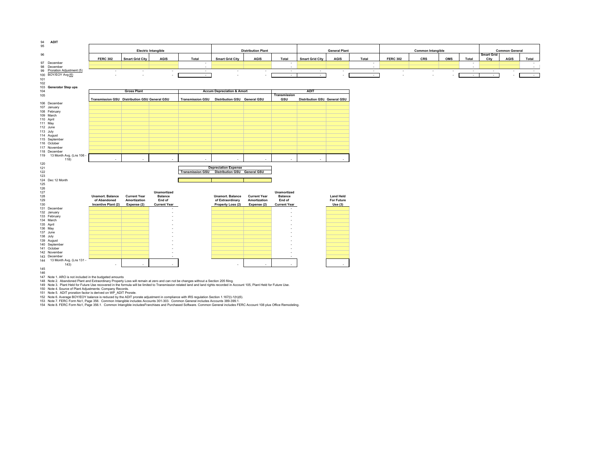

Note 1. ARO is not included in the budgeted amounts 148 Note 2. Abandoned Plant and Extraordinary Property Loss will remain at zero and can not be changes without a Section 205 filing.

Note 3. Plant Held for Future Use recovered in the formula will be limited to Transmission related land and land rights recorded in Account 105, Plant Held for Future Use.

Note 4. Source of Plant Adjustments: Company Records. 151 Note 5. ADIT proration factor is derived on WP\_ADIT Prorate.

 Note 6. Average BOY/EOY balance is reduced by the ADIT prorate adjustment in compliance with IRS regulation Section 1.167(l)-1(h)(6). Note 7. FERC Form No1, Page 356. Common Intangible includes Accounts 301-303. Common General includes Accounts 389-399.1.

Note 8. FERC Form No1, Page 356.1. Common Intangible includesFranchises and Purchased Software. Common General includes FERC Account 108 plus Office Remodeling.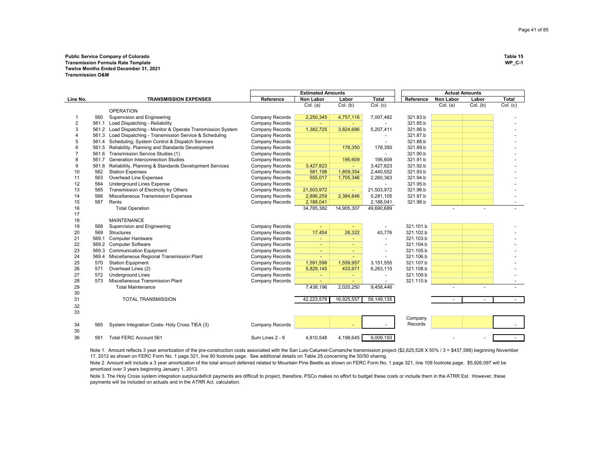### **Public Service Company of Colorado Table 15 Transmission Formula Rate Template Twelve Months Ended December 31, 2021 Transmission O&M**

|          |       |                                                                | <b>Estimated Amounts</b> |                          |                |                        | <b>Actual Amounts</b> |                  |          |              |
|----------|-------|----------------------------------------------------------------|--------------------------|--------------------------|----------------|------------------------|-----------------------|------------------|----------|--------------|
| Line No. |       | <b>TRANSMISSION EXPENSES</b>                                   | Reference                | <b>Non Labor</b>         | Labor          | <b>Total</b>           | Reference             | <b>Non Labor</b> | Labor    | <b>Total</b> |
|          |       |                                                                |                          | Col. (a)                 | Col. (b)       | $\overline{C}$ ol. (c) |                       | Col. (a)         | Col. (b) | Col. (c)     |
|          |       | <b>OPERATION</b>                                               |                          |                          |                |                        |                       |                  |          |              |
|          | 560   | Supervision and Engineering                                    | <b>Company Records</b>   | 2,250,345                | 4,757,116      | 7,007,462              | 321.83.b              |                  |          |              |
| 2        | 561.1 | Load Dispatching - Reliability                                 | Company Records          |                          |                |                        | 321.85.b              |                  |          |              |
| 3        |       | 561.2 Load Dispatching - Monitor & Operate Transmission System | Company Records          | 1,382,725                | 3,824,686      | 5,207,411              | 321.86.b              |                  |          |              |
| 4        |       | 561.3 Load Dispatching - Transmission Service & Scheduling     | Company Records          |                          |                |                        | 321.87.b              |                  |          |              |
| 5        | 561.4 | Scheduling, System Control & Dispatch Services                 | Company Records          |                          |                |                        | 321.88.b              |                  |          |              |
| 6        |       | 561.5 Reliability, Planning and Standards Development          | Company Records          |                          | 178,350        | 178,350                | 321.89.b              |                  |          |              |
|          | 561.6 | Transmission Service Studies (1)                               | <b>Company Records</b>   |                          |                |                        | 321.90.b              |                  |          |              |
| 8        | 561.7 | <b>Generation Interconnection Studies</b>                      | Company Records          |                          | 195,609        | 195,609                | 321.91.b              |                  |          |              |
| 9        | 561.8 | Reliability, Planning & Standards Development Services         | Company Records          | 3,427,823                |                | 3,427,823              | 321.92.b              |                  |          |              |
| 10       | 562   | <b>Station Expenses</b>                                        | Company Records          | 581,198                  | 1,859,354      | 2,440,552              | 321.93.b              |                  |          |              |
| 11       | 563   | Overhead Line Expenses                                         | Company Records          | 555,017                  | 1,705,346      | 2,260,363              | 321.94.b              |                  |          |              |
| 12       | 564   | <b>Underground Lines Expense</b>                               | <b>Company Records</b>   |                          |                |                        | 321.95.b              |                  |          |              |
| 13       | 565   | Transmission of Electricity by Others                          | Company Records          | 21,503,972               | $\blacksquare$ | 21,503,972             | 321.96.b              |                  |          |              |
| 14       | 566   | Miscellaneous Transmission Expenses                            | Company Records          | 2,896,259                | 2,384,846      | 5,281,105              | 321.97.b              |                  |          |              |
| 15       | 567   | Rents                                                          | Company Records          | 2,188,041                |                | 2,188,041              | 321.98.b              |                  |          |              |
| 16       |       | <b>Total Operation</b>                                         |                          | 34,785,382               | 14,905,307     | 49,690,689             |                       |                  |          |              |
| 17       |       |                                                                |                          |                          |                |                        |                       |                  |          |              |
| 18       |       | <b>MAINTENANCE</b>                                             |                          |                          |                |                        |                       |                  |          |              |
| 19       | 568   | Supervision and Engineering                                    | Company Records          | $\overline{\phantom{a}}$ |                |                        | 321.101.b             |                  |          |              |
| 20       | 569   | <b>Structures</b>                                              | Company Records          | 17,454                   | 26,322         | 43,776                 | 321.102.b             |                  |          |              |
| 21       | 569.1 | <b>Computer Hardware</b>                                       | Company Records          | ٠                        | ٠              |                        | 321.103.b             |                  |          |              |
| 22       | 569.2 | <b>Computer Software</b>                                       | Company Records          | $\overline{a}$           |                |                        | 321.104.b             |                  |          |              |
| 23       | 569.3 | <b>Communication Equipment</b>                                 | Company Records          | $\blacksquare$           |                |                        | 321.105.b             |                  |          |              |
| 24       | 569.4 | Miscellaneous Regional Transmission Plant                      | Company Records          | $\sim$                   |                |                        | 321.106.b             |                  |          |              |
| 25       | 570   | <b>Station Equipment</b>                                       | Company Records          | 1,591,598                | 1,559,957      | 3,151,555              | 321.107.b             |                  |          |              |
| 26       | 571   | Overhead Lines (2)                                             | Company Records          | 5,829,145                | 433,971        | 6,263,115              | 321.108.b             |                  |          |              |
| 27       | 572   | <b>Underground Lines</b>                                       | Company Records          |                          | $\sim$         |                        | 321.109.b             |                  |          |              |
| 28       | 573   | Miscellaneous Transmission Plant                               | Company Records          |                          |                |                        | 321.110.b             |                  |          |              |
| 29       |       | <b>Total Maintenance</b>                                       |                          | 7,438,196                | 2,020,250      | 9,458,446              |                       | $\overline{a}$   |          |              |
| 30       |       |                                                                |                          |                          |                |                        |                       |                  |          |              |
| 31       |       | <b>TOTAL TRANSMISSION</b>                                      |                          | 42,223,578               | 16,925,557     | 59,149,135             |                       |                  |          |              |
| 32       |       |                                                                |                          |                          |                |                        |                       |                  |          |              |
| 33       |       |                                                                |                          |                          |                |                        |                       |                  |          |              |
|          |       |                                                                |                          |                          |                |                        | Company               |                  |          |              |
|          |       |                                                                |                          |                          |                |                        | Records               |                  |          |              |
| 34       | 565   | System Integration Costs- Holy Cross TIEA (3)                  | Company Records          |                          |                |                        |                       |                  |          |              |
| 35       |       |                                                                |                          |                          |                |                        |                       |                  |          |              |
| 36       | 561   | Total FERC Account 561                                         | Sum Lines 2 - 9          | 4,810,548                | 4,198,645      | 9,009,193              |                       |                  |          |              |

Note 1. Amount reflects 3 year amortization of the pre-construction costs associated with the San Luis-Calumet-Comanche transmission project (\$2,625,528 X 50% / 3 = \$437,588) beginning November 17, 2012 as shown on FERC Form No. 1 page 321, line 90 footnote page. See additional details on Table 25 concerning the 50/50 sharing.

Note 2. Amount will include a 3 year amortization of the total amount deferred related to Mountain Pine Beetle as shown on FERC Form No. 1 page 321, line 108 footnote page. \$5,926,097 will be amortized over 3 years beginning January 1, 2013.

Note 3. The Holy Cross system integration surplus/deficit payments are difficult to project, therefore, PSCo makes no effort to budget these costs or include them in the ATRR Est. However, these payments will be included on actuals and in the ATRR Act. calculation.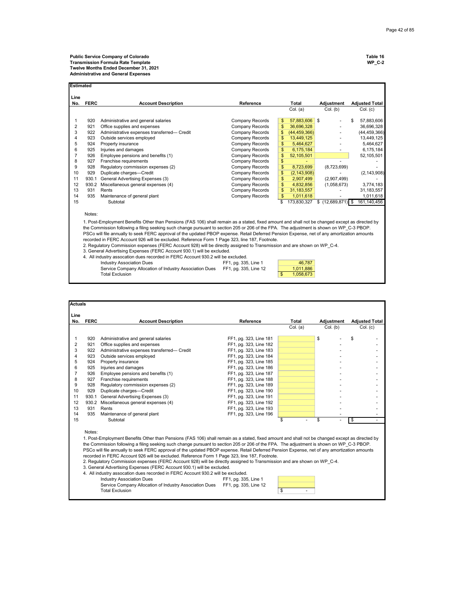| Estimated      |                                                                                                                                                                                                                                                                                                                                                                                                                                                                                                                                                                                                                                                                                                                                                                                                                                                                                                                                                                                                             |                                             |                        |                      |             |                       |  |  |  |  |  |  |
|----------------|-------------------------------------------------------------------------------------------------------------------------------------------------------------------------------------------------------------------------------------------------------------------------------------------------------------------------------------------------------------------------------------------------------------------------------------------------------------------------------------------------------------------------------------------------------------------------------------------------------------------------------------------------------------------------------------------------------------------------------------------------------------------------------------------------------------------------------------------------------------------------------------------------------------------------------------------------------------------------------------------------------------|---------------------------------------------|------------------------|----------------------|-------------|-----------------------|--|--|--|--|--|--|
| Line<br>No.    | <b>FERC</b>                                                                                                                                                                                                                                                                                                                                                                                                                                                                                                                                                                                                                                                                                                                                                                                                                                                                                                                                                                                                 | <b>Account Description</b>                  | Reference              | Total                | Adjustment  | <b>Adjusted Total</b> |  |  |  |  |  |  |
|                |                                                                                                                                                                                                                                                                                                                                                                                                                                                                                                                                                                                                                                                                                                                                                                                                                                                                                                                                                                                                             |                                             |                        | Col. (a)             | Col. (b)    | Col. (c)              |  |  |  |  |  |  |
| 1              | 920                                                                                                                                                                                                                                                                                                                                                                                                                                                                                                                                                                                                                                                                                                                                                                                                                                                                                                                                                                                                         | Administrative and general salaries         | Company Records        | 57,883,606 \$<br>\$  |             | 57,883,606<br>\$      |  |  |  |  |  |  |
| 2              | 921                                                                                                                                                                                                                                                                                                                                                                                                                                                                                                                                                                                                                                                                                                                                                                                                                                                                                                                                                                                                         | Office supplies and expenses                | <b>Company Records</b> | \$<br>36,696,328     |             | 36,696,328            |  |  |  |  |  |  |
| 3              | 922                                                                                                                                                                                                                                                                                                                                                                                                                                                                                                                                                                                                                                                                                                                                                                                                                                                                                                                                                                                                         | Administrative expenses transferred- Credit | <b>Company Records</b> | (44, 459, 366)<br>\$ |             | (44, 459, 366)        |  |  |  |  |  |  |
| 4              | 923                                                                                                                                                                                                                                                                                                                                                                                                                                                                                                                                                                                                                                                                                                                                                                                                                                                                                                                                                                                                         | Outside services employed                   | <b>Company Records</b> | \$<br>13,449,125     |             | 13,449,125            |  |  |  |  |  |  |
| 5              | 924                                                                                                                                                                                                                                                                                                                                                                                                                                                                                                                                                                                                                                                                                                                                                                                                                                                                                                                                                                                                         | Property insurance                          | <b>Company Records</b> | \$<br>5,464,627      |             | 5,464,627             |  |  |  |  |  |  |
| 6              | 925                                                                                                                                                                                                                                                                                                                                                                                                                                                                                                                                                                                                                                                                                                                                                                                                                                                                                                                                                                                                         | Injuries and damages                        | <b>Company Records</b> | \$<br>6,175,184      |             | 6,175,184             |  |  |  |  |  |  |
| $\overline{7}$ | 926                                                                                                                                                                                                                                                                                                                                                                                                                                                                                                                                                                                                                                                                                                                                                                                                                                                                                                                                                                                                         | Employee pensions and benefits (1)          | <b>Company Records</b> | \$<br>52,105,501     |             | 52,105,501            |  |  |  |  |  |  |
| 8              | 927                                                                                                                                                                                                                                                                                                                                                                                                                                                                                                                                                                                                                                                                                                                                                                                                                                                                                                                                                                                                         | Franchise requirements                      | <b>Company Records</b> | \$                   |             |                       |  |  |  |  |  |  |
| 9              | 928                                                                                                                                                                                                                                                                                                                                                                                                                                                                                                                                                                                                                                                                                                                                                                                                                                                                                                                                                                                                         | Regulatory commission expenses (2)          | <b>Company Records</b> | 8.723.699<br>\$      | (8,723,699) |                       |  |  |  |  |  |  |
| 10             | 929                                                                                                                                                                                                                                                                                                                                                                                                                                                                                                                                                                                                                                                                                                                                                                                                                                                                                                                                                                                                         | Duplicate charges-Credit                    | <b>Company Records</b> | \$<br>(2, 143, 908)  |             | (2, 143, 908)         |  |  |  |  |  |  |
| 11             | 930.1                                                                                                                                                                                                                                                                                                                                                                                                                                                                                                                                                                                                                                                                                                                                                                                                                                                                                                                                                                                                       | General Advertising Expenses (3)            | Company Records        | \$<br>2,907,499      | (2,907,499) |                       |  |  |  |  |  |  |
| 12             |                                                                                                                                                                                                                                                                                                                                                                                                                                                                                                                                                                                                                                                                                                                                                                                                                                                                                                                                                                                                             | 930.2 Miscellaneous general expenses (4)    | Company Records        | \$<br>4.832.856      | (1,058,673) | 3,774,183             |  |  |  |  |  |  |
| 13             | 931                                                                                                                                                                                                                                                                                                                                                                                                                                                                                                                                                                                                                                                                                                                                                                                                                                                                                                                                                                                                         | Rents                                       | Company Records        | \$<br>31, 183, 557   |             | 31, 183, 557          |  |  |  |  |  |  |
| 14             | 935                                                                                                                                                                                                                                                                                                                                                                                                                                                                                                                                                                                                                                                                                                                                                                                                                                                                                                                                                                                                         | Maintenance of general plant                | Company Records        | \$<br>1,011,618      |             | 1,011,618             |  |  |  |  |  |  |
| 15             |                                                                                                                                                                                                                                                                                                                                                                                                                                                                                                                                                                                                                                                                                                                                                                                                                                                                                                                                                                                                             | Subtotal                                    |                        | \$<br>173,830,327    |             | 161,140,456           |  |  |  |  |  |  |
|                | Notes:                                                                                                                                                                                                                                                                                                                                                                                                                                                                                                                                                                                                                                                                                                                                                                                                                                                                                                                                                                                                      |                                             |                        |                      |             |                       |  |  |  |  |  |  |
|                | 1. Post-Employment Benefits Other than Pensions (FAS 106) shall remain as a stated, fixed amount and shall not be changed except as directed by<br>the Commission following a filing seeking such change pursuant to section 205 or 206 of the FPA. The adjustment is shown on WP C-3 PBOP.<br>PSCo will file annually to seek FERC approval of the updated PBOP expense. Retail Deferred Pension Expense, net of any amortization amounts<br>recorded in FERC Account 926 will be excluded. Reference Form 1 Page 323, line 187, Footnote.<br>2. Regulatory Commission expenses (FERC Account 928) will be directly assigned to Transmission and are shown on WP C-4.<br>3. General Advertising Expenses (FERC Account 930.1) will be excluded.<br>4. All industry assocation dues recorded in FERC Account 930.2 will be excluded.<br>46,787<br><b>Industry Association Dues</b><br>FF1, pg. 335, Line 1<br>Service Company Allocation of Industry Association Dues<br>1,011,886<br>FF1, pg. 335, Line 12 |                                             |                        |                      |             |                       |  |  |  |  |  |  |
|                |                                                                                                                                                                                                                                                                                                                                                                                                                                                                                                                                                                                                                                                                                                                                                                                                                                                                                                                                                                                                             | <b>Total Exclusion</b>                      |                        | \$<br>1,058,673      |             |                       |  |  |  |  |  |  |

| <b>Actuals</b> |             |                                                                                                                                                                                                                                                                                                                                                                                                                                                                                                                                                                                                                                                                                                                                                  |                        |          |            |             |                       |
|----------------|-------------|--------------------------------------------------------------------------------------------------------------------------------------------------------------------------------------------------------------------------------------------------------------------------------------------------------------------------------------------------------------------------------------------------------------------------------------------------------------------------------------------------------------------------------------------------------------------------------------------------------------------------------------------------------------------------------------------------------------------------------------------------|------------------------|----------|------------|-------------|-----------------------|
| Line<br>No.    | <b>FERC</b> | <b>Account Description</b>                                                                                                                                                                                                                                                                                                                                                                                                                                                                                                                                                                                                                                                                                                                       | Reference              | Total    | Adjustment |             | <b>Adjusted Total</b> |
|                |             |                                                                                                                                                                                                                                                                                                                                                                                                                                                                                                                                                                                                                                                                                                                                                  |                        | Col. (a) | Col. (b)   |             | Col. (c)              |
| 1              | 920         | Administrative and general salaries                                                                                                                                                                                                                                                                                                                                                                                                                                                                                                                                                                                                                                                                                                              | FF1, pg. 323, Line 181 |          | \$         | \$          |                       |
| 2              | 921         | Office supplies and expenses                                                                                                                                                                                                                                                                                                                                                                                                                                                                                                                                                                                                                                                                                                                     | FF1, pg. 323, Line 182 |          |            |             |                       |
| 3              | 922         | Administrative expenses transferred- Credit                                                                                                                                                                                                                                                                                                                                                                                                                                                                                                                                                                                                                                                                                                      | FF1, pg. 323, Line 183 |          |            |             |                       |
| 4              | 923         | Outside services employed                                                                                                                                                                                                                                                                                                                                                                                                                                                                                                                                                                                                                                                                                                                        | FF1, pg. 323, Line 184 |          |            |             |                       |
| 5              | 924         | Property insurance                                                                                                                                                                                                                                                                                                                                                                                                                                                                                                                                                                                                                                                                                                                               | FF1, pg. 323, Line 185 |          |            |             |                       |
| 6              | 925         | Injuries and damages                                                                                                                                                                                                                                                                                                                                                                                                                                                                                                                                                                                                                                                                                                                             | FF1, pg. 323, Line 186 |          |            |             |                       |
| $\overline{7}$ | 926         | Employee pensions and benefits (1)                                                                                                                                                                                                                                                                                                                                                                                                                                                                                                                                                                                                                                                                                                               | FF1, pg. 323, Line 187 |          |            |             |                       |
| 8              | 927         | Franchise requirements                                                                                                                                                                                                                                                                                                                                                                                                                                                                                                                                                                                                                                                                                                                           | FF1, pg. 323, Line 188 |          |            |             |                       |
| 9              | 928         | Regulatory commission expenses (2)                                                                                                                                                                                                                                                                                                                                                                                                                                                                                                                                                                                                                                                                                                               | FF1, pg. 323, Line 189 |          |            |             |                       |
| 10             | 929         | Duplicate charges-Credit                                                                                                                                                                                                                                                                                                                                                                                                                                                                                                                                                                                                                                                                                                                         | FF1, pg. 323, Line 190 |          |            |             |                       |
| 11             |             | 930.1 General Advertising Expenses (3)                                                                                                                                                                                                                                                                                                                                                                                                                                                                                                                                                                                                                                                                                                           | FF1, pg. 323, Line 191 |          |            |             |                       |
| 12             |             | 930.2 Miscellaneous general expenses (4)                                                                                                                                                                                                                                                                                                                                                                                                                                                                                                                                                                                                                                                                                                         | FF1, pg. 323, Line 192 |          |            |             |                       |
| 13             | 931         | Rents                                                                                                                                                                                                                                                                                                                                                                                                                                                                                                                                                                                                                                                                                                                                            | FF1, pg. 323, Line 193 |          |            |             |                       |
| 14             | 935         | Maintenance of general plant                                                                                                                                                                                                                                                                                                                                                                                                                                                                                                                                                                                                                                                                                                                     | FF1, pg. 323, Line 196 |          |            |             |                       |
| 15             |             | Subtotal                                                                                                                                                                                                                                                                                                                                                                                                                                                                                                                                                                                                                                                                                                                                         |                        | \$       | \$         | $\bigoplus$ |                       |
|                | Notes:      | 1. Post-Employment Benefits Other than Pensions (FAS 106) shall remain as a stated, fixed amount and shall not be changed except as directed by<br>the Commission following a filing seeking such change pursuant to section 205 or 206 of the FPA. The adjustment is shown on WP C-3 PBOP.<br>PSCo will file annually to seek FERC approval of the updated PBOP expense. Retail Deferred Pension Expense, net of any amortization amounts<br>recorded in FERC Account 926 will be excluded. Reference Form 1 Page 323, line 187, Footnote.<br>2. Regulatory Commission expenses (FERC Account 928) will be directly assigned to Transmission and are shown on WP C-4.<br>3. General Advertising Expenses (FERC Account 930.1) will be excluded. |                        |          |            |             |                       |
|                |             | 4. All industry assocation dues recorded in FERC Account 930.2 will be excluded.                                                                                                                                                                                                                                                                                                                                                                                                                                                                                                                                                                                                                                                                 |                        |          |            |             |                       |
|                |             | <b>Industry Association Dues</b>                                                                                                                                                                                                                                                                                                                                                                                                                                                                                                                                                                                                                                                                                                                 | FF1, pg. 335, Line 1   |          |            |             |                       |
|                |             | Service Company Allocation of Industry Association Dues                                                                                                                                                                                                                                                                                                                                                                                                                                                                                                                                                                                                                                                                                          | FF1, pg. 335, Line 12  |          |            |             |                       |
|                |             | <b>Total Exclusion</b>                                                                                                                                                                                                                                                                                                                                                                                                                                                                                                                                                                                                                                                                                                                           |                        | \$       |            |             |                       |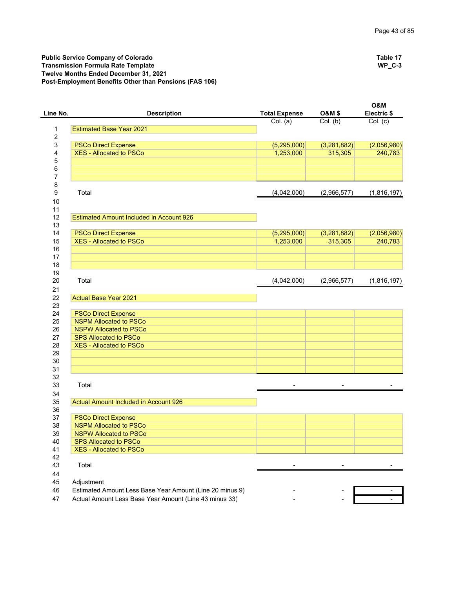Public Service Company of Colorado **Table 17**<br>
Transmission Formula Rate Template **Transmission Formula Rate Template Transmission Formula Rate Template Twelve Months Ended December 31, 2021 Post-Employment Benefits Other than Pensions (FAS 106)**

| Line No. | <b>Description</b>                                           | <b>Total Expense</b>     | <b>O&amp;M \$</b>      | <b>O&amp;M</b><br>Electric \$ |
|----------|--------------------------------------------------------------|--------------------------|------------------------|-------------------------------|
|          |                                                              | Col. (a)                 | Col. (b)               | $\overline{Col.}$ (c)         |
| 1        | <b>Estimated Base Year 2021</b>                              |                          |                        |                               |
| 2        |                                                              |                          |                        |                               |
| 3        | <b>PSCo Direct Expense</b>                                   | (5,295,000)              | (3,281,882)            | (2,056,980)                   |
| 4        | <b>XES - Allocated to PSCo</b>                               | 1,253,000                | 315,305                | 240,783                       |
| 5        |                                                              |                          |                        |                               |
| 6        |                                                              |                          |                        |                               |
| 7        |                                                              |                          |                        |                               |
| 8        |                                                              |                          |                        |                               |
| 9        | Total                                                        | (4,042,000)              | (2,966,577)            | (1,816,197)                   |
| 10       |                                                              |                          |                        |                               |
| 11       |                                                              |                          |                        |                               |
| 12<br>13 | <b>Estimated Amount Included in Account 926</b>              |                          |                        |                               |
| 14       |                                                              |                          |                        |                               |
| 15       | <b>PSCo Direct Expense</b><br><b>XES - Allocated to PSCo</b> | (5,295,000)<br>1,253,000 | (3,281,882)<br>315,305 | (2,056,980)<br>240,783        |
| 16       |                                                              |                          |                        |                               |
| 17       |                                                              |                          |                        |                               |
| 18       |                                                              |                          |                        |                               |
| 19       |                                                              |                          |                        |                               |
| 20       | Total                                                        | (4,042,000)              | (2,966,577)            | (1,816,197)                   |
| 21       |                                                              |                          |                        |                               |
| 22       | <b>Actual Base Year 2021</b>                                 |                          |                        |                               |
| 23       |                                                              |                          |                        |                               |
| 24       | <b>PSCo Direct Expense</b>                                   |                          |                        |                               |
| 25       | <b>NSPM Allocated to PSCo</b>                                |                          |                        |                               |
| 26       | <b>NSPW Allocated to PSCo</b>                                |                          |                        |                               |
| 27       | <b>SPS Allocated to PSCo</b>                                 |                          |                        |                               |
| 28       | <b>XES - Allocated to PSCo</b>                               |                          |                        |                               |
| 29       |                                                              |                          |                        |                               |
| 30       |                                                              |                          |                        |                               |
| 31       |                                                              |                          |                        |                               |
| 32       |                                                              |                          |                        |                               |
| 33       | Total                                                        |                          |                        |                               |
| 34       |                                                              |                          |                        |                               |
| 35       | <b>Actual Amount Included in Account 926</b>                 |                          |                        |                               |
| 36       |                                                              |                          |                        |                               |
| 37       | <b>PSCo Direct Expense</b>                                   |                          |                        |                               |
| 38       | <b>NSPM Allocated to PSCo</b>                                |                          |                        |                               |
| 39       | <b>NSPW Allocated to PSCo</b>                                |                          |                        |                               |
| 40       | <b>SPS Allocated to PSCo</b>                                 |                          |                        |                               |
| 41       | <b>XES - Allocated to PSCo</b>                               |                          |                        |                               |
| 42       |                                                              |                          |                        |                               |
| 43       | Total                                                        |                          |                        |                               |
| 44       |                                                              |                          |                        |                               |
| 45       | Adjustment                                                   |                          |                        |                               |
| 46       | Estimated Amount Less Base Year Amount (Line 20 minus 9)     |                          |                        |                               |
| 47       | Actual Amount Less Base Year Amount (Line 43 minus 33)       |                          |                        |                               |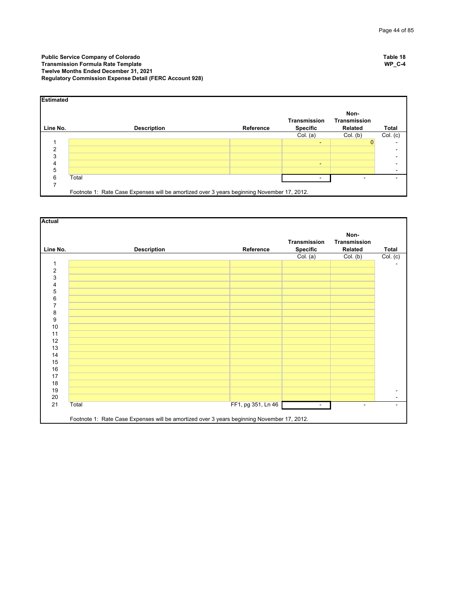| <b>Estimated</b> |                                                                                            |           |                                        |                                        |              |
|------------------|--------------------------------------------------------------------------------------------|-----------|----------------------------------------|----------------------------------------|--------------|
| Line No.         | <b>Description</b>                                                                         | Reference | <b>Transmission</b><br><b>Specific</b> | Non-<br><b>Transmission</b><br>Related | <b>Total</b> |
|                  |                                                                                            |           | Col. (a)                               | Col. (b)                               | Col. (c)     |
|                  |                                                                                            |           | ٠                                      | $\Omega$                               |              |
| ◠                |                                                                                            |           |                                        |                                        |              |
| 3                |                                                                                            |           |                                        |                                        |              |
| 4                |                                                                                            |           | $\sim$                                 |                                        |              |
| 5                |                                                                                            |           |                                        |                                        |              |
| 6                | Total                                                                                      |           |                                        |                                        |              |
|                  |                                                                                            |           |                                        |                                        |              |
|                  | Footnote 1: Rate Case Expenses will be amortized over 3 years beginning November 17, 2012. |           |                                        |                                        |              |

| Line No.       | <b>Description</b> | Reference          | Transmission<br>Specific | Non-<br>Transmission<br>Related | Total                                      |
|----------------|--------------------|--------------------|--------------------------|---------------------------------|--------------------------------------------|
|                |                    |                    | Col. (a)                 | Col. (b)                        | Col. (c)                                   |
| 1              |                    |                    |                          |                                 |                                            |
| $\mathbf 2$    |                    |                    |                          |                                 |                                            |
| 3              |                    |                    |                          |                                 |                                            |
| 4              |                    |                    |                          |                                 |                                            |
| 5              |                    |                    |                          |                                 |                                            |
| 6              |                    |                    |                          |                                 |                                            |
| $\overline{7}$ |                    |                    |                          |                                 |                                            |
| 8              |                    |                    |                          |                                 |                                            |
| 9              |                    |                    |                          |                                 |                                            |
| 10             |                    |                    |                          |                                 |                                            |
| 11             |                    |                    |                          |                                 |                                            |
| 12             |                    |                    |                          |                                 |                                            |
| 13             |                    |                    |                          |                                 |                                            |
| 14             |                    |                    |                          |                                 |                                            |
| 15             |                    |                    |                          |                                 |                                            |
| 16<br>17       |                    |                    |                          |                                 |                                            |
| 18             |                    |                    |                          |                                 |                                            |
| 19             |                    |                    |                          |                                 |                                            |
| 20             |                    |                    |                          |                                 | $\blacksquare$<br>$\overline{\phantom{0}}$ |
| 21<br>Total    |                    | FF1, pg 351, Ln 46 | $\blacksquare$           |                                 | $\blacksquare$                             |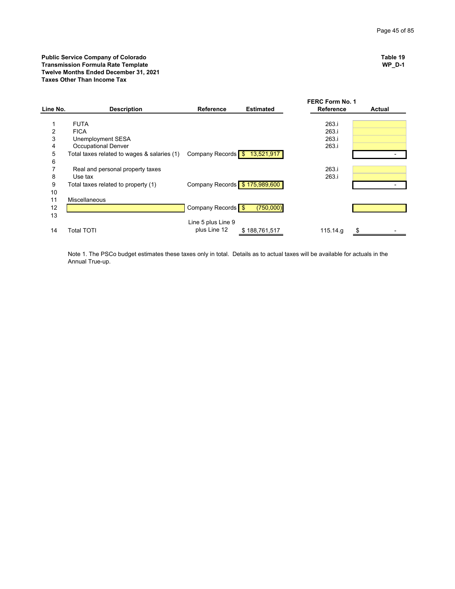|                |                                             |                               |                  | <b>FERC Form No. 1</b> |        |
|----------------|---------------------------------------------|-------------------------------|------------------|------------------------|--------|
| Line No.       | <b>Description</b>                          | <b>Reference</b>              | <b>Estimated</b> | <b>Reference</b>       | Actual |
|                |                                             |                               |                  |                        |        |
|                | <b>FUTA</b>                                 |                               |                  | 263.i                  |        |
| $\overline{2}$ | <b>FICA</b>                                 |                               |                  | 263.i                  |        |
| 3              | Unemployment SESA                           |                               |                  | 263.i                  |        |
| 4              | <b>Occupational Denver</b>                  |                               |                  | 263.i                  |        |
| 5              | Total taxes related to wages & salaries (1) | Company Records \$ 13,521,917 |                  |                        |        |
| 6              |                                             |                               |                  |                        |        |
|                | Real and personal property taxes            |                               |                  | 263.i                  |        |
| 8              | Use tax                                     |                               |                  | 263.i                  |        |
| 9              | Total taxes related to property (1)         | Company Records \$175,989,600 |                  |                        |        |
| 10             |                                             |                               |                  |                        |        |
| 11             | <b>Miscellaneous</b>                        |                               |                  |                        |        |
| 12             |                                             | Company Records \$            | (750,000)        |                        |        |
| 13             |                                             |                               |                  |                        |        |
|                |                                             | Line 5 plus Line 9            |                  |                        |        |
| 14             | Total TOTI                                  | plus Line 12                  | \$188,761,517    | 115.14.g               |        |
|                |                                             |                               |                  |                        |        |

Note 1. The PSCo budget estimates these taxes only in total. Details as to actual taxes will be available for actuals in the Annual True-up.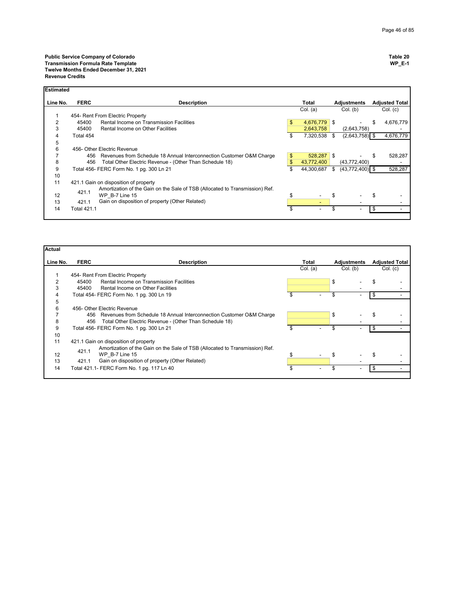| <b>Estimated</b> |             |                                                                              |               |               |                   |    |                       |
|------------------|-------------|------------------------------------------------------------------------------|---------------|---------------|-------------------|----|-----------------------|
| Line No.         | <b>FERC</b> | <b>Description</b>                                                           |               | Total         | Adjustments       |    | <b>Adjusted Total</b> |
|                  |             |                                                                              |               | Col. (a)      | Col. (b)          |    | Col. (c)              |
|                  |             | 454- Rent From Electric Property                                             |               |               |                   |    |                       |
| 2                | 45400       | Rental Income on Transmission Facilities                                     | \$            | 4,676,779 \$  |                   | S  | 4,676,779             |
| 3                | 45400       | Rental Income on Other Facilities                                            |               | 2,643,758     | (2,643,758)       |    |                       |
| 4                | Total 454   |                                                                              | \$            | 7,320,538 \$  | $(2,643,758)$ \$  |    | 4,676,779             |
| 5                |             |                                                                              |               |               |                   |    |                       |
| 6                |             | 456- Other Electric Revenue                                                  |               |               |                   |    |                       |
|                  |             | 456 Revenues from Schedule 18 Annual Interconnection Customer O&M Charge     | \$            | $528,287$ \$  |                   |    | 528,287               |
| 8                | 456         | Total Other Electric Revenue - (Other Than Schedule 18)                      | $\mathsf{\$}$ | 43.772.400    | (43,772,400)      |    |                       |
| 9                |             | Total 456- FERC Form No. 1 pg. 300 Ln 21                                     | \$            | 44,300,687 \$ | $(43,772,400)$ \$ |    | 528,287               |
| 10               |             |                                                                              |               |               |                   |    |                       |
| 11               |             | 421.1 Gain on disposition of property                                        |               |               |                   |    |                       |
|                  |             | Amortization of the Gain on the Sale of TSB (Allocated to Transmission) Ref. |               |               |                   |    |                       |
| 12               | 421.1       | WP B-7 Line 15                                                               | \$            |               |                   | \$ |                       |
| 13               | 421.1       | Gain on disposition of property (Other Related)                              |               | ٠             |                   |    |                       |
| 14               | Total 421.1 |                                                                              |               |               |                   |    |                       |
|                  |             |                                                                              |               |               |                   |    |                       |

| Actual   |             |                                                                              |          |             |                       |
|----------|-------------|------------------------------------------------------------------------------|----------|-------------|-----------------------|
| Line No. | <b>FERC</b> | <b>Description</b>                                                           | Total    | Adjustments | <b>Adjusted Total</b> |
|          |             |                                                                              | Col. (a) | Col. (b)    | Col. (c)              |
|          |             | 454- Rent From Electric Property                                             |          |             |                       |
|          | 45400       | Rental Income on Transmission Facilities                                     |          | \$          |                       |
| 3        | 45400       | Rental Income on Other Facilities                                            |          |             |                       |
| 4        |             | Total 454- FERC Form No. 1 pg. 300 Ln 19                                     |          |             | \$                    |
| 5        |             |                                                                              |          |             |                       |
| 6        |             | 456- Other Electric Revenue                                                  |          |             |                       |
|          |             | 456 Revenues from Schedule 18 Annual Interconnection Customer O&M Charge     |          | \$          |                       |
| 8        | 456         | Total Other Electric Revenue - (Other Than Schedule 18)                      |          |             |                       |
| 9        |             | Total 456- FERC Form No. 1 pg. 300 Ln 21                                     |          |             |                       |
| 10       |             |                                                                              |          |             |                       |
| 11       |             | 421.1 Gain on disposition of property                                        |          |             |                       |
|          |             | Amortization of the Gain on the Sale of TSB (Allocated to Transmission) Ref. |          |             |                       |
| 12       | 421.1       | WP B-7 Line 15                                                               | \$       | \$          |                       |
| 13       | 421.1       | Gain on disposition of property (Other Related)                              |          |             |                       |
| 14       |             | Total 421.1- FERC Form No. 1 pg. 117 Ln 40                                   |          |             |                       |
|          |             |                                                                              |          |             |                       |

Ĕ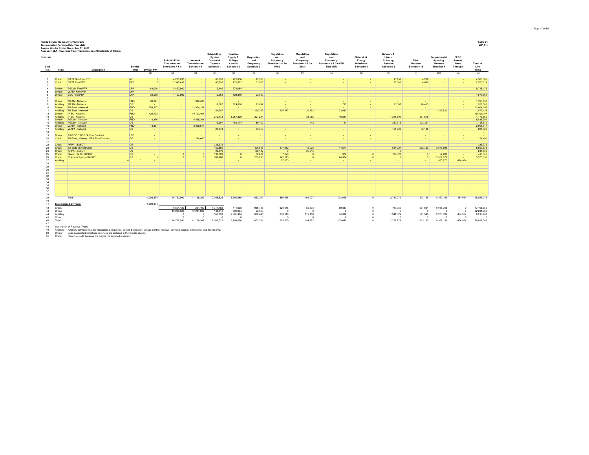| <b>Public Service Company of Colorado</b> |  |  |  |  |
|-------------------------------------------|--|--|--|--|
|                                           |  |  |  |  |

Public Service Company of Colorado<br>Transmission Formula Rate Template<br>Account Service of State Template<br>Account 455.4 Revenues trom Transmission of Electricity of Others Wind First Company of Discussion Service of Discuss

| Estimate<br>Line           |                                | Account 456.1- Revenues from Transmission of Electricity of Others<br><b>Description</b>                                                                                                                                                                                                                                       | Service                  |                      | Point-to-Point<br>Transmission<br>Schedules 7 & 8 | Network<br>Transmission<br>Schedule 9 | Scheduling,<br>System<br>Control &<br>Dispatch<br>Schedule 1 | Reactive<br>Supply &<br>Voltage<br>Control<br>Schedule 2 | Regulation<br>and<br>Frequency<br>Schedule 3 | Regulation<br>and<br>Frequency<br>Schedule 3 & 3A<br>Wind | Regulation<br>and<br>Frequency<br>Schedule 3 & 3A<br>Solar | Regulation<br>and<br>Frequency<br>Schedule 3 & 3A-VER<br>Non-VER | Network &<br>Energy<br>Imbalance<br>Schedule 4 | Network &<br>Interco.<br>Spinning<br>Reserve<br>Schedule 5 | Flex<br>Reserve<br>Schedule 16 | Supplemental<br>Spinning<br>Reserve<br>Schedule 6 | <b>FERC</b><br>Assess<br>Pass<br>Through | Total of<br>Line<br><b>Items</b> |
|----------------------------|--------------------------------|--------------------------------------------------------------------------------------------------------------------------------------------------------------------------------------------------------------------------------------------------------------------------------------------------------------------------------|--------------------------|----------------------|---------------------------------------------------|---------------------------------------|--------------------------------------------------------------|----------------------------------------------------------|----------------------------------------------|-----------------------------------------------------------|------------------------------------------------------------|------------------------------------------------------------------|------------------------------------------------|------------------------------------------------------------|--------------------------------|---------------------------------------------------|------------------------------------------|----------------------------------|
| No.                        | Type                           |                                                                                                                                                                                                                                                                                                                                | Type                     | Divisor kW<br>(a)    | (b)                                               | (c)                                   | (d)                                                          | (e)                                                      | (f)                                          | (g)                                                       | (h)                                                        | (i)                                                              | (i)                                            | (k)                                                        | (1)                            | (m)                                               | (n)                                      | (0)                              |
|                            | Credit                         | OATT Non-Firm PTP                                                                                                                                                                                                                                                                                                              | <b>NF</b>                |                      |                                                   |                                       |                                                              |                                                          |                                              |                                                           |                                                            |                                                                  |                                                |                                                            |                                |                                                   |                                          |                                  |
|                            | Credit                         | OATT Firm PTP                                                                                                                                                                                                                                                                                                                  | <b>SFP</b>               | $\Omega$<br>$\Omega$ | 4,205,937<br>2,348,493                            | $\sim$<br>$\sim$                      | 45,753<br>45,253                                             | 221,836<br>222,862                                       | 15,590<br>61,986                             | ٠<br>$\sim$                                               | $\sim$                                                     | $\sim$<br>$\sim$                                                 | $\sim$<br>$\sim$                               | 15,151<br>20,545                                           | 4,238<br>4,680                 | $\sim$<br>$\sim$                                  | ٠.<br>$\sim$                             | 4,508,505<br>2,703,819           |
|                            |                                |                                                                                                                                                                                                                                                                                                                                |                          |                      |                                                   |                                       |                                                              |                                                          |                                              |                                                           |                                                            |                                                                  |                                                |                                                            |                                |                                                   |                                          |                                  |
| $\overline{4}$             | <b>Divisor</b>                 | <b>PSCoM Firm PTP</b>                                                                                                                                                                                                                                                                                                          | LFP                      | 188,000              | 8,820,960                                         | $\sim$                                | 119,449                                                      | 776,064                                                  | <b>Contract</b>                              | $\sim$                                                    | $\sim$                                                     | $\sim$                                                           | $\sim$                                         | $\sim$                                                     | - 1                            | $\sim$                                            | ٠.                                       | 9,716,473                        |
|                            | <b>Divisor</b>                 | <b>WAPA Firm PTP</b>                                                                                                                                                                                                                                                                                                           | LFP                      |                      |                                                   | $\sim$                                |                                                              |                                                          | - 1                                          | $\sim$                                                    | $\sim$                                                     | $\sim$                                                           | $\sim$                                         | $\sim$                                                     | $\sim$                         | $\sim$                                            | $\sim$                                   |                                  |
| в                          | <b>Divisor</b>                 | <b>CSU Firm PTP</b>                                                                                                                                                                                                                                                                                                            | LFP                      | 30,000               | 1.407.600                                         | $\sim$                                | 19,061                                                       | 123,840                                                  | 23,060                                       | $\sim$                                                    | $\sim$                                                     | $\sim$                                                           | $\sim$                                         | $\sim$                                                     | <b><i><u>ALCO</u></i></b>      | $\sim$                                            | $\sim$                                   | 1,573,561                        |
| 8                          | <b>Divisor</b>                 | <b>MEAN - Network</b>                                                                                                                                                                                                                                                                                                          | FNO                      | 30,041               | $\sim$                                            | 1,390,437                             | $\sim$                                                       | <b>Security</b>                                          | $\sim$                                       | <b>Contract</b>                                           | <b><i><u>ALCO</u></i></b>                                  | $\sim$                                                           | <b>CONTINUES</b>                               | <b>COL</b>                                                 | $\sim$                         | $\sim$                                            | . .                                      | 1.390.437                        |
|                            | Ancillary                      | <b>MEAN - Network</b>                                                                                                                                                                                                                                                                                                          | <b>os</b>                |                      | <b>.</b>                                          |                                       | 19,087                                                       | 124,010                                                  | 23,092                                       | $\sim$                                                    | $\sim$                                                     | 297                                                              | $\sim$                                         | 95,387                                                     | 26,433                         | $\sim$                                            | $\sim$                                   | 288,306                          |
| 10                         | Divisor                        | Tri-State - Network                                                                                                                                                                                                                                                                                                            | <b>FNO</b>               | 259,357              | . .                                               | 12,004,197                            | . .                                                          |                                                          | . .                                          | $\sim$                                                    |                                                            | $\sim$                                                           | $\sim$                                         |                                                            |                                | $\sim$                                            | $\sim$                                   | 12,004,197                       |
| 11                         | Ancillary                      | Tri-State - Network                                                                                                                                                                                                                                                                                                            | <b>los</b>               |                      | <b>.</b>                                          |                                       | 164,787                                                      | $\sim$                                                   | 199,359                                      | 135,377                                                   | 29,762                                                     | 23,633                                                           | $\sim$                                         | $\sim$                                                     | - 1                            | 1,319,520                                         | - 1                                      | 1,872,438                        |
| 12                         | Divisor                        | <b>IREA - Network</b>                                                                                                                                                                                                                                                                                                          | <b>FNO</b>               | 425,703              | <b>COL</b>                                        | 19,703,407                            | . .                                                          | $\sim$                                                   | . .                                          | $\sim$                                                    |                                                            |                                                                  | <b>Section</b>                                 |                                                            | ٠.                             | . .                                               | . .                                      | 19,703,407                       |
| 13                         | Ancillary                      | <b>IREA - Network</b>                                                                                                                                                                                                                                                                                                          | <b>los</b>               |                      | . .                                               |                                       | 270,478                                                      | 1,757,300                                                | 327,224                                      | $\sim$                                                    | 81,955                                                     | 10.341                                                           | $\sim$                                         | 1,351,691                                                  | 374.576                        | $\sim$                                            | - 1                                      | 4,173,565                        |
| 14                         | <b>Divisor</b>                 | <b>PSCoM - Network</b>                                                                                                                                                                                                                                                                                                         | <b>FNO</b>               | 116,376              | . .                                               | 5,835,304                             | . .                                                          | $\sim$                                                   | . .                                          | $\sim$                                                    |                                                            |                                                                  | $\sim$                                         |                                                            | $\sim$                         | $\sim$                                            | $\sim$                                   | 5,835,304                        |
| 15                         | Ancillary                      | PSCoM - Network                                                                                                                                                                                                                                                                                                                | <b>os</b>                |                      | . .                                               |                                       | 73,907                                                       | 480,174                                                  | 89,412                                       | $\sim$                                                    | 442                                                        | 41                                                               | $\sim$                                         | 369,343                                                    | 102,351                        | $\sim$                                            | $\sim$                                   | 1,115,670                        |
| 16<br>17                   | <b>Divisor</b>                 | <b>WAPA - Network</b><br><b>WAPA - Network</b>                                                                                                                                                                                                                                                                                 | <b>FNO</b><br><b>los</b> | 43,397               | <b>COL</b>                                        | 2,008,617                             | . .                                                          | $\sim$                                                   | $\sim$<br>33,358                             | 14.15                                                     | $\sim$                                                     | $\sim$                                                           | $\sim$                                         | 124.909                                                    | . .                            | $\sim$                                            | - 1                                      | 2.008.617                        |
| 18                         | Ancillary                      |                                                                                                                                                                                                                                                                                                                                |                          | $\sim$               | . .                                               | $\sim$                                | 27,574                                                       | <b><i><u>ALCO</u></i></b>                                |                                              | $\sim$                                                    | $\sim$                                                     | $\sim$                                                           | $\sim$                                         |                                                            | 38,185                         | $\sim$                                            | <b>Card</b>                              | 224,026                          |
| 19                         | <b>Divisor</b>                 | PACIFICORP GFA Firm Contract                                                                                                                                                                                                                                                                                                   | LFP                      | $\sim$               | $\sim$                                            |                                       | $\sim$                                                       | $\sim$                                                   | $\sim$                                       | $\sim$                                                    | ۰.                                                         | $\sim$                                                           | $\sim$                                         | ٠                                                          | ٠                              | $\sim$                                            | $\sim$                                   |                                  |
| 20                         | Credit                         | Tri-State, Midway - GFA Firm Contract                                                                                                                                                                                                                                                                                          | <b>os</b>                | $\sim$               | <b>COL</b>                                        | 224,400                               | $\sim$                                                       | <b>Section</b>                                           | - 1                                          | $\sim$                                                    | <b>COL</b>                                                 | $\sim$                                                           | $\sim$                                         | $\sim$                                                     | - 1                            | $\sim$                                            | <b>COL</b>                               | 224,400                          |
| 21                         |                                |                                                                                                                                                                                                                                                                                                                                |                          |                      |                                                   |                                       |                                                              |                                                          |                                              |                                                           |                                                            |                                                                  |                                                |                                                            |                                |                                                   |                                          |                                  |
| 22                         | Credit                         | <b>PRPA - BASOT</b>                                                                                                                                                                                                                                                                                                            | <b>los</b><br><b>los</b> | $\sim$               | . .                                               | $\sim$                                | 336.375                                                      | $\sim$                                                   | $\sim$                                       | - 1                                                       | - 1                                                        |                                                                  | $\sim$                                         | $\sim$                                                     | $\sim$                         | $\sim$                                            | $\sim$                                   | 336.375                          |
| 23                         | Credit                         | Tri-State (376) BASOT                                                                                                                                                                                                                                                                                                          |                          | $\sim$               | $\sim$                                            | $\sim$                                | 150,555                                                      | $\sim$                                                   | 406.946                                      | 377,212                                                   | 45.923                                                     | 44.577                                                           | $\sim$                                         | 634,927                                                    | 262,703                        | 3,676,690                                         | $\sim$                                   | 5.599.533                        |
| 24                         | Credit<br>Credit               | <b>ARPA - BASOT</b><br><b>Black Hills CE BASOT</b>                                                                                                                                                                                                                                                                             | los<br>los               | $\sim$<br>$\sim$     | . .<br>$\Omega$                                   | $\sim$<br>$\circ$                     | 25,479<br>197.799                                            | <b>Service</b><br>$\overline{0}$                         | 182,142<br>30,824                            | $\sqrt{2}$<br>7.020                                       | 36,915<br>$\Omega$                                         | 376                                                              | $\sim$<br>$\Omega$                             | 127,327                                                    |                                | 52,200                                            | - 1<br>- 1                               | 244,536<br>415,546               |
| 25<br>26                   | Credit                         | Colorado Springs BASOT                                                                                                                                                                                                                                                                                                         | <b>los</b>               | $\Omega$             | $\overline{0}$                                    | $\circ$                               | 509,968                                                      | $\overline{0}$                                           | 239,298                                      | 242,113                                                   | $\circ$                                                    | 24,384                                                           | $\Omega$                                       | $\Omega$                                                   |                                | 2,359,873                                         | <b>Card</b>                              | 3,375,636                        |
| 27                         | Ancillary                      |                                                                                                                                                                                                                                                                                                                                | 0                        |                      |                                                   | $\sim$                                | $\sim$                                                       |                                                          | $\sim$                                       | 97,863                                                    | $\sim$                                                     |                                                                  | $\sim$                                         | ÷                                                          | $\sim$                         | 953,870                                           | 484,964                                  |                                  |
| 28                         |                                |                                                                                                                                                                                                                                                                                                                                |                          |                      |                                                   |                                       |                                                              |                                                          |                                              |                                                           |                                                            |                                                                  |                                                |                                                            |                                |                                                   |                                          |                                  |
| 29                         |                                |                                                                                                                                                                                                                                                                                                                                |                          |                      |                                                   |                                       |                                                              |                                                          |                                              |                                                           |                                                            |                                                                  |                                                |                                                            |                                |                                                   |                                          |                                  |
| 30                         |                                |                                                                                                                                                                                                                                                                                                                                |                          |                      |                                                   |                                       |                                                              |                                                          |                                              |                                                           |                                                            |                                                                  |                                                |                                                            |                                |                                                   |                                          |                                  |
| 31                         |                                |                                                                                                                                                                                                                                                                                                                                |                          |                      |                                                   |                                       |                                                              |                                                          |                                              |                                                           |                                                            |                                                                  |                                                |                                                            |                                |                                                   |                                          |                                  |
| 32                         |                                |                                                                                                                                                                                                                                                                                                                                |                          |                      |                                                   |                                       |                                                              |                                                          |                                              |                                                           |                                                            |                                                                  |                                                |                                                            |                                |                                                   |                                          |                                  |
| 33                         |                                |                                                                                                                                                                                                                                                                                                                                |                          |                      |                                                   |                                       |                                                              |                                                          |                                              |                                                           |                                                            |                                                                  |                                                |                                                            |                                |                                                   |                                          |                                  |
| 34<br>35                   |                                |                                                                                                                                                                                                                                                                                                                                |                          |                      |                                                   |                                       |                                                              |                                                          |                                              |                                                           |                                                            |                                                                  |                                                |                                                            |                                |                                                   |                                          |                                  |
| 36                         |                                |                                                                                                                                                                                                                                                                                                                                |                          |                      |                                                   |                                       |                                                              |                                                          |                                              |                                                           |                                                            |                                                                  |                                                |                                                            |                                |                                                   |                                          |                                  |
| 37                         |                                |                                                                                                                                                                                                                                                                                                                                |                          |                      |                                                   |                                       |                                                              |                                                          |                                              |                                                           |                                                            |                                                                  |                                                |                                                            |                                |                                                   |                                          |                                  |
| 38<br>39                   |                                |                                                                                                                                                                                                                                                                                                                                |                          |                      |                                                   |                                       |                                                              |                                                          |                                              |                                                           |                                                            |                                                                  |                                                |                                                            |                                |                                                   |                                          |                                  |
| 40                         |                                | Total                                                                                                                                                                                                                                                                                                                          |                          | 1,092,874            | 16.782.990                                        | 41,166,362                            | 2,005,525                                                    | 3,706,086                                                | 1,632,291                                    | 859,585                                                   | 194,997                                                    | 103,649                                                          | $\Omega$                                       | 2,739,279                                                  | 813,166                        | 8,362,153                                         | 484,964                                  | 78,851,048                       |
| 41                         |                                | Summarized by Type:                                                                                                                                                                                                                                                                                                            |                          | 1,092,874            |                                                   |                                       |                                                              |                                                          |                                              |                                                           |                                                            |                                                                  |                                                |                                                            |                                |                                                   |                                          |                                  |
| 42                         | Credit                         |                                                                                                                                                                                                                                                                                                                                |                          |                      | 6,554,430                                         | 224,400                               | 1.311.182                                                    | 444,698                                                  | 936,786                                      | 626,345                                                   | 82,838                                                     | 69,337                                                           | $\Omega$                                       | 797,950                                                    | 271,621                        | 6,088,763                                         | $\Omega$                                 | 17,408,350                       |
| 43                         | Divisor                        |                                                                                                                                                                                                                                                                                                                                |                          |                      | 10,228,560                                        | 40,941,962                            | 138,510                                                      | 899,904                                                  | 23,060                                       | $\sqrt{2}$                                                | $\circ$                                                    |                                                                  |                                                |                                                            |                                | $\Omega$                                          | $\Omega$                                 | 52,231,996                       |
| 44                         | Ancillary                      |                                                                                                                                                                                                                                                                                                                                |                          |                      | $\Omega$                                          | $\circ$                               | 555,833                                                      | 2,361,484                                                | 672,445                                      | 233,240                                                   | 112,159                                                    | 34,312                                                           | $\Omega$                                       | 1,941,329                                                  | 541,545                        | 2,273,390                                         | 484,964                                  | 9,210,702                        |
| 45                         | Other                          |                                                                                                                                                                                                                                                                                                                                |                          |                      | $\sim$                                            | $\Omega$                              | $\sqrt{2}$                                                   | $\Omega$                                                 | $\sqrt{2}$                                   |                                                           | $\sqrt{2}$                                                 |                                                                  | $\sim$                                         |                                                            |                                | $\sqrt{2}$                                        |                                          | $\sim$                           |
| 46                         | Total                          |                                                                                                                                                                                                                                                                                                                                |                          |                      | 16,782,990                                        | 41,166,362                            | 2.005.525                                                    | 3,706,086                                                | 1.632.291                                    | 859.585                                                   | 194,997                                                    | 103.649                                                          | $\Omega$                                       | 2.739.279                                                  | 813,166                        | 8,362,153                                         | 484.964                                  | 78.851.048                       |
| 47<br>48<br>49<br>50<br>51 | Ancillary<br>Divisor<br>Credit | Description of Revenue Types:<br>Ancillary services includes regulation & frequency, control & dispatch, voltage control, reactive, spinning reserve, scheduling, and flex reserve.<br>Load associated with these revenues are included in the formula divisor.<br>Revenue credit because the load is not included in divisor. |                          |                      |                                                   |                                       |                                                              |                                                          |                                              |                                                           |                                                            |                                                                  |                                                |                                                            |                                |                                                   |                                          |                                  |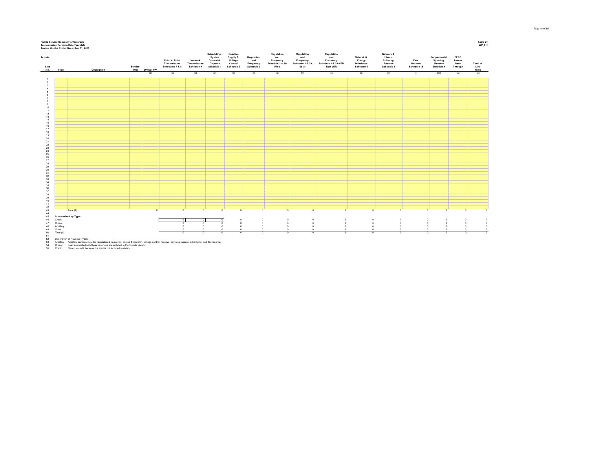

52 – Description of Revenue Types:<br>53 – Ancillary – Load associated with these regulation & frequency, control & dispatch, voltage control, reactive, spinning reserve, scheduling, and flex reserve.<br>54 – Divisor – Load asso

Page 48 of 85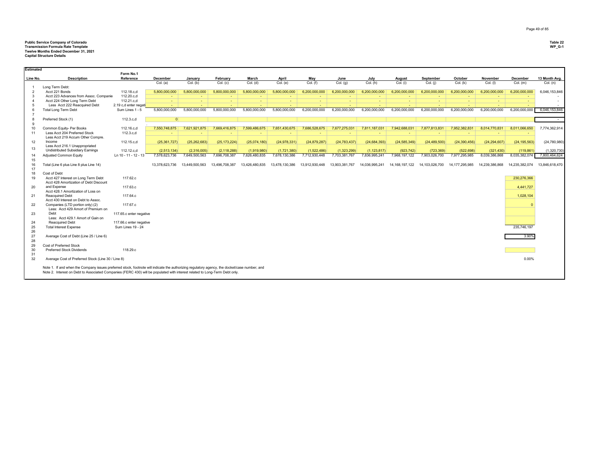## **Public Service Company of Colorado Table 22 Transmission Formula Rate Template WP\_G-1 Twelve Months Ended December 31, 2021 Capital Structure Details**

| Estimated                |                                                                                                                                                                                                                                                                              |                         |                |                |                         |                |                |                |                |                |                |                |                          |                |                |                |
|--------------------------|------------------------------------------------------------------------------------------------------------------------------------------------------------------------------------------------------------------------------------------------------------------------------|-------------------------|----------------|----------------|-------------------------|----------------|----------------|----------------|----------------|----------------|----------------|----------------|--------------------------|----------------|----------------|----------------|
|                          |                                                                                                                                                                                                                                                                              | Form No.1               |                |                |                         |                |                |                |                |                |                |                |                          |                |                |                |
| Line No.                 | <b>Description</b>                                                                                                                                                                                                                                                           | Reference               | December       | January        | February                | March          | April          | May            | June           | July           | August         | September      | October                  | November       | December       | 13 Month Avg.  |
|                          |                                                                                                                                                                                                                                                                              |                         | Col. (a)       | Col. (b)       | Col. (c)                | Col. (d)       | Col. (e)       | Col. (f)       | Col. (g)       | Col. (h)       | Col. (i)       | Col. (i)       | Col. (k)                 | Col. (I)       | Col. (m)       | Col. (n)       |
| $\overline{\phantom{0}}$ | Long Term Debt:<br>Acct 221 Bonds                                                                                                                                                                                                                                            | 112.18.c,d              | 5,800,000,000  | 5,800,000,000  | 5,800,000,000           | 5,800,000,000  | 5,800,000,000  | 6,200,000,000  | 6,200,000,000  | 6,200,000,000  | 6,200,000,000  | 6.200.000.000  | 6.200.000.000            | 6,200,000,000  | 6,200,000,000  | 6,046,153,846  |
| 3                        | Acct 223 Advances from Assoc. Companie                                                                                                                                                                                                                                       | 112.20.c,d              | $\sim$         | $\sim$         | $\sim$                  | $\sim$         |                |                | $\sim$         | $\sim$         | $\sim$         | $\sim$         | $\overline{\phantom{a}}$ |                |                |                |
| $\Delta$                 | Acct 224 Other Long Term Debt                                                                                                                                                                                                                                                | 112.21.c,d              | <b>Section</b> | <b>Section</b> | <b>Section</b>          | $\sim$         | $\sim$         | A.             | $\sim$         | <b>Section</b> | $\sim$         | <b>Section</b> | $\sim$                   | <b>COL</b>     | $\sim$         | $\sim$         |
| $\overline{5}$           | Less Acct 222 Reacquired Debt                                                                                                                                                                                                                                                | 2.19 c,d enter negati   | $\sim$         | ٠              |                         |                |                |                |                |                |                | $\sim$         |                          |                |                |                |
|                          | <b>Total Long Term Debt</b>                                                                                                                                                                                                                                                  | Sum Lines 1 - 5         | 5.800.000.000  | 5.800.000.000  | $\sim$<br>5.800.000.000 | 5,800,000,000  | 5,800,000,000  | 6.200.000.000  | 6.200.000.000  | 6.200.000.000  | 6.200.000.000  | 6.200.000.000  | 6.200.000.000            | 6.200.000.000  | 6.200.000.000  | 6.046.153.846  |
|                          |                                                                                                                                                                                                                                                                              |                         |                |                |                         |                |                |                |                |                |                |                |                          |                |                |                |
|                          |                                                                                                                                                                                                                                                                              |                         | 0              |                |                         |                |                |                |                |                |                |                |                          |                |                |                |
|                          | Preferred Stock (1)                                                                                                                                                                                                                                                          | 112.3.c,d               |                |                |                         |                |                |                |                |                |                |                |                          |                |                | $\sim$         |
| $\mathbf{Q}$             |                                                                                                                                                                                                                                                                              |                         |                |                |                         |                |                |                |                |                |                |                |                          |                |                |                |
| 10<br>11                 | Common Equity- Per Books                                                                                                                                                                                                                                                     | 112.16.c,d              | 7,550,748,875  | 7,621,921,875  | 7,669,416,875           | 7,599,486,675  | 7,651,430,675  | 7,686,528,675  | 7,677,275,031  | 7,811,187,031  | 7,942,688,031  | 7,877,813,831  | 7,952,382,831            | 8,014,770,831  | 8,011,066,650  | 7,774,362,914  |
|                          | Less Acct 204 Preferred Stock<br>Less Acct 219 Accum Other Compre.                                                                                                                                                                                                           | 112.3.c,d               | $\sim$         | $\sim$         | $\sim$                  | $\sim$         |                |                | $\sim$         | ٠              | $\sim$         | <b>.</b>       | $\sim$                   |                | $\sim$         |                |
|                          |                                                                                                                                                                                                                                                                              | 112.15.c,d              | (25, 361, 727) | (25, 262, 683) | (25, 173, 224)          | (25,074,180)   | (24, 978, 331) | (24, 879, 287) | (24, 783, 437) | (24, 684, 393) | (24, 585, 349) | (24, 489, 500) | (24, 390, 456)           | (24, 294, 607) | (24, 195, 563) |                |
| 12                       | Income<br>Less Acct 216.1 Unappropriated                                                                                                                                                                                                                                     |                         |                |                |                         |                |                |                |                |                |                |                |                          |                |                | (24, 780, 980) |
| 13                       | Undistributed Subsidiary Earnings                                                                                                                                                                                                                                            | 112.12.c.d              | (2,513,134)    | (2,316,005)    | (2, 118, 288)           | (1,919,980)    | (1,721,380)    | (1,522,486)    | (1,323,299)    | (1, 123, 817)  | (923, 742)     | (723, 369)     | (522, 698)               | (321, 430)     | (119, 861)     | (1,320,730)    |
|                          | <b>Adjusted Common Equity</b>                                                                                                                                                                                                                                                | Ln 10 - 11 - 12 - 13    |                |                |                         |                |                |                |                |                |                |                |                          |                |                | 7.800.464.624  |
| 14<br>15                 |                                                                                                                                                                                                                                                                              |                         | 7,578,623,736  | 7,649,500,563  | 7,696,708,387           | 7,626,480,835  | 7,678,130,386  | 7,712,930,448  | 7,703,381,767  | 7,836,995,241  | 7,968,197,122  | 7,903,026,700  | 7,977,295,985            | 8,039,386,868  | 8,035,382,074  |                |
| 16                       | Total (Line 6 plus Line 8 plus Line 14)                                                                                                                                                                                                                                      |                         | 13.378.623.736 | 13.449.500.563 | 13.496.708.387          | 13.426.480.835 | 13.478.130.386 | 13.912.930.448 | 13.903.381.767 | 14.036.995.241 | 14.168.197.122 | 14.103.026.700 | 14.177.295.985           | 14.239.386.868 | 14.235.382.074 | 13.846.618.470 |
| 17                       |                                                                                                                                                                                                                                                                              |                         |                |                |                         |                |                |                |                |                |                |                |                          |                |                |                |
| 18                       | Cost of Debt                                                                                                                                                                                                                                                                 |                         |                |                |                         |                |                |                |                |                |                |                |                          |                |                |                |
| 19                       | Acct 427 Interest on Long Term Debt                                                                                                                                                                                                                                          | 117,62.c                |                |                |                         |                |                |                |                |                |                |                |                          |                | 230.276.366    |                |
|                          | Acct 428 Amortization of Debt Discount                                                                                                                                                                                                                                       |                         |                |                |                         |                |                |                |                |                |                |                |                          |                |                |                |
| 20                       | and Expense                                                                                                                                                                                                                                                                  | 117.63.c                |                |                |                         |                |                |                |                |                |                |                |                          |                | 4,441,727      |                |
|                          | Acct 428.1 Amortization of Loss on                                                                                                                                                                                                                                           |                         |                |                |                         |                |                |                |                |                |                |                |                          |                |                |                |
| 21                       | Reacquired Debt                                                                                                                                                                                                                                                              | 117,64.c                |                |                |                         |                |                |                |                |                |                |                |                          |                | 1.028.104      |                |
|                          | Acct 430 Interest on Debt to Assoc.                                                                                                                                                                                                                                          |                         |                |                |                         |                |                |                |                |                |                |                |                          |                |                |                |
| 22                       | Companies (LTD portion only) (2)                                                                                                                                                                                                                                             | 117,67.c                |                |                |                         |                |                |                |                |                |                |                |                          |                | $\Omega$       |                |
|                          | Less: Acct 429 Amort of Premium on                                                                                                                                                                                                                                           |                         |                |                |                         |                |                |                |                |                |                |                |                          |                |                |                |
| 23                       | Debt                                                                                                                                                                                                                                                                         | 117.65.c enter negative |                |                |                         |                |                |                |                |                |                |                |                          |                |                |                |
|                          | Less: Acct 429.1 Amort of Gain on                                                                                                                                                                                                                                            |                         |                |                |                         |                |                |                |                |                |                |                |                          |                |                |                |
| 24                       | <b>Reacquired Debt</b>                                                                                                                                                                                                                                                       | 117.66.c enter negative |                |                |                         |                |                |                |                |                |                |                |                          |                |                |                |
| 25                       | <b>Total Interest Expense</b>                                                                                                                                                                                                                                                | Sum Lines 19 - 24       |                |                |                         |                |                |                |                |                |                |                |                          |                | 235,746,197    |                |
| 26                       |                                                                                                                                                                                                                                                                              |                         |                |                |                         |                |                |                |                |                |                |                |                          |                |                |                |
| 27                       | Average Cost of Debt (Line 25 / Line 6)                                                                                                                                                                                                                                      |                         |                |                |                         |                |                |                |                |                |                |                |                          |                | 3.90%          |                |
| 28                       |                                                                                                                                                                                                                                                                              |                         |                |                |                         |                |                |                |                |                |                |                |                          |                |                |                |
| 29                       | Cost of Preferred Stock                                                                                                                                                                                                                                                      |                         |                |                |                         |                |                |                |                |                |                |                |                          |                |                |                |
| 30                       | <b>Preferred Stock Dividends</b>                                                                                                                                                                                                                                             | 118,29.c                |                |                |                         |                |                |                |                |                |                |                |                          |                |                |                |
| 31                       |                                                                                                                                                                                                                                                                              |                         |                |                |                         |                |                |                |                |                |                |                |                          |                |                |                |
| 32                       | Average Cost of Preferred Stock (Line 30 / Line 8)                                                                                                                                                                                                                           |                         |                |                |                         |                |                |                |                |                |                |                |                          |                | 0.00%          |                |
|                          |                                                                                                                                                                                                                                                                              |                         |                |                |                         |                |                |                |                |                |                |                |                          |                |                |                |
|                          | Note 1. If and when the Company issues preferred stock, footnote will indicate the authorizing regulatory agency, the docket/case number, and<br>Note 2. Interest on Debt to Associated Companies (FERC 430) will be populated with interest related to Long-Term Debt only. |                         |                |                |                         |                |                |                |                |                |                |                |                          |                |                |                |
|                          |                                                                                                                                                                                                                                                                              |                         |                |                |                         |                |                |                |                |                |                |                |                          |                |                |                |

### Page 49 of 85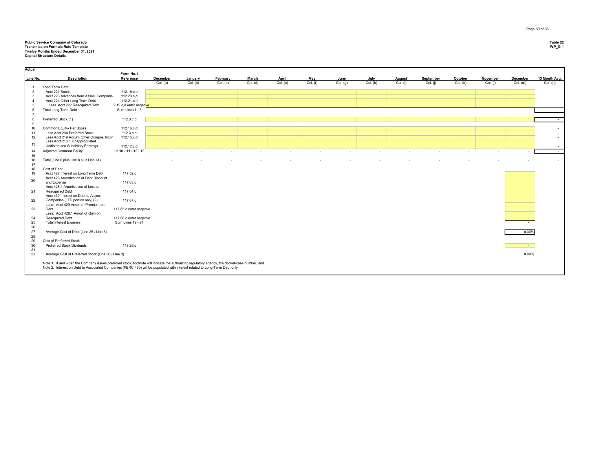## **Public Service Company of Colorado Table 22 Transmission Formula Rate Template WP\_G-1 Twelve Months Ended December 31, 2021 Capital Structure Details**

| Actual         |                                                                                                                                               |                         |          |          |          |          |          |          |          |          |          |           |          |                          |                |                          |
|----------------|-----------------------------------------------------------------------------------------------------------------------------------------------|-------------------------|----------|----------|----------|----------|----------|----------|----------|----------|----------|-----------|----------|--------------------------|----------------|--------------------------|
|                |                                                                                                                                               | Form No.1               |          |          |          |          |          |          |          |          |          |           |          |                          |                |                          |
| Line No.       | <b>Description</b>                                                                                                                            | Reference               | December | January  | February | March    | April    | May      | June     | July     | August   | September | October  | November                 | December       | 13 Month Avg.            |
|                | Long Term Debt:                                                                                                                               |                         | Col. (a) | Col. (b) | Col. (c) | Col. (d) | Col. (e) | Col. (f) | Col. (g) | Col. (h) | Col. (i) | Col. (i)  | Col. (k) | Col. (I)                 | Col. (m)       | Col. (n)                 |
| $\overline{2}$ | Acct 221 Bonds                                                                                                                                | 112.18.c.d              |          |          |          |          |          |          |          |          |          |           |          |                          |                | $\overline{\phantom{a}}$ |
| $\mathbf{3}$   | Acct 223 Advances from Assoc. Companie                                                                                                        | 112.20.c,d              |          |          |          |          |          |          |          |          |          |           |          |                          |                |                          |
| $\overline{4}$ | Acct 224 Other Long Term Debt                                                                                                                 | 112.21.c,d              |          |          |          |          |          |          |          |          |          |           |          |                          |                | $\sim$                   |
| 5              | Less Acct 222 Reacquired Debt                                                                                                                 | 2.19 c,d enter negative |          |          |          |          |          |          |          |          |          |           |          |                          |                |                          |
| 6              | <b>Total Long Term Debt</b>                                                                                                                   | Sum Lines 1 - 5         |          |          |          |          |          |          |          |          |          |           |          |                          |                | $\sim$ $-$               |
| $\overline{7}$ |                                                                                                                                               |                         |          |          |          |          |          |          |          |          |          |           |          |                          |                |                          |
| 8              | Preferred Stock (1)                                                                                                                           | 112.3.c,d               |          |          |          |          |          |          |          |          |          |           |          |                          |                | $\sim$                   |
| $\mathbf{Q}$   |                                                                                                                                               |                         |          |          |          |          |          |          |          |          |          |           |          |                          |                |                          |
| 10             | Common Equity- Per Books                                                                                                                      | 112.16.c,d              |          |          |          |          |          |          |          |          |          |           |          |                          |                |                          |
| 11             | Less Acct 204 Preferred Stock                                                                                                                 | 112.3.c,d               |          |          |          |          |          |          |          |          |          |           |          |                          |                | $\overline{a}$           |
| 12             | Less Acct 219 Accum Other Compre. Incor                                                                                                       | 112.15.c,d              |          |          |          |          |          |          |          |          |          |           |          |                          |                | $\overline{a}$           |
|                | Less Acct 216.1 Unappropriated                                                                                                                |                         |          |          |          |          |          |          |          |          |          |           |          |                          |                |                          |
| 13             | Undistributed Subsidiary Earnings                                                                                                             | 112.12.c,d              |          |          |          |          |          |          |          |          |          |           |          |                          |                | $\sim$                   |
| 14             | Adjusted Common Equity                                                                                                                        | Ln 10 - 11 - 12 - 13    |          |          | ٠.       |          |          |          |          |          |          |           |          | $\overline{\phantom{a}}$ |                | $\sim$                   |
| 15             |                                                                                                                                               |                         |          |          |          |          |          |          |          |          |          |           |          |                          |                |                          |
| 16             | Total (Line 6 plus Line 8 plus Line 14)                                                                                                       |                         |          |          |          |          |          |          |          |          |          |           |          |                          |                | $\sim$                   |
| 17             |                                                                                                                                               |                         |          |          |          |          |          |          |          |          |          |           |          |                          |                |                          |
| 18             | Cost of Debt                                                                                                                                  |                         |          |          |          |          |          |          |          |          |          |           |          |                          |                |                          |
| 19             | Acct 427 Interest on Long Term Debt                                                                                                           | 117.62.c                |          |          |          |          |          |          |          |          |          |           |          |                          |                |                          |
|                | Acct 428 Amortization of Debt Discount                                                                                                        |                         |          |          |          |          |          |          |          |          |          |           |          |                          |                |                          |
| 20             | and Expense                                                                                                                                   | 117.63.c                |          |          |          |          |          |          |          |          |          |           |          |                          |                |                          |
|                | Acct 428.1 Amortization of Loss on                                                                                                            |                         |          |          |          |          |          |          |          |          |          |           |          |                          |                |                          |
| 21             | Reacquired Debt                                                                                                                               | 117.64.c                |          |          |          |          |          |          |          |          |          |           |          |                          |                |                          |
|                | Acct 430 Interest on Debt to Assoc.                                                                                                           |                         |          |          |          |          |          |          |          |          |          |           |          |                          |                |                          |
| 22             | Companies (LTD portion only) (2)                                                                                                              | 117.67.c                |          |          |          |          |          |          |          |          |          |           |          |                          |                |                          |
|                | Less: Acct 429 Amort of Premium on                                                                                                            |                         |          |          |          |          |          |          |          |          |          |           |          |                          |                |                          |
| 23             | Debt                                                                                                                                          | 117.65.c enter negative |          |          |          |          |          |          |          |          |          |           |          |                          |                |                          |
|                | Less: Acct 429.1 Amort of Gain on                                                                                                             |                         |          |          |          |          |          |          |          |          |          |           |          |                          |                |                          |
| 24             | Reacquired Debt                                                                                                                               | 117.66.c enter negative |          |          |          |          |          |          |          |          |          |           |          |                          |                |                          |
| 25             | <b>Total Interest Expense</b>                                                                                                                 | Sum Lines 19 - 24       |          |          |          |          |          |          |          |          |          |           |          |                          | $\sim$         |                          |
| 26             |                                                                                                                                               |                         |          |          |          |          |          |          |          |          |          |           |          |                          |                |                          |
| 27             | Average Cost of Debt (Line 25 / Line 6)                                                                                                       |                         |          |          |          |          |          |          |          |          |          |           |          |                          | $0.00\%$       |                          |
| 28             |                                                                                                                                               |                         |          |          |          |          |          |          |          |          |          |           |          |                          |                |                          |
| 29             | Cost of Preferred Stock                                                                                                                       |                         |          |          |          |          |          |          |          |          |          |           |          |                          |                |                          |
| 30             | <b>Preferred Stock Dividends</b>                                                                                                              | 118.29.c                |          |          |          |          |          |          |          |          |          |           |          |                          | <b>Section</b> |                          |
| 31             |                                                                                                                                               |                         |          |          |          |          |          |          |          |          |          |           |          |                          |                |                          |
| 32             | Average Cost of Preferred Stock (Line 30 / Line 8)                                                                                            |                         |          |          |          |          |          |          |          |          |          |           |          |                          | 0.00%          |                          |
|                | Note 1. If and when the Company issues preferred stock, footnote will indicate the authorizing regulatory agency, the docket/case number, and |                         |          |          |          |          |          |          |          |          |          |           |          |                          |                |                          |
|                | Note 2. Interest on Debt to Associated Companies (FERC 430) will be populated with interest related to Long-Term Debt only.                   |                         |          |          |          |          |          |          |          |          |          |           |          |                          |                |                          |
|                |                                                                                                                                               |                         |          |          |          |          |          |          |          |          |          |           |          |                          |                |                          |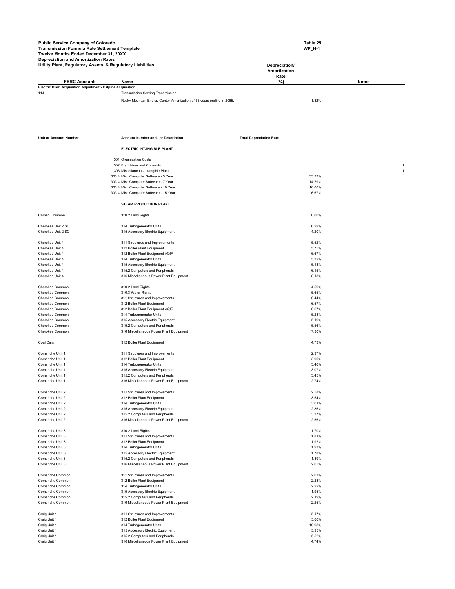| <b>Public Service Company of Colorado</b><br>Transmission Formula Rate Settlement Template<br>Twelve Months Ended December 31, 20XX<br><b>Depreciation and Amortization Rates</b> |                                                                       | Table 25<br><b>WP H-1</b>             |              |
|-----------------------------------------------------------------------------------------------------------------------------------------------------------------------------------|-----------------------------------------------------------------------|---------------------------------------|--------------|
| Utility Plant, Regulatory Assets, & Regulatory Liabilities                                                                                                                        |                                                                       | Depreciation/<br>Amortization<br>Rate |              |
| <b>FERC Account</b>                                                                                                                                                               | Name                                                                  | (%)                                   | <b>Notes</b> |
| Electric Plant Acquisition Adjustment- Calpine Acquisition                                                                                                                        |                                                                       |                                       |              |
| 114                                                                                                                                                                               | <b>Transmission Serving Transmission</b>                              |                                       |              |
|                                                                                                                                                                                   | Rocky Mountain Energy Center-Amortization of 55 years ending in 2065. | 1.82%                                 |              |

| <b>Unit or Account Number</b>      | <b>Account Number and / or Description</b>                                 | <b>Total Depreciation Rate</b> |  |
|------------------------------------|----------------------------------------------------------------------------|--------------------------------|--|
|                                    | ELECTRIC INTANGIBLE PLANT                                                  |                                |  |
|                                    | 301 Organization Costs                                                     |                                |  |
|                                    | 302 Franchises and Consents                                                |                                |  |
|                                    | 303 Miscellaneous Intangible Plant                                         |                                |  |
|                                    | 303.4 Misc Computer Software - 3 Year                                      | 33.33%                         |  |
|                                    | 303.4 Misc Computer Software - 7 Year                                      | 14.29%                         |  |
|                                    | 303.4 Misc Computer Software - 10 Year                                     | 10.00%                         |  |
|                                    | 303.4 Misc Computer Software - 15 Year                                     | 6.67%                          |  |
|                                    | <b>STEAM PRODUCTION PLANT</b>                                              |                                |  |
| Cameo Common                       | 310.2 Land Rights                                                          | 0.00%                          |  |
|                                    |                                                                            |                                |  |
| Cherokee Unit 2 SC                 | 314 Turbogenerator Units                                                   | 6.29%                          |  |
| Cherokee Unit 2 SC                 | 315 Accessory Electric Equipment                                           | 4.20%                          |  |
|                                    |                                                                            |                                |  |
| Cherokee Unit 4                    | 311 Structures and Improvements                                            | 5.52%                          |  |
| Cherokee Unit 4                    | 312 Boiler Plant Equipment                                                 | 5.75%                          |  |
| Cherokee Unit 4                    | 312 Boiler Plant Equipment AQIR                                            | 6.67%                          |  |
| Cherokee Unit 4                    | 314 Turbogenerator Units                                                   | 5.32%                          |  |
| Cherokee Unit 4                    | 315 Accessory Electric Equipment                                           | 5.13%                          |  |
| Cherokee Unit 4<br>Cherokee Unit 4 | 315.2 Computers and Peripherals<br>316 Miscellaneous Power Plant Equipment | 6.15%<br>8.18%                 |  |
|                                    |                                                                            |                                |  |
| Cherokee Common                    | 310.2 Land Rights                                                          | 4.59%                          |  |
| Cherokee Common                    | 310.3 Water Rights                                                         | 5.65%                          |  |
| Cherokee Common                    | 311 Structures and Improvements                                            | 6.44%                          |  |
| Cherokee Common                    | 312 Boiler Plant Equipment                                                 | 6.57%                          |  |
| Cherokee Common                    | 312 Boiler Plant Equipment AQIR                                            | 6.67%                          |  |
| Cherokee Common                    | 314 Turbogenerator Units                                                   | 5.28%                          |  |
| Cherokee Common                    | 315 Accessory Electric Equipment                                           | 5.19%                          |  |
| Cherokee Common                    | 315.2 Computers and Peripherals                                            | 5.56%                          |  |
| Cherokee Common                    | 316 Miscellaneous Power Plant Equipment                                    | 7.30%                          |  |
| Coal Cars                          | 312 Boiler Plant Equipment                                                 | 4.73%                          |  |
| Comanche Unit 1                    | 311 Structures and Improvements                                            | 2.97%                          |  |
| Comanche Unit 1                    | 312 Boiler Plant Equipment                                                 | 3.90%                          |  |
| Comanche Unit 1                    | 314 Turbogenerator Units                                                   | 3.46%                          |  |
| Comanche Unit 1                    | 315 Accessory Electric Equipment                                           | 3.07%                          |  |
| Comanche Unit 1                    | 315.2 Computers and Peripherals                                            | 3.45%                          |  |
| Comanche Unit 1                    | 316 Miscellaneous Power Plant Equipment                                    | 2.74%                          |  |
| Comanche Unit 2                    |                                                                            | 2.58%                          |  |
| Comanche Unit 2                    | 311 Structures and Improvements<br>312 Boiler Plant Equipment              | 3.54%                          |  |
| Comanche Unit 2                    | 314 Turbogenerator Units                                                   | 3.01%                          |  |
| Comanche Unit 2                    | 315 Accessory Electric Equipment                                           | 2.86%                          |  |
| Comanche Unit 2                    | 315.2 Computers and Peripherals                                            | 3.37%                          |  |
| Comanche Unit 2                    | 316 Miscellaneous Power Plant Equipment                                    | 2.56%                          |  |
|                                    |                                                                            |                                |  |
| Comanche Unit 3                    | 310.2 Land Rights                                                          | 1.70%                          |  |
| Comanche Unit 3                    | 311 Structures and Improvements                                            | 1.81%                          |  |
| Comanche Unit 3                    | 312 Boiler Plant Equipment                                                 | 1.92%                          |  |
| Comanche Unit 3                    | 314 Turbogenerator Units                                                   | 1.93%                          |  |
| Comanche Unit 3                    | 315 Accessory Electric Equipment                                           | 1.78%                          |  |
| Comanche Unit 3                    | 315.2 Computers and Peripherals                                            | 1.89%                          |  |
| Comanche Unit 3                    | 316 Miscellaneous Power Plant Equipment                                    | 2.05%                          |  |
| Comanche Common                    | 311 Structures and Improvements                                            | 2.03%                          |  |
| Comanche Common                    | 312 Boiler Plant Equipment                                                 | 2.23%                          |  |
| Comanche Common                    | 314 Turbogenerator Units                                                   | 2.22%                          |  |
| Comanche Common                    | 315 Accessory Electric Equipment                                           | 1.95%                          |  |
| Comanche Common                    | 315.2 Computers and Peripherals                                            | 2.19%                          |  |
| Comanche Common                    | 316 Miscellaneous Power Plant Equipment                                    | 2.25%                          |  |
| Craig Unit 1                       | 311 Structures and Improvements                                            | 5.17%                          |  |
| Craig Unit 1                       | 312 Boiler Plant Equipment                                                 | 5.00%                          |  |
| Craig Unit 1                       | 314 Turbogenerator Units                                                   | 10.98%                         |  |
| Craig Unit 1                       | 315 Accessory Electric Equipment                                           | 5.95%                          |  |
| Craig Unit 1                       | 315.2 Computers and Peripherals                                            | 5.52%                          |  |
| Craig Unit 1                       | 316 Miscellaneous Power Plant Equipment                                    | 4.74%                          |  |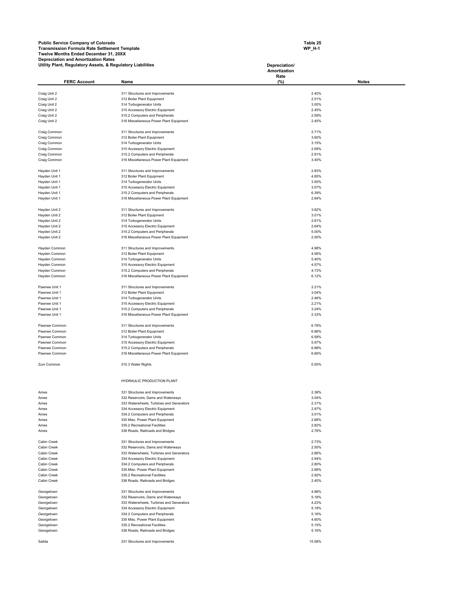**Table 25 WP\_H-1** 

| Utility Plant, Regulatory Assets, & Regulatory Liabilities |                                                                                | Depreciation/  |              |
|------------------------------------------------------------|--------------------------------------------------------------------------------|----------------|--------------|
|                                                            |                                                                                | Amortization   |              |
| <b>FERC Account</b>                                        | Name                                                                           | Rate<br>$(\%)$ | <b>Notes</b> |
|                                                            |                                                                                |                |              |
| Craig Unit 2                                               | 311 Structures and Improvements                                                | 2.40%          |              |
| Craig Unit 2                                               | 312 Boiler Plant Equipment                                                     | 2.51%          |              |
| Craig Unit 2                                               | 314 Turbogenerator Units                                                       | 3.00%          |              |
| Craig Unit 2<br>Craig Unit 2                               | 315 Accessory Electric Equipment<br>315.2 Computers and Peripherals            | 2.45%<br>2.59% |              |
| Craig Unit 2                                               | 316 Miscellaneous Power Plant Equipment                                        | 2.45%          |              |
|                                                            |                                                                                |                |              |
| Craig Common                                               | 311 Structures and Improvements                                                | 2.71%          |              |
| Craig Common                                               | 312 Boiler Plant Equipment                                                     | 3.60%          |              |
| Craig Common                                               | 314 Turbogenerator Units                                                       | 3.15%          |              |
| Craig Common                                               | 315 Accessory Electric Equipment                                               | 2.69%          |              |
| Craig Common                                               | 315.2 Computers and Peripherals                                                | 2.91%          |              |
| Craig Common                                               | 316 Miscellaneous Power Plant Equipment                                        | 3.40%          |              |
|                                                            |                                                                                | 2.83%          |              |
| Hayden Unit 1<br>Hayden Unit 1                             | 311 Structures and Improvements<br>312 Boiler Plant Equipment                  | 4.85%          |              |
| Hayden Unit 1                                              | 314 Turbogenerator Units                                                       | 3.50%          |              |
| Hayden Unit 1                                              | 315 Accessory Electric Equipment                                               | 3.07%          |              |
| Hayden Unit 1                                              | 315.2 Computers and Peripherals                                                | 6.39%          |              |
| Hayden Unit 1                                              | 316 Miscellaneous Power Plant Equipment                                        | 2.84%          |              |
|                                                            |                                                                                |                |              |
| Hayden Unit 2                                              | 311 Structures and Improvements                                                | 3.82%          |              |
| Hayden Unit 2                                              | 312 Boiler Plant Equipment                                                     | 3.01%          |              |
| Hayden Unit 2                                              | 314 Turbogenerator Units                                                       | 2.81%          |              |
| Hayden Unit 2                                              | 315 Accessory Electric Equipment                                               | 2.64%          |              |
| Hayden Unit 2                                              | 315.2 Computers and Peripherals                                                | 5.00%          |              |
| Hayden Unit 2                                              | 316 Miscellaneous Power Plant Equipment                                        | 2.50%          |              |
| Hayden Common                                              | 311 Structures and Improvements                                                | 4.98%          |              |
| Hayden Common                                              | 312 Boiler Plant Equipment                                                     | 4.56%          |              |
| Hayden Common                                              | 314 Turbogenerator Units                                                       | 5.40%          |              |
| Hayden Common                                              | 315 Accessory Electric Equipment                                               | 4.57%          |              |
| Hayden Common                                              | 315.2 Computers and Peripherals                                                | 4.73%          |              |
| Hayden Common                                              | 316 Miscellaneous Power Plant Equipment                                        | 6.12%          |              |
|                                                            |                                                                                |                |              |
| Pawnee Unit 1                                              | 311 Structures and Improvements                                                | 2.21%          |              |
| Pawnee Unit 1                                              | 312 Boiler Plant Equipment                                                     | 3.04%          |              |
| Pawnee Unit 1                                              | 314 Turbogenerator Units                                                       | 2.46%          |              |
| Pawnee Unit 1                                              | 315 Accessory Electric Equipment                                               | 2.21%<br>3.24% |              |
| Pawnee Unit 1<br>Pawnee Unit 1                             | 315.2 Computers and Peripherals<br>316 Miscellaneous Power Plant Equipment     | 2.33%          |              |
|                                                            |                                                                                |                |              |
| Pawnee Common                                              | 311 Structures and Improvements                                                | 6.78%          |              |
| Pawnee Common                                              | 312 Boiler Plant Equipment                                                     | 6.96%          |              |
| Pawnee Common                                              | 314 Turbogenerator Units                                                       | 6.58%          |              |
| Pawnee Common                                              | 315 Accessory Electric Equipment                                               | 5.97%          |              |
| Pawnee Common                                              | 315.2 Computers and Peripherals                                                | 6.88%          |              |
| Pawnee Common                                              | 316 Miscellaneous Power Plant Equipment                                        | 6.66%          |              |
| Zuni Common                                                | 310.3 Water Rights                                                             | 0.00%          |              |
|                                                            |                                                                                |                |              |
|                                                            |                                                                                |                |              |
|                                                            | HYDRAULIC PRODUCTION PLANT                                                     |                |              |
|                                                            |                                                                                |                |              |
| Ames                                                       | 331 Structures and Improvements                                                | 2.38%          |              |
| Ames<br>Ames                                               | 332 Reservoirs, Dams and Waterways<br>333 Waterwheels, Turbines and Generators | 3.04%<br>2.31% |              |
| Ames                                                       | 334 Accessory Electric Equipment                                               | 2.97%          |              |
| Ames                                                       | 334.2 Computers and Peripherals                                                | 3.01%          |              |
| Ames                                                       | 335 Misc. Power Plant Equipment                                                | 2.68%          |              |
| Ames                                                       | 335.2 Recreational Facilities                                                  | 2.82%          |              |
| Ames                                                       | 336 Roads, Railroads and Bridges                                               | 2.76%          |              |
|                                                            |                                                                                |                |              |
| Cabin Creek                                                | 331 Structures and Improvements                                                | 2.73%          |              |
| Cabin Creek                                                | 332 Reservoirs, Dams and Waterways                                             | 2.50%          |              |
| Cabin Creek                                                | 333 Waterwheels, Turbines and Generators                                       | 2.86%          |              |
| Cabin Creek                                                | 334 Accessory Electric Equipment                                               | 2.94%          |              |
| Cabin Creek                                                | 334.2 Computers and Peripherals<br>335 Misc. Power Plant Equipment             | 2.80%<br>2.68% |              |
| Cabin Creek<br>Cabin Creek                                 | 335.2 Recreational Facilities                                                  | 2.92%          |              |
| Cabin Creek                                                | 336 Roads, Railroads and Bridges                                               | 2.40%          |              |
|                                                            |                                                                                |                |              |
| Georgetown                                                 | 331 Structures and Improvements                                                | 4.96%          |              |
| Georgetown                                                 | 332 Reservoirs, Dams and Waterways                                             | 5.18%          |              |
| Georgetown                                                 | 333 Waterwheels, Turbines and Generators                                       | 4.23%          |              |
| Georgetown                                                 | 334 Accessory Electric Equipment                                               | 5.18%          |              |
| Georgetown                                                 | 334.2 Computers and Peripherals                                                | 5.16%          |              |
| Georgetown                                                 | 335 Misc. Power Plant Equipment                                                | 4.60%          |              |
| Georgetown                                                 | 335.2 Recreational Facilities                                                  | 5.15%          |              |
| Georgetown                                                 | 336 Roads, Railroads and Bridges                                               | 5.16%          |              |
| Salida                                                     | 331 Structures and Improvements                                                | 15.58%         |              |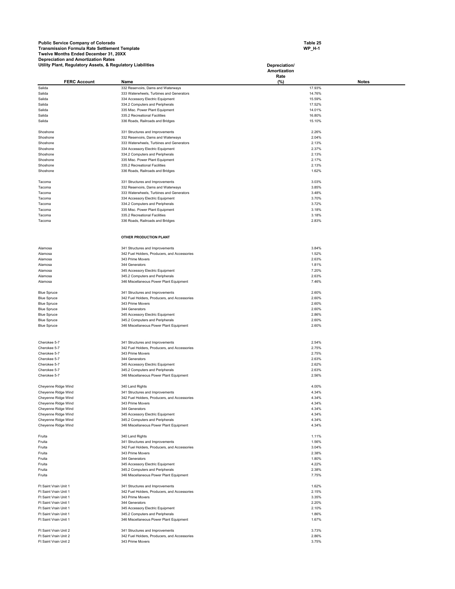**Table 25 WP\_H-1** 

|                                            | Utility Plant, Regulatory Assets, & Regulatory Liabilities |                                                                  | Depreciation/        |              |  |  |  |
|--------------------------------------------|------------------------------------------------------------|------------------------------------------------------------------|----------------------|--------------|--|--|--|
|                                            |                                                            |                                                                  | Amortization<br>Rate |              |  |  |  |
|                                            | <b>FERC Account</b>                                        | Name                                                             | $(\%)$               | <b>Notes</b> |  |  |  |
| Salida                                     |                                                            | 332 Reservoirs, Dams and Waterways                               | 17.93%               |              |  |  |  |
| Salida                                     |                                                            | 333 Waterwheels, Turbines and Generators                         | 14.76%               |              |  |  |  |
| Salida                                     |                                                            | 334 Accessory Electric Equipment                                 | 15.59%               |              |  |  |  |
| Salida                                     |                                                            | 334.2 Computers and Peripherals                                  | 17.52%               |              |  |  |  |
| Salida                                     |                                                            | 335 Misc. Power Plant Equipment                                  | 14.01%               |              |  |  |  |
| Salida                                     |                                                            | 335.2 Recreational Facilities                                    | 16.80%               |              |  |  |  |
| Salida                                     |                                                            | 336 Roads, Railroads and Bridges                                 | 15.10%               |              |  |  |  |
|                                            |                                                            |                                                                  |                      |              |  |  |  |
| Shoshone                                   |                                                            | 331 Structures and Improvements                                  | 2.26%                |              |  |  |  |
| Shoshone                                   |                                                            | 332 Reservoirs, Dams and Waterways                               | 2.04%                |              |  |  |  |
| Shoshone                                   |                                                            | 333 Waterwheels, Turbines and Generators                         | 2.13%                |              |  |  |  |
| Shoshone                                   |                                                            | 334 Accessory Electric Equipment                                 | 2.37%                |              |  |  |  |
| Shoshone                                   |                                                            | 334.2 Computers and Peripherals                                  | 2.13%                |              |  |  |  |
| Shoshone                                   |                                                            | 335 Misc. Power Plant Equipment                                  | 2.17%                |              |  |  |  |
| Shoshone<br>Shoshone                       |                                                            | 335.2 Recreational Facilities                                    | 2.13%<br>1.62%       |              |  |  |  |
|                                            |                                                            | 336 Roads, Railroads and Bridges                                 |                      |              |  |  |  |
| Tacoma                                     |                                                            | 331 Structures and Improvements                                  | 3.03%                |              |  |  |  |
| Tacoma                                     |                                                            | 332 Reservoirs, Dams and Waterways                               | 3.85%                |              |  |  |  |
| Tacoma                                     |                                                            | 333 Waterwheels, Turbines and Generators                         | 3.48%                |              |  |  |  |
| Tacoma                                     |                                                            | 334 Accessory Electric Equipment                                 | 3.70%                |              |  |  |  |
| Tacoma                                     |                                                            | 334.2 Computers and Peripherals                                  | 3.72%                |              |  |  |  |
| Tacoma                                     |                                                            | 335 Misc. Power Plant Equipment                                  | 3.18%                |              |  |  |  |
| Tacoma                                     |                                                            | 335.2 Recreational Facilities                                    | 3.18%                |              |  |  |  |
| Tacoma                                     |                                                            | 336 Roads, Railroads and Bridges                                 | 2.83%                |              |  |  |  |
|                                            |                                                            |                                                                  |                      |              |  |  |  |
|                                            |                                                            |                                                                  |                      |              |  |  |  |
|                                            |                                                            | OTHER PRODUCTION PLANT                                           |                      |              |  |  |  |
|                                            |                                                            |                                                                  |                      |              |  |  |  |
| Alamosa                                    |                                                            | 341 Structures and Improvements                                  | 3.84%                |              |  |  |  |
| Alamosa                                    |                                                            | 342 Fuel Holders, Producers, and Accessories                     | 1.52%                |              |  |  |  |
| Alamosa                                    |                                                            | 343 Prime Movers                                                 | 2.63%                |              |  |  |  |
| Alamosa                                    |                                                            | 344 Generators                                                   | 1.81%                |              |  |  |  |
| Alamosa                                    |                                                            | 345 Accessory Electric Equipment                                 | 7.20%                |              |  |  |  |
| Alamosa                                    |                                                            | 345.2 Computers and Peripherals                                  | 2.63%                |              |  |  |  |
| Alamosa                                    |                                                            | 346 Miscellaneous Power Plant Equipment                          | 7.46%                |              |  |  |  |
| <b>Blue Spruce</b>                         |                                                            | 341 Structures and Improvements                                  | 2.60%                |              |  |  |  |
| <b>Blue Spruce</b>                         |                                                            | 342 Fuel Holders, Producers, and Accessories                     | 2.60%                |              |  |  |  |
| <b>Blue Spruce</b>                         |                                                            | 343 Prime Movers                                                 | 2.60%                |              |  |  |  |
| <b>Blue Spruce</b>                         |                                                            | 344 Generators                                                   | 2.60%                |              |  |  |  |
| <b>Blue Spruce</b>                         |                                                            | 345 Accessory Electric Equipment                                 | 2.86%                |              |  |  |  |
| <b>Blue Spruce</b>                         |                                                            | 345.2 Computers and Peripherals                                  | 2.60%                |              |  |  |  |
| <b>Blue Spruce</b>                         |                                                            | 346 Miscellaneous Power Plant Equipment                          | 2.60%                |              |  |  |  |
|                                            |                                                            |                                                                  |                      |              |  |  |  |
|                                            |                                                            |                                                                  |                      |              |  |  |  |
| Cherokee 5-7                               |                                                            | 341 Structures and Improvements                                  | 2.54%                |              |  |  |  |
| Cherokee 5-7                               |                                                            | 342 Fuel Holders, Producers, and Accessories                     | 2.75%                |              |  |  |  |
| Cherokee 5-7                               |                                                            | 343 Prime Movers                                                 | 2.75%                |              |  |  |  |
| Cherokee 5-7                               |                                                            | 344 Generators                                                   | 2.63%                |              |  |  |  |
| Cherokee 5-7                               |                                                            | 345 Accessory Electric Equipment                                 | 2.62%                |              |  |  |  |
| Cherokee 5-7                               |                                                            | 345.2 Computers and Peripherals                                  | 2.63%                |              |  |  |  |
| Cherokee 5-7                               |                                                            | 346 Miscellaneous Power Plant Equipment                          | 2.56%                |              |  |  |  |
| Cheyenne Ridge Wind                        |                                                            |                                                                  |                      |              |  |  |  |
|                                            |                                                            | 340 Land Rights                                                  | 4.00%                |              |  |  |  |
| Cheyenne Ridge Wind                        |                                                            | 341 Structures and Improvements                                  | 4.34%                |              |  |  |  |
| Cheyenne Ridge Wind                        |                                                            | 342 Fuel Holders, Producers, and Accessories<br>343 Prime Movers | 4.34%                |              |  |  |  |
| Cheyenne Ridge Wind<br>Cheyenne Ridge Wind |                                                            | 344 Generators                                                   | 4.34%<br>4.34%       |              |  |  |  |
| Cheyenne Ridge Wind                        |                                                            | 345 Accessory Electric Equipment                                 | 4.34%                |              |  |  |  |
| Cheyenne Ridge Wind                        |                                                            | 345.2 Computers and Peripherals                                  | 4.34%                |              |  |  |  |
| Cheyenne Ridge Wind                        |                                                            | 346 Miscellaneous Power Plant Equipment                          | 4.34%                |              |  |  |  |
|                                            |                                                            |                                                                  |                      |              |  |  |  |
| Fruita                                     |                                                            | 340 Land Rights                                                  | 1.11%                |              |  |  |  |
| Fruita                                     |                                                            | 341 Structures and Improvements                                  | 1.56%                |              |  |  |  |
| Fruita                                     |                                                            | 342 Fuel Holders, Producers, and Accessories                     | 3.04%                |              |  |  |  |
| Fruita                                     |                                                            | 343 Prime Movers                                                 | 2.38%                |              |  |  |  |
| Fruita                                     |                                                            | 344 Generators                                                   | 1.80%                |              |  |  |  |
| Fruita                                     |                                                            | 345 Accessory Electric Equipment                                 | 4.22%                |              |  |  |  |
| Fruita                                     |                                                            | 345.2 Computers and Peripherals                                  | 2.38%                |              |  |  |  |
| Fruita                                     |                                                            | 346 Miscellaneous Power Plant Equipment                          | 7.75%                |              |  |  |  |
|                                            |                                                            |                                                                  |                      |              |  |  |  |
| Ft Saint Vrain Unit 1                      |                                                            | 341 Structures and Improvements                                  | 1.62%                |              |  |  |  |
| Ft Saint Vrain Unit 1                      |                                                            | 342 Fuel Holders, Producers, and Accessories                     | 2.15%                |              |  |  |  |
| Ft Saint Vrain Unit 1                      |                                                            | 343 Prime Movers                                                 | 3.35%                |              |  |  |  |
| Ft Saint Vrain Unit 1                      |                                                            | 344 Generators                                                   | 2.20%                |              |  |  |  |
| Ft Saint Vrain Unit 1                      |                                                            | 345 Accessory Electric Equipment                                 | 2.10%                |              |  |  |  |
| Ft Saint Vrain Unit 1                      |                                                            | 345.2 Computers and Peripherals                                  | 1.86%                |              |  |  |  |
| Ft Saint Vrain Unit 1                      |                                                            | 346 Miscellaneous Power Plant Equipment                          | 1.67%                |              |  |  |  |
| Ft Saint Vrain Unit 2                      |                                                            | 341 Structures and Improvements                                  | 3.73%                |              |  |  |  |
| Ft Saint Vrain Unit 2                      |                                                            | 342 Fuel Holders, Producers, and Accessories                     | 2.86%                |              |  |  |  |
| Ft Saint Vrain Unit 2                      |                                                            | 343 Prime Movers                                                 | 3.75%                |              |  |  |  |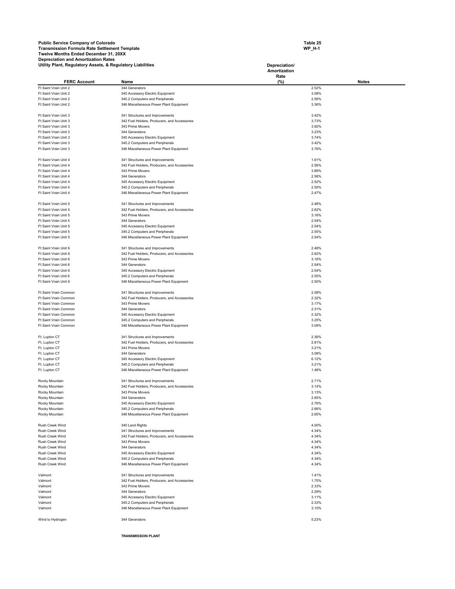**Table 25 WP\_H-1** 

| Utility Plant, Regulatory Assets, & Regulatory Liabilities |                                                                                 | Depreciation/<br>Amortization |                |              |
|------------------------------------------------------------|---------------------------------------------------------------------------------|-------------------------------|----------------|--------------|
|                                                            |                                                                                 | Rate                          |                |              |
| <b>FERC Account</b>                                        | Name                                                                            | (%)                           |                | <b>Notes</b> |
| Ft Saint Vrain Unit 2                                      | 344 Generators                                                                  |                               | 2.52%          |              |
| Ft Saint Vrain Unit 2                                      | 345 Accessory Electric Equipment                                                |                               | 3.58%          |              |
| Ft Saint Vrain Unit 2                                      | 345.2 Computers and Peripherals                                                 |                               | 2.56%          |              |
| Ft Saint Vrain Unit 2                                      | 346 Miscellaneous Power Plant Equipment                                         |                               | 3.36%          |              |
|                                                            |                                                                                 |                               |                |              |
| Ft Saint Vrain Unit 3<br>Ft Saint Vrain Unit 3             | 341 Structures and Improvements<br>342 Fuel Holders, Producers, and Accessories |                               | 3.42%<br>3.73% |              |
| Ft Saint Vrain Unit 3                                      | 343 Prime Movers                                                                |                               | 3.92%          |              |
| Ft Saint Vrain Unit 3                                      | 344 Generators                                                                  |                               | 3.23%          |              |
| Ft Saint Vrain Unit 3                                      | 345 Accessory Electric Equipment                                                |                               | 3.74%          |              |
| Ft Saint Vrain Unit 3                                      | 345.2 Computers and Peripherals                                                 |                               | 3.42%          |              |
| Ft Saint Vrain Unit 3                                      | 346 Miscellaneous Power Plant Equipment                                         |                               | 3.76%          |              |
|                                                            |                                                                                 |                               |                |              |
| Ft Saint Vrain Unit 4                                      | 341 Structures and Improvements                                                 |                               | 1.61%          |              |
| Ft Saint Vrain Unit 4                                      | 342 Fuel Holders, Producers, and Accessories                                    |                               | 2.56%          |              |
| Ft Saint Vrain Unit 4                                      | 343 Prime Movers                                                                |                               | 3.89%          |              |
| Ft Saint Vrain Unit 4                                      | 344 Generators                                                                  |                               | 2.58%          |              |
| Ft Saint Vrain Unit 4                                      | 345 Accessory Electric Equipment                                                |                               | 2.52%          |              |
| Ft Saint Vrain Unit 4                                      | 345.2 Computers and Peripherals                                                 |                               | 2.55%          |              |
| Ft Saint Vrain Unit 4                                      | 346 Miscellaneous Power Plant Equipment                                         |                               | 2.47%          |              |
| Ft Saint Vrain Unit 5                                      | 341 Structures and Improvements                                                 |                               | 2.48%          |              |
| Ft Saint Vrain Unit 5                                      | 342 Fuel Holders, Producers, and Accessories                                    |                               | 2.62%          |              |
| Ft Saint Vrain Unit 5                                      | 343 Prime Movers                                                                |                               | 3.16%          |              |
| Ft Saint Vrain Unit 5                                      | 344 Generators                                                                  |                               | 2.54%          |              |
| Ft Saint Vrain Unit 5                                      | 345 Accessory Electric Equipment                                                |                               | 2.54%          |              |
| Ft Saint Vrain Unit 5                                      | 345.2 Computers and Peripherals                                                 |                               | 2.55%          |              |
| Ft Saint Vrain Unit 5                                      | 346 Miscellaneous Power Plant Equipment                                         |                               | 2.54%          |              |
|                                                            |                                                                                 |                               |                |              |
| Ft Saint Vrain Unit 6                                      | 341 Structures and Improvements                                                 |                               | 2.48%          |              |
| Ft Saint Vrain Unit 6                                      | 342 Fuel Holders, Producers, and Accessories                                    |                               | 2.62%          |              |
| Ft Saint Vrain Unit 6                                      | 343 Prime Movers                                                                |                               | 3.16%          |              |
| Ft Saint Vrain Unit 6                                      | 344 Generators                                                                  |                               | 2.54%          |              |
| Ft Saint Vrain Unit 6                                      | 345 Accessory Electric Equipment                                                |                               | 2.54%          |              |
| Ft Saint Vrain Unit 6<br>Ft Saint Vrain Unit 6             | 345.2 Computers and Peripherals<br>346 Miscellaneous Power Plant Equipment      |                               | 2.55%<br>2.50% |              |
|                                                            |                                                                                 |                               |                |              |
| Ft Saint Vrain Common                                      | 341 Structures and Improvements                                                 |                               | 2.08%          |              |
| Ft Saint Vrain Common                                      | 342 Fuel Holders, Producers, and Accessories                                    |                               | 2.32%          |              |
| Ft Saint Vrain Common                                      | 343 Prime Movers                                                                |                               | 3.17%          |              |
| Ft Saint Vrain Common                                      | 344 Generators                                                                  |                               | 2.31%          |              |
| Ft Saint Vrain Common                                      | 345 Accessory Electric Equipment                                                |                               | 2.32%          |              |
| Ft Saint Vrain Common                                      | 345.2 Computers and Peripherals                                                 |                               | 3.25%          |              |
| Ft Saint Vrain Common                                      | 346 Miscellaneous Power Plant Equipment                                         |                               | 3.09%          |              |
|                                                            |                                                                                 |                               |                |              |
| Ft. Lupton CT                                              | 341 Structures and Improvements                                                 |                               | 2.36%          |              |
| Ft. Lupton CT                                              | 342 Fuel Holders, Producers, and Accessories                                    |                               | 2.81%          |              |
| Ft. Lupton CT                                              | 343 Prime Movers                                                                |                               | 3.21%<br>3.08% |              |
| Ft. Lupton CT<br>Ft. Lupton CT                             | 344 Generators<br>345 Accessory Electric Equipment                              |                               | 6.12%          |              |
| Ft. Lupton CT                                              | 345.2 Computers and Peripherals                                                 |                               | 3.21%          |              |
| Ft. Lupton CT                                              | 346 Miscellaneous Power Plant Equipment                                         |                               | 1.48%          |              |
|                                                            |                                                                                 |                               |                |              |
| Rocky Mountain                                             | 341 Structures and Improvements                                                 |                               | 2.71%          |              |
| Rocky Mountain                                             | 342 Fuel Holders, Producers, and Accessories                                    |                               | 3.14%          |              |
| Rocky Mountain                                             | 343 Prime Movers                                                                |                               | 3.13%          |              |
| Rocky Mountain                                             | 344 Generators                                                                  |                               | 2.65%          |              |
| Rocky Mountain                                             | 345 Accessory Electric Equipment                                                |                               | 2.76%          |              |
| Rocky Mountain                                             | 345.2 Computers and Peripherals                                                 |                               | 2.66%          |              |
| Rocky Mountain                                             | 346 Miscellaneous Power Plant Equipment                                         |                               | 2.65%          |              |
|                                                            |                                                                                 |                               |                |              |
| Rush Creek Wind                                            | 340 Land Rights                                                                 |                               | 4.00%          |              |
| Rush Creek Wind<br>Rush Creek Wind                         | 341 Structures and Improvements                                                 |                               | 4.34%          |              |
| Rush Creek Wind                                            | 342 Fuel Holders, Producers, and Accessories<br>343 Prime Movers                |                               | 4.34%<br>4.34% |              |
| Rush Creek Wind                                            | 344 Generators                                                                  |                               | 4.34%          |              |
| Rush Creek Wind                                            | 345 Accessory Electric Equipment                                                |                               | 4.34%          |              |
| Rush Creek Wind                                            | 345.2 Computers and Peripherals                                                 |                               | 4.34%          |              |
| Rush Creek Wind                                            | 346 Miscellaneous Power Plant Equipment                                         |                               | 4.34%          |              |
|                                                            |                                                                                 |                               |                |              |
| Valmont                                                    | 341 Structures and Improvements                                                 |                               | 1.41%          |              |
| Valmont                                                    | 342 Fuel Holders, Producers, and Accessories                                    |                               | 1.75%          |              |
| Valmont                                                    | 343 Prime Movers                                                                |                               | 2.33%          |              |
| Valmont                                                    | 344 Generators                                                                  |                               | 2.29%          |              |
| Valmont                                                    | 345 Accessory Electric Equipment                                                |                               | 3.11%          |              |
| Valmont                                                    | 345.2 Computers and Peripherals                                                 |                               | 2.33%          |              |
| Valmont                                                    | 346 Miscellaneous Power Plant Equipment                                         |                               | 3.10%          |              |
| Wind to Hydrogen                                           | 344 Generators                                                                  |                               | 5.23%          |              |

**TRANSMISSION PLANT**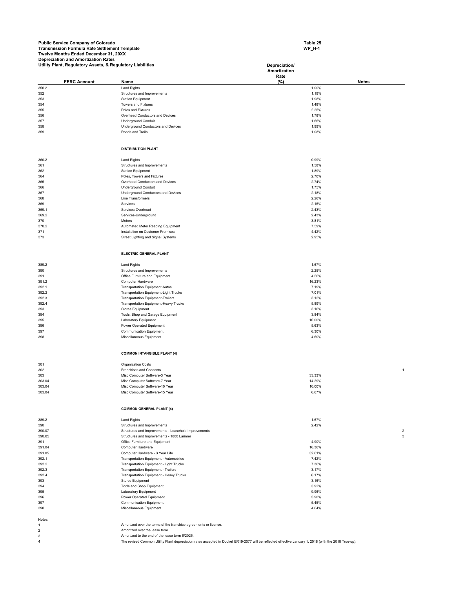**Table 25 WP\_H-1** 

|                | Utility Plant, Regulatory Assets, & Regulatory Liabilities |                                                                                                                                                       | Depreciation/<br>Amortization |              |
|----------------|------------------------------------------------------------|-------------------------------------------------------------------------------------------------------------------------------------------------------|-------------------------------|--------------|
|                |                                                            |                                                                                                                                                       | Rate                          |              |
|                | <b>FERC Account</b>                                        | Name                                                                                                                                                  | $(\%)$                        | <b>Notes</b> |
| 350.2          |                                                            | <b>Land Rights</b>                                                                                                                                    | 1.00%                         |              |
| 352<br>353     |                                                            | Structures and Improvements<br><b>Station Equipment</b>                                                                                               | 1.19%<br>1.98%                |              |
| 354            |                                                            | <b>Towers and Fixtures</b>                                                                                                                            | 1.48%                         |              |
| 355            |                                                            | Poles and Fixtures                                                                                                                                    | 2.25%                         |              |
| 356            |                                                            | Overhead Conductors and Devices                                                                                                                       | 1.78%                         |              |
| 357            |                                                            | <b>Underground Conduit</b>                                                                                                                            | 1.66%                         |              |
| 358            |                                                            | Underground Conductors and Devices                                                                                                                    | 1.99%                         |              |
| 359            |                                                            | Roads and Trails                                                                                                                                      | 1.08%                         |              |
|                |                                                            | <b>DISTRIBUTION PLANT</b>                                                                                                                             |                               |              |
| 360.2          |                                                            | <b>Land Rights</b>                                                                                                                                    | 0.99%                         |              |
| 361            |                                                            | Structures and Improvements                                                                                                                           | 1.58%                         |              |
| 362            |                                                            | <b>Station Equipment</b>                                                                                                                              | 1.89%                         |              |
| 364            |                                                            | Poles, Towers and Fixtures                                                                                                                            | 2.70%                         |              |
| 365            |                                                            | Overhead Conductors and Devices                                                                                                                       | 2.74%                         |              |
| 366            |                                                            | <b>Underground Conduit</b>                                                                                                                            | 1.75%                         |              |
| 367<br>368     |                                                            | Underground Conductors and Devices<br>Line Transformers                                                                                               | 2.18%<br>2.26%                |              |
| 369            |                                                            | Services                                                                                                                                              | 2.15%                         |              |
| 369.1          |                                                            | Services-Overhead                                                                                                                                     | 2.43%                         |              |
| 369.2          |                                                            | Services-Underground                                                                                                                                  | 2.43%                         |              |
| 370            |                                                            | Meters                                                                                                                                                | 3.81%                         |              |
| 370.2          |                                                            | Automated Meter Reading Equipment                                                                                                                     | 7.59%                         |              |
| 371            |                                                            | Installation on Customer Premises                                                                                                                     | 4.42%                         |              |
| 373            |                                                            | Street Lighting and Signal Systems                                                                                                                    | 2.95%                         |              |
|                |                                                            | ELECTRIC GENERAL PLANT                                                                                                                                |                               |              |
| 389.2          |                                                            | <b>Land Rights</b>                                                                                                                                    | 1.67%                         |              |
| 390            |                                                            | Structures and Improvements                                                                                                                           | 2.25%                         |              |
| 391            |                                                            | Office Furniture and Equipment                                                                                                                        | 4.56%                         |              |
| 391.2          |                                                            | Computer Hardware                                                                                                                                     | 16.23%                        |              |
| 392.1          |                                                            | <b>Transportation Equipment-Autos</b>                                                                                                                 | 7.19%                         |              |
| 392.2          |                                                            | <b>Transportation Equipment-Light Trucks</b>                                                                                                          | 7.01%                         |              |
| 392.3          |                                                            | <b>Transportation Equipment-Trailers</b>                                                                                                              | 3.12%                         |              |
| 392.4          |                                                            | Transportation Equipment-Heavy Trucks                                                                                                                 | 5.89%                         |              |
| 393            |                                                            | <b>Stores Equipment</b>                                                                                                                               | 3.16%                         |              |
| 394            |                                                            | Tools, Shop and Garage Equipment                                                                                                                      | 3.84%                         |              |
| 395            |                                                            | Laboratory Equipment                                                                                                                                  | 10.00%                        |              |
| 396            |                                                            | Power Operated Equipment                                                                                                                              | 5.63%                         |              |
| 397<br>398     |                                                            | <b>Communication Equipment</b><br>Miscellaneous Equipment                                                                                             | 6.30%<br>4.60%                |              |
|                |                                                            |                                                                                                                                                       |                               |              |
|                |                                                            | <b>COMMON INTANGIBLE PLANT (4)</b>                                                                                                                    |                               |              |
| 301            |                                                            | Organization Costs                                                                                                                                    |                               |              |
| 302            |                                                            | Franchises and Consents                                                                                                                               |                               | $\mathbf{1}$ |
| 303            |                                                            | Misc Computer Software-3 Year                                                                                                                         | 33.33%                        |              |
| 303.04         |                                                            | Misc Computer Software-7 Year                                                                                                                         | 14.29%                        |              |
| 303.04         |                                                            | Misc Computer Software-10 Year                                                                                                                        | 10.00%                        |              |
| 303.04         |                                                            | Misc Computer Software-15 Year                                                                                                                        | 6.67%                         |              |
|                |                                                            | <b>COMMON GENERAL PLANT (4)</b>                                                                                                                       |                               |              |
| 389.2          |                                                            | <b>Land Rights</b>                                                                                                                                    | 1.67%                         |              |
| 390            |                                                            | Structures and Improvements                                                                                                                           | 2.42%                         |              |
| 390.07         |                                                            | Structures and Improvements - Leasehold Improvements                                                                                                  |                               | 2            |
| 390.85         |                                                            | Structures and Improvements - 1800 Larimer                                                                                                            |                               | 3            |
| 391            |                                                            | Office Furniture and Equipment                                                                                                                        | 4.90%                         |              |
| 391.04         |                                                            | Computer Hardware                                                                                                                                     | 16.36%                        |              |
| 391.05         |                                                            | Computer Hardware - 3 Year Life                                                                                                                       | 32.61%                        |              |
| 392.1          |                                                            | Transportation Equipment - Automobiles                                                                                                                | 7.42%                         |              |
| 392.2          |                                                            | Transportation Equipment - Light Trucks                                                                                                               | 7.36%                         |              |
| 392.3          |                                                            | Transportation Equipment - Trailers                                                                                                                   | 3.17%                         |              |
| 392.4          |                                                            | Transportation Equipment - Heavy Trucks                                                                                                               | 6.17%                         |              |
| 393            |                                                            | Stores Equipment                                                                                                                                      | 3.16%                         |              |
| 394            |                                                            | Tools and Shop Equipment                                                                                                                              | 3.92%<br>9.96%                |              |
| 395<br>396     |                                                            | Laboratory Equipment<br>Power Operated Equipment                                                                                                      | 5.90%                         |              |
| 397            |                                                            | <b>Communication Equipment</b>                                                                                                                        | 5.45%                         |              |
| 398            |                                                            | Miscellaneous Equipment                                                                                                                               | 4.64%                         |              |
| Notes:         |                                                            |                                                                                                                                                       |                               |              |
| 1              |                                                            | Amortized over the terms of the franchise agreements or license.                                                                                      |                               |              |
| $\overline{2}$ |                                                            | Amortized over the lease term.                                                                                                                        |                               |              |
| 3              |                                                            | Amortized to the end of the lease term 6/2025.                                                                                                        |                               |              |
| $\overline{4}$ |                                                            | The revised Common Utility Plant depreciation rates accepted in Docket ER19-2077 will be reflected effective January 1, 2018 (with the 2018 True-up). |                               |              |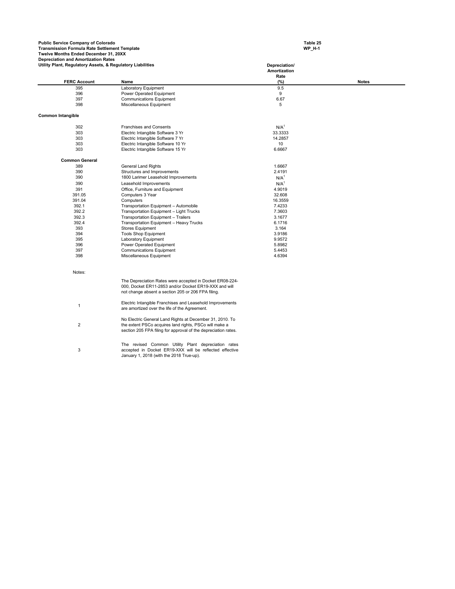**Table 25 WP\_H-1** 

| Utility Plant, Regulatory Assets, & Regulatory Liabilities |                                                                                                                          | Depreciation/<br>Amortization<br>Rate |              |
|------------------------------------------------------------|--------------------------------------------------------------------------------------------------------------------------|---------------------------------------|--------------|
| <b>FERC Account</b>                                        | Name                                                                                                                     | (%)                                   | <b>Notes</b> |
| 395                                                        | Laboratory Equipment                                                                                                     | 9.5                                   |              |
| 396                                                        | Power Operated Equipment                                                                                                 | 9                                     |              |
| 397                                                        | <b>Communications Equipment</b>                                                                                          | 6.67                                  |              |
| 398                                                        | Miscellaneous Equipment                                                                                                  | 5                                     |              |
| <b>Common Intangible</b>                                   |                                                                                                                          |                                       |              |
| 302                                                        | Franchises and Consents                                                                                                  | N/A <sup>1</sup>                      |              |
| 303                                                        | Electric Intangible Software 3 Yr                                                                                        | 33.3333                               |              |
| 303                                                        | Electric Intangible Software 7 Yr                                                                                        | 14.2857                               |              |
| 303                                                        | Electric Intangible Software 10 Yr                                                                                       | 10                                    |              |
| 303                                                        | Electric Intangible Software 15 Yr                                                                                       | 6.6667                                |              |
| <b>Common General</b>                                      |                                                                                                                          |                                       |              |
| 389                                                        | <b>General Land Rights</b>                                                                                               | 1.6667                                |              |
| 390                                                        | Structures and Improvements                                                                                              | 2.4191                                |              |
| 390                                                        | 1800 Larimer Leasehold Improvements                                                                                      | N/A <sup>1</sup>                      |              |
| 390                                                        | Leasehold Improvements                                                                                                   | N/A <sup>1</sup>                      |              |
| 391                                                        | Office, Furniture and Equipment                                                                                          | 4.9019                                |              |
| 391.05                                                     | Computers 3 Year                                                                                                         | 32.608                                |              |
| 391.04                                                     | Computers                                                                                                                | 16.3559                               |              |
| 392.1                                                      | Transportation Equipment - Automobile                                                                                    | 7.4233                                |              |
| 392.2                                                      | Transportation Equipment - Light Trucks                                                                                  | 7.3603                                |              |
| 392.3                                                      | Transportation Equipment - Trailers                                                                                      | 3.1677                                |              |
| 392.4                                                      | Transportation Equipment - Heavy Trucks                                                                                  | 6.1716                                |              |
| 393                                                        | <b>Stores Equipment</b>                                                                                                  | 3.164                                 |              |
| 394                                                        | <b>Tools Shop Equipment</b>                                                                                              | 3.9186                                |              |
| 395                                                        | Laboratory Equipment                                                                                                     | 9.9572                                |              |
| 396                                                        | Power Operated Equipment                                                                                                 | 5.8982                                |              |
| 397                                                        | <b>Communications Equipment</b>                                                                                          | 5.4453                                |              |
| 398                                                        | Miscellaneous Equipment                                                                                                  | 4.6394                                |              |
| Notes:                                                     |                                                                                                                          |                                       |              |
|                                                            | The Depreciation Rates were accepted in Docket ER08-224-                                                                 |                                       |              |
|                                                            | 000, Docket ER11-2853 and/or Docket ER19-XXX and will                                                                    |                                       |              |
|                                                            | not change absent a section 205 or 206 FPA filing.                                                                       |                                       |              |
|                                                            | Electric Intangible Franchises and Leasehold Improvements                                                                |                                       |              |
| $\mathbf{1}$                                               | are amortized over the life of the Agreement.                                                                            |                                       |              |
|                                                            | No Electric General Land Rights at December 31, 2010. To                                                                 |                                       |              |
| $\overline{2}$                                             | the extent PSCo acquires land rights, PSCo will make a<br>section 205 FPA filing for approval of the depreciation rates. |                                       |              |
|                                                            |                                                                                                                          |                                       |              |
| 3                                                          | The revised Common Utility Plant depreciation rates<br>accepted in Docket ER19-XXX will be reflected effective           |                                       |              |
|                                                            | January 1, 2018 (with the 2018 True-up).                                                                                 |                                       |              |
|                                                            |                                                                                                                          |                                       |              |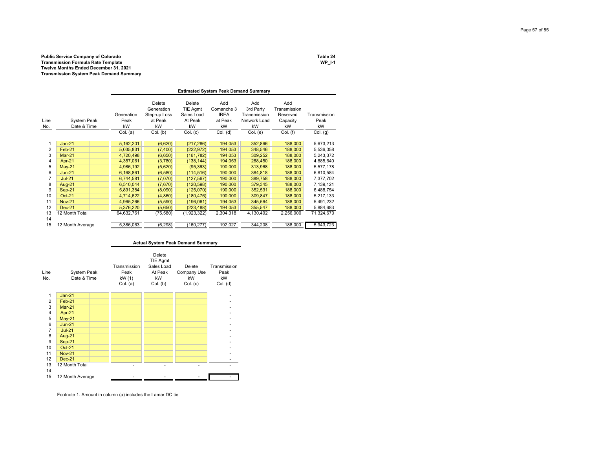### **Public Service Company of Colorado Table 24 Transmission Formula Rate Template WP\_I-1 Twelve Months Ended December 31, 2021 Transmission System Peak Demand Summary**

|                |                                   |                          | <b>Estimated System Peak Demand Summary</b>           |                                                   |                                                   |                                                        |                                                   |                            |  |  |  |  |  |
|----------------|-----------------------------------|--------------------------|-------------------------------------------------------|---------------------------------------------------|---------------------------------------------------|--------------------------------------------------------|---------------------------------------------------|----------------------------|--|--|--|--|--|
| Line<br>No.    | <b>System Peak</b><br>Date & Time | Generation<br>Peak<br>kW | Delete<br>Generation<br>Step-up Loss<br>at Peak<br>kW | Delete<br>TIE Agmt<br>Sales Load<br>At Peak<br>kW | Add<br>Comanche 3<br><b>IREA</b><br>at Peak<br>kW | Add<br>3rd Party<br>Transmission<br>Network Load<br>kW | Add<br>Transmission<br>Reserved<br>Capacity<br>kW | Transmission<br>Peak<br>kW |  |  |  |  |  |
|                |                                   | Col. (a)                 | Col. (b)                                              | Col. (c)                                          | Col. (d)                                          | Col. (e)                                               | Col. (f)                                          | Col. (g)                   |  |  |  |  |  |
|                | $Jan-21$                          | 5,162,201                | (6,620)                                               | (217, 286)                                        | 194,053                                           | 352.866                                                | 188,000                                           | 5,673,213                  |  |  |  |  |  |
| $\overline{2}$ | Feb-21                            | 5,035,831                | (7,400)                                               | (222, 972)                                        | 194,053                                           | 348,546                                                | 188,000                                           | 5,536,058                  |  |  |  |  |  |
| 3              | <b>Mar-21</b>                     | 4,720,498                | (6,650)                                               | (161, 782)                                        | 194,053                                           | 309.252                                                | 188,000                                           | 5,243,372                  |  |  |  |  |  |
| 4              | Apr-21                            | 4,357,061                | (3,780)                                               | (138, 144)                                        | 194,053                                           | 288,450                                                | 188,000                                           | 4,885,640                  |  |  |  |  |  |
| 5              | $May-21$                          | 4,986,192                | (5,620)                                               | (95, 363)                                         | 190,000                                           | 313,968                                                | 188,000                                           | 5,577,178                  |  |  |  |  |  |
| 6              | $Jun-21$                          | 6,168,861                | (6, 580)                                              | (114, 516)                                        | 190,000                                           | 384,818                                                | 188,000                                           | 6,810,584                  |  |  |  |  |  |
| 7              | $Jul-21$                          | 6,744,581                | (7,070)                                               | (127, 567)                                        | 190,000                                           | 389,758                                                | 188,000                                           | 7,377,702                  |  |  |  |  |  |
| 8              | <b>Aug-21</b>                     | 6,510,044                | (7,670)                                               | (120, 598)                                        | 190,000                                           | 379,345                                                | 188,000                                           | 7,139,121                  |  |  |  |  |  |
| 9              | $Sep-21$                          | 5,891,384                | (8,090)                                               | (125,070)                                         | 190,000                                           | 352,531                                                | 188,000                                           | 6,488,754                  |  |  |  |  |  |
| 10             | <b>Oct-21</b>                     | 4,714,622                | (4, 860)                                              | (180, 476)                                        | 190,000                                           | 309,847                                                | 188,000                                           | 5,217,133                  |  |  |  |  |  |
| 11             | <b>Nov-21</b>                     | 4,965,266                | (5,590)                                               | (196,061)                                         | 194,053                                           | 345,564                                                | 188,000                                           | 5,491,232                  |  |  |  |  |  |
| 12             | $Dec-21$                          | 5,376,220                | (5,650)                                               | (223, 488)                                        | 194,053                                           | 355,547                                                | 188,000                                           | 5,884,683                  |  |  |  |  |  |
| 13<br>14       | 12 Month Total                    | 64,632,761               | (75, 580)                                             | (1,923,322)                                       | 2,304,318                                         | 4,130,492                                              | 2,256,000                                         | 71,324,670                 |  |  |  |  |  |
| 15             | 12 Month Average                  | 5,386,063                | (6, 298)                                              | (160, 277)                                        | 192,027                                           | 344.208                                                | 188,000                                           | 5,943,723                  |  |  |  |  |  |

|                |                                   |                                |                                                   | <b>Actual System Peak Demand Summary</b> |                            |
|----------------|-----------------------------------|--------------------------------|---------------------------------------------------|------------------------------------------|----------------------------|
| Line<br>No.    | <b>System Peak</b><br>Date & Time | Transmission<br>Peak<br>kW (1) | Delete<br>TIE Agmt<br>Sales Load<br>At Peak<br>kW | Delete<br>Company Use<br>kW              | Transmission<br>Peak<br>kW |
|                |                                   | Col. (a)                       | Col. (b)                                          | Col. (c)                                 | Col. (d)                   |
| 1              | $Jan-21$                          |                                |                                                   |                                          |                            |
| $\overline{2}$ | Feb-21                            |                                |                                                   |                                          |                            |
| 3              | <b>Mar-21</b>                     |                                |                                                   |                                          |                            |
| 4              | Apr-21                            |                                |                                                   |                                          |                            |
| 5              | $May-21$                          |                                |                                                   |                                          |                            |
| 6              | $Jun-21$                          |                                |                                                   |                                          |                            |
| 7              | $Jul-21$                          |                                |                                                   |                                          |                            |
| 8              | <b>Aug-21</b>                     |                                |                                                   |                                          |                            |
| 9              | $Sep-21$                          |                                |                                                   |                                          |                            |
| 10             | Oct-21                            |                                |                                                   |                                          |                            |
| 11             | <b>Nov-21</b>                     |                                |                                                   |                                          |                            |
| 12             | <b>Dec-21</b>                     |                                |                                                   |                                          |                            |
| 13<br>14       | 12 Month Total                    |                                | ٠                                                 | ٠                                        |                            |
| 15             | 12 Month Average                  |                                |                                                   |                                          |                            |

Footnote 1. Amount in column (a) includes the Lamar DC tie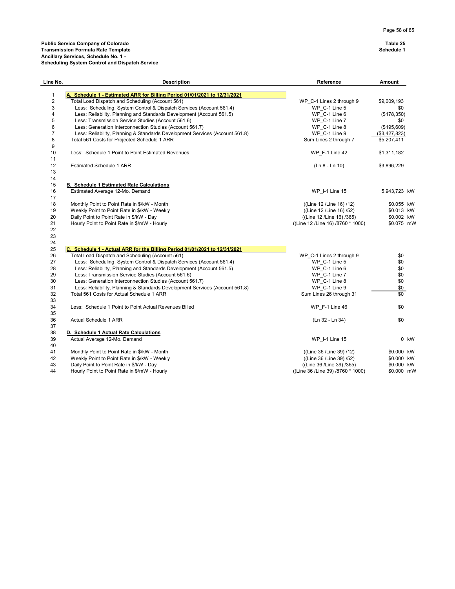23

|          | icheduling System Control and Dispatch Service                               |                          |               |
|----------|------------------------------------------------------------------------------|--------------------------|---------------|
| Line No. | <b>Description</b>                                                           | Reference                | Amount        |
|          | A. Schedule 1 - Estimated ARR for Billing Period 01/01/2021 to 12/31/2021    |                          |               |
|          | Total Load Dispatch and Scheduling (Account 561)                             | WP C-1 Lines 2 through 9 | \$9,009,193   |
|          | Less: Scheduling, System Control & Dispatch Services (Account 561.4)         | WP C-1 Line 5            | \$0           |
|          | Less: Reliability, Planning and Standards Development (Account 561.5)        | WP C-1 Line 6            | (\$178,350)   |
| 5        | Less: Transmission Service Studies (Account 561.6)                           | WP C-1 Line 7            | \$0           |
| 6        | Less: Generation Interconnection Studies (Account 561.7)                     | WP C-1 Line 8            | (\$195,609)   |
|          | Less: Reliability, Planning & Standards Development Services (Account 561.8) | WP C-1 Line 9            | (\$3,427,823) |
| 8        | Total 561 Costs for Projected Schedule 1 ARR                                 | Sum Lines 2 through 7    | \$5,207,411   |
| 9        |                                                                              |                          |               |
| 10       | Less: Schedule 1 Point to Point Estimated Revenues                           | WP F-1 Line 42           | \$1,311,182   |
| 11       |                                                                              |                          |               |
| 12       | <b>Estimated Schedule 1 ARR</b>                                              | (Ln 8 - Ln 10)           | \$3,896,229   |

| 11 |                                                  |                                   |              |  |
|----|--------------------------------------------------|-----------------------------------|--------------|--|
| 12 | <b>Estimated Schedule 1 ARR</b>                  | (Ln 8 - Ln 10)                    | \$3,896,229  |  |
| 13 |                                                  |                                   |              |  |
| 14 |                                                  |                                   |              |  |
| 15 | <b>B. Schedule 1 Estimated Rate Calculations</b> |                                   |              |  |
| 16 | Estimated Average 12-Mo. Demand                  | WP 1-1 Line 15                    | 5,943,723 kW |  |
| 17 |                                                  |                                   |              |  |
| 18 | Monthly Point to Point Rate in \$/kW - Month     | ((Line 12 /Line 16) /12)          | \$0.055 kW   |  |
| 19 | Weekly Point to Point Rate in \$/kW - Weekly     | ((Line 12 /Line 16) /52)          | \$0.013 kW   |  |
| 20 | Daily Point to Point Rate in \$/kW - Day         | ((Line 12 /Line 16) /365)         | \$0.002 kW   |  |
| 21 | Hourly Point to Point Rate in \$/mW - Hourly     | ((Line 12 /Line 16) /8760 * 1000) | \$0.075 mW   |  |
| 22 |                                                  |                                   |              |  |

| 24 |                                                                              |                                   |            |        |
|----|------------------------------------------------------------------------------|-----------------------------------|------------|--------|
| 25 | C. Schedule 1 - Actual ARR for the Billing Period 01/01/2021 to 12/31/2021   |                                   |            |        |
| 26 | Total Load Dispatch and Scheduling (Account 561)                             | WP C-1 Lines 2 through 9          | \$0        |        |
| 27 | Less: Scheduling, System Control & Dispatch Services (Account 561.4)         | WP C-1 Line 5                     | \$0        |        |
| 28 | Less: Reliability, Planning and Standards Development (Account 561.5)        | WP C-1 Line 6                     | \$0        |        |
| 29 | Less: Transmission Service Studies (Account 561.6)                           | WP C-1 Line 7                     | \$0        |        |
| 30 | Less: Generation Interconnection Studies (Account 561.7)                     | WP C-1 Line 8                     | \$0        |        |
| 31 | Less: Reliability, Planning & Standards Development Services (Account 561.8) | WP C-1 Line 9                     | \$0        |        |
| 32 | Total 561 Costs for Actual Schedule 1 ARR                                    | Sum Lines 26 through 31           | \$0        |        |
| 33 |                                                                              |                                   |            |        |
| 34 | Less: Schedule 1 Point to Point Actual Revenues Billed                       | WP $F-1$ Line 46                  | \$0        |        |
| 35 |                                                                              |                                   |            |        |
| 36 | Actual Schedule 1 ARR                                                        | (Ln 32 - Ln 34)                   | \$0        |        |
| 37 |                                                                              |                                   |            |        |
| 38 | D. Schedule 1 Actual Rate Calculations                                       |                                   |            |        |
| 39 | Actual Average 12-Mo. Demand                                                 | WP 1-1 Line 15                    |            | $0$ kW |
| 40 |                                                                              |                                   |            |        |
| 41 | Monthly Point to Point Rate in \$/kW - Month                                 | ((Line 36 /Line 39) /12)          | \$0.000 KW |        |
| 42 | Weekly Point to Point Rate in \$/kW - Weekly                                 | ((Line 36 / Line 39) / 52)        | \$0.000 KW |        |
| 43 | Daily Point to Point Rate in \$/kW - Day                                     | ((Line 36 /Line 39) /365)         | \$0.000 KW |        |
| 44 | Hourly Point to Point Rate in \$/mW - Hourly                                 | ((Line 36 /Line 39) /8760 * 1000) | \$0.000 mW |        |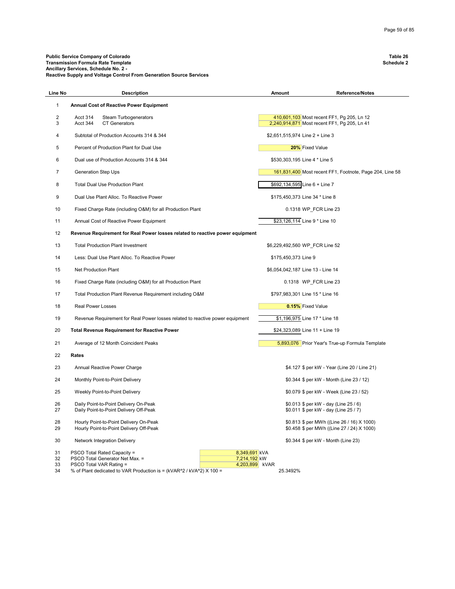### **Public Service Company of Colorado Table 26 Transmission Formula Rate Template Schedule 2 Ancillary Services, Schedule No. 2 - Reactive Supply and Voltage Control From Generation Source Services**

| Line No        | <b>Description</b>                                                                | Amount                          | <b>Reference/Notes</b>                                                                     |
|----------------|-----------------------------------------------------------------------------------|---------------------------------|--------------------------------------------------------------------------------------------|
| 1              | <b>Annual Cost of Reactive Power Equipment</b>                                    |                                 |                                                                                            |
| 2<br>3         | Acct 314<br><b>Steam Turbogenerators</b><br>Acct 344<br><b>CT Generators</b>      |                                 | 410,601,103 Most recent FF1, Pq 205, Ln 12<br>2,240,914,871 Most recent FF1, Pg 205, Ln 41 |
| 4              | Subtotal of Production Accounts 314 & 344                                         | \$2,651,515,974 Line 2 + Line 3 |                                                                                            |
| 5              | Percent of Production Plant for Dual Use                                          |                                 | 20% Fixed Value                                                                            |
| 6              | Dual use of Production Accounts 314 & 344                                         |                                 | \$530,303,195 Line 4 * Line 5                                                              |
| $\overline{7}$ | <b>Generation Step Ups</b>                                                        |                                 | 161,831,400 Most recent FF1, Footnote, Page 204, Line 58                                   |
| 8              | <b>Total Dual Use Production Plant</b>                                            |                                 | \$692,134,595 Line 6 + Line 7                                                              |
| 9              | Dual Use Plant Alloc. To Reactive Power                                           |                                 | \$175,450,373 Line 34 * Line 8                                                             |
| 10             | Fixed Charge Rate (including O&M) for all Production Plant                        |                                 | 0.1318 WP_FCR Line 23                                                                      |
| 11             | Annual Cost of Reactive Power Equipment                                           |                                 | \$23,126,114 Line 9 * Line 10                                                              |
| 12             | Revenue Requirement for Real Power losses related to reactive power equipment     |                                 |                                                                                            |
| 13             | <b>Total Production Plant Investment</b>                                          |                                 | \$6,229,492,560 WP FCR Line 52                                                             |
| 14             | Less: Dual Use Plant Alloc. To Reactive Power                                     | \$175,450,373 Line 9            |                                                                                            |
| 15             | Net Production Plant                                                              |                                 | \$6,054,042,187 Line 13 - Line 14                                                          |
| 16             | Fixed Charge Rate (including O&M) for all Production Plant                        |                                 | 0.1318 WP FCR Line 23                                                                      |
| 17             | Total Production Plant Revenue Requirement including O&M                          |                                 | \$797,983,301 Line 15 * Line 16                                                            |
| 18             | <b>Real Power Losses</b>                                                          |                                 | 0.15% Fixed Value                                                                          |
| 19             | Revenue Requirement for Real Power losses related to reactive power equipment     |                                 | \$1,196,975 Line 17 * Line 18                                                              |
| 20             | <b>Total Revenue Requirement for Reactive Power</b>                               |                                 | \$24,323,089 Line 11 + Line 19                                                             |
| 21             | Average of 12 Month Coincident Peaks                                              |                                 | 5,893,076 Prior Year's True-up Formula Template                                            |
| 22             | <b>Rates</b>                                                                      |                                 |                                                                                            |
| 23             | Annual Reactive Power Charge                                                      |                                 | \$4.127 \$ per kW - Year (Line 20 / Line 21)                                               |
| 24             | Monthly Point-to-Point Delivery                                                   |                                 | \$0.344 \$ per kW - Month (Line 23 / 12)                                                   |
| 25             | Weekly Point-to-Point Delivery                                                    |                                 | \$0.079 \$ per kW - Week (Line 23 / 52)                                                    |
| 26<br>27       | Daily Point-to-Point Delivery On-Peak<br>Daily Point-to-Point Delivery Off-Peak   |                                 | \$0.013 \$ per kW - day (Line 25 / 6)<br>\$0.011 \$ per kW - day (Line 25 / 7)             |
| 28<br>29       | Hourly Point-to-Point Delivery On-Peak<br>Hourly Point-to-Point Delivery Off-Peak |                                 | \$0.813 \$ per MWh ((Line 26 / 16) X 1000)<br>\$0.458 \$ per MWh ((Line 27 / 24) X 1000)   |
| 30             | Network Integration Delivery                                                      |                                 | \$0.344 \$ per kW - Month (Line 23)                                                        |
| 31             | PSCO Total Rated Capacity =<br>8,349,691 kVA                                      |                                 |                                                                                            |
| 32             | PSCO Total Generator Net Max. =<br>7,214,192 kW                                   |                                 |                                                                                            |
| 33             | PSCO Total VAR Rating =<br>4,203,899 kVAR                                         |                                 |                                                                                            |
| 34             | % of Plant dedicated to VAR Production is = (kVAR^2 / kVA^2) X 100 =              | 25.3492%                        |                                                                                            |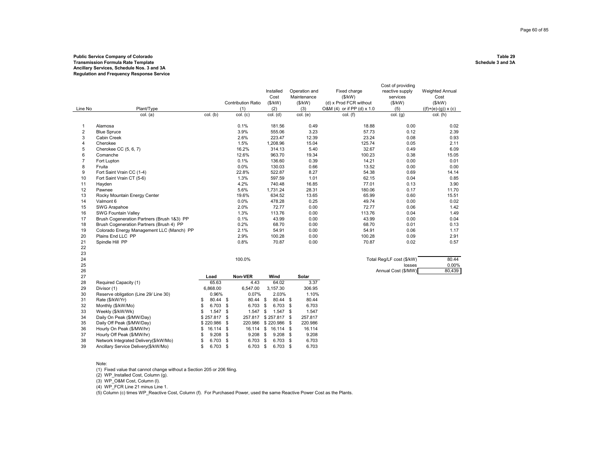### **Public Service Company of Colorado Table 29 Transmission Formula Rate Template Ancillary Services, Schedule Nos. 3 and 3A Regulation and Frequency Response Service**

| Line No        | Plant/Type<br>col. (a)                     | col. (b)       | <b>Contribution Ratio</b><br>(1)<br>col. (c) | Installed<br>Cost<br>(\$/kW)<br>(2)<br>col. (d) | Operation and<br>Maintenance<br>(\$/kW)<br>(3)<br>col. (e) | Fixed charge<br>(\$/kW)<br>(d) x Prod FCR without<br>O&M (4) or if PP (d) x 1.0<br>$col.$ (f) | Cost of providing<br>reactive supply<br>services<br>(\$/kW)<br>(5)<br>$col.$ $(g)$ | <b>Weighted Annual</b><br>Cost<br>(\$/kW)<br>$((f)+(e)-(g)) \times (c)$<br>col. (h) |
|----------------|--------------------------------------------|----------------|----------------------------------------------|-------------------------------------------------|------------------------------------------------------------|-----------------------------------------------------------------------------------------------|------------------------------------------------------------------------------------|-------------------------------------------------------------------------------------|
|                |                                            |                |                                              |                                                 |                                                            |                                                                                               |                                                                                    |                                                                                     |
| 1              | Alamosa                                    |                | 0.1%                                         | 181.56                                          | 0.49                                                       | 18.88                                                                                         | 0.00                                                                               | 0.02                                                                                |
| $\overline{2}$ | <b>Blue Spruce</b>                         |                | 3.9%                                         | 555.06                                          | 3.23                                                       | 57.73                                                                                         | 0.12                                                                               | 2.39                                                                                |
| 3              | <b>Cabin Creek</b>                         |                | 2.6%                                         | 223.47                                          | 12.39                                                      | 23.24                                                                                         | 0.08                                                                               | 0.93                                                                                |
| $\overline{4}$ | Cherokee                                   |                | 1.5%                                         | 1,208.96                                        | 15.04                                                      | 125.74                                                                                        | 0.05                                                                               | 2.11                                                                                |
| 5              | Cherokee CC (5, 6, 7)                      |                | 16.2%                                        | 314.13                                          | 5.40                                                       | 32.67                                                                                         | 0.49                                                                               | 6.09                                                                                |
| 6              | Comanche                                   |                | 12.6%                                        | 963.70                                          | 19.34                                                      | 100.23                                                                                        | 0.38                                                                               | 15.05                                                                               |
| $\overline{7}$ | Fort Lupton                                |                | 0.1%                                         | 136.60                                          | 0.39                                                       | 14.21                                                                                         | 0.00                                                                               | 0.01                                                                                |
| 8              | Fruita                                     |                | 0.0%                                         | 130.03                                          | 0.66                                                       | 13.52                                                                                         | 0.00                                                                               | 0.00                                                                                |
| 9              | Fort Saint Vrain CC (1-4)                  |                | 22.8%                                        | 522.87                                          | 8.27                                                       | 54.38                                                                                         | 0.69                                                                               | 14.14                                                                               |
| 10             | Fort Saint Vrain CT (5-6)                  |                | 1.3%                                         | 597.59                                          | 1.01                                                       | 62.15                                                                                         | 0.04                                                                               | 0.85                                                                                |
| 11             | Hayden                                     |                | 4.2%                                         | 740.48                                          | 16.85                                                      | 77.01                                                                                         | 0.13                                                                               | 3.90                                                                                |
| 12             | Pawnee                                     |                | 5.6%                                         | 1,731.24                                        | 28.31                                                      | 180.06                                                                                        | 0.17                                                                               | 11.70                                                                               |
| 13             | Rocky Mountain Energy Center               |                | 19.6%                                        | 634.52                                          | 13.65                                                      | 65.99                                                                                         | 0.60                                                                               | 15.51                                                                               |
| 14             | Valmont 6                                  |                | 0.0%                                         | 478.28                                          | 0.25                                                       | 49.74                                                                                         | 0.00                                                                               | 0.02                                                                                |
| 15             | SWG Arapahoe                               |                | 2.0%                                         | 72.77                                           | 0.00                                                       | 72.77                                                                                         | 0.06                                                                               | 1.42                                                                                |
| 16             | <b>SWG Fountain Valley</b>                 |                | 1.3%                                         | 113.76                                          | 0.00                                                       | 113.76                                                                                        | 0.04                                                                               | 1.49                                                                                |
| 17             | Brush Cogeneration Partners (Brush 1&3) PP |                | 0.1%                                         | 43.99                                           | 0.00                                                       | 43.99                                                                                         | 0.00                                                                               | 0.04                                                                                |
| 18             | Brush Cogeneration Partners (Brush 4) PP   |                | 0.2%                                         | 68.70                                           | 0.00                                                       | 68.70                                                                                         | 0.01                                                                               | 0.13                                                                                |
| 19             | Colorado Energy Management LLC (Manch) PP  |                | 2.1%                                         | 54.91                                           | 0.00                                                       | 54.91                                                                                         | 0.06                                                                               | 1.17                                                                                |
| 20             | Plains End LLC PP                          |                | 2.9%                                         | 100.28                                          | 0.00                                                       | 100.28                                                                                        | 0.09                                                                               | 2.91                                                                                |
| 21<br>22       | Spindle Hill PP                            |                | 0.8%                                         | 70.87                                           | 0.00                                                       | 70.87                                                                                         | 0.02                                                                               | 0.57                                                                                |
| 23             |                                            |                |                                              |                                                 |                                                            |                                                                                               |                                                                                    |                                                                                     |
| 24             |                                            |                | 100.0%                                       |                                                 |                                                            |                                                                                               | Total Reg/LF cost (\$/kW)                                                          | 80.44                                                                               |
| 25             |                                            |                |                                              |                                                 |                                                            |                                                                                               | losses                                                                             | 0.00%                                                                               |
| 26             |                                            |                |                                              |                                                 |                                                            |                                                                                               | Annual Cost (\$/MW)                                                                | 80,439                                                                              |
| 27             |                                            | Load           | Non-VER                                      | Wind                                            | Solar                                                      |                                                                                               |                                                                                    |                                                                                     |
| 28             | Required Capacity (1)                      | 65.63          | 4.43                                         | 64.02                                           | 3.37                                                       |                                                                                               |                                                                                    |                                                                                     |
| 29             | Divisor (1)                                | 6,868.00       | 6,547.00                                     | 3,157.30                                        | 306.95                                                     |                                                                                               |                                                                                    |                                                                                     |
| 30             | Reserve obligation (Line 29/ Line 30)      | 0.96%          | 0.07%                                        | 2.03%                                           | 1.10%                                                      |                                                                                               |                                                                                    |                                                                                     |
| 31             | Rate (\$/kW/Yr)                            | 80.44 \$<br>\$ | 80.44 \$                                     | 80.44 \$                                        | 80.44                                                      |                                                                                               |                                                                                    |                                                                                     |
| 32             | Monthly (\$/kW/Mo)                         | \$<br>6.703    | \$<br>6.703                                  | \$<br>$6.703$ \$                                | 6.703                                                      |                                                                                               |                                                                                    |                                                                                     |
| 33             | Weekly (\$/kW/Wk)                          | \$<br>1.547    | \$<br>$1.547$ \$                             | $1.547$ \$                                      | 1.547                                                      |                                                                                               |                                                                                    |                                                                                     |
| 34             | Daily On Peak (\$/MW/Day)                  | \$257.817      | \$                                           | 257.817 \$257.817 \$                            | 257.817                                                    |                                                                                               |                                                                                    |                                                                                     |
| 35             | Daily Off Peak (\$/MW/Day)                 | \$220.986      | \$                                           | 220.986 \$220.986                               | -\$<br>220.986                                             |                                                                                               |                                                                                    |                                                                                     |
| 36             | Hourly On Peak (\$/MW/hr)                  | 16.114<br>\$   | \$                                           | 16.114 \$ 16.114 \$                             | 16.114                                                     |                                                                                               |                                                                                    |                                                                                     |
| 37             | Hourly Off Peak (\$/MW/hr)                 | 9.208<br>S     | \$<br>$9.208$ \$                             | 9.208                                           | \$<br>9.208                                                |                                                                                               |                                                                                    |                                                                                     |
| 38             | Network Integrated Delivery(\$/kW/Mo)      | \$<br>6.703    | \$<br>$6.703$ \$                             | $6.703$ \$                                      | 6.703                                                      |                                                                                               |                                                                                    |                                                                                     |
| 39             | Ancillary Service Delivery(\$/kW/Mo)       | \$<br>6.703    | \$<br>$6.703$ \$                             | $6.703$ \$                                      | 6.703                                                      |                                                                                               |                                                                                    |                                                                                     |

### Note:

(1) Fixed value that cannot change without a Section 205 or 206 filing.

 $(2)$  WP\_Installed Cost, Column  $(g)$ .

(3) WP\_O&M Cost, Column (l).

(4) WP\_FCR Line 21 minus Line 1.

(5) Column (c) times WP\_Reactive Cost, Column (f). For Purchased Power, used the same Reactive Power Cost as the Plants.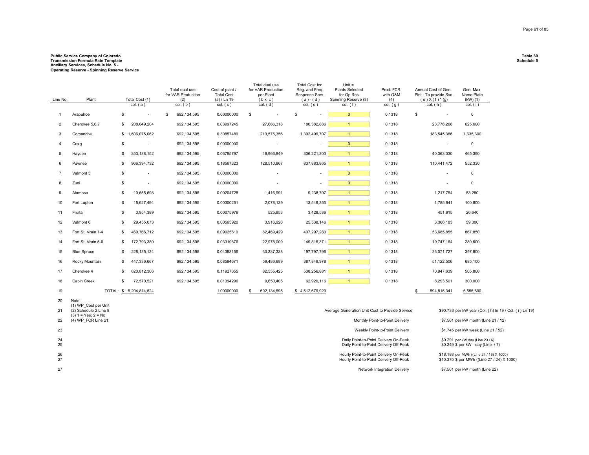## **Public Service Company of Colorado Table 30 Transmission Formula Rate Template Schedule 5 Ancillary Services, Schedule No. 5 - Operating Reserve - Spinning Reserve Service**

| Line No.       | Plant                                          | Total Cost (1)<br>col. (a)     | Total dual use<br>for VAR Production<br>(2)<br>$col.$ ( $b$ ) | Cost of plant /<br><b>Total Cost</b><br>(a) / Ln 19<br>col. (c) | Total dual use<br>for VAR Production<br>per Plant<br>$(b \times c)$<br>$col.$ $(d)$ | <b>Total Cost for</b><br>Reg. and Freg.<br>Response Serv<br>$(a)-(d)$<br>$col.$ ( $e$ ) | $Unit =$<br><b>Plants Selected</b><br>for Op Res<br>Spinning Reserve (3)<br>$col.$ (f) | Prod. FCR<br>with O&M<br>(4)<br>$col.$ (g)                                        | Annual Cost of Gen.<br>Plnt To provide Svc.<br>$(e) X(f)^*(g)$<br>$col.$ ( $h$ ) | Gen. Max<br>Name Plate<br>$(KW)$ $(1)$<br>$col.$ (i)                                    |
|----------------|------------------------------------------------|--------------------------------|---------------------------------------------------------------|-----------------------------------------------------------------|-------------------------------------------------------------------------------------|-----------------------------------------------------------------------------------------|----------------------------------------------------------------------------------------|-----------------------------------------------------------------------------------|----------------------------------------------------------------------------------|-----------------------------------------------------------------------------------------|
| $\mathbf{1}$   | Arapahoe                                       | \$<br>$\overline{a}$           | \$<br>692, 134, 595                                           | 0.00000000                                                      | \$<br>$\sim$                                                                        | \$                                                                                      | $\overline{0}$                                                                         | 0.1318                                                                            | \$<br>$\sim$                                                                     | $\mathsf 0$                                                                             |
| $\overline{2}$ | Cherokee 5,6,7                                 | 208,049,204<br>\$              | 692, 134, 595                                                 | 0.03997245                                                      | 27,666,318                                                                          | 180,382,886                                                                             | $\mathbf{1}$                                                                           | 0.1318                                                                            | 23,776,268                                                                       | 625,600                                                                                 |
| 3              | Comanche                                       | \$1,606,075,062                | 692, 134, 595                                                 | 0.30857489                                                      | 213,575,356                                                                         | 1,392,499,707                                                                           | $\mathbf{1}$                                                                           | 0.1318                                                                            | 183,545,386                                                                      | 1,635,300                                                                               |
| $\overline{4}$ | Craig                                          | \$<br>$\overline{\phantom{a}}$ | 692, 134, 595                                                 | 0.00000000                                                      | $\overline{\phantom{a}}$                                                            | $\overline{\phantom{a}}$                                                                | $\mathbf{0}$                                                                           | 0.1318                                                                            | $\overline{\phantom{a}}$                                                         | $\mathsf 0$                                                                             |
| 5              | Hayden                                         | 353,188,152<br>\$              | 692, 134, 595                                                 | 0.06785797                                                      | 46,966,849                                                                          | 306,221,303                                                                             | $\mathbf{1}$                                                                           | 0.1318                                                                            | 40,363,030                                                                       | 465,390                                                                                 |
| 6              | Pawnee                                         | 966,394,732<br>\$              | 692, 134, 595                                                 | 0.18567323                                                      | 128,510,867                                                                         | 837,883,865                                                                             | $\mathbf{1}$                                                                           | 0.1318                                                                            | 110,441,472                                                                      | 552,330                                                                                 |
| $\overline{7}$ | Valmont 5                                      | \$<br>$\sim$                   | 692, 134, 595                                                 | 0.00000000                                                      |                                                                                     | $\overline{a}$                                                                          | $\overline{0}$                                                                         | 0.1318                                                                            | $\sim$                                                                           | $\mathbf 0$                                                                             |
| 8              | Zuni                                           | \$<br>$\overline{\phantom{a}}$ | 692, 134, 595                                                 | 0.00000000                                                      | $\overline{a}$                                                                      | $\overline{\phantom{a}}$                                                                | $\overline{0}$                                                                         | 0.1318                                                                            | $\overline{\phantom{a}}$                                                         | $\mathsf 0$                                                                             |
| 9              | Alamosa                                        | \$<br>10,655,698               | 692, 134, 595                                                 | 0.00204728                                                      | 1,416,991                                                                           | 9,238,707                                                                               | $\mathbf{1}$                                                                           | 0.1318                                                                            | 1,217,754                                                                        | 53,280                                                                                  |
| 10             | Fort Lupton                                    | 15,627,494<br>\$               | 692, 134, 595                                                 | 0.00300251                                                      | 2,078,139                                                                           | 13,549,355                                                                              | $\mathbf{1}$                                                                           | 0.1318                                                                            | 1,785,941                                                                        | 100,800                                                                                 |
| 11             | Fruita                                         | 3,954,389<br>\$                | 692, 134, 595                                                 | 0.00075976                                                      | 525,853                                                                             | 3,428,536                                                                               | $\mathbf{1}$                                                                           | 0.1318                                                                            | 451,915                                                                          | 26,640                                                                                  |
| 12             | Valmont 6                                      | S.<br>29,455,073               | 692, 134, 595                                                 | 0.00565920                                                      | 3,916,926                                                                           | 25,538,146                                                                              | $\mathbf{1}$                                                                           | 0.1318                                                                            | 3,366,183                                                                        | 59,300                                                                                  |
| 13             | Fort St. Vrain 1-4                             | 469,766,712<br>\$              | 692, 134, 595                                                 | 0.09025619                                                      | 62,469,429                                                                          | 407,297,283                                                                             | $\overline{1}$                                                                         | 0.1318                                                                            | 53,685,855                                                                       | 867,850                                                                                 |
| 14             | Fort St. Vrain 5-6                             | 172,793,380<br>\$              | 692, 134, 595                                                 | 0.03319876                                                      | 22,978,009                                                                          | 149,815,371                                                                             | $\overline{1}$                                                                         | 0.1318                                                                            | 19,747,164                                                                       | 280,500                                                                                 |
| 15             | <b>Blue Spruce</b>                             | 228, 135, 134<br>\$            | 692, 134, 595                                                 | 0.04383156                                                      | 30,337,338                                                                          | 197,797,796                                                                             | $\mathbf{1}$                                                                           | 0.1318                                                                            | 26,071,727                                                                       | 397,800                                                                                 |
| 16             | Rocky Mountain                                 | 447,336,667<br>\$              | 692, 134, 595                                                 | 0.08594671                                                      | 59,486,689                                                                          | 387,849,978                                                                             | $\mathbf{1}$                                                                           | 0.1318                                                                            | 51,122,506                                                                       | 685,100                                                                                 |
| 17             | Cherokee 4                                     | 620,812,306<br>\$              | 692, 134, 595                                                 | 0.11927655                                                      | 82,555,425                                                                          | 538,256,881                                                                             | $\mathbf{1}$                                                                           | 0.1318                                                                            | 70,947,639                                                                       | 505,800                                                                                 |
| 18             | Cabin Creek                                    | 72,570,521<br>\$               | 692, 134, 595                                                 | 0.01394296                                                      | 9,650,405                                                                           | 62,920,116                                                                              | $\overline{1}$                                                                         | 0.1318                                                                            | 8,293,501                                                                        | 300,000                                                                                 |
| 19             |                                                | TOTAL: \$ 5,204,814,524        |                                                               | 1.00000000                                                      | 692,134,595<br>\$                                                                   | \$4,512,679,929                                                                         |                                                                                        |                                                                                   | 594,816,341<br>S                                                                 | 6,555,690                                                                               |
| 20             | Note:<br>(1) WP Cost per Unit                  |                                |                                                               |                                                                 |                                                                                     |                                                                                         |                                                                                        |                                                                                   |                                                                                  |                                                                                         |
| 21             | (2) Schedule 2 Line 8<br>$(3) 1 = Yes; 2 = No$ |                                |                                                               |                                                                 |                                                                                     |                                                                                         | Average Generation Unit Cost to Provide Service                                        |                                                                                   |                                                                                  | \$90.733 per kW year (Col. (h) In 19 / Col. (i) Ln 19)                                  |
| 22             | (4) WP_FCR Line 21                             |                                |                                                               |                                                                 |                                                                                     |                                                                                         |                                                                                        | Monthly Point-to-Point Delivery                                                   |                                                                                  | \$7.561 per kW month (Line 21 / 12)                                                     |
| 23             |                                                |                                |                                                               |                                                                 |                                                                                     |                                                                                         |                                                                                        | Weekly Point-to-Point Delivery                                                    |                                                                                  | \$1.745 per kW week (Line 21 / 52)                                                      |
| 24<br>25       |                                                |                                |                                                               |                                                                 |                                                                                     |                                                                                         |                                                                                        | Daily Point-to-Point Delivery On-Peak<br>Daily Point-to-Point Delivery Off-Peak   |                                                                                  | \$0.291 per kW day (Line 23 / 6)<br>\$0.249 \$ per kW - day (Line / 7)                  |
| 26<br>27       |                                                |                                |                                                               |                                                                 |                                                                                     |                                                                                         |                                                                                        | Hourly Point-to-Point Delivery On-Peak<br>Hourly Point-to-Point Delivery Off-Peak |                                                                                  | \$18.188 per MWh ((Line 24 / 16) X 1000)<br>\$10.375 \$ per MWh ((Line 27 / 24) X 1000) |
| 27             |                                                |                                |                                                               |                                                                 |                                                                                     |                                                                                         |                                                                                        | Network Integration Delivery                                                      |                                                                                  | \$7.561 per kW month (Line 22)                                                          |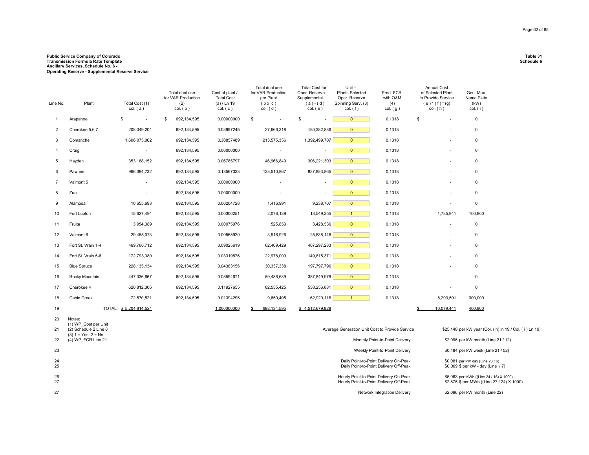## **Public Service Company of Colorado Table 31 Transmission Formula Rate Template Schedule 6 Ancillary Services, Schedule No. 6 - Operating Reserve - Supplemental Reserve Service**

| Line No.       | Plant                                                                  | Total Cost (1)<br>col. (a) | Total dual use<br>for VAR Production<br>(2)<br>$col.$ ( $b$ ) | Cost of plant /<br><b>Total Cost</b><br>(a) / Ln 19<br>col. (c) | Total dual use<br>for VAR Production<br>per Plant<br>$(b \times c)$<br>$col.$ (d) | Total Cost for<br>Oper. Reserve<br>Supplemental<br>$(a)-(d)$<br>$col.$ (e) | Unit $=$<br><b>Plants Selected</b><br>Oper. Reserve<br>Spinning Serv. (3)<br>$col.$ (f) | Prod. FCR<br>with O&M<br>(4)<br>$col.$ (g)                                      | <b>Annual Cost</b><br>of Selected Plant<br>to Provide Service<br>$(e) * (f) * (g)$<br>$col.$ ( $h$ ) | Gen. Max<br>Name Plate<br>(kW)<br>$col.$ (i)                           |
|----------------|------------------------------------------------------------------------|----------------------------|---------------------------------------------------------------|-----------------------------------------------------------------|-----------------------------------------------------------------------------------|----------------------------------------------------------------------------|-----------------------------------------------------------------------------------------|---------------------------------------------------------------------------------|------------------------------------------------------------------------------------------------------|------------------------------------------------------------------------|
| $\mathbf{1}$   | Arapahoe                                                               | \$<br>$\blacksquare$       | 692,134,595<br>\$                                             | 0.00000000                                                      | \$                                                                                | \$                                                                         | $\overline{0}$                                                                          | 0.1318                                                                          | \$<br>$\overline{\phantom{a}}$                                                                       | $\mathbf 0$                                                            |
| 2              | Cherokee 5,6,7                                                         | 208,049,204                | 692,134,595                                                   | 0.03997245                                                      | 27,666,318                                                                        | 180,382,886                                                                | $\overline{0}$                                                                          | 0.1318                                                                          |                                                                                                      | $\mathbf 0$                                                            |
| 3              | Comanche                                                               | 1,606,075,062              | 692,134,595                                                   | 0.30857489                                                      | 213,575,356                                                                       | 1,392,499,707                                                              | $\mathbf{0}$                                                                            | 0.1318                                                                          |                                                                                                      | 0                                                                      |
| $\overline{4}$ | Craig                                                                  | $\sim$                     | 692,134,595                                                   | 0.00000000                                                      |                                                                                   | $\overline{\phantom{a}}$                                                   | $\overline{0}$                                                                          | 0.1318                                                                          |                                                                                                      | 0                                                                      |
| 5              | Hayden                                                                 | 353,188,152                | 692,134,595                                                   | 0.06785797                                                      | 46,966,849                                                                        | 306,221,303                                                                | $\mathbf{0}$                                                                            | 0.1318                                                                          |                                                                                                      | $\mathbf 0$                                                            |
| 6              | Pawnee                                                                 | 966,394,732                | 692,134,595                                                   | 0.18567323                                                      | 128,510,867                                                                       | 837,883,865                                                                | $\mathbf{0}$                                                                            | 0.1318                                                                          | ä,                                                                                                   | $\mathbf 0$                                                            |
| $\overline{7}$ | Valmont 5                                                              | $\overline{\phantom{a}}$   | 692,134,595                                                   | 0.00000000                                                      |                                                                                   | $\overline{\phantom{a}}$                                                   | $\overline{0}$                                                                          | 0.1318                                                                          |                                                                                                      | $\mathbf 0$                                                            |
| 8              | Zuni                                                                   | $\overline{\phantom{a}}$   | 692,134,595                                                   | 0.00000000                                                      |                                                                                   | ÷,                                                                         | $\overline{0}$                                                                          | 0.1318                                                                          |                                                                                                      | $\mathbf 0$                                                            |
| 9              | Alamosa                                                                | 10,655,698                 | 692,134,595                                                   | 0.00204728                                                      | 1,416,991                                                                         | 9,238,707                                                                  | $\mathbf{0}$                                                                            | 0.1318                                                                          | ٠                                                                                                    | $\mathsf 0$                                                            |
| 10             | Fort Lupton                                                            | 15,627,494                 | 692,134,595                                                   | 0.00300251                                                      | 2,078,139                                                                         | 13,549,355                                                                 | $\mathbf{1}$                                                                            | 0.1318                                                                          | 1,785,941                                                                                            | 100,800                                                                |
| 11             | Fruita                                                                 | 3,954,389                  | 692,134,595                                                   | 0.00075976                                                      | 525,853                                                                           | 3,428,536                                                                  | $\overline{0}$                                                                          | 0.1318                                                                          | $\overline{a}$                                                                                       | $\mathbf 0$                                                            |
| 12             | Valmont 6                                                              | 29,455,073                 | 692,134,595                                                   | 0.00565920                                                      | 3,916,926                                                                         | 25,538,146                                                                 | $\overline{0}$                                                                          | 0.1318                                                                          |                                                                                                      | $\mathbf 0$                                                            |
| 13             | Fort St. Vrain 1-4                                                     | 469,766,712                | 692,134,595                                                   | 0.09025619                                                      | 62,469,429                                                                        | 407,297,283                                                                | $\overline{0}$                                                                          | 0.1318                                                                          |                                                                                                      | $\mathbf 0$                                                            |
| 14             | Fort St. Vrain 5-6                                                     | 172,793,380                | 692,134,595                                                   | 0.03319876                                                      | 22,978,009                                                                        | 149,815,371                                                                | $\mathbf{0}$                                                                            | 0.1318                                                                          |                                                                                                      | $\mathbf 0$                                                            |
| 15             | <b>Blue Spruce</b>                                                     | 228, 135, 134              | 692,134,595                                                   | 0.04383156                                                      | 30,337,338                                                                        | 197,797,796                                                                | $\overline{0}$                                                                          | 0.1318                                                                          |                                                                                                      | $\mathbf 0$                                                            |
| 16             | Rocky Mountain                                                         | 447,336,667                | 692,134,595                                                   | 0.08594671                                                      | 59,486,689                                                                        | 387,849,978                                                                | $\overline{0}$                                                                          | 0.1318                                                                          | ٠                                                                                                    | $\mathbf 0$                                                            |
| 17             | Cherokee 4                                                             | 620,812,306                | 692,134,595                                                   | 0.11927655                                                      | 82,555,425                                                                        | 538,256,881                                                                | $\mathbf{0}$                                                                            | 0.1318                                                                          |                                                                                                      | $\Omega$                                                               |
| 18             | Cabin Creek                                                            | 72,570,521                 | 692,134,595                                                   | 0.01394296                                                      | 9,650,405                                                                         | 62,920,116                                                                 | $\overline{1}$                                                                          | 0.1318                                                                          | 8,293,501                                                                                            | 300,000                                                                |
| 19             |                                                                        | TOTAL: \$5,204,814,524     |                                                               | 1.000000000                                                     | 692,134,595<br>s.                                                                 | \$4,512,679,929                                                            |                                                                                         |                                                                                 | 10,079,441<br>\$                                                                                     | 400,800                                                                |
| 20             | Notes:                                                                 |                            |                                                               |                                                                 |                                                                                   |                                                                            |                                                                                         |                                                                                 |                                                                                                      |                                                                        |
| 21             | (1) WP Cost per Unit<br>(2) Schedule 2 Line 8<br>$(3) 1 = Yes; 2 = No$ |                            |                                                               |                                                                 |                                                                                   |                                                                            | Average Generation Unit Cost to Provide Service                                         |                                                                                 |                                                                                                      | \$25.148 per kW year (Col. (h) ln 19 / Col. (i) Ln 19)                 |
| 22             | (4) WP FCR Line 21                                                     |                            |                                                               |                                                                 |                                                                                   |                                                                            |                                                                                         | Monthly Point-to-Point Delivery                                                 |                                                                                                      | \$2.096 per kW month (Line 21 / 12)                                    |
| 23             |                                                                        |                            |                                                               |                                                                 |                                                                                   |                                                                            |                                                                                         | Weekly Point-to-Point Delivery                                                  |                                                                                                      | \$0.484 per kW week (Line 21 / 52)                                     |
| 24<br>25       |                                                                        |                            |                                                               |                                                                 |                                                                                   |                                                                            |                                                                                         | Daily Point-to-Point Delivery On-Peak<br>Daily Point-to-Point Delivery Off-Peak |                                                                                                      | \$0.081 per kW day (Line 23 / 6)<br>\$0.069 \$ per kW - day (Line / 7) |

26<br>27 Hourly Point-to-Point Delivery On-Peak<br>Hourly Point-to-Point Delivery Off-Peak \$5.063 per MWh ((Line 24 / 16) X 1000)<br>\$2.875 \$ per MWh ((Line 27 / 24) X 1000) Network Integration Delivery \$2.096 per kW month (Line 22)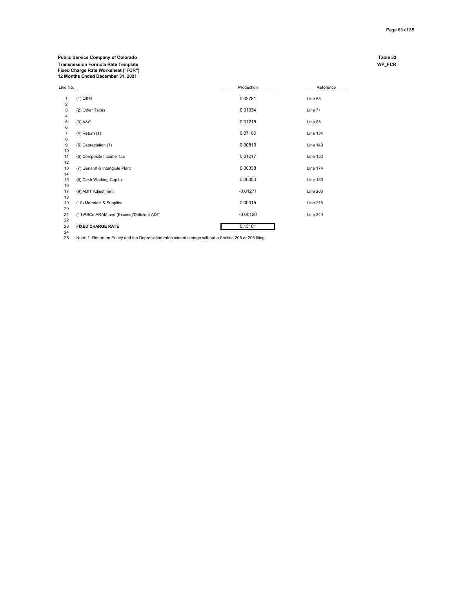### **Public Service Company of Colorado Table 32 Transmission Formula Rate Template WP\_FCR Fixed Charge Rate Worksheet ("FCR") 12 Months Ended December 31, 2021**

| Line No.       |                                            | Production | Reference       |
|----------------|--------------------------------------------|------------|-----------------|
| 1              | $(1)$ O&M                                  | 0.02781    | Line 58         |
| $\overline{2}$ |                                            |            |                 |
| 3              | (2) Other Taxes                            | 0.01034    | Line 71         |
| $\overline{4}$ |                                            |            |                 |
| 5              | $(3)$ A&G                                  | 0.01215    | Line 85         |
| 6              |                                            |            |                 |
| $\overline{7}$ | $(4)$ Return $(1)$                         | 0.07160    | <b>Line 134</b> |
| 8              |                                            |            |                 |
| 9              | (5) Depreciation (1)                       | 0.00813    | Line 149        |
| 10             |                                            |            |                 |
| 11             | (6) Composite Income Tax                   | 0.01217    | <b>Line 153</b> |
| 12             |                                            |            |                 |
| 13<br>14       | (7) General & Intangible Plant             | 0.00338    | <b>Line 174</b> |
| 15             | (8) Cash Working Capital                   | 0.00000    | Line 180        |
| 16             |                                            |            |                 |
| 17             | (9) ADIT Adjustment                        | $-0.01271$ | <b>Line 203</b> |
| 18             |                                            |            |                 |
| 19             | (10) Materials & Supplies                  | 0.00015    | <b>Line 216</b> |
| 20             |                                            |            |                 |
| 21             | (11) PSCo ARAM and (Excess)/Deficient ADIT | $-0.00120$ | <b>Line 240</b> |
| 22             |                                            |            |                 |
| 23             | <b>FIXED CHARGE RATE</b>                   | 0.13181    |                 |

23 **FIXED CHARGE RATE** 0.13181 24 25 Note: 1. Return on Equity and the Depreciation rates cannot change without a Section 205 or 206 filing.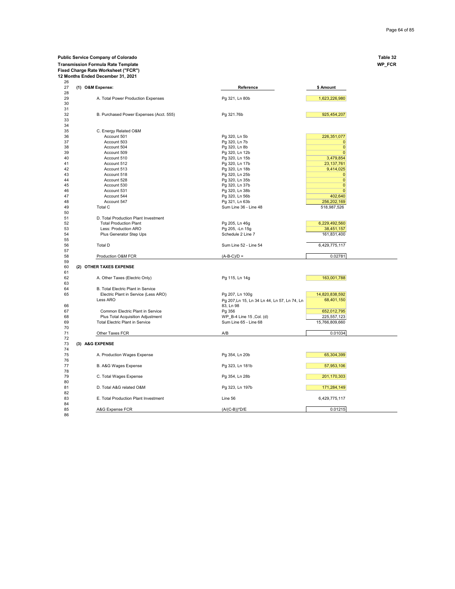## **Public Service Company of Colorado Table 32**

**Transmission Formula Rate Template WP\_FCR**

**Fixed Charge Rate Worksheet ("FCR") 12 Months Ended December 31, 2021** 26

| 26 |  |                                         |                                              |                |
|----|--|-----------------------------------------|----------------------------------------------|----------------|
| 27 |  | (1) O&M Expense:                        | Reference                                    | \$ Amount      |
| 28 |  |                                         |                                              |                |
| 29 |  | A. Total Power Production Expenses      | Pg 321, Ln 80b                               | 1,623,226,980  |
| 30 |  |                                         |                                              |                |
| 31 |  |                                         |                                              |                |
| 32 |  | B. Purchased Power Expenses (Acct. 555) | Pg 321.76b                                   | 925,454,207    |
| 33 |  |                                         |                                              |                |
| 34 |  |                                         |                                              |                |
| 35 |  | C. Energy Related O&M                   |                                              |                |
| 36 |  | Account 501                             | Pg 320, Ln 5b                                | 226,351,077    |
| 37 |  | Account 503                             | Pg 320, Ln 7b                                | $\mathbf 0$    |
| 38 |  | Account 504                             | Pg 320, Ln 8b                                | $\mathbf{0}$   |
| 39 |  | Account 509                             | Pg 320, Ln 12b                               | $\mathbf{0}$   |
| 40 |  | Account 510                             | Pg 320, Ln 15b                               | 3,479,854      |
| 41 |  | Account 512                             | Pg 320, Ln 17b                               | 23, 137, 761   |
| 42 |  | Account 513                             | Pg 320, Ln 18b                               | 9,414,025      |
| 43 |  | Account 518                             | Pg 320, Ln 25b                               | $\mathbf{0}$   |
| 44 |  | Account 528                             | Pg 320, Ln 35b                               | $\mathbf{0}$   |
| 45 |  | Account 530                             | Pg 320, Ln 37b                               | $\mathbf{0}$   |
| 46 |  | Account 531                             | Pg 320, Ln 38b                               | $\Omega$       |
| 47 |  | Account 544                             | Pg 320, Ln 56b                               | 402,640        |
| 48 |  | Account 547                             | Pg 321, Ln 63b                               | 256,202,169    |
| 49 |  | Total C                                 | Sum Line 36 - Line 48                        | 518,987,526    |
| 50 |  |                                         |                                              |                |
| 51 |  | D. Total Production Plant Investment    |                                              |                |
| 52 |  | <b>Total Production Plant</b>           | Pg 205, Ln 46g                               | 6,229,492,560  |
| 53 |  | Less: Production ARO                    | Pg 205, -Ln 15g                              | 38,451,157     |
| 54 |  | Plus Generator Step Ups                 | Schedule 2 Line 7                            | 161,831,400    |
| 55 |  |                                         |                                              |                |
| 56 |  | <b>Total D</b>                          | Sum Line 52 - Line 54                        | 6,429,775,117  |
| 57 |  |                                         |                                              |                |
| 58 |  | Production O&M FCR                      | $(A-B-C)/D =$                                | 0.02781        |
| 59 |  |                                         |                                              |                |
| 60 |  | (2) OTHER TAXES EXPENSE                 |                                              |                |
| 61 |  |                                         |                                              |                |
| 62 |  | A. Other Taxes (Electric Only)          | Pg 115, Ln 14g                               | 163,001,788    |
| 63 |  |                                         |                                              |                |
| 64 |  | B. Total Electric Plant in Service      |                                              |                |
| 65 |  | Electric Plant in Service (Less ARO)    | Pg 207, Ln 100g                              | 14,820,838,592 |
|    |  | Less ARO                                |                                              | 68,401,150     |
|    |  |                                         | Pg 207, Ln 15, Ln 34 Ln 44, Ln 57, Ln 74, Ln |                |
| 66 |  |                                         | 83, Ln 98                                    |                |
| 67 |  | Common Electric Plant in Service        | Pg 356                                       | 652,012,795    |
| 68 |  | Plus Total Acquisition Adjustment       | WP B-4 Line 15, Col. (d)                     | 225,557,123    |
| 69 |  | <b>Total Electric Plant in Service</b>  | Sum Line 65 - Line 68                        | 15,766,809,660 |
| 70 |  |                                         |                                              |                |
| 71 |  | Other Taxes FCR                         | A/B                                          | 0.01034        |
| 72 |  |                                         |                                              |                |
| 73 |  | (3) A&G EXPENSE                         |                                              |                |
| 74 |  |                                         |                                              |                |
| 75 |  | A. Production Wages Expense             | Pg 354, Ln 20b                               | 65,304,399     |
| 76 |  |                                         |                                              |                |
| 77 |  | B. A&G Wages Expense                    | Pg 323, Ln 181b                              | 57,953,106     |
| 78 |  |                                         |                                              |                |
| 79 |  | C. Total Wages Expense                  | Pg 354, Ln 28b                               | 201,170,303    |
| 80 |  |                                         |                                              |                |
| 81 |  | D. Total A&G related O&M                | Pg 323, Ln 197b                              | 171,284,149    |
| 82 |  |                                         |                                              |                |
| 83 |  | E. Total Production Plant Investment    | Line 56                                      | 6,429,775,117  |
| 84 |  |                                         |                                              |                |
| 85 |  | A&G Expense FCR                         | $(A/(C-B))^*D/E$                             | 0.01215        |
| 86 |  |                                         |                                              |                |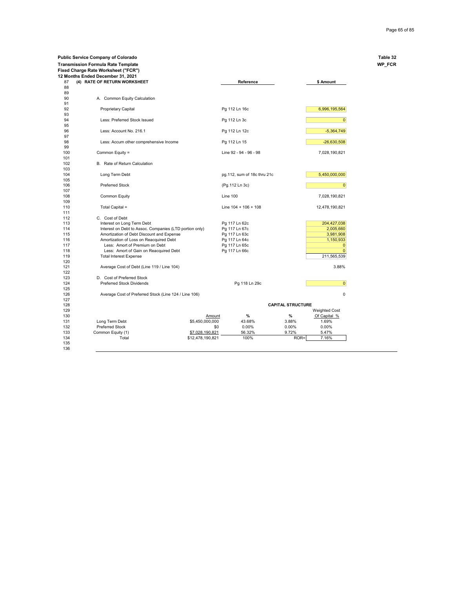**Public Service Company of Colorado Table 32**

|            | 12 Months Ended December 31, 2021                       |                  |                             |                          |                      |
|------------|---------------------------------------------------------|------------------|-----------------------------|--------------------------|----------------------|
| 87<br>88   | (4) RATE OF RETURN WORKSHEET                            |                  | Reference                   |                          | \$ Amount            |
| 89         |                                                         |                  |                             |                          |                      |
|            | A. Common Equity Calculation                            |                  |                             |                          |                      |
| 92<br>93   | <b>Proprietary Capital</b>                              |                  | Pg 112 Ln 16c               |                          | 6,996,195,564        |
| 94<br>95   | Less: Preferred Stock Issued                            |                  | Pg 112 Ln 3c                |                          | $\overline{0}$       |
| 96<br>97   | Less: Account No. 216.1                                 |                  | Pg 112 Ln 12c               |                          | $-5,364,749$         |
| 98<br>99   | Less: Accum other comprehensive Income                  |                  | Pg 112 Ln 15                |                          | $-26,630,508$        |
| 100<br>101 | Common Equity =                                         |                  | Line 92 - 94 - 96 - 98      |                          | 7,028,190,821        |
| 102<br>103 | B. Rate of Return Calculation                           |                  |                             |                          |                      |
| 104<br>105 | Long Term Debt                                          |                  | pg.112, sum of 18c thru 21c |                          | 5,450,000,000        |
| 106<br>107 | <b>Preferred Stock</b>                                  |                  | (Pg.112 Ln 3c)              |                          | $\overline{0}$       |
| 108<br>109 | <b>Common Equity</b>                                    |                  | <b>Line 100</b>             |                          | 7,028,190,821        |
| 110<br>111 | Total Capital =                                         |                  | Line $104 + 106 + 108$      |                          | 12,478,190,821       |
| 112        | C. Cost of Debt                                         |                  |                             |                          |                      |
| 113        | Interest on Long Term Debt                              |                  | Pg 117 Ln 62c               |                          | 204,427,038          |
| 114        | Interest on Debt to Assoc. Companies (LTD portion only) |                  | Pg 117 Ln 67c               |                          | 2,005,660            |
| 115        | Amortization of Debt Discount and Expense               |                  | Pg 117 Ln 63c               |                          | 3,981,908            |
| 116        | Amortization of Loss on Reacquired Debt                 |                  | Pg 117 Ln 64c               |                          | 1,150,933            |
| 117        | Less: Amort of Premium on Debt                          |                  | Pg 117 Ln 65c               |                          | $\mathbf 0$          |
| 118        | Less: Amort of Gain on Reacquired Debt                  |                  | Pg 117 Ln 66c               |                          | $\mathbf{0}$         |
| 119        |                                                         |                  |                             |                          |                      |
| 120        | <b>Total Interest Expense</b>                           |                  |                             |                          | 211,565,539          |
| 121<br>122 | Average Cost of Debt (Line 119 / Line 104)              |                  |                             |                          | 3.88%                |
| 123        | D. Cost of Preferred Stock                              |                  |                             |                          |                      |
| 124        | <b>Preferred Stock Dividends</b>                        |                  | Pg 118 Ln 29c               |                          | $\overline{0}$       |
| 125<br>126 |                                                         |                  |                             |                          |                      |
|            | Average Cost of Preferred Stock (Line 124 / Line 106)   |                  |                             |                          | $\mathbf 0$          |
|            |                                                         |                  |                             |                          |                      |
|            |                                                         |                  |                             | <b>CAPITAL STRUCTURE</b> |                      |
|            |                                                         |                  |                             |                          | <b>Weighted Cost</b> |
|            |                                                         | Amount           | %                           | %                        | Of Capital %         |
|            | Long Term Debt                                          | \$5,450,000,000  | 43.68%                      | 3.88%                    | 1.69%                |
| 132        | Preferred Stock                                         | \$0              | 0.00%                       | 0.00%                    | 0.00%                |
| 133        | Common Equity (1)                                       | \$7,028,190,821  | 56.32%                      | 9.72%                    | 5.47%                |
| 134        | Total                                                   | \$12,478,190,821 | 100%                        | ROR=                     | 7.16%                |
| 135        |                                                         |                  |                             |                          |                      |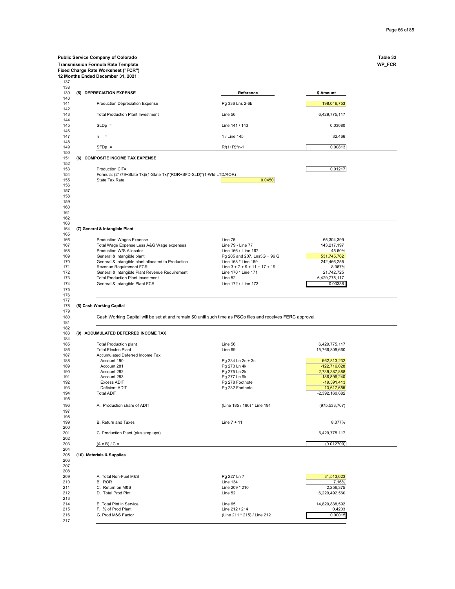| Fixed Charge Rate Worksheet ("FCR")                                                    |                                                                                                              |                               | WP_FCR |
|----------------------------------------------------------------------------------------|--------------------------------------------------------------------------------------------------------------|-------------------------------|--------|
| 12 Months Ended December 31, 2021                                                      |                                                                                                              |                               |        |
| (5) DEPRECIATION EXPENSE                                                               | Reference                                                                                                    | \$ Amount                     |        |
| Production Depreciation Expense                                                        | Pg 336 Lns 2-6b                                                                                              | 198,046,753                   |        |
| <b>Total Production Plant Investment</b>                                               | Line 56                                                                                                      | 6,429,775,117                 |        |
| $SLDp =$                                                                               | Line 141 / 143                                                                                               | 0.03080                       |        |
| $n =$                                                                                  | 1 / Line 145                                                                                                 | 32.466                        |        |
| $SFDp =$                                                                               | $R/(1+R)^n$ n-1                                                                                              | 0.00813                       |        |
| (6) COMPOSITE INCOME TAX EXPENSE                                                       |                                                                                                              |                               |        |
| Production CIT=                                                                        |                                                                                                              | 0.01217                       |        |
| Formula: (21/79+State Tx)/(1-State Tx)*(ROR+SFD-SLD)*(1-Wtd.LTD/ROR)<br>State Tax Rate | 0.0450                                                                                                       |                               |        |
|                                                                                        |                                                                                                              |                               |        |
|                                                                                        |                                                                                                              |                               |        |
|                                                                                        |                                                                                                              |                               |        |
|                                                                                        |                                                                                                              |                               |        |
|                                                                                        |                                                                                                              |                               |        |
| (7) General & Intangible Plant                                                         |                                                                                                              |                               |        |
|                                                                                        |                                                                                                              |                               |        |
| <b>Production Wages Expense</b>                                                        | Line 75                                                                                                      | 65,304,399                    |        |
| Total Wage Expense Less A&G Wage expenses<br>Production W/S Allocator                  | Line 79 - Line 77<br>Line 166 / Line 167                                                                     | 143,217,197<br>45.60%         |        |
| General & Intangible plant                                                             | Pg 205 and 207, Lns5G + 96 G                                                                                 | 531,745,762                   |        |
| General & Intangible plant allocated to Production                                     | Line 168 * Line 169                                                                                          | 242,466,255                   |        |
| Revenue Requirement FCR                                                                | Line $3 + 7 + 9 + 11 + 17 + 19$                                                                              | 8.967%                        |        |
| General & Intangible Plant Revenue Requirement                                         | Line 170 * Line 171                                                                                          | 21,742,725                    |        |
| <b>Total Production Plant Investment</b>                                               | Line 52                                                                                                      | 6,429,775,117                 |        |
| General & Intangible Plant FCR                                                         | Line 172 / Line 173                                                                                          | 0.00338                       |        |
|                                                                                        |                                                                                                              |                               |        |
|                                                                                        |                                                                                                              |                               |        |
|                                                                                        |                                                                                                              |                               |        |
| (8) Cash Working Capital                                                               |                                                                                                              |                               |        |
|                                                                                        | Cash Working Capital will be set at and remain \$0 until such time as PSCo files and receives FERC approval. |                               |        |
|                                                                                        |                                                                                                              |                               |        |
| (9) ACCUMULATED DEFERRED INCOME TAX                                                    |                                                                                                              |                               |        |
| <b>Total Production plant</b>                                                          | Line 56                                                                                                      | 6,429,775,117                 |        |
| <b>Total Electric Plant</b>                                                            | Line 69                                                                                                      | 15,766,809,660                |        |
| Accumulated Deferred Income Tax<br>Account 190                                         |                                                                                                              |                               |        |
| Account 281                                                                            | Pg 234 Ln 2c + 3c<br>Pg 273 Ln 4k                                                                            | 662,813,232<br>$-122,716,028$ |        |
| Account 282                                                                            | Pg 275 Ln 2k                                                                                                 | -2,739,387,888                |        |
| Account 283                                                                            | Pg 277 Ln 9k                                                                                                 | -186,896,240                  |        |
| <b>Excess ADIT</b>                                                                     | Pg 278 Footnote                                                                                              | $-19,591,413$                 |        |
| <b>Deficient ADIT</b><br><b>Total ADIT</b>                                             | Pg 232 Footnote                                                                                              | 13,617,655<br>-2,392,160,682  |        |
| A. Production share of ADIT                                                            | (Line 185 / 186) * Line 194                                                                                  | (975, 533, 767)               |        |
|                                                                                        |                                                                                                              |                               |        |
| <b>B. Return and Taxes</b>                                                             | Line $7 + 11$                                                                                                | 8.377%                        |        |
| C. Production Plant (plus step ups)                                                    |                                                                                                              | 6,429,775,117                 |        |
| $(A \times B) / C =$                                                                   |                                                                                                              | (0.012709)                    |        |
| (10) Materials & Supplies                                                              |                                                                                                              |                               |        |
|                                                                                        |                                                                                                              |                               |        |
| A. Total Non-Fuel M&S<br>B. ROR                                                        | Pg 227 Ln 7<br>Line 134                                                                                      | 31,513,623<br>7.16%           |        |
| C. Return on M&S                                                                       | Line 209 * 210                                                                                               | 2,256,375                     |        |
| D. Total Prod Pint                                                                     | Line 52                                                                                                      | 6,229,492,560                 |        |
|                                                                                        |                                                                                                              |                               |        |
| E. Total Pint in Service<br>F. % of Prod Plant                                         | Line 65<br>Line 212 / 214                                                                                    | 14,820,838,592<br>0.4203      |        |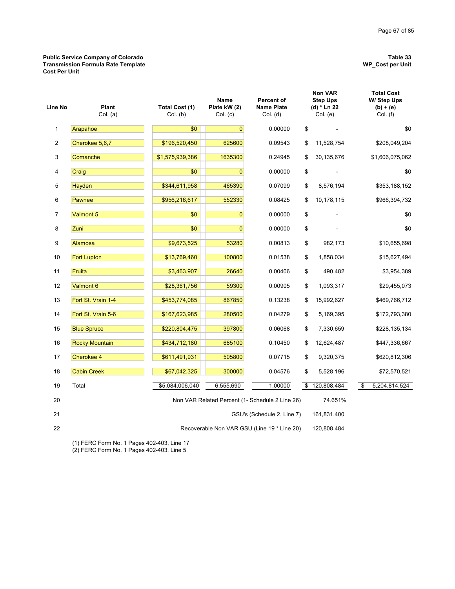### **Public Service Company of Colorado Table 33 Transmission Formula Rate Template WP\_Cost per Unit Cost Per Unit**

|  |  | W |
|--|--|---|
|  |  |   |

| Line No        | Plant                 | Total Cost (1)  | <b>Name</b><br>Percent of<br>Plate kW (2)<br><b>Name Plate</b> |                                                 |    |             | <b>Non VAR</b><br><b>Step Ups</b><br>(d) * Ln 22 |  | <b>Total Cost</b><br>W/ Step Ups<br>$(b) + (e)$ |
|----------------|-----------------------|-----------------|----------------------------------------------------------------|-------------------------------------------------|----|-------------|--------------------------------------------------|--|-------------------------------------------------|
|                | Col. (a)              | Col. (b)        | Col. (c)                                                       | Col. (d)                                        |    | Col. (e)    | Col. (f)                                         |  |                                                 |
| 1              | Arapahoe              | \$0             | $\overline{0}$                                                 | 0.00000                                         | \$ |             | \$0                                              |  |                                                 |
| $\overline{2}$ | Cherokee 5,6,7        | \$196,520,450   | 625600                                                         | 0.09543                                         | \$ | 11,528,754  | \$208,049,204                                    |  |                                                 |
| 3              | Comanche              | \$1,575,939,386 | 1635300                                                        | 0.24945                                         | \$ | 30,135,676  | \$1,606,075,062                                  |  |                                                 |
| 4              | Craig                 | \$0             | $\mathbf{0}$                                                   | 0.00000                                         | \$ |             | \$0                                              |  |                                                 |
| 5              | Hayden                | \$344,611,958   | 465390                                                         | 0.07099                                         | \$ | 8,576,194   | \$353,188,152                                    |  |                                                 |
| 6              | Pawnee                | \$956,216,617   | 552330                                                         | 0.08425                                         | \$ | 10,178,115  | \$966,394,732                                    |  |                                                 |
| 7              | Valmont 5             | \$0             | $\overline{0}$                                                 | 0.00000                                         | \$ |             | \$0                                              |  |                                                 |
| 8              | Zuni                  | \$0             | $\overline{0}$                                                 | 0.00000                                         | \$ |             | \$0                                              |  |                                                 |
| 9              | Alamosa               | \$9,673,525     | 53280                                                          | 0.00813                                         | \$ | 982,173     | \$10,655,698                                     |  |                                                 |
| 10             | <b>Fort Lupton</b>    | \$13,769,460    | 100800                                                         | 0.01538                                         | \$ | 1,858,034   | \$15,627,494                                     |  |                                                 |
| 11             | Fruita                | \$3,463,907     | 26640                                                          | 0.00406                                         | \$ | 490,482     | \$3,954,389                                      |  |                                                 |
| 12             | Valmont 6             | \$28,361,756    | 59300                                                          | 0.00905                                         | \$ | 1,093,317   | \$29,455,073                                     |  |                                                 |
| 13             | Fort St. Vrain 1-4    | \$453,774,085   | 867850                                                         | 0.13238                                         | \$ | 15,992,627  | \$469,766,712                                    |  |                                                 |
| 14             | Fort St. Vrain 5-6    | \$167,623,985   | 280500                                                         | 0.04279                                         | \$ | 5,169,395   | \$172,793,380                                    |  |                                                 |
| 15             | <b>Blue Spruce</b>    | \$220,804,475   | 397800                                                         | 0.06068                                         | \$ | 7,330,659   | \$228,135,134                                    |  |                                                 |
| 16             | <b>Rocky Mountain</b> | \$434,712,180   | 685100                                                         | 0.10450                                         | \$ | 12,624,487  | \$447,336,667                                    |  |                                                 |
| 17             | Cherokee 4            | \$611,491,931   | 505800                                                         | 0.07715                                         | \$ | 9,320,375   | \$620,812,306                                    |  |                                                 |
| 18             | <b>Cabin Creek</b>    | \$67,042,325    | 300000                                                         | 0.04576                                         | \$ | 5,528,196   | \$72,570,521                                     |  |                                                 |
| 19             | Total                 | \$5,084,006,040 | 6,555,690                                                      | 1.00000                                         | \$ | 120,808,484 | \$<br>5,204,814,524                              |  |                                                 |
| 20             |                       |                 |                                                                | Non VAR Related Percent (1- Schedule 2 Line 26) |    | 74.651%     |                                                  |  |                                                 |
| 21             |                       |                 |                                                                | GSU's (Schedule 2, Line 7)                      |    | 161,831,400 |                                                  |  |                                                 |
| 22             |                       |                 |                                                                | Recoverable Non VAR GSU (Line 19 * Line 20)     |    | 120,808,484 |                                                  |  |                                                 |

(1) FERC Form No. 1 Pages 402-403, Line 17

(2) FERC Form No. 1 Pages 402-403, Line 5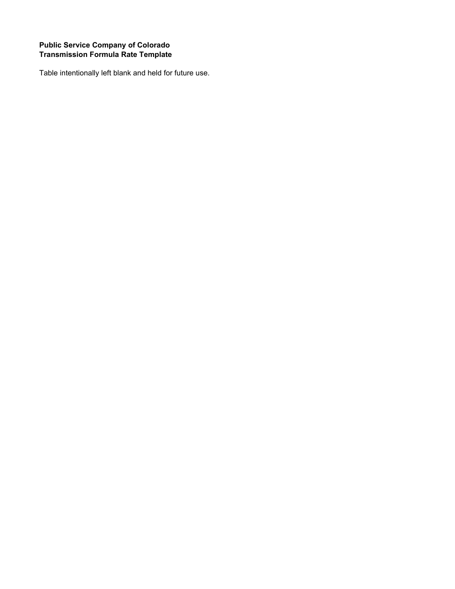## **Public Service Company of Colorado Transmission Formula Rate Template**

Table intentionally left blank and held for future use.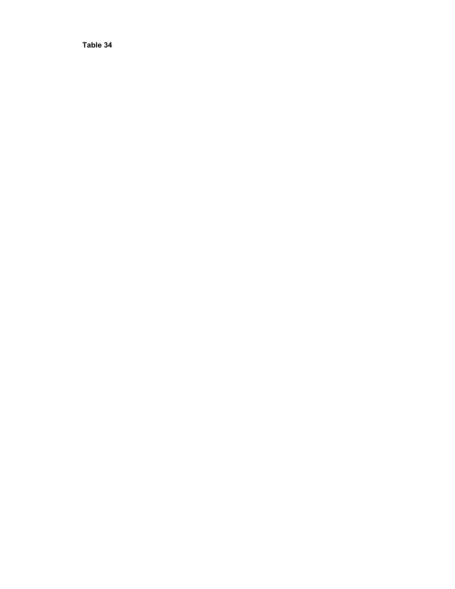**Table 34**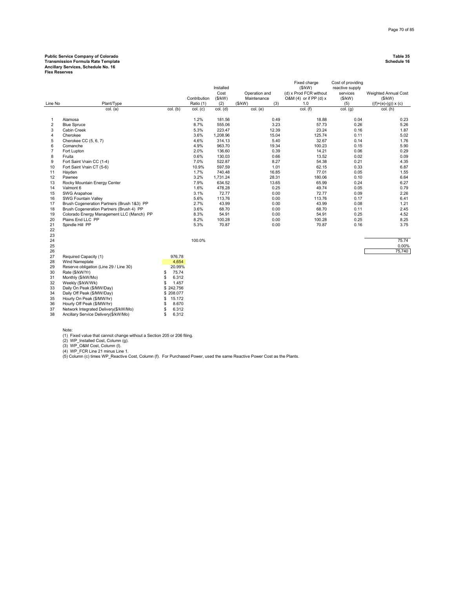## **Public Service Company of Colorado Table 35 Transmission Formula Rate Template Schedule 16**

**Ancillary Services, Schedule No. 16 Flex Reserves**

|                         |                                            |              |              | Installed<br>Cost |                              | Fixed charge<br>(\$/kW)                              | Cost of providing<br>reactive supply |                                |
|-------------------------|--------------------------------------------|--------------|--------------|-------------------|------------------------------|------------------------------------------------------|--------------------------------------|--------------------------------|
|                         |                                            |              | Contribution | (\$/kW)           | Operation and<br>Maintenance | (d) x Prod FCR without<br>O&M $(4)$ or if PP $(d)$ x | services<br>(\$/kW)                  | Weighted Annual Cost<br>(S/kW) |
| Line No                 | Plant/Type                                 |              | Ratio (1)    | (2)               | (\$/kW)<br>(3)               | 1.0                                                  | (5)                                  | $((f)+(e)-(g)) \times (c)$     |
|                         | col. (a)                                   | col. (b)     | col. (c)     | $col.$ (d)        | $col.$ (e)                   | $col.$ (f)                                           | $col.$ (g)                           | col. (h)                       |
| 1                       | Alamosa                                    |              | 1.2%         | 181.56            | 0.49                         | 18.88                                                | 0.04                                 | 0.23                           |
| $\overline{\mathbf{c}}$ | <b>Blue Spruce</b>                         |              | 8.7%         | 555.06            | 3.23                         | 57.73                                                | 0.26                                 | 5.26                           |
| 3                       | Cabin Creek                                |              | 5.3%         | 223.47            | 12.39                        | 23.24                                                | 0.16                                 | 1.87                           |
| 4                       | Cherokee                                   |              | 3.6%         | 1,208.96          | 15.04                        | 125.74                                               | 0.11                                 | 5.02                           |
| 5                       | Cherokee CC (5, 6, 7)                      |              | 4.6%         | 314.13            | 5.40                         | 32.67                                                | 0.14                                 | 1.76                           |
| 6                       | Comanche                                   |              | 4.9%         | 963.70            | 19.34                        | 100.23                                               | 0.15                                 | 5.90                           |
| 7                       | Fort Lupton                                |              | 2.0%         | 136.60            | 0.39                         | 14.21                                                | 0.06                                 | 0.29                           |
| 8                       | Fruita                                     |              | 0.6%         | 130.03            | 0.66                         | 13.52                                                | 0.02                                 | 0.09                           |
| 9                       | Fort Saint Vrain CC (1-4)                  |              | 7.0%         | 522.87            | 8.27                         | 54.38                                                | 0.21                                 | 4.35                           |
| 10                      | Fort Saint Vrain CT (5-6)                  |              | 10.9%        | 597.59            | 1.01                         | 62.15                                                | 0.33                                 | 6.87                           |
| 11                      | Hayden                                     |              | 1.7%         | 740.48            | 16.85                        | 77.01                                                | 0.05                                 | 1.55                           |
| 12                      | Pawnee                                     |              | 3.2%         | 1,731.24          | 28.31                        | 180.06                                               | 0.10                                 | 6.64                           |
| 13                      | Rocky Mountain Energy Center               |              | 7.9%         | 634.52            | 13.65                        | 65.99                                                | 0.24                                 | 6.27                           |
| 14                      | Valmont 6                                  |              | 1.6%         | 478.28            | 0.25                         | 49.74                                                | 0.05                                 | 0.79                           |
| 15                      | SWG Arapahoe                               |              | 3.1%         | 72.77             | 0.00                         | 72.77                                                | 0.09                                 | 2.26                           |
| 16                      | <b>SWG Fountain Valley</b>                 |              | 5.6%         | 113.76            | 0.00                         | 113.76                                               | 0.17                                 | 6.41                           |
| 17                      | Brush Cogeneration Partners (Brush 1&3) PP |              | 2.7%         | 43.99             | 0.00                         | 43.99                                                | 0.08                                 | 1.21                           |
| 18                      | Brush Cogeneration Partners (Brush 4) PP   |              | 3.6%         | 68.70             | 0.00                         | 68.70                                                | 0.11                                 | 2.45                           |
| 19                      | Colorado Energy Management LLC (Manch) PP  |              | 8.3%         | 54.91             | 0.00                         | 54.91                                                | 0.25                                 | 4.52                           |
| 20                      | Plains End LLC PP                          |              | 8.2%         | 100.28            | 0.00                         | 100.28                                               | 0.25                                 | 8.25                           |
| 21                      | Spindle Hill PP                            |              | 5.3%         | 70.87             | 0.00                         | 70.87                                                | 0.16                                 | 3.75                           |
| 22                      |                                            |              |              |                   |                              |                                                      |                                      |                                |
| 23                      |                                            |              |              |                   |                              |                                                      |                                      |                                |
| 24                      |                                            |              | 100.0%       |                   |                              |                                                      |                                      | 75.74                          |
| 25                      |                                            |              |              |                   |                              |                                                      |                                      | 0.00%                          |
| 26                      |                                            |              |              |                   |                              |                                                      |                                      | 75,740                         |
| 27                      | Required Capacity (1)                      | 976.78       |              |                   |                              |                                                      |                                      |                                |
| 28                      | Wind Nameplate                             | 4,654        |              |                   |                              |                                                      |                                      |                                |
| 29                      | Reserve obligation (Line 29 / Line 30)     | 20.99%       |              |                   |                              |                                                      |                                      |                                |
| 30                      | Rate (\$/kW/Yr)                            | 75.74<br>\$  |              |                   |                              |                                                      |                                      |                                |
| 31                      | Monthly (\$/kW/Mo)                         | \$<br>6.312  |              |                   |                              |                                                      |                                      |                                |
| 32                      | Weekly (\$/kW/Wk)                          | \$<br>1.457  |              |                   |                              |                                                      |                                      |                                |
| 33                      | Daily On Peak (\$/MW/Day)                  | \$242.756    |              |                   |                              |                                                      |                                      |                                |
| 34                      | Daily Off Peak (\$/MW/Day)                 | \$208.077    |              |                   |                              |                                                      |                                      |                                |
| 35                      | Hourly On Peak (\$/MW/hr)                  | 15.172<br>\$ |              |                   |                              |                                                      |                                      |                                |
| 36                      | Hourly Off Peak (\$/MW/hr)                 | 8.670<br>\$  |              |                   |                              |                                                      |                                      |                                |
| 37                      | Network Integrated Delivery(\$/kW/Mo)      | 6.312<br>\$  |              |                   |                              |                                                      |                                      |                                |
| 38                      | Ancillary Service Delivery(\$/kW/Mo)       | \$<br>6.312  |              |                   |                              |                                                      |                                      |                                |

Note:

(1) Fixed value that cannot change without a Section 205 or 206 filing.<br>(2) WP\_Installed Cost, Column (g).<br>(3) WP\_O&M Cost, Column (l).<br>(4) WP\_FCR Line 21 minus Line 1.<br>(5) Column (c) times WP\_Reactive Cost, Column (f). Fo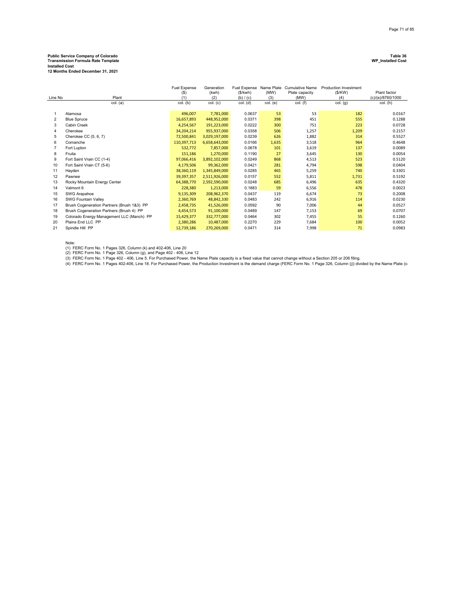## **Public Service Company of Colorado Table 36 Transmission Formula Rate Template WP\_Installed Cost**

**Installed Cost 12 Months Ended December 31, 2021**

| Line No        | Plant<br>col. (a)                          | <b>Fuel Expense</b><br>$($ \$)<br>(1)<br>col. (b) | Generation<br>(kwh)<br>(2)<br>col. (c) | (S/kwh)<br>(b) / (c)<br>col. (d) | (MW)<br>(3)<br>col. (e) | Fuel Expense Name Plate Cumulative Name<br>Plate capacity<br>(MW)<br>$col.$ (f) | <b>Production Investment</b><br>(S/KW)<br>(4)<br>$col.$ $(g)$ | Plant factor<br>(c)/(e)/8760/1000<br>col. (h) |
|----------------|--------------------------------------------|---------------------------------------------------|----------------------------------------|----------------------------------|-------------------------|---------------------------------------------------------------------------------|---------------------------------------------------------------|-----------------------------------------------|
|                |                                            |                                                   |                                        |                                  |                         |                                                                                 |                                                               |                                               |
| 1              | Alamosa                                    | 496,007                                           | 7,781,000                              | 0.0637                           | 53                      | 53                                                                              | 182                                                           | 0.0167                                        |
| $\overline{2}$ | <b>Blue Spruce</b>                         | 16,657,893                                        | 448,952,000                            | 0.0371                           | 398                     | 451                                                                             | 555                                                           | 0.1288                                        |
| 3              | Cabin Creek                                | 4,254,567                                         | 191,223,000                            | 0.0222                           | 300                     | 751                                                                             | 223                                                           | 0.0728                                        |
| 4              | Cherokee                                   | 34,204,214                                        | 955,937,000                            | 0.0358                           | 506                     | 1,257                                                                           | 1,209                                                         | 0.2157                                        |
| 5              | Cherokee CC (5, 6, 7)                      | 72,500,841                                        | 3,029,197,000                          | 0.0239                           | 626                     | 1,882                                                                           | 314                                                           | 0.5527                                        |
| 6              | Comanche                                   | 110,397,713                                       | 6,658,643,000                          | 0.0166                           | 1,635                   | 3,518                                                                           | 964                                                           | 0.4648                                        |
|                | Fort Lupton                                | 532,772                                           | 7,857,000                              | 0.0678                           | 101                     | 3,619                                                                           | 137                                                           | 0.0089                                        |
| 8              | Fruita                                     | 151,186                                           | 1,270,000                              | 0.1190                           | 27                      | 3,645                                                                           | 130                                                           | 0.0054                                        |
| 9              | Fort Saint Vrain CC (1-4)                  | 97,066,416                                        | 3,892,102,000                          | 0.0249                           | 868                     | 4,513                                                                           | 523                                                           | 0.5120                                        |
| 10             | Fort Saint Vrain CT (5-6)                  | 4,179,506                                         | 99,362,000                             | 0.0421                           | 281                     | 4,794                                                                           | 598                                                           | 0.0404                                        |
| 11             | Hayden                                     | 38,360,119                                        | 1,345,849,000                          | 0.0285                           | 465                     | 5,259                                                                           | 740                                                           | 0.3301                                        |
| 12             | Pawnee                                     | 39,397,357                                        | 2,511,926,000                          | 0.0157                           | 552                     | 5,811                                                                           | 1,731                                                         | 0.5192                                        |
| 13             | Rocky Mountain Energy Center               | 64,388,770                                        | 2,592,590,000                          | 0.0248                           | 685                     | 6,496                                                                           | 635                                                           | 0.4320                                        |
| 14             | Valmont 6                                  | 228,380                                           | 1,213,000                              | 0.1883                           | 59                      | 6,556                                                                           | 478                                                           | 0.0023                                        |
| 15             | SWG Arapahoe                               | 9,135,309                                         | 208,962,370                            | 0.0437                           | 119                     | 6,674                                                                           | 73                                                            | 0.2008                                        |
| 16             | <b>SWG Fountain Vallev</b>                 | 2,360,769                                         | 48,842,330                             | 0.0483                           | 242                     | 6,916                                                                           | 114                                                           | 0.0230                                        |
| 17             | Brush Cogeneration Partners (Brush 1&3) PP | 2,458,735                                         | 41,526,000                             | 0.0592                           | 90                      | 7,006                                                                           | 44                                                            | 0.0527                                        |
| 18             | Brush Cogeneration Partners (Brush 4) PP   | 4,454,573                                         | 91,100,000                             | 0.0489                           | 147                     | 7,153                                                                           | 69                                                            | 0.0707                                        |
| 19             | Colorado Energy Management LLC (Manch) PP  | 15,429,377                                        | 332,777,000                            | 0.0464                           | 302                     | 7,455                                                                           | 55                                                            | 0.1260                                        |
| 20             | Plains End LLC PP                          | 2,380,286                                         | 10,487,000                             | 0.2270                           | 229                     | 7,684                                                                           | 100                                                           | 0.0052                                        |
| 21             | Spindle Hill PP                            | 12,739,186                                        | 270,269,000                            | 0.0471                           | 314                     | 7,998                                                                           | 71                                                            | 0.0983                                        |

Note:<br>(1) FERC Form No. 1 Pages 326, Column (k) and 402-406, Line 20<br>(2) FERC Form No. 1 Page 326, Column (g), and Page 402 - 406, Line 12<br>(3) FERC Form No. 1 Page 402 - 406, Line 5. For Purchased Power, the Name Plate ca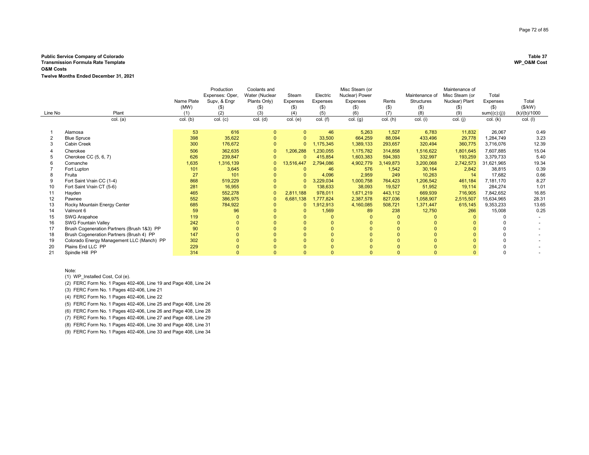### **Public Service Company of Colorado Table 37 Transmission Formula Rate Template**

**O&M Costs**

**Twelve Months Ended December 31, 2021**

|         |                                            |            | Production      | Coolants and   |                |            | Misc Steam (or |           |                   | Maintenance of |              |              |
|---------|--------------------------------------------|------------|-----------------|----------------|----------------|------------|----------------|-----------|-------------------|----------------|--------------|--------------|
|         |                                            |            | Expenses: Oper. | Water (Nuclear | Steam          | Electric   | Nuclear) Power |           | Maintenance of    | Misc Steam (or | Total        |              |
|         |                                            | Name Plate | Supv, & Engr    | Plants Only)   | Expenses       | Expenses   | Expenses       | Rents     | <b>Structures</b> | Nuclear) Plant | Expenses     | Total        |
|         |                                            | (MW)       | (5)             | (\$)           | $($ \$)        | $($ \$)    | (\$)           | $($ \$)   | $($ \$)           | $($ \$)        | $($ \$)      | (\$/kW)      |
| Line No | Plant                                      | (1)        | (2)             | (3)            | (4)            | (5)        | (6)            | (7)       | (8)               | (9)            | sum((c):(j)) | (k)/(b)/1000 |
|         | col. (a)                                   | col. (b)   | col. (c)        | col. (d)       | col. (e)       | $col.$ (f) | col. (g)       | col. (h)  | col. (i)          | col. (j)       | col. (k)     | $col.$ (I)   |
|         |                                            |            |                 |                |                |            |                |           |                   |                |              |              |
|         | Alamosa                                    | 53         | 616             |                | $\Omega$       | 46         | 5,263          | 1,527     | 6,783             | 11,832         | 26,067       | 0.49         |
|         | <b>Blue Spruce</b>                         | 398        | 35,622          |                | $\Omega$       | 33,500     | 664,259        | 88,094    | 433,496           | 29,778         | 1,284,749    | 3.23         |
|         | Cabin Creek                                | 300        | 176,672         |                | $\overline{0}$ | ,175,345   | 1,389,133      | 293,657   | 320,494           | 360,775        | 3,716,076    | 12.39        |
|         | Cherokee                                   | 506        | 362,635         |                | 1,206,288      | ,230,055   | 1,175,782      | 314,858   | 1,516,622         | 1,801,645      | 7,607,885    | 15.04        |
|         | Cherokee CC (5, 6, 7)                      | 626        | 239,847         |                | $\Omega$       | 415,854    | 1,603,383      | 594,393   | 332,997           | 193,259        | 3,379,733    | 5.40         |
|         | Comanche                                   | 1,635      | 1,316,139       | $\Omega$       | 13,516,447     | 2,794,086  | 4,902,779      | 3,149,873 | 3,200,068         | 2,742,573      | 31,621,965   | 19.34        |
|         | Fort Lupton                                | 101        | 3,645           |                |                | 46         | 576            | 1.542     | 30,164            | 2,842          | 38,815       | 0.39         |
|         | Fruita                                     | 27         | 101             |                |                | 4,096      | 2,959          | 249       | 10,263            | 14             | 17,682       | 0.66         |
|         | Fort Saint Vrain CC (1-4)                  | 868        | 519,229         |                | $\Omega$       | 3,229,034  | 1,000,758      | 764,423   | 1,206,542         | 461,184        | 7,181,170    | 8.27         |
| 10      | Fort Saint Vrain CT (5-6)                  | 281        | 16,955          |                | $\Omega$       | 138,633    | 38,093         | 19,527    | 51,952            | 19,114         | 284,274      | 1.01         |
|         | Hayden                                     | 465        | 552,278         |                | 2,811,188      | 978,011    | 1,671,219      | 443,112   | 669,939           | 716,905        | 7,842,652    | 16.85        |
| 12      | Pawnee                                     | 552        | 386,975         |                | 6,681,138      | 1.777.824  | 2,387,578      | 827,036   | 1,058,907         | 2,515,507      | 15,634,965   | 28.31        |
| 13      | Rocky Mountain Energy Center               | 685        | 784,922         |                | $\Omega$       | 1,912,913  | 4,160,085      | 508,721   | 1,371,447         | 615,145        | 9,353,233    | 13.65        |
| 14      | Valmont 6                                  | 59         | 96              |                |                | 1,569      | 89             | 238       | 12,750            | 266            | 15,008       | 0.25         |
| 15      | SWG Arapahoe                               | 119        | $\Omega$        |                |                | $\Omega$   |                | $\Omega$  |                   |                |              |              |
| 16      | <b>SWG Fountain Valley</b>                 | 242        |                 |                |                |            |                | $\Omega$  |                   |                |              |              |
| 17      | Brush Cogeneration Partners (Brush 1&3) PP | 90         |                 |                |                |            |                |           |                   |                |              |              |
| 18      | Brush Cogeneration Partners (Brush 4) PP   | 147        |                 |                |                | $\Omega$   |                | $\Omega$  |                   |                |              |              |
| 19      | Colorado Energy Management LLC (Manch) PP  | 302        |                 |                |                |            |                |           |                   |                |              |              |
| 20      | Plains End LLC PP                          | 229        |                 |                |                |            |                |           |                   |                |              |              |
| 21      | Spindle Hill PP                            | 314        | $\Omega$        |                | $\Omega$       | $\Omega$   |                | $\Omega$  | $\Omega$          | $\Omega$       |              |              |

Note:

(1) WP\_Installed Cost, Col (e).

(2) FERC Form No. 1 Pages 402-406, Line 19 and Page 408, Line 24

(3) FERC Form No. 1 Pages 402-406, Line 21

(4) FERC Form No. 1 Pages 402-406, Line 22

(5) FERC Form No. 1 Pages 402-406, Line 25 and Page 408, Line 26

(6) FERC Form No. 1 Pages 402-406, Line 26 and Page 408, Line 28

(7) FERC Form No. 1 Pages 402-406, Line 27 and Page 408, Line 29

(8) FERC Form No. 1 Pages 402-406, Line 30 and Page 408, Line 31

(9) FERC Form No. 1 Pages 402-406, Line 33 and Page 408, Line 34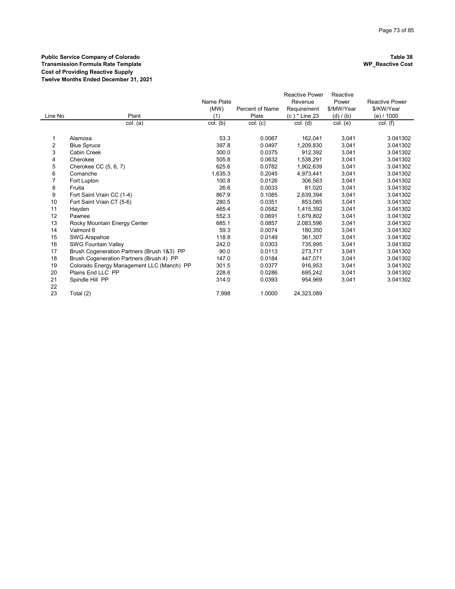# **Public Service Company of Colorado Table 38 Transmission Formula Rate Template WP\_Reactive Cost Cost of Providing Reactive Supply Twelve Months Ended December 31, 2021**

|          |                                            |            |                        | <b>Reactive Power</b> | Reactive   |                       |
|----------|--------------------------------------------|------------|------------------------|-----------------------|------------|-----------------------|
|          |                                            | Name Plate |                        | Revenue               | Power      | <b>Reactive Power</b> |
|          |                                            | (MW)       | <b>Percent of Name</b> | Requirement           | \$/MW/Year | \$/KW/Year            |
| Line No  | Plant                                      | (1)        | Plate                  | (c) * Line 23         | (d) / (b)  | (e) / 1000            |
|          | col. (a)                                   | col. (b)   | col. (c)               | $col.$ (d)            | col. (e)   | $col.$ (f)            |
| 1        | Alamosa                                    | 53.3       | 0.0067                 | 162,041               | 3,041      | 3.041302              |
| 2        | <b>Blue Spruce</b>                         | 397.8      | 0.0497                 | 1,209,830             | 3,041      | 3.041302              |
| 3        | <b>Cabin Creek</b>                         | 300.0      | 0.0375                 | 912.392               | 3,041      | 3.041302              |
| 4        | Cherokee                                   | 505.8      | 0.0632                 | 1,538,291             | 3,041      | 3.041302              |
| 5        | Cherokee CC (5, 6, 7)                      | 625.6      | 0.0782                 | 1,902,639             | 3,041      | 3.041302              |
| 6        | Comanche                                   | 1,635.3    | 0.2045                 | 4,973,441             | 3,041      | 3.041302              |
| 7        | Fort Lupton                                | 100.8      | 0.0126                 | 306,563               | 3,041      | 3.041302              |
| 8        | Fruita                                     | 26.6       | 0.0033                 | 81,020                | 3,041      | 3.041302              |
| 9        | Fort Saint Vrain CC (1-4)                  | 867.9      | 0.1085                 | 2,639,394             | 3,041      | 3.041302              |
| 10       | Fort Saint Vrain CT (5-6)                  | 280.5      | 0.0351                 | 853.085               | 3,041      | 3.041302              |
| 11       | Hayden                                     | 465.4      | 0.0582                 | 1,415,392             | 3,041      | 3.041302              |
| 12       | Pawnee                                     | 552.3      | 0.0691                 | 1,679,802             | 3,041      | 3.041302              |
| 13       | Rocky Mountain Energy Center               | 685.1      | 0.0857                 | 2,083,596             | 3,041      | 3.041302              |
| 14       | Valmont 6                                  | 59.3       | 0.0074                 | 180,350               | 3,041      | 3.041302              |
| 15       | SWG Arapahoe                               | 118.8      | 0.0149                 | 361.307               | 3,041      | 3.041302              |
| 16       | <b>SWG Fountain Valley</b>                 | 242.0      | 0.0303                 | 735,995               | 3,041      | 3.041302              |
| 17       | Brush Cogeneration Partners (Brush 1&3) PP | 90.0       | 0.0113                 | 273.717               | 3,041      | 3.041302              |
| 18       | Brush Cogeneration Partners (Brush 4) PP   | 147.0      | 0.0184                 | 447.071               | 3,041      | 3.041302              |
| 19       | Colorado Energy Management LLC (Manch) PP  | 301.5      | 0.0377                 | 916,953               | 3,041      | 3.041302              |
| 20       | Plains End LLC PP                          | 228.6      | 0.0286                 | 695,242               | 3,041      | 3.041302              |
| 21<br>22 | Spindle Hill PP                            | 314.0      | 0.0393                 | 954,969               | 3,041      | 3.041302              |
| 23       | Total (2)                                  | 7.998      | 1.0000                 | 24.323.089            |            |                       |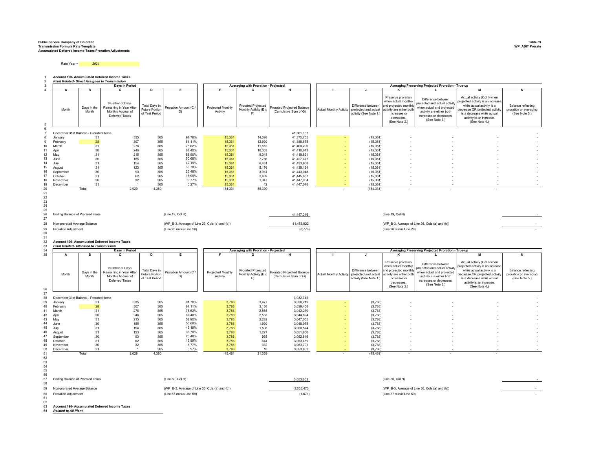## **Public Service Company of Colorado Table 39 Transmission Formula Rate Template WP\_ADIT Prorate Accumulated Deferred Income Taxes Proration Adjustments**

Rate Year = *2021*

1 2 **Account 190- Accumulated Deferred Income Taxes** *Plant Related- Direct Assigned to Transmission*

|          |                                                 |                      | Days in Period                                                                    |                                                          |                                                |                               | Averaging with Proration - Projected                     |                                                            |                                |                                                                      |                                                                                                                                                                                                                                              | Averaging Preserving Projected Proration - True-up                                                                                                      |                                                                                                                                                                                                                                                            |                                                               |
|----------|-------------------------------------------------|----------------------|-----------------------------------------------------------------------------------|----------------------------------------------------------|------------------------------------------------|-------------------------------|----------------------------------------------------------|------------------------------------------------------------|--------------------------------|----------------------------------------------------------------------|----------------------------------------------------------------------------------------------------------------------------------------------------------------------------------------------------------------------------------------------|---------------------------------------------------------------------------------------------------------------------------------------------------------|------------------------------------------------------------------------------------------------------------------------------------------------------------------------------------------------------------------------------------------------------------|---------------------------------------------------------------|
| 4        | A                                               | в                    | C.                                                                                | D                                                        | Е                                              | F.                            | G                                                        | н                                                          |                                |                                                                      | к                                                                                                                                                                                                                                            | L                                                                                                                                                       | м                                                                                                                                                                                                                                                          | N                                                             |
| 5        | Month                                           | Days in the<br>Month | Number of Days<br>Remaining in Year After<br>Month's Accrual of<br>Deferred Taxes | Total Days in<br>Future Portion<br>of Test Period        | Proration Amount (C /<br>D)                    | Projected Monthly<br>Activity | <b>Prorated Projected</b><br>Monthly Activity (E x<br>F) | <b>Prorated Projected Balance</b><br>(Cumulative Sum of G) | <b>Actual Monthly Activity</b> | Difference between<br>projected and actual<br>activity (See Note 1.) | Preserve proration<br>when actual monthly<br>and projected month<br>activity are either both<br>increases or<br>decreases.<br>(See Note 2.)                                                                                                  | Difference between<br>projected and actual activity<br>when actual and projected<br>activity are either both<br>increases or decreases<br>(See Note 3.) | Actual activity (Col I) when<br>projected activity is an increase<br>while actual activity is a<br>decrease OR projected activity<br>is a decrease while actual<br>activity is an increase.<br>(See Note 4.)                                               | Balance reflecting<br>proration or averaging<br>(See Note 5.) |
|          |                                                 |                      |                                                                                   |                                                          |                                                |                               |                                                          |                                                            |                                |                                                                      |                                                                                                                                                                                                                                              |                                                                                                                                                         |                                                                                                                                                                                                                                                            |                                                               |
|          | December 31st Balance - Prorated Items          |                      |                                                                                   |                                                          |                                                |                               |                                                          | 41,361,657                                                 |                                |                                                                      |                                                                                                                                                                                                                                              |                                                                                                                                                         |                                                                                                                                                                                                                                                            |                                                               |
|          | January                                         | 31                   | 335                                                                               | 365                                                      | 91.78%                                         | 15,361                        | 14,098                                                   | 41,375,755                                                 |                                | (15, 361)                                                            |                                                                                                                                                                                                                                              |                                                                                                                                                         |                                                                                                                                                                                                                                                            |                                                               |
|          | February                                        | 28                   | 307                                                                               | 365                                                      | 84.11%                                         | 15,361                        | 12,920                                                   | 41,388,675                                                 |                                | (15, 361)                                                            |                                                                                                                                                                                                                                              |                                                                                                                                                         |                                                                                                                                                                                                                                                            |                                                               |
| 10       | March                                           | 31                   | 276                                                                               | 365                                                      | 75.62%                                         | 15,361                        | 11,615                                                   | 41,400,290                                                 |                                | (15, 361)                                                            |                                                                                                                                                                                                                                              |                                                                                                                                                         |                                                                                                                                                                                                                                                            |                                                               |
|          | April                                           | 30                   | 246                                                                               | 365                                                      | 67.40%                                         | 15,361                        | 10,353                                                   | 41,410,643                                                 |                                | (15, 361)                                                            |                                                                                                                                                                                                                                              |                                                                                                                                                         |                                                                                                                                                                                                                                                            |                                                               |
| 12       | May                                             | 31                   | 215                                                                               | 365                                                      | 58.90%                                         | 15,361                        | 9.048                                                    | 41,419,691                                                 |                                | (15, 361)                                                            |                                                                                                                                                                                                                                              |                                                                                                                                                         |                                                                                                                                                                                                                                                            |                                                               |
| 13       | June                                            | 30                   | 185                                                                               | 365                                                      | 50.68%                                         | 15,361                        | 7,786                                                    | 41,427,477                                                 |                                | (15, 361)                                                            |                                                                                                                                                                                                                                              |                                                                                                                                                         |                                                                                                                                                                                                                                                            |                                                               |
| 14       | July                                            | 31                   | 154                                                                               | 365                                                      | 42.19%                                         | 15,361                        | 6,481                                                    | 41,433,958                                                 |                                | (15, 361)                                                            |                                                                                                                                                                                                                                              |                                                                                                                                                         |                                                                                                                                                                                                                                                            |                                                               |
| 15       | August                                          | 31                   | 123                                                                               | 365                                                      | 33.70%                                         | 15,361                        | 5,176                                                    | 41.439.134                                                 |                                | (15, 361)                                                            |                                                                                                                                                                                                                                              |                                                                                                                                                         |                                                                                                                                                                                                                                                            |                                                               |
| 16       | September                                       | 30                   | 93                                                                                | 365                                                      | 25.48%                                         | 15,361                        | 3,914                                                    | 41,443,048                                                 |                                | (15, 361)                                                            |                                                                                                                                                                                                                                              |                                                                                                                                                         |                                                                                                                                                                                                                                                            |                                                               |
| 17       | October                                         | 31                   | 62                                                                                | 365                                                      | 16.99%                                         | 15,361                        | 2,609                                                    | 41,445,657                                                 |                                | (15, 361)                                                            |                                                                                                                                                                                                                                              |                                                                                                                                                         |                                                                                                                                                                                                                                                            |                                                               |
| 18       | November                                        | 30                   | 32                                                                                | 365                                                      | 8.77%                                          | 15,361                        | 1,347                                                    | 41,447,004                                                 |                                | (15, 361)                                                            |                                                                                                                                                                                                                                              |                                                                                                                                                         |                                                                                                                                                                                                                                                            |                                                               |
| 19       | December                                        | 31                   |                                                                                   | 365                                                      | 0.27%                                          | 15,361                        | 42                                                       | 41,447,046                                                 |                                | (15, 361)                                                            |                                                                                                                                                                                                                                              |                                                                                                                                                         |                                                                                                                                                                                                                                                            |                                                               |
| 20       |                                                 | Total                | 2.029                                                                             | 4.380                                                    |                                                | 184.331                       | 85,390                                                   |                                                            |                                | (184, 331)                                                           |                                                                                                                                                                                                                                              |                                                                                                                                                         |                                                                                                                                                                                                                                                            |                                                               |
| 21       |                                                 |                      |                                                                                   |                                                          |                                                |                               |                                                          |                                                            |                                |                                                                      |                                                                                                                                                                                                                                              |                                                                                                                                                         |                                                                                                                                                                                                                                                            |                                                               |
| 22       |                                                 |                      |                                                                                   |                                                          |                                                |                               |                                                          |                                                            |                                |                                                                      |                                                                                                                                                                                                                                              |                                                                                                                                                         |                                                                                                                                                                                                                                                            |                                                               |
| 23       |                                                 |                      |                                                                                   |                                                          |                                                |                               |                                                          |                                                            |                                |                                                                      |                                                                                                                                                                                                                                              |                                                                                                                                                         |                                                                                                                                                                                                                                                            |                                                               |
| 24       |                                                 |                      |                                                                                   |                                                          |                                                |                               |                                                          |                                                            |                                |                                                                      |                                                                                                                                                                                                                                              |                                                                                                                                                         |                                                                                                                                                                                                                                                            |                                                               |
| 25       |                                                 |                      |                                                                                   |                                                          |                                                |                               |                                                          |                                                            |                                |                                                                      |                                                                                                                                                                                                                                              |                                                                                                                                                         |                                                                                                                                                                                                                                                            |                                                               |
| 26       | Ending Balance of Prorated items                |                      |                                                                                   |                                                          | (Line 19, Col H)                               |                               |                                                          | 41.447.046                                                 |                                |                                                                      | (Line 19, Col N)                                                                                                                                                                                                                             |                                                                                                                                                         |                                                                                                                                                                                                                                                            |                                                               |
| 27<br>28 | Non-prorated Average Balance                    |                      |                                                                                   |                                                          | (WP B-3, Average of Line 23, Cols (a) and (b)) |                               |                                                          | 41,453,822                                                 |                                |                                                                      |                                                                                                                                                                                                                                              | (WP B-3, Average of Line 26, Cols (a) and (b))                                                                                                          |                                                                                                                                                                                                                                                            |                                                               |
|          |                                                 |                      |                                                                                   |                                                          |                                                |                               |                                                          |                                                            |                                |                                                                      |                                                                                                                                                                                                                                              |                                                                                                                                                         |                                                                                                                                                                                                                                                            |                                                               |
| 29       | Proration Adjustment                            |                      |                                                                                   |                                                          | (Line 26 minus Line 28)                        |                               |                                                          | (6,776)                                                    |                                |                                                                      | (Line 26 minus Line 28)                                                                                                                                                                                                                      |                                                                                                                                                         |                                                                                                                                                                                                                                                            |                                                               |
| 30       |                                                 |                      |                                                                                   |                                                          |                                                |                               |                                                          |                                                            |                                |                                                                      |                                                                                                                                                                                                                                              |                                                                                                                                                         |                                                                                                                                                                                                                                                            |                                                               |
|          |                                                 |                      |                                                                                   |                                                          |                                                |                               |                                                          |                                                            |                                |                                                                      |                                                                                                                                                                                                                                              |                                                                                                                                                         |                                                                                                                                                                                                                                                            |                                                               |
| 33       | <b>Plant Related- Allocated to Transmission</b> |                      | <b>Account 190- Accumulated Deferred Income Taxes</b>                             |                                                          |                                                |                               |                                                          |                                                            |                                |                                                                      |                                                                                                                                                                                                                                              |                                                                                                                                                         |                                                                                                                                                                                                                                                            |                                                               |
| 34       |                                                 |                      | Days in Period                                                                    |                                                          |                                                |                               | Averaging with Proration - Projected                     |                                                            |                                |                                                                      |                                                                                                                                                                                                                                              | Averaging Preserving Projected Proration - True-up                                                                                                      |                                                                                                                                                                                                                                                            |                                                               |
| 35       | A                                               | в                    | $\mathbf{c}$                                                                      | D                                                        | Е                                              |                               | G                                                        | н                                                          |                                |                                                                      |                                                                                                                                                                                                                                              |                                                                                                                                                         | м                                                                                                                                                                                                                                                          | N                                                             |
|          |                                                 |                      |                                                                                   |                                                          |                                                |                               |                                                          |                                                            |                                |                                                                      |                                                                                                                                                                                                                                              |                                                                                                                                                         |                                                                                                                                                                                                                                                            |                                                               |
|          | Month                                           | Days in the<br>Month | Number of Days<br>Remaining in Year After<br>Month's Accrual of<br>Deferred Taxes | Total Days in<br><b>Future Portion</b><br>of Test Period | Proration Amount (C /<br>D)                    | Projected Monthly<br>Activity | Prorated Projected<br>Monthly Activity (E x<br>F)        | Prorated Projected Balance<br>(Cumulative Sum of G)        | <b>Actual Monthly Activity</b> | Difference between<br>projected and actual<br>activity (See Note 1.) | Preserve proration<br>when actual monthly<br>and projected month<br>activity are either both<br>increases or                                                                                                                                 | Difference between<br>projected and actual activity<br>when actual and projected<br>activity are either both<br>increases or decreases.                 | Actual activity (Col I) when<br>projected activity is an increase<br>while actual activity is a<br>decrease OR projected activity<br>is a decrease while actual                                                                                            | Balance reflecting<br>proration or averaging<br>(See Note 5.) |
|          |                                                 |                      |                                                                                   |                                                          |                                                |                               |                                                          |                                                            |                                |                                                                      | decreases.<br>$(0.15, 0.15, 0.15, 0.15, 0.15, 0.15, 0.15, 0.15, 0.15, 0.15, 0.15, 0.15, 0.15, 0.15, 0.15, 0.15, 0.15, 0.15, 0.15, 0.15, 0.15, 0.15, 0.15, 0.15, 0.15, 0.15, 0.15, 0.15, 0.15, 0.15, 0.15, 0.15, 0.15, 0.15, 0.15, 0.15, 0.1$ | (See Note 3.)                                                                                                                                           | activity is an increase.<br>$(0.15, 0.15, 0.15, 0.15, 0.15, 0.15, 0.15, 0.15, 0.15, 0.15, 0.15, 0.15, 0.15, 0.15, 0.15, 0.15, 0.15, 0.15, 0.15, 0.15, 0.15, 0.15, 0.15, 0.15, 0.15, 0.15, 0.15, 0.15, 0.15, 0.15, 0.15, 0.15, 0.15, 0.15, 0.15, 0.15, 0.1$ |                                                               |

| 36       | Month                        | ---------<br>Month                     | Month's Accrual of<br>Deferred Taxes | <b>Future Portion</b><br>of Test Period | <sub>.</sub><br>D)                             | . <b>.</b><br>Activity | Monthly Activity (E x<br>F | (Cumulative Sum of G) |    | activity (See Note 1.) | Actual Monthly Activity   projected and actual   activity are either both<br>increases or<br>decreases.<br>(See Note 2.) | activity are either both<br>increases or decreases.<br>(See Note 3.) | decrease OR projected activity<br>is a decrease while actual<br>activity is an increase.<br>(See Note 4.) | proration or averaging<br>(See Note 5.) |
|----------|------------------------------|----------------------------------------|--------------------------------------|-----------------------------------------|------------------------------------------------|------------------------|----------------------------|-----------------------|----|------------------------|--------------------------------------------------------------------------------------------------------------------------|----------------------------------------------------------------------|-----------------------------------------------------------------------------------------------------------|-----------------------------------------|
| 37       |                              |                                        |                                      |                                         |                                                |                        |                            |                       |    |                        |                                                                                                                          |                                                                      |                                                                                                           |                                         |
| 38       |                              | December 31st Balance - Prorated Items |                                      |                                         |                                                |                        |                            | 3,032,742             |    |                        |                                                                                                                          |                                                                      |                                                                                                           |                                         |
| 39       | January                      | 31                                     | 335                                  | 365                                     | 91.78%                                         | 3,788                  | 3,477                      | 3,036,219             | ۰. | (3,788)                |                                                                                                                          |                                                                      |                                                                                                           |                                         |
| 40       | February                     | 28                                     | 307                                  | 365                                     | 84.11%                                         | 3,788                  | 3,186                      | 3,039,406             |    | (3,788)                |                                                                                                                          |                                                                      |                                                                                                           |                                         |
|          | March                        | 31                                     | 276                                  | 365                                     | 75.62%                                         | 3,788                  | 2,865                      | 3,042,270             |    | (3,788)                | ٠.                                                                                                                       |                                                                      |                                                                                                           |                                         |
| 42       | April                        | 30                                     | 246                                  | 365                                     | 67.40%                                         | 3,788                  | 2,553                      | 3,044,824             |    | (3,788)                |                                                                                                                          |                                                                      |                                                                                                           |                                         |
| 43       | May                          | 31                                     | 215                                  | 365                                     | 58.90%                                         | 3,788                  | 2,232                      | 3,047,055             |    | (3,788)                | ۰.                                                                                                                       |                                                                      |                                                                                                           |                                         |
| 44       | June                         | 30                                     | 185                                  | 365                                     | 50.68%                                         | 3,788                  | 1,920                      | 3,048,975             |    | (3,788)                | . .                                                                                                                      |                                                                      |                                                                                                           |                                         |
| 45       | July                         | 31                                     | 154                                  | 365                                     | 42.19%                                         | 3,788                  | 1,598                      | 3,050,574             |    | (3,788)                |                                                                                                                          |                                                                      |                                                                                                           |                                         |
| 46       | August                       | 31                                     | 123                                  | 365                                     | 33.70%                                         | 3,788                  | 1,277                      | 3,051,850             |    | (3,788)                |                                                                                                                          |                                                                      |                                                                                                           |                                         |
| 47       | September                    | 30                                     | 93                                   | 365                                     | 25.48%                                         | 3,788                  | 965                        | 3,052,816             |    | (3,788)                | . .                                                                                                                      |                                                                      |                                                                                                           |                                         |
| 48       | October                      | 31                                     | 62                                   | 365                                     | 16.99%                                         | 3,788                  | 644                        | 3,053,459             |    | (3,788)                |                                                                                                                          |                                                                      |                                                                                                           |                                         |
| 49       | November                     | 30                                     | 32                                   | 365                                     | 8.77%                                          | 3,788                  | 332                        | 3,053,791             |    | (3,788)                |                                                                                                                          |                                                                      |                                                                                                           |                                         |
| 50       | December                     | 31                                     |                                      | 365                                     | 0.27%                                          | 3,788                  | 10                         | 3,053,802             |    | (3,788)                |                                                                                                                          |                                                                      |                                                                                                           |                                         |
| 51       |                              | Total                                  | 2,029                                | 4,380                                   |                                                | 45,461                 | 21,059                     |                       |    | (45, 461)              | . .                                                                                                                      |                                                                      | $\sim$                                                                                                    |                                         |
| 52<br>53 |                              |                                        |                                      |                                         |                                                |                        |                            |                       |    |                        |                                                                                                                          |                                                                      |                                                                                                           |                                         |
| 54       |                              |                                        |                                      |                                         |                                                |                        |                            |                       |    |                        |                                                                                                                          |                                                                      |                                                                                                           |                                         |
| 55       |                              |                                        |                                      |                                         |                                                |                        |                            |                       |    |                        |                                                                                                                          |                                                                      |                                                                                                           |                                         |
| 56       |                              |                                        |                                      |                                         |                                                |                        |                            |                       |    |                        |                                                                                                                          |                                                                      |                                                                                                           |                                         |
| 57       |                              | Ending Balance of Prorated items       |                                      |                                         | (Line 50, Col H)                               |                        |                            | 3,053,802             |    |                        | (Line 50, Col N)                                                                                                         |                                                                      |                                                                                                           |                                         |
| 58       |                              |                                        |                                      |                                         |                                                |                        |                            |                       |    |                        |                                                                                                                          |                                                                      |                                                                                                           |                                         |
| 59       | Non-prorated Average Balance |                                        |                                      |                                         | (WP_B-3, Average of Line 36, Cols (a) and (b)) |                        |                            | 3,055,473             |    |                        |                                                                                                                          | (WP_B-3, Average of Line 36, Cols (a) and (b))                       |                                                                                                           | $\sim$                                  |

60 Proration Adjustment (Line 57 minus Line 59) (1,671) (Line 57 minus Line 59) -

61 62

63**Account 190- Accumulated Deferred Income Taxes**

64 *Related to All Plant*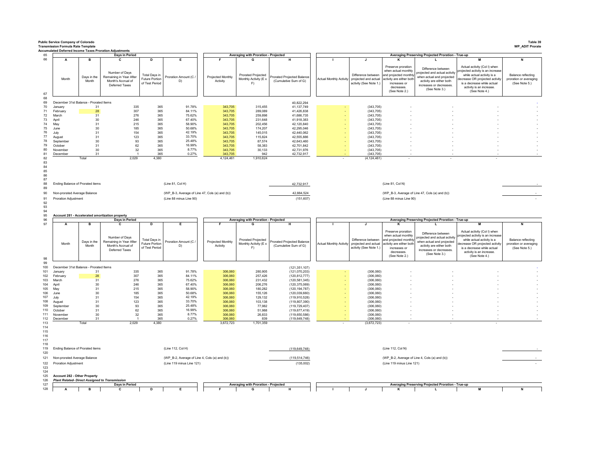|                                                                    |                             |                                                                  | <b>Accumulated Deferred Income Taxes Proration Adjustments</b>                         |                                                               |                                                                                                 |                               |                                                        |                                                          |                                |                                                                                      |                                                                                                                                               |                                                                                                                                                              |                                                                                                                                                                                                             |                                                                      |
|--------------------------------------------------------------------|-----------------------------|------------------------------------------------------------------|----------------------------------------------------------------------------------------|---------------------------------------------------------------|-------------------------------------------------------------------------------------------------|-------------------------------|--------------------------------------------------------|----------------------------------------------------------|--------------------------------|--------------------------------------------------------------------------------------|-----------------------------------------------------------------------------------------------------------------------------------------------|--------------------------------------------------------------------------------------------------------------------------------------------------------------|-------------------------------------------------------------------------------------------------------------------------------------------------------------------------------------------------------------|----------------------------------------------------------------------|
|                                                                    | A                           | в                                                                | Days in Period<br>C                                                                    | D                                                             | E                                                                                               |                               | Averaging with Proration - Projected<br>G              | Н                                                        |                                | $\mathbf{I}$                                                                         | ĸ                                                                                                                                             | Averaging Preserving Projected Proration - True-up<br>$\mathbf{I}$                                                                                           |                                                                                                                                                                                                             | N                                                                    |
|                                                                    | Month                       | Days in the<br>Month                                             | Number of Days<br>Remaining in Year After<br>Month's Accrual of<br>Deferred Taxes      | Total Days in<br>Future Portion<br>of Test Period             | Proration Amount (C /<br>D)                                                                     | Projected Monthly<br>Activity | Prorated Projected<br>Monthly Activity (E x<br>F)      | Prorated Projected Balance<br>(Cumulative Sum of G)      | <b>Actual Monthly Activity</b> | Difference between<br>projected and actual<br>activity (See Note 1.)                 | Preserve proration<br>when actual monthly<br>and projected monthly<br>activity are either both<br>increases or<br>decreases.<br>(See Note 2.) | Difference between<br>ojected and actual activity<br>when actual and projected<br>activity are either both<br>increases or decreases.<br>(See Note 3.)       | Actual activity (Col I) when<br>rojected activity is an increase<br>while actual activity is a<br>decrease OR projected activity<br>is a decrease while actual<br>activity is an increase.<br>(See Note 4.) | <b>Balance reflecting</b><br>proration or averaging<br>(See Note 5.) |
|                                                                    |                             | December 31st Balance - Prorated Items                           |                                                                                        |                                                               |                                                                                                 |                               |                                                        | 40,822,294                                               |                                |                                                                                      |                                                                                                                                               |                                                                                                                                                              |                                                                                                                                                                                                             |                                                                      |
| 70<br>January                                                      |                             | 31                                                               | 335                                                                                    | 365                                                           | 91.78%                                                                                          | 343,705                       | 315,455                                                | 41,137,749                                               |                                | (343, 705)                                                                           |                                                                                                                                               |                                                                                                                                                              |                                                                                                                                                                                                             |                                                                      |
| February                                                           |                             | 28                                                               | 307                                                                                    | 365                                                           | 84.11%                                                                                          | 343,705                       | 289.089                                                | 41,426,838                                               |                                | (343, 705)                                                                           |                                                                                                                                               |                                                                                                                                                              |                                                                                                                                                                                                             |                                                                      |
| 72<br>March                                                        |                             | 31                                                               | 276                                                                                    | 365                                                           | 75.62%<br>67.40%                                                                                | 343,705                       | 259,898                                                | 41,686,735                                               |                                | (343, 705)                                                                           |                                                                                                                                               |                                                                                                                                                              |                                                                                                                                                                                                             |                                                                      |
| 73<br>April<br>74<br>May                                           |                             | 30<br>31                                                         | 246<br>215                                                                             | 365<br>365                                                    | 58.90%                                                                                          | 343,705<br>343,705            | 231,648<br>202,456                                     | 41,918,383<br>42,120,840                                 |                                | (343, 705)<br>(343, 705)                                                             |                                                                                                                                               |                                                                                                                                                              |                                                                                                                                                                                                             |                                                                      |
| 75<br>June                                                         |                             | 30                                                               | 185                                                                                    | 365                                                           | 50.68%                                                                                          | 343,705                       | 174,207                                                | 42,295,046                                               |                                | (343, 705)                                                                           |                                                                                                                                               |                                                                                                                                                              |                                                                                                                                                                                                             |                                                                      |
| July                                                               |                             | 31                                                               | 154                                                                                    | 365                                                           | 42.19%                                                                                          | 343,705                       | 145,015                                                | 42,440,062                                               |                                | (343, 705)                                                                           |                                                                                                                                               |                                                                                                                                                              |                                                                                                                                                                                                             |                                                                      |
| 77<br>August                                                       |                             | 31<br>30                                                         | 123<br>93                                                                              | 365<br>365                                                    | 33.70%<br>25.48%                                                                                | 343.705<br>343,705            | 115.824<br>87,574                                      | 42.555.886<br>42,643,460                                 |                                | (343.705)<br>(343, 705)                                                              |                                                                                                                                               |                                                                                                                                                              |                                                                                                                                                                                                             |                                                                      |
| September<br>October                                               |                             | 31                                                               | 62                                                                                     | 365                                                           | 16.99%                                                                                          | 343,705                       | 58,383                                                 | 42,701,842                                               |                                | (343, 705)                                                                           |                                                                                                                                               |                                                                                                                                                              |                                                                                                                                                                                                             |                                                                      |
| November                                                           |                             | 30                                                               | 32                                                                                     | 365                                                           | 8.77%                                                                                           | 343,705                       | 30,133                                                 | 42,731,976                                               |                                | (343, 705)                                                                           |                                                                                                                                               |                                                                                                                                                              |                                                                                                                                                                                                             |                                                                      |
| December                                                           |                             | 31                                                               | $\overline{1}$                                                                         | 365                                                           | 0.27%                                                                                           | 343,705                       | 942                                                    | 42,732,917                                               |                                | (343, 705)                                                                           |                                                                                                                                               |                                                                                                                                                              |                                                                                                                                                                                                             |                                                                      |
|                                                                    |                             | Total                                                            | 2,029                                                                                  | 4,380                                                         |                                                                                                 | 4,124,461                     | 1,910,624                                              |                                                          |                                | (4, 124, 461)                                                                        |                                                                                                                                               |                                                                                                                                                              |                                                                                                                                                                                                             |                                                                      |
|                                                                    | Proration Adjustment        | Ending Balance of Prorated items<br>Non-prorated Average Balance |                                                                                        |                                                               | (Line 81, Col H)<br>(WP_B-3, Average of Line 47, Cols (a) and (b))<br>(Line 88 minus Line 90)   |                               |                                                        | 42,732,917<br>42,884,524<br>(151, 607)                   |                                |                                                                                      | (Line 81, Col N)<br>(Line 88 minus Line 90)                                                                                                   | (WP_B-3, Average of Line 47, Cols (a) and (b))                                                                                                               |                                                                                                                                                                                                             |                                                                      |
|                                                                    |                             |                                                                  | Account 281 - Accelerated amortization property                                        |                                                               |                                                                                                 |                               |                                                        |                                                          |                                |                                                                                      |                                                                                                                                               |                                                                                                                                                              |                                                                                                                                                                                                             |                                                                      |
|                                                                    |                             |                                                                  | Days in Period                                                                         |                                                               |                                                                                                 |                               | Averaging with Proration - Projected                   |                                                          |                                |                                                                                      |                                                                                                                                               | Averaging Preserving Projected Proration - True-up                                                                                                           |                                                                                                                                                                                                             |                                                                      |
|                                                                    | Α<br>Month                  | в<br>Days in the<br>Month                                        | c<br>Number of Days<br>Remaining in Year After<br>Month's Accrual of<br>Deferred Taxes | D<br>Total Days in<br><b>Future Portion</b><br>of Test Period | E<br>Proration Amount (C /<br>D)                                                                | Projected Monthly<br>Activity | G<br>Prorated Projected<br>Monthly Activity (E x<br>F) | Н<br>Prorated Proiected Balance<br>(Cumulative Sum of G) | <b>Actual Monthly Activity</b> | $\mathbf{J}$<br>Difference between<br>projected and actual<br>activity (See Note 1.) | к<br>Preserve proration<br>when actual monthly<br>and projected monthly<br>activity are either both<br>increases or<br>decreases              | L.<br>Difference between<br>ojected and actual activity<br>when actual and proiected<br>activity are either both<br>increases or decreases.<br>(See Note 3.) | м<br>Actual activity (Col I) when<br>rojected activity is an increase<br>while actual activity is a<br>lecrease OR projected activity<br>is a decrease while actual<br>activity is an increase.             | N<br>Balance reflecting<br>proration or averaging<br>(See Note 5.)   |
|                                                                    |                             |                                                                  |                                                                                        |                                                               |                                                                                                 |                               |                                                        |                                                          |                                |                                                                                      | (See Note 2.)                                                                                                                                 |                                                                                                                                                              | (See Note 4.)                                                                                                                                                                                               |                                                                      |
| 100                                                                |                             |                                                                  |                                                                                        |                                                               |                                                                                                 |                               |                                                        |                                                          |                                |                                                                                      |                                                                                                                                               |                                                                                                                                                              |                                                                                                                                                                                                             |                                                                      |
| 101<br>January                                                     |                             | December 31st Balance - Prorated Items                           |                                                                                        |                                                               |                                                                                                 |                               |                                                        | (121, 351, 107)                                          |                                |                                                                                      |                                                                                                                                               |                                                                                                                                                              |                                                                                                                                                                                                             |                                                                      |
|                                                                    |                             | 31                                                               | 335                                                                                    | 365                                                           | 91.78%                                                                                          | 306,060                       | 280,905                                                | (121, 070, 203)                                          |                                | (306,060)                                                                            |                                                                                                                                               |                                                                                                                                                              |                                                                                                                                                                                                             |                                                                      |
| 102<br>February                                                    |                             | 28                                                               | 307                                                                                    | 365                                                           | 84.11%                                                                                          | 306,060                       | 257,426                                                | (120, 812, 777)                                          |                                | (306,060)                                                                            |                                                                                                                                               |                                                                                                                                                              |                                                                                                                                                                                                             |                                                                      |
| 103<br>March<br>104<br>April                                       |                             | 31<br>30                                                         | 276<br>246                                                                             | 365<br>365                                                    | 75.62%<br>67.40%                                                                                | 306,060<br>306,060            | 231,432<br>206,276                                     | (120, 581, 345)                                          |                                | (306,060)<br>(306,060)                                                               |                                                                                                                                               |                                                                                                                                                              |                                                                                                                                                                                                             |                                                                      |
| 105<br>May                                                         |                             | 31                                                               | 215                                                                                    | 365                                                           | 58.90%                                                                                          | 306,060                       | 180,282                                                | (120, 375, 069)<br>(120, 194, 787)                       |                                | (306.060)                                                                            |                                                                                                                                               |                                                                                                                                                              |                                                                                                                                                                                                             |                                                                      |
| 106<br>June                                                        |                             | 30                                                               | 185                                                                                    | 365                                                           | 50.68%                                                                                          | 306,060                       | 155,126                                                | (120,039,660)                                            |                                | (306,060)                                                                            |                                                                                                                                               |                                                                                                                                                              |                                                                                                                                                                                                             |                                                                      |
| 107<br>July                                                        |                             | 31                                                               | 154                                                                                    | 365                                                           | 42.19%                                                                                          | 306,060                       | 129,132                                                | (119, 910, 528)                                          |                                | (306,060)<br>(306.060)                                                               |                                                                                                                                               |                                                                                                                                                              |                                                                                                                                                                                                             |                                                                      |
| 108<br>August<br>109<br>September                                  |                             | 31<br>30                                                         | 123<br>93                                                                              | 365<br>365                                                    | 33.70%<br>25.48%                                                                                | 306,060<br>306,060            | 103,138<br>77,982                                      | (119, 807, 390)<br>(119, 729, 407)                       |                                | (306,060)                                                                            |                                                                                                                                               |                                                                                                                                                              |                                                                                                                                                                                                             |                                                                      |
| 110<br>October                                                     |                             | 31                                                               | 62                                                                                     | 365                                                           | 16.99%                                                                                          | 306,060                       | 51,988                                                 | (119, 677, 419)                                          |                                | (306,060)                                                                            |                                                                                                                                               |                                                                                                                                                              |                                                                                                                                                                                                             |                                                                      |
| 111<br>November                                                    |                             | 30                                                               | 32                                                                                     | 365                                                           | 8.77%                                                                                           | 306,060                       | 26,833                                                 | (119, 650, 586)                                          |                                | (306,060)                                                                            |                                                                                                                                               |                                                                                                                                                              |                                                                                                                                                                                                             |                                                                      |
| 112<br>December<br>113                                             |                             | 31<br>Total                                                      | 2,029                                                                                  | 365<br>4.380                                                  | 0.27%                                                                                           | 306,060<br>3.672.723          | 839<br>1,701,359                                       | (119, 649, 748)                                          |                                | (306, 060)<br>(3,672,723)                                                            |                                                                                                                                               |                                                                                                                                                              |                                                                                                                                                                                                             |                                                                      |
| 114<br>115<br>116<br>117<br>119<br>120<br>121<br>122<br>123<br>124 | <b>Proration Adjustment</b> | Ending Balance of Prorated items<br>Non-prorated Average Balance |                                                                                        |                                                               | (Line 112, Col H)<br>(WP_B-2, Average of Line 4, Cols (a) and (b))<br>(Line 119 minus Line 121) |                               |                                                        | (119, 649, 748)<br>(119.514.746)<br>(135,002)            |                                |                                                                                      | (Line 112, Col N)<br>(WP_B-2, Average of Line 4, Cols (a) and (b))<br>(Line 119 minus Line 121)                                               |                                                                                                                                                              |                                                                                                                                                                                                             |                                                                      |
| 125<br>126                                                         |                             | Account 282 - Other Property                                     | <b>Plant Related- Direct Assigned to Transmission</b>                                  |                                                               |                                                                                                 |                               |                                                        |                                                          |                                |                                                                                      |                                                                                                                                               |                                                                                                                                                              |                                                                                                                                                                                                             |                                                                      |
| 127<br>128                                                         | A                           | в                                                                | Days in Period<br>C.                                                                   | D                                                             |                                                                                                 |                               | Averaging with Proration - Projected<br>G              |                                                          |                                |                                                                                      |                                                                                                                                               | Averaging Preserving Projected Proration - True-up                                                                                                           | м                                                                                                                                                                                                           |                                                                      |

**Public Service Company of Colorado Table 39**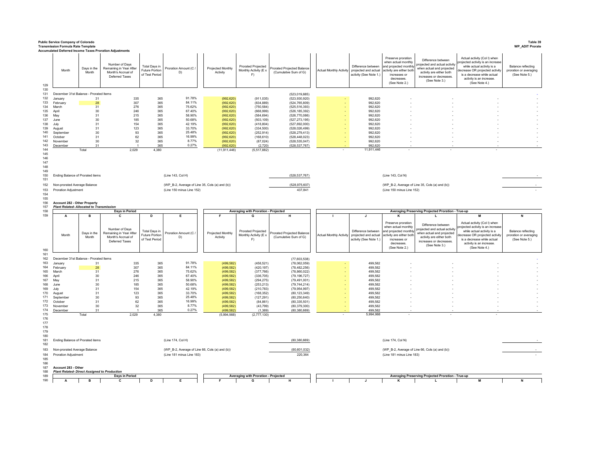|                                               | <b>Public Service Company of Colorado</b><br><b>Transmission Formula Rate Template</b> |                           | Accumulated Deferred Income Taxes Proration Adjustments                                |                                                          |                                                |                                    |                                                        |                                                         |                                |                                                                                      |                                                                                                                                               |                                                                                                                                                         |                                                                                                                                                                                                            | Table 39<br><b>WP_ADIT Prorate</b>                                 |
|-----------------------------------------------|----------------------------------------------------------------------------------------|---------------------------|----------------------------------------------------------------------------------------|----------------------------------------------------------|------------------------------------------------|------------------------------------|--------------------------------------------------------|---------------------------------------------------------|--------------------------------|--------------------------------------------------------------------------------------|-----------------------------------------------------------------------------------------------------------------------------------------------|---------------------------------------------------------------------------------------------------------------------------------------------------------|------------------------------------------------------------------------------------------------------------------------------------------------------------------------------------------------------------|--------------------------------------------------------------------|
| 129                                           | Month                                                                                  | Days in the<br>Month      | Number of Days<br>Remaining in Year After<br>Month's Accrual of<br>Deferred Taxes      | Total Days in<br><b>Future Portion</b><br>of Test Period | Proration Amount (C /<br>D)                    | Projected Monthly<br>Activity      | Prorated Projected<br>Monthly Activity (E x<br>F)      | rorated Projected Balance<br>(Cumulative Sum of G)      | <b>Actual Monthly Activity</b> | Difference between<br>projected and actual<br>activity (See Note 1.)                 | Preserve proration<br>when actual monthly<br>and projected monthly<br>activity are either both<br>increases or<br>decreases.<br>(See Note 2.) | Difference between<br>rojected and actual activity<br>when actual and projected<br>activity are either both<br>increases or decreases.<br>(See Note 3.) | Actual activity (Col I) when<br>pjected activity is an increase<br>while actual activity is a<br>decrease OR projected activity<br>is a decrease while actual<br>activity is an increase.<br>(See Note 4.) | Balance reflecting<br>proration or averaging<br>(See Note 5.)      |
| 130<br>131                                    | December 31st Balance - Prorated Items                                                 |                           |                                                                                        |                                                          |                                                |                                    |                                                        | (523, 019, 885)                                         |                                |                                                                                      |                                                                                                                                               |                                                                                                                                                         |                                                                                                                                                                                                            |                                                                    |
| 132                                           | January                                                                                | 31                        | 335                                                                                    | 365                                                      | 91.78%                                         | (992, 620)                         | (911, 035)                                             | (523, 930, 920)                                         |                                | 992,620                                                                              |                                                                                                                                               |                                                                                                                                                         |                                                                                                                                                                                                            |                                                                    |
| 133                                           | February                                                                               | 28                        | 307                                                                                    | 365                                                      | 84.11%                                         | (992, 620)                         | (834.889)                                              | (524, 765, 809)                                         |                                | 992.620                                                                              |                                                                                                                                               |                                                                                                                                                         |                                                                                                                                                                                                            |                                                                    |
| 134                                           | March                                                                                  | 31                        | 276                                                                                    | 365                                                      | 75.62%<br>67.40%                               | (992, 620)                         | (750, 584)                                             | (525, 516, 393)                                         |                                | 992,620                                                                              |                                                                                                                                               |                                                                                                                                                         |                                                                                                                                                                                                            |                                                                    |
| 135<br>136                                    | April<br>May                                                                           | 30<br>31                  | 246<br>215                                                                             | 365<br>365                                               | 58.90%                                         | (992, 620)<br>(992, 620)           | (668,999)<br>(584, 694)                                | (526, 185, 392)<br>(526, 770, 086)                      |                                | 992,620<br>992,620                                                                   |                                                                                                                                               |                                                                                                                                                         |                                                                                                                                                                                                            |                                                                    |
| 137                                           | June                                                                                   | 30                        | 185                                                                                    | 365                                                      | 50.68%                                         | (992, 620)                         | (503, 109)                                             | (527, 273, 195)                                         |                                | 992.620                                                                              |                                                                                                                                               |                                                                                                                                                         |                                                                                                                                                                                                            |                                                                    |
| 138                                           | July                                                                                   | 31                        | 154                                                                                    | 365                                                      | 42.19%                                         | (992, 620)                         | (418, 804)                                             | (527, 692, 000)                                         |                                | 992.620                                                                              |                                                                                                                                               |                                                                                                                                                         |                                                                                                                                                                                                            |                                                                    |
| 139<br>140                                    | August<br>September                                                                    | 31<br>30                  | 123<br>93                                                                              | 365<br>365                                               | 33.70%<br>25.48%                               | (992, 620)                         | (334, 500)                                             | (528, 026, 499)                                         |                                | 992.620<br>992.620                                                                   |                                                                                                                                               |                                                                                                                                                         |                                                                                                                                                                                                            |                                                                    |
| 141                                           | October                                                                                | 31                        | 62                                                                                     | 365                                                      | 16.99%                                         | (992, 620)<br>(992, 620)           | (252, 914)<br>(168, 610)                               | (528, 279, 413)<br>(528, 448, 023)                      |                                | 992,620                                                                              |                                                                                                                                               |                                                                                                                                                         |                                                                                                                                                                                                            |                                                                    |
| 142                                           | Novembe                                                                                | 30                        | 32                                                                                     | 365                                                      | 8.77%                                          | (992, 620)                         | (87, 024)                                              | (528, 535, 047)                                         |                                | 992,620                                                                              |                                                                                                                                               |                                                                                                                                                         |                                                                                                                                                                                                            |                                                                    |
| 143                                           | December                                                                               | 31                        |                                                                                        | 365                                                      | 0.27%                                          | (992, 620)                         | (2,720)                                                | (528, 537, 767)                                         |                                | 992,620                                                                              |                                                                                                                                               |                                                                                                                                                         |                                                                                                                                                                                                            |                                                                    |
| 144<br>145                                    |                                                                                        | Total                     | 2,029                                                                                  | 4,380                                                    |                                                | (11, 911, 446)                     | (5,517,882)                                            |                                                         |                                | 11,911,446                                                                           |                                                                                                                                               |                                                                                                                                                         |                                                                                                                                                                                                            |                                                                    |
| 146<br>147<br>148<br>149                      |                                                                                        |                           |                                                                                        |                                                          |                                                |                                    |                                                        |                                                         |                                |                                                                                      |                                                                                                                                               |                                                                                                                                                         |                                                                                                                                                                                                            |                                                                    |
| 150<br>151                                    | Ending Balance of Prorated items                                                       |                           |                                                                                        |                                                          | (Line 143, Col H)                              |                                    |                                                        | (528, 537, 767)                                         |                                |                                                                                      | (Line 143, Col N)                                                                                                                             |                                                                                                                                                         |                                                                                                                                                                                                            |                                                                    |
| 152                                           | Non-prorated Average Balance                                                           |                           |                                                                                        |                                                          | (WP_B-2, Average of Line 35, Cols (a) and (b)) |                                    |                                                        | (528, 975, 607)                                         |                                |                                                                                      |                                                                                                                                               | (WP_B-2, Average of Line 35, Cols (a) and (b))                                                                                                          |                                                                                                                                                                                                            |                                                                    |
| 153                                           | <b>Proration Adjustment</b>                                                            |                           |                                                                                        |                                                          | (Line 150 minus Line 152)                      |                                    |                                                        | 437,841                                                 |                                |                                                                                      | (Line 150 minus Line 152)                                                                                                                     |                                                                                                                                                         |                                                                                                                                                                                                            |                                                                    |
| 154                                           |                                                                                        |                           |                                                                                        |                                                          |                                                |                                    |                                                        |                                                         |                                |                                                                                      |                                                                                                                                               |                                                                                                                                                         |                                                                                                                                                                                                            |                                                                    |
| 155<br>156                                    | Account 282 - Other Property                                                           |                           |                                                                                        |                                                          |                                                |                                    |                                                        |                                                         |                                |                                                                                      |                                                                                                                                               |                                                                                                                                                         |                                                                                                                                                                                                            |                                                                    |
| 157                                           | <b>Plant Related- Allocated to Transmission</b>                                        |                           |                                                                                        |                                                          |                                                |                                    |                                                        |                                                         |                                |                                                                                      |                                                                                                                                               |                                                                                                                                                         |                                                                                                                                                                                                            |                                                                    |
| 158                                           |                                                                                        |                           | Days in Period                                                                         |                                                          |                                                |                                    | Averaging with Proration - Projected                   |                                                         |                                |                                                                                      |                                                                                                                                               | Averaging Preserving Projected Proration - True-up                                                                                                      |                                                                                                                                                                                                            |                                                                    |
| 159                                           | A<br>Month                                                                             | в<br>Days in the<br>Month | c<br>Number of Days<br>Remaining in Year After<br>Month's Accrual of<br>Deferred Taxes | D<br>Total Days in<br>Future Portion<br>of Test Period   | E<br>Proration Amount (C)<br>D)                | Е<br>Projected Monthly<br>Activity | G<br>Prorated Projected<br>Monthly Activity (E x<br>F) | н<br>rorated Projected Balance<br>(Cumulative Sum of G) | <b>Actual Monthly Activity</b> | $\mathbf{J}$<br>Difference between<br>projected and actual<br>activity (See Note 1.) | к<br>Preserve proration<br>when actual monthly<br>ind projected monthly<br>ctivity are either botl<br>increases or                            | L<br>Difference betweer<br>rojected and actual activity<br>when actual and projected<br>activity are either both<br>increases or decreases.             | м<br>Actual activity (Col I) when<br>ojected activity is an increase<br>while actual activity is a<br>lecrease OR projected activity<br>is a decrease while actual                                         | N<br>Balance reflecting<br>proration or averaging<br>(See Note 5.) |
| 160<br>161                                    |                                                                                        |                           |                                                                                        |                                                          |                                                |                                    |                                                        |                                                         |                                |                                                                                      | decreases.<br>(See Note 2.)                                                                                                                   | (See Note 3.)                                                                                                                                           | activity is an increase.<br>(See Note 4.)                                                                                                                                                                  |                                                                    |
| 162<br>163                                    | December 31st Balance - Prorated Items<br>January                                      | 31                        | 335                                                                                    | 365                                                      | 91.78%                                         | (499, 582)                         | (458, 521)                                             | (77,603,538)<br>(78,062,059)                            |                                | 499,582                                                                              |                                                                                                                                               |                                                                                                                                                         |                                                                                                                                                                                                            |                                                                    |
| 164                                           | February                                                                               | 28                        | 307                                                                                    | 365                                                      | 84.11%                                         | (499, 582)                         | (420, 197)                                             | (78, 482, 256)                                          |                                | 499,582                                                                              |                                                                                                                                               |                                                                                                                                                         |                                                                                                                                                                                                            |                                                                    |
| 165                                           | March                                                                                  | 31                        | 276                                                                                    | 365                                                      | 75.62%                                         | (499, 582)                         | (377,766)                                              | (78, 860, 022)                                          |                                | 499,582                                                                              |                                                                                                                                               |                                                                                                                                                         |                                                                                                                                                                                                            |                                                                    |
| 166<br>167                                    | April                                                                                  | 30                        | 246                                                                                    | 365                                                      | 67.40%<br>58.90%                               | (499, 582)                         | (336, 705)                                             | (79, 196, 727)                                          |                                | 499,582                                                                              |                                                                                                                                               |                                                                                                                                                         |                                                                                                                                                                                                            |                                                                    |
| 168                                           | May<br>June                                                                            | 31<br>30                  | 215<br>185                                                                             | 365<br>365                                               | 50.68%                                         | (499, 582)<br>(499, 582)           | (294, 275)<br>(253, 213)                               | (79, 491, 001)<br>(79, 744, 214)                        |                                | 499,582<br>499.582                                                                   |                                                                                                                                               |                                                                                                                                                         |                                                                                                                                                                                                            |                                                                    |
| 169                                           | July                                                                                   | 31                        | 154                                                                                    | 365                                                      | 42.19%                                         | (499, 582)                         | (210, 783)                                             | (79, 954, 997)                                          |                                | 499,582                                                                              |                                                                                                                                               |                                                                                                                                                         |                                                                                                                                                                                                            |                                                                    |
| 170                                           | August                                                                                 | 31                        | 123                                                                                    | 365                                                      | 33.70%                                         | (499, 582)                         | (168, 352)                                             | (80, 123, 349)                                          |                                | 499,582                                                                              |                                                                                                                                               |                                                                                                                                                         |                                                                                                                                                                                                            |                                                                    |
| 171<br>172                                    | September<br>October                                                                   | 30<br>31                  | 93<br>62                                                                               | 365<br>365                                               | 25.48%<br>16.99%                               | (499, 582)<br>(499, 582)           | (127, 291)<br>(84, 861)                                | (80, 250, 640)<br>(80, 335, 501)                        |                                | 499.582<br>499,582                                                                   |                                                                                                                                               |                                                                                                                                                         |                                                                                                                                                                                                            |                                                                    |
| 173                                           | Novembe                                                                                | 30 <sup>°</sup>           | 32                                                                                     | 365                                                      | 8.77%                                          | (499, 582)                         | (43, 799)                                              | (80, 379, 300)                                          |                                | 499,582                                                                              |                                                                                                                                               |                                                                                                                                                         |                                                                                                                                                                                                            |                                                                    |
| 174                                           | December                                                                               | 31                        |                                                                                        | 365                                                      | 0.27%                                          | (499, 582)                         | (1, 369)                                               | (80, 380, 669)                                          |                                | 499.582                                                                              |                                                                                                                                               |                                                                                                                                                         |                                                                                                                                                                                                            |                                                                    |
| 175                                           |                                                                                        | Total                     | 2,029                                                                                  | 4,380                                                    |                                                | (5,994,988)                        | (2,777,130)                                            |                                                         |                                | 5,994,988                                                                            |                                                                                                                                               |                                                                                                                                                         |                                                                                                                                                                                                            |                                                                    |
| 176<br>177<br>178<br>179<br>180<br>181<br>182 | Ending Balance of Prorated items                                                       |                           |                                                                                        |                                                          | (Line 174, Col H)                              |                                    |                                                        | (80, 380, 669)                                          |                                |                                                                                      | (Line 174, Col N)                                                                                                                             |                                                                                                                                                         |                                                                                                                                                                                                            |                                                                    |
| 183                                           | Non-prorated Average Balance                                                           |                           |                                                                                        |                                                          | (WP_B-2, Average of Line 66, Cols (a) and (b)) |                                    |                                                        | (80,601,032)                                            |                                |                                                                                      |                                                                                                                                               | (WP_B-2, Average of Line 66, Cols (a) and (b))                                                                                                          |                                                                                                                                                                                                            |                                                                    |
| 184                                           | Proration Adjustment                                                                   |                           |                                                                                        |                                                          | (Line 181 minus Line 183)                      |                                    |                                                        | 220,364                                                 |                                |                                                                                      | (Line 181 minus Line 183)                                                                                                                     |                                                                                                                                                         |                                                                                                                                                                                                            |                                                                    |
| 185<br>186<br>187<br>188                      | Account 283 - Other<br><b>Plant Related- Direct Assigned to Production</b>             |                           |                                                                                        |                                                          |                                                |                                    |                                                        |                                                         |                                |                                                                                      |                                                                                                                                               |                                                                                                                                                         |                                                                                                                                                                                                            |                                                                    |
| 189<br>190                                    | Α                                                                                      | в                         | Days in Period<br>C                                                                    | D                                                        | Е                                              |                                    | Averaging with Proration - Projected                   | н                                                       |                                | $\mathbf{I}$                                                                         |                                                                                                                                               | Averaging Preserving Projected Proration - True-up                                                                                                      | M                                                                                                                                                                                                          | N                                                                  |
|                                               |                                                                                        |                           |                                                                                        |                                                          |                                                |                                    |                                                        |                                                         |                                |                                                                                      |                                                                                                                                               |                                                                                                                                                         |                                                                                                                                                                                                            |                                                                    |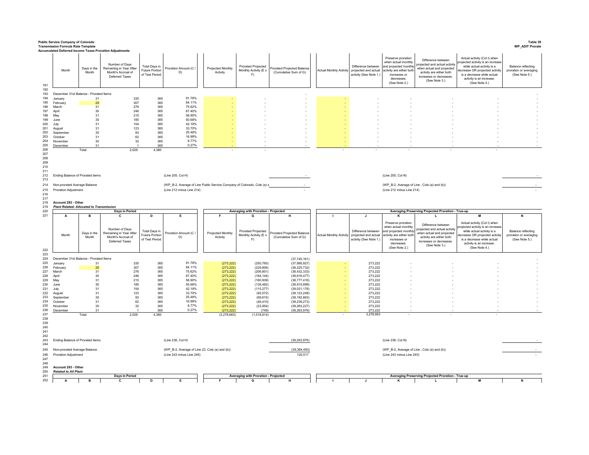|                                               | <b>Public Service Company of Colorado</b><br><b>Transmission Formula Rate Template</b> |                      |                                                                                                                                                     |                                                          |                                                                                              |                               |                                                   |                                                     |                                |                                                                                              |                                                                                                                                               |                                                                                                                                                          |                                                                                                                                                                                                             | Table 39<br><b>WP_ADIT Prorate</b>                                   |
|-----------------------------------------------|----------------------------------------------------------------------------------------|----------------------|-----------------------------------------------------------------------------------------------------------------------------------------------------|----------------------------------------------------------|----------------------------------------------------------------------------------------------|-------------------------------|---------------------------------------------------|-----------------------------------------------------|--------------------------------|----------------------------------------------------------------------------------------------|-----------------------------------------------------------------------------------------------------------------------------------------------|----------------------------------------------------------------------------------------------------------------------------------------------------------|-------------------------------------------------------------------------------------------------------------------------------------------------------------------------------------------------------------|----------------------------------------------------------------------|
| 191                                           | Month                                                                                  | Days in the<br>Month | <b>Accumulated Deferred Income Taxes Proration Adjustments</b><br>Number of Days<br>Remaining in Year After<br>Month's Accrual of<br>Deferred Taxes | Total Days in<br><b>Future Portion</b><br>of Test Period | Proration Amount (C /<br>D)                                                                  | Projected Monthly<br>Activity | Prorated Projected<br>Monthly Activity (E x<br>F) | Prorated Projected Balance<br>(Cumulative Sum of G) |                                | Difference between<br>Actual Monthly Activity projected and actual<br>activity (See Note 1.) | Preserve proration<br>when actual monthly<br>and projected monthly<br>activity are either both<br>increases or<br>decreases.<br>(See Note 2.) | Difference between<br>projected and actual activity<br>when actual and projected<br>activity are either both<br>increases or decreases<br>(See Note 3.)  | Actual activity (Col I) when<br>rojected activity is an increase<br>while actual activity is a<br>decrease OR projected activity<br>is a decrease while actual<br>activity is an increase<br>(See Note 4.)  | <b>Balance reflecting</b><br>proration or averaging<br>(See Note 5.) |
| 192<br>193                                    | December 31st Balance - Prorated Items                                                 |                      |                                                                                                                                                     |                                                          |                                                                                              |                               |                                                   |                                                     |                                |                                                                                              |                                                                                                                                               |                                                                                                                                                          |                                                                                                                                                                                                             |                                                                      |
| 194                                           | January                                                                                | 31                   | 335                                                                                                                                                 | 365                                                      | 91.78%                                                                                       |                               |                                                   |                                                     |                                |                                                                                              |                                                                                                                                               |                                                                                                                                                          |                                                                                                                                                                                                             |                                                                      |
| 195                                           | February                                                                               | 28                   | 307                                                                                                                                                 | 365                                                      | 84.11%                                                                                       |                               |                                                   |                                                     |                                |                                                                                              |                                                                                                                                               |                                                                                                                                                          |                                                                                                                                                                                                             |                                                                      |
| 196<br>197                                    | March<br>April                                                                         | 31<br>30             | 276<br>246                                                                                                                                          | 365<br>365                                               | 75.62%<br>67 40%                                                                             |                               |                                                   |                                                     |                                |                                                                                              |                                                                                                                                               |                                                                                                                                                          |                                                                                                                                                                                                             |                                                                      |
| 198                                           | May                                                                                    | 31                   | 215                                                                                                                                                 | 365                                                      | 58.90%                                                                                       |                               |                                                   |                                                     |                                |                                                                                              |                                                                                                                                               |                                                                                                                                                          |                                                                                                                                                                                                             |                                                                      |
| 199<br>200                                    | .lune                                                                                  | 30<br>31             | 185<br>154                                                                                                                                          | 365<br>365                                               | 50.68%<br>42.19%                                                                             |                               |                                                   |                                                     |                                |                                                                                              |                                                                                                                                               |                                                                                                                                                          |                                                                                                                                                                                                             |                                                                      |
| 201                                           | July<br>August                                                                         | 31                   | 123                                                                                                                                                 | 365                                                      | 33.70%                                                                                       |                               |                                                   |                                                     |                                |                                                                                              |                                                                                                                                               |                                                                                                                                                          |                                                                                                                                                                                                             |                                                                      |
| 202                                           | September                                                                              | 30                   | 93                                                                                                                                                  | 365                                                      | 25.48%                                                                                       |                               |                                                   |                                                     |                                |                                                                                              |                                                                                                                                               |                                                                                                                                                          |                                                                                                                                                                                                             |                                                                      |
| 203<br>204                                    | October<br>November                                                                    | 31<br>30             | 62<br>32                                                                                                                                            | 365<br>365                                               | 16.99%<br>8.77%                                                                              |                               |                                                   |                                                     |                                |                                                                                              |                                                                                                                                               |                                                                                                                                                          |                                                                                                                                                                                                             |                                                                      |
| 205                                           | December                                                                               | 31                   |                                                                                                                                                     | 365                                                      | 0.27%                                                                                        |                               |                                                   |                                                     |                                |                                                                                              |                                                                                                                                               |                                                                                                                                                          |                                                                                                                                                                                                             |                                                                      |
| 206<br>207                                    |                                                                                        | Total                | 2,029                                                                                                                                               | 4,380                                                    |                                                                                              |                               |                                                   |                                                     |                                |                                                                                              |                                                                                                                                               |                                                                                                                                                          |                                                                                                                                                                                                             |                                                                      |
| 208<br>209<br>210<br>211<br>212<br>213<br>214 | Ending Balance of Prorated items<br>Non-prorated Average Balance                       |                      |                                                                                                                                                     |                                                          | (Line 205, Col H)<br>(WP_B-2, Average of Line Public Service Company of Colorado, Cols (a) a |                               |                                                   |                                                     |                                |                                                                                              | (Line 205, Col N)<br>(WP_B-2, Average of Line, Cols (a) and (b))                                                                              |                                                                                                                                                          |                                                                                                                                                                                                             |                                                                      |
| 215                                           | Proration Adjustment                                                                   |                      |                                                                                                                                                     |                                                          | (Line 212 minus Line 214)                                                                    |                               |                                                   |                                                     |                                |                                                                                              | (Line 212 minus Line 214)                                                                                                                     |                                                                                                                                                          |                                                                                                                                                                                                             |                                                                      |
| 216<br>217<br>218<br>219<br>220               | Account 283 - Other<br>Plant Related- Allocated to Transmission                        |                      | Days in Period                                                                                                                                      |                                                          |                                                                                              |                               | Averaging with Proration - Projected              |                                                     |                                |                                                                                              |                                                                                                                                               | Averaging Preserving Projected Proration - True-up                                                                                                       |                                                                                                                                                                                                             |                                                                      |
| 221                                           | A                                                                                      | в                    | c                                                                                                                                                   | D                                                        | Е                                                                                            | F                             | G                                                 | н                                                   |                                | $\mathbf{J}$                                                                                 | к                                                                                                                                             | L                                                                                                                                                        | M                                                                                                                                                                                                           | N                                                                    |
| 222                                           | Month                                                                                  | Days in the<br>Month | Number of Days<br>Remaining in Year After<br>Month's Accrual of<br>Deferred Taxes                                                                   | Total Days in<br><b>Future Portion</b><br>of Test Period | Proration Amount (C.<br>D)                                                                   | Projected Monthly<br>Activity | Prorated Projected<br>Monthly Activity (E x<br>F) | Prorated Projected Balance<br>(Cumulative Sum of G) | <b>Actual Monthly Activity</b> | Difference between<br>projected and actual<br>activity (See Note 1.)                         | Preserve proration<br>when actual monthly<br>and projected monthly<br>activity are either both<br>increases or<br>decreases<br>(See Note 2.)  | Difference between<br>projected and actual activity<br>when actual and projected<br>activity are either both<br>increases or decreases.<br>(See Note 3.) | Actual activity (Col I) when<br>rojected activity is an increase<br>while actual activity is a<br>decrease OR projected activity<br>is a decrease while actual<br>activity is an increase.<br>(See Note 4.) | <b>Balance reflecting</b><br>proration or averaging<br>(See Note 5.) |
| 223                                           |                                                                                        |                      |                                                                                                                                                     |                                                          |                                                                                              |                               |                                                   |                                                     |                                |                                                                                              |                                                                                                                                               |                                                                                                                                                          |                                                                                                                                                                                                             |                                                                      |
| 224<br>225                                    | December 31st Balance - Prorated Items<br>January                                      | 31                   | 335                                                                                                                                                 | 365                                                      | 91.78%                                                                                       |                               | (250, 765)                                        | (37,745,161)<br>(37, 995, 927)                      |                                | 273,222                                                                                      |                                                                                                                                               |                                                                                                                                                          |                                                                                                                                                                                                             |                                                                      |
| 226                                           | February                                                                               | 28                   | 307                                                                                                                                                 | 365                                                      | 84.11%                                                                                       | (273, 222)<br>(273, 222)      | (229, 806)                                        | (38, 225, 732)                                      |                                | 273,222                                                                                      |                                                                                                                                               |                                                                                                                                                          |                                                                                                                                                                                                             |                                                                      |
| 227                                           | March                                                                                  | 31                   | 276                                                                                                                                                 | 365                                                      | 75.62%                                                                                       | (273, 222)                    | (206, 601)                                        | (38, 432, 333)                                      |                                | 273,222                                                                                      |                                                                                                                                               |                                                                                                                                                          |                                                                                                                                                                                                             |                                                                      |
| 228<br>229                                    | Anril<br>May                                                                           | 30<br>31             | 246<br>215                                                                                                                                          | 365<br>365                                               | 67.40%<br>58.90%                                                                             | (273, 222)<br>(273, 222)      | (184, 144)<br>(160, 939)                          | (38, 616, 477)<br>(38, 777, 416)                    |                                | 273,222<br>273,222                                                                           |                                                                                                                                               |                                                                                                                                                          |                                                                                                                                                                                                             |                                                                      |
| 230                                           | June                                                                                   | 30                   | 185                                                                                                                                                 | 365                                                      | 50.68%                                                                                       | (273, 222)                    | (138, 482)                                        | (38, 915, 899)                                      |                                | 273,222                                                                                      |                                                                                                                                               |                                                                                                                                                          |                                                                                                                                                                                                             |                                                                      |
| 231<br>232                                    | July                                                                                   | 31<br>31             | 154<br>123                                                                                                                                          | 365<br>365                                               | 42.19%<br>33.70%                                                                             | (273, 222)<br>(273, 222)      | (115, 277)<br>(92, 072)                           | (39,031,176)<br>(39, 123, 248)                      |                                | 273,222<br>273,222                                                                           |                                                                                                                                               |                                                                                                                                                          |                                                                                                                                                                                                             |                                                                      |
| 233                                           | August<br>September                                                                    | 30                   | 93                                                                                                                                                  | 365                                                      | 25.48%                                                                                       | (273, 222)                    | (69, 615)                                         | (39, 192, 863)                                      |                                | 273,222                                                                                      |                                                                                                                                               |                                                                                                                                                          |                                                                                                                                                                                                             |                                                                      |
|                                               | October                                                                                | 31                   | 62                                                                                                                                                  | 365                                                      | 16.99%                                                                                       | (273, 222)                    | (46, 410)                                         | (39, 239, 273)                                      |                                | 273,222                                                                                      |                                                                                                                                               |                                                                                                                                                          |                                                                                                                                                                                                             |                                                                      |
| 234                                           |                                                                                        |                      |                                                                                                                                                     |                                                          |                                                                                              |                               |                                                   |                                                     |                                |                                                                                              |                                                                                                                                               |                                                                                                                                                          |                                                                                                                                                                                                             |                                                                      |
| 235                                           | November                                                                               | 30                   | 32                                                                                                                                                  | 365                                                      | 8.77%                                                                                        | (273, 222)                    | (23,954)                                          | (39, 263, 227)                                      |                                | 273,222                                                                                      |                                                                                                                                               |                                                                                                                                                          |                                                                                                                                                                                                             |                                                                      |
| 236<br>237                                    | December                                                                               | 31<br>Total          | 2,029                                                                                                                                               | 365<br>4,380                                             | 0.27%                                                                                        | (273, 222)<br>(3,278,663)     | (749)<br>(1,518,814)                              | (39, 263, 976)                                      |                                | 273,222<br>3,278,663                                                                         |                                                                                                                                               |                                                                                                                                                          |                                                                                                                                                                                                             |                                                                      |
| 238<br>239<br>240<br>241<br>242<br>243<br>244 | Ending Balance of Prorated items                                                       |                      |                                                                                                                                                     |                                                          | (Line 236, Col H)                                                                            |                               |                                                   | (39.263.976)                                        |                                |                                                                                              | (Line 236, Col N)                                                                                                                             |                                                                                                                                                          |                                                                                                                                                                                                             |                                                                      |
| 245                                           | Non-prorated Average Balance                                                           |                      |                                                                                                                                                     |                                                          | (WP_B-2, Average of Line 23, Cols (a) and (b))                                               |                               |                                                   | (39, 384, 493)                                      |                                |                                                                                              | (WP_B-2, Average of Line, Cols (a) and (b))                                                                                                   |                                                                                                                                                          |                                                                                                                                                                                                             |                                                                      |
| 246<br>247                                    | Proration Adjustment                                                                   |                      |                                                                                                                                                     |                                                          | (Line 243 minus Line 245)                                                                    |                               |                                                   | 120,517                                             |                                |                                                                                              | (Line 243 minus Line 245)                                                                                                                     |                                                                                                                                                          |                                                                                                                                                                                                             |                                                                      |
| 248<br>249<br>250<br>251                      | Account 283 - Other<br><b>Related to All Plant</b>                                     |                      | Days in Period                                                                                                                                      |                                                          |                                                                                              |                               | Averaging with Proration - Projected              |                                                     |                                |                                                                                              |                                                                                                                                               | Averaging Preserving Projected Proration - True-up                                                                                                       |                                                                                                                                                                                                             |                                                                      |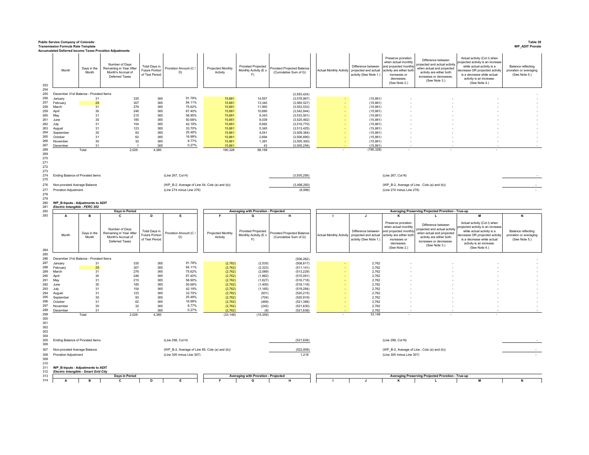|                                 | <b>Public Service Company of Colorado</b><br><b>Transmission Formula Rate Template</b> |                      | <b>Accumulated Deferred Income Taxes Proration Adjustments</b>                    |                                                          |                                                |                               |                                                   |                                                     |                                |                                                                      |                                                                                                                                               |                                                                                                                                                         |                                                                                                                                                                                                            | Table 39<br><b>WP_ADIT Prorate</b>                                   |
|---------------------------------|----------------------------------------------------------------------------------------|----------------------|-----------------------------------------------------------------------------------|----------------------------------------------------------|------------------------------------------------|-------------------------------|---------------------------------------------------|-----------------------------------------------------|--------------------------------|----------------------------------------------------------------------|-----------------------------------------------------------------------------------------------------------------------------------------------|---------------------------------------------------------------------------------------------------------------------------------------------------------|------------------------------------------------------------------------------------------------------------------------------------------------------------------------------------------------------------|----------------------------------------------------------------------|
| 253                             | Month                                                                                  | Days in the<br>Month | Number of Days<br>Remaining in Year After<br>Month's Accrual of<br>Deferred Taxes | Total Days in<br><b>Future Portion</b><br>of Test Period | Proration Amount (C)<br>D)                     | Projected Monthly<br>Activity | Prorated Projected<br>Monthly Activity (E x<br>F) | Prorated Projected Balance<br>(Cumulative Sum of G) | <b>Actual Monthly Activity</b> | Difference between<br>projected and actual<br>activity (See Note 1.) | Preserve proration<br>when actual monthl<br>and projected monthly<br>activity are either both<br>increases or<br>decreases.<br>(See Note 2.)  | Difference between<br>rojected and actual activity<br>when actual and projected<br>activity are either both<br>increases or decreases.<br>(See Note 3.) | Actual activity (Col I) when<br>ojected activity is an increase<br>while actual activity is a<br>decrease OR projected activity<br>is a decrease while actual<br>activity is an increase.<br>(See Note 4.) | <b>Balance reflecting</b><br>proration or averaging<br>(See Note 5.) |
| 254<br>255                      | December 31st Balance - Prorated Items                                                 |                      |                                                                                   |                                                          |                                                |                               |                                                   | (3, 593, 424)                                       |                                |                                                                      |                                                                                                                                               |                                                                                                                                                         |                                                                                                                                                                                                            |                                                                      |
| 256                             | January                                                                                | 31                   | 335                                                                               | 365                                                      | 91.78%                                         | 15,861                        | 14.557                                            | (3,578,867)                                         |                                | (15, 861)                                                            |                                                                                                                                               |                                                                                                                                                         |                                                                                                                                                                                                            |                                                                      |
| 257                             | February                                                                               | 28                   | 307<br>276                                                                        | 365                                                      | 84.11%<br>75.62%                               | 15,861                        | 13,340<br>11,993                                  | (3,565,527)                                         |                                | (15, 861)                                                            |                                                                                                                                               |                                                                                                                                                         |                                                                                                                                                                                                            |                                                                      |
| 258<br>259                      | March<br>April                                                                         | 31<br>30             | 246                                                                               | 365<br>365                                               | 67.40%                                         | 15,861<br>15,861              | 10,690                                            | (3,553,533)<br>(3,542,844)                          |                                | (15, 861)<br>(15, 861)                                               |                                                                                                                                               |                                                                                                                                                         |                                                                                                                                                                                                            |                                                                      |
| 260                             | May                                                                                    | 31                   | 215                                                                               | 365                                                      | 58.90%                                         | 15,861                        | 9,343                                             | (3,533,501)                                         |                                | (15, 861)                                                            |                                                                                                                                               |                                                                                                                                                         |                                                                                                                                                                                                            |                                                                      |
| 261<br>262                      | June                                                                                   | $30\,$<br>31         | 185<br>154                                                                        | 365<br>365                                               | 50.68%<br>42.19%                               | 15,861<br>15,861              | 8,039<br>6,692                                    | (3,525,462)                                         |                                | (15, 861)                                                            |                                                                                                                                               |                                                                                                                                                         |                                                                                                                                                                                                            |                                                                      |
| 263                             | July<br>August                                                                         | 31                   | 123                                                                               | 365                                                      | 33.70%                                         | 15,861                        | 5,345                                             | (3,518,770)<br>(3,513,425)                          |                                | (15, 861)<br>(15, 861)                                               |                                                                                                                                               |                                                                                                                                                         |                                                                                                                                                                                                            |                                                                      |
| 264                             | September                                                                              | $30\,$               | 93                                                                                | 365                                                      | 25.48%                                         | 15,861                        | 4,041                                             | (3,509,384)                                         |                                | (15, 861)                                                            |                                                                                                                                               |                                                                                                                                                         |                                                                                                                                                                                                            |                                                                      |
| 265<br>266                      | October<br>November                                                                    | 31<br>30             | 62<br>32                                                                          | 365<br>365                                               | 16.99%<br>8.77%                                | 15,861<br>15,861              | 2,694<br>1,391                                    | (3,506,690)<br>(3,505,300)                          |                                | (15, 861)<br>(15, 861)                                               |                                                                                                                                               |                                                                                                                                                         |                                                                                                                                                                                                            |                                                                      |
| 267                             | December                                                                               | 31                   |                                                                                   | 365                                                      | 0.27%                                          | 15,861                        | 43                                                | (3,505,256)                                         |                                | (15, 861)                                                            |                                                                                                                                               |                                                                                                                                                         |                                                                                                                                                                                                            |                                                                      |
| 268<br>269                      |                                                                                        | Total                | 2,029                                                                             | 4.380                                                    |                                                | 190,328                       | 88,168                                            |                                                     |                                | (190, 328)                                                           |                                                                                                                                               |                                                                                                                                                         |                                                                                                                                                                                                            |                                                                      |
| 270<br>271<br>272<br>273<br>274 | Ending Balance of Prorated items                                                       |                      |                                                                                   |                                                          | (Line 267, Col H)                              |                               |                                                   | (3,505,256)                                         |                                |                                                                      | (Line 267, Col N)                                                                                                                             |                                                                                                                                                         |                                                                                                                                                                                                            |                                                                      |
| 275                             |                                                                                        |                      |                                                                                   |                                                          |                                                |                               |                                                   |                                                     |                                |                                                                      |                                                                                                                                               |                                                                                                                                                         |                                                                                                                                                                                                            |                                                                      |
| 276                             | Non-prorated Average Balance                                                           |                      |                                                                                   |                                                          | (WP_B-2, Average of Line 54, Cols (a) and (b)) |                               |                                                   | (3,498,260)                                         |                                |                                                                      |                                                                                                                                               | (WP_B-2, Average of Line, Cols (a) and (b))                                                                                                             |                                                                                                                                                                                                            |                                                                      |
| 277<br>278                      | Proration Adjustment                                                                   |                      |                                                                                   |                                                          | (Line 274 minus Line 276)                      |                               |                                                   | (6,996)                                             |                                |                                                                      | (Line 274 minus Line 276)                                                                                                                     |                                                                                                                                                         |                                                                                                                                                                                                            |                                                                      |
| 279<br>280<br>281<br>282        | WP_B-Inputs - Adjustments to ADIT<br>Electric Intangible - FERC 302                    |                      | Days in Period                                                                    |                                                          |                                                |                               | Averaging with Proration - Projected              |                                                     |                                |                                                                      |                                                                                                                                               | Averaging Preserving Projected Proration - True-up                                                                                                      |                                                                                                                                                                                                            |                                                                      |
| 283                             | Α                                                                                      | в                    | c                                                                                 | D                                                        | Е                                              |                               | G                                                 |                                                     |                                |                                                                      |                                                                                                                                               |                                                                                                                                                         |                                                                                                                                                                                                            |                                                                      |
| 284                             | Month                                                                                  | Days in the<br>Month | Number of Days<br>Remaining in Year After<br>Month's Accrual of<br>Deferred Taxes | Total Days in<br>Future Portion<br>of Test Period        | Proration Amount (C)<br>D)                     | Projected Monthly<br>Activity | Prorated Projected<br>Monthly Activity (E x<br>F) | Prorated Projected Balance<br>(Cumulative Sum of G) | <b>Actual Monthly Activity</b> | Difference between<br>projected and actual<br>activity (See Note 1.) | Preserve proration<br>when actual monthly<br>and projected monthly<br>activity are either both<br>increases or<br>decreases.<br>(See Note 2.) | Difference between<br>roiected and actual activity<br>when actual and projected<br>activity are either both<br>increases or decreases.<br>(See Note 3.) | Actual activity (Col I) when<br>oiected activity is an increase<br>while actual activity is a<br>ecrease OR projected activity<br>is a decrease while actual<br>activity is an increase.<br>(See Note 4.)  | <b>Balance reflecting</b><br>proration or averaging<br>(See Note 5.) |
| 285<br>286                      | December 31st Balance - Prorated Items                                                 |                      |                                                                                   |                                                          |                                                |                               |                                                   |                                                     |                                |                                                                      |                                                                                                                                               |                                                                                                                                                         |                                                                                                                                                                                                            |                                                                      |
| 287                             | January                                                                                | 31                   | 335                                                                               | 365                                                      | 91.78%                                         | (2,762)                       | (2, 535)                                          | (506, 282)<br>(508, 817)                            |                                | 2,762                                                                |                                                                                                                                               |                                                                                                                                                         |                                                                                                                                                                                                            |                                                                      |
| 288                             | February                                                                               | 28                   | 307                                                                               | 365                                                      | 84.11%                                         | (2,762)                       | (2, 323)                                          | (511, 141)                                          |                                | 2,762                                                                |                                                                                                                                               |                                                                                                                                                         |                                                                                                                                                                                                            |                                                                      |
| 289<br>290                      | March<br>April                                                                         | 31<br>30             | 276<br>246                                                                        | 365<br>365                                               | 75.62%<br>67.40%                               | (2,762)<br>(2,762)            | (2,089)<br>(1,862)                                | (513, 229)<br>(515,091)                             |                                | 2,762<br>2,762                                                       |                                                                                                                                               |                                                                                                                                                         |                                                                                                                                                                                                            |                                                                      |
| 291                             | May                                                                                    | 31                   | 215                                                                               | 365                                                      | 58.90%                                         | (2, 762)                      | (1,627)                                           | (516, 718)                                          |                                | 2,762                                                                |                                                                                                                                               |                                                                                                                                                         |                                                                                                                                                                                                            |                                                                      |
| 292<br>293                      | June<br>July                                                                           | 30<br>31             | 185<br>154                                                                        | 365<br>365                                               | 50.68%<br>42.19%                               | (2,762)<br>(2,762)            | (1,400)<br>(1, 165)                               | (518, 118)<br>(519, 284)                            |                                | 2,762<br>2,762                                                       |                                                                                                                                               |                                                                                                                                                         |                                                                                                                                                                                                            |                                                                      |
| 294                             | August                                                                                 | 31                   | 123                                                                               | 365                                                      | 33.70%                                         | (2,762)                       | (931)                                             | (520, 215)                                          |                                | 2,762                                                                |                                                                                                                                               |                                                                                                                                                         |                                                                                                                                                                                                            |                                                                      |
| 295                             | September                                                                              | 30 <sup>°</sup>      | 93                                                                                | 365                                                      | 25.48%                                         | (2,762)                       | (704)                                             | (520, 919)                                          |                                | 2,762                                                                |                                                                                                                                               |                                                                                                                                                         |                                                                                                                                                                                                            |                                                                      |
| 296<br>297                      | October<br>November                                                                    | 31<br>30             | 62<br>32                                                                          | 365<br>365                                               | 16.99%<br>8.77%                                | (2,762)<br>(2,762)            | (469)<br>(242)                                    | (521, 388)<br>(521, 630)                            |                                | 2,762<br>2,762                                                       |                                                                                                                                               |                                                                                                                                                         |                                                                                                                                                                                                            |                                                                      |
| 298                             | December                                                                               | 31                   | -1                                                                                | 365                                                      | 0.27%                                          | (2,762)                       | (8)                                               | (521, 638)                                          |                                | 2,762                                                                |                                                                                                                                               |                                                                                                                                                         |                                                                                                                                                                                                            |                                                                      |
| 299<br>300                      |                                                                                        | Total                | 2,029                                                                             | 4,380                                                    |                                                | (33, 148)                     | (15, 356)                                         |                                                     |                                | 33,148                                                               |                                                                                                                                               |                                                                                                                                                         |                                                                                                                                                                                                            |                                                                      |
| 301<br>302<br>303<br>304<br>305 | Ending Balance of Prorated items                                                       |                      |                                                                                   |                                                          | (Line 298, Col H)                              |                               |                                                   | (521, 638)                                          |                                |                                                                      | (Line 298, Col N)                                                                                                                             |                                                                                                                                                         |                                                                                                                                                                                                            |                                                                      |
| 306                             |                                                                                        |                      |                                                                                   |                                                          |                                                |                               |                                                   |                                                     |                                |                                                                      |                                                                                                                                               |                                                                                                                                                         |                                                                                                                                                                                                            |                                                                      |
| 307                             | Non-prorated Average Balance                                                           |                      |                                                                                   |                                                          | (WP_B-2, Average of Line 85, Cols (a) and (b)) |                               |                                                   | (522, 856)                                          |                                |                                                                      |                                                                                                                                               | (WP_B-2, Average of Line, Cols (a) and (b))                                                                                                             |                                                                                                                                                                                                            |                                                                      |
| 308<br>309                      | Proration Adjustment                                                                   |                      |                                                                                   |                                                          | (Line 305 minus Line 307)                      |                               |                                                   | 1,218                                               |                                |                                                                      | (Line 305 minus Line 307)                                                                                                                     |                                                                                                                                                         |                                                                                                                                                                                                            |                                                                      |
| 310                             |                                                                                        |                      |                                                                                   |                                                          |                                                |                               |                                                   |                                                     |                                |                                                                      |                                                                                                                                               |                                                                                                                                                         |                                                                                                                                                                                                            |                                                                      |
| 311<br>312                      | WP_B-Inputs - Adjustments to ADIT<br>Electric Intangible - Smart Grid City             |                      |                                                                                   |                                                          |                                                |                               |                                                   |                                                     |                                |                                                                      |                                                                                                                                               |                                                                                                                                                         |                                                                                                                                                                                                            |                                                                      |
| 313                             |                                                                                        |                      | Days in Period                                                                    |                                                          |                                                |                               | Averaging with Proration - Projected              |                                                     |                                |                                                                      |                                                                                                                                               | Averaging Preserving Projected Proration - True-up                                                                                                      |                                                                                                                                                                                                            |                                                                      |
| 314                             | A                                                                                      | в                    | с                                                                                 |                                                          |                                                |                               | G                                                 |                                                     |                                |                                                                      | κ                                                                                                                                             | L                                                                                                                                                       | M                                                                                                                                                                                                          |                                                                      |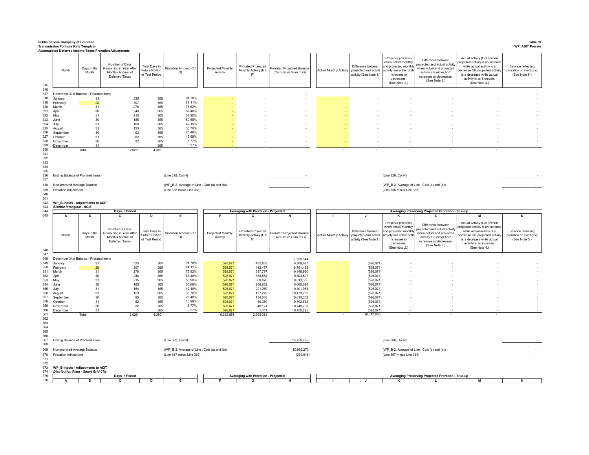|                                                                    | <b>Public Service Company of Colorado</b><br><b>Transmission Formula Rate Template</b>                                        |                           |                                                                                                                                              |                                                               |                                                                                               |                               |                                                          |                                                     |                                                                                              |                                                                                                                                               |                                                                                                                                                         |                                                                                                                                                                                                            | Table 39<br><b>WP_ADIT Prorate</b>                                   |
|--------------------------------------------------------------------|-------------------------------------------------------------------------------------------------------------------------------|---------------------------|----------------------------------------------------------------------------------------------------------------------------------------------|---------------------------------------------------------------|-----------------------------------------------------------------------------------------------|-------------------------------|----------------------------------------------------------|-----------------------------------------------------|----------------------------------------------------------------------------------------------|-----------------------------------------------------------------------------------------------------------------------------------------------|---------------------------------------------------------------------------------------------------------------------------------------------------------|------------------------------------------------------------------------------------------------------------------------------------------------------------------------------------------------------------|----------------------------------------------------------------------|
| 315                                                                | Month                                                                                                                         | Days in the<br>Month      | Accumulated Deferred Income Taxes Proration Adjustments<br>Number of Days<br>Remaining in Year After<br>Month's Accrual of<br>Deferred Taxes | Total Days in<br><b>Future Portion</b><br>of Test Period      | Proration Amount (C /<br>D)                                                                   | Projected Monthly<br>Activity | Prorated Projected<br>Monthly Activity (E x<br>F)        | Prorated Projected Balance<br>(Cumulative Sum of G) | Difference between<br>Actual Monthly Activity projected and actual<br>activity (See Note 1.) | Preserve proration<br>when actual monthly<br>and projected monthly<br>activity are either both<br>increases or<br>decreases.<br>(See Note 2.) | Difference between<br>rojected and actual activity<br>when actual and projected<br>activity are either both<br>increases or decreases.<br>(See Note 3.) | Actual activity (Col I) when<br>ojected activity is an increase<br>while actual activity is a<br>decrease OR projected activity<br>is a decrease while actual<br>activity is an increase.<br>(See Note 4.) | <b>Balance reflecting</b><br>proration or averaging<br>(See Note 5.) |
| 316<br>317                                                         | December 31st Balance - Prorated Items                                                                                        |                           |                                                                                                                                              |                                                               |                                                                                               |                               |                                                          |                                                     |                                                                                              |                                                                                                                                               |                                                                                                                                                         |                                                                                                                                                                                                            |                                                                      |
| 318                                                                | January                                                                                                                       | 31                        | 335                                                                                                                                          | 365                                                           | 91.78%                                                                                        |                               |                                                          |                                                     |                                                                                              |                                                                                                                                               |                                                                                                                                                         |                                                                                                                                                                                                            |                                                                      |
| 319<br>320                                                         | February<br>March                                                                                                             | 28<br>31                  | 307<br>276                                                                                                                                   | 365<br>365                                                    | 84.11%<br>75.62%                                                                              |                               |                                                          |                                                     |                                                                                              |                                                                                                                                               |                                                                                                                                                         |                                                                                                                                                                                                            |                                                                      |
| 321                                                                | April                                                                                                                         | $30\,$                    | 246                                                                                                                                          | 365                                                           | 67.40%                                                                                        |                               |                                                          |                                                     |                                                                                              |                                                                                                                                               |                                                                                                                                                         |                                                                                                                                                                                                            |                                                                      |
| 322<br>323                                                         | May<br>June                                                                                                                   | 31<br>30                  | 215<br>185                                                                                                                                   | 365<br>365                                                    | 58.90%<br>50.68%                                                                              |                               |                                                          |                                                     |                                                                                              |                                                                                                                                               |                                                                                                                                                         |                                                                                                                                                                                                            |                                                                      |
| 324                                                                | July                                                                                                                          | 31                        | 154                                                                                                                                          | 365                                                           | 42.19%                                                                                        |                               |                                                          |                                                     |                                                                                              |                                                                                                                                               |                                                                                                                                                         |                                                                                                                                                                                                            |                                                                      |
| 325                                                                | August                                                                                                                        | 31                        | 123                                                                                                                                          | 365                                                           | 33.70%<br>25 48%                                                                              |                               |                                                          |                                                     |                                                                                              |                                                                                                                                               |                                                                                                                                                         |                                                                                                                                                                                                            |                                                                      |
| 326<br>327                                                         | September<br>October                                                                                                          | 30<br>31                  | 93<br>62                                                                                                                                     | 365<br>365                                                    | 16.99%                                                                                        |                               |                                                          |                                                     |                                                                                              |                                                                                                                                               |                                                                                                                                                         |                                                                                                                                                                                                            |                                                                      |
| 328                                                                | Novembe                                                                                                                       | 30                        | 32                                                                                                                                           | 365                                                           | 8.77%                                                                                         |                               |                                                          |                                                     |                                                                                              |                                                                                                                                               |                                                                                                                                                         |                                                                                                                                                                                                            |                                                                      |
| 329<br>330                                                         | December                                                                                                                      | 31<br>Total               | 2,029                                                                                                                                        | 365<br>4,380                                                  | 0.27%                                                                                         |                               | $\overline{\phantom{a}}$                                 |                                                     |                                                                                              |                                                                                                                                               |                                                                                                                                                         |                                                                                                                                                                                                            |                                                                      |
| 334<br>335<br>336<br>337<br>338<br>339<br>340<br>341<br>342        | Ending Balance of Prorated items<br>Non-prorated Average Balance<br>Proration Adjustment<br>WP_B-Inputs - Adjustments to ADIT |                           |                                                                                                                                              |                                                               | (Line 329, Col H)<br>(WP_B-2, Average of Line, Cols (a) and (b))<br>(Line 336 minus Line 338) |                               |                                                          |                                                     |                                                                                              | (Line 329, Col N)<br>(WP_B-2, Average of Line, Cols (a) and (b))<br>(Line 336 minus Line 338)                                                 |                                                                                                                                                         |                                                                                                                                                                                                            |                                                                      |
| 343<br>344                                                         | Electric Intangible - AGIS                                                                                                    |                           | Days in Period                                                                                                                               |                                                               |                                                                                               |                               | Averaging with Proration - Projected                     |                                                     |                                                                                              |                                                                                                                                               | Averaging Preserving Projected Proration - True-up                                                                                                      |                                                                                                                                                                                                            |                                                                      |
| 345<br>346                                                         | Α<br>Month                                                                                                                    | в<br>Days in the<br>Month | c<br>Number of Days<br>Remaining in Year After<br>Month's Accrual of<br>Deferred Taxes                                                       | D<br><b>Total Days in</b><br>Future Portion<br>of Test Period | Proration Amount (C.<br>D)                                                                    | Projected Monthly<br>Activity | <b>Prorated Projected</b><br>Monthly Activity (E x<br>F) | Prorated Projected Balance<br>(Cumulative Sum of G) | Difference between<br>Actual Monthly Activity projected and actual<br>activity (See Note 1.) | Preserve proration<br>when actual monthly<br>and projected monthly<br>activity are either both<br>increases or<br>decreases.<br>(See Note 2.) | Difference between<br>roiected and actual activity<br>when actual and projected<br>activity are either both<br>increases or decreases.<br>(See Note 3.) | Actual activity (Col I) when<br>ojected activity is an increase<br>while actual activity is a<br>lecrease OR projected activity<br>is a decrease while actual<br>activity is an increase.<br>(See Note 4.) | <b>Balance reflecting</b><br>proration or averaging<br>(See Note 5.) |
| 347<br>348                                                         | December 31st Balance - Prorated Items                                                                                        |                           |                                                                                                                                              |                                                               |                                                                                               |                               |                                                          | 7,825,844                                           |                                                                                              |                                                                                                                                               |                                                                                                                                                         |                                                                                                                                                                                                            |                                                                      |
| 349                                                                | January                                                                                                                       | 31                        | 335                                                                                                                                          | 365                                                           | 91.78%                                                                                        | 526,071                       | 482,833                                                  | 8,308,677                                           | (526, 071)                                                                                   |                                                                                                                                               |                                                                                                                                                         |                                                                                                                                                                                                            |                                                                      |
| 350<br>351                                                         | February<br>March                                                                                                             | ${\bf 28}$<br>31          | 307<br>276                                                                                                                                   | 365<br>365                                                    | 84 11%<br>75.62%                                                                              | 526,071<br>526,071            | 442,477<br>397.797                                       | 8,751,153<br>9,148,950                              | (526, 071)<br>(526, 071)                                                                     |                                                                                                                                               |                                                                                                                                                         |                                                                                                                                                                                                            |                                                                      |
| 352                                                                | April                                                                                                                         | 30                        | 246                                                                                                                                          | 365                                                           | 67.40%                                                                                        | 526,071                       | 354,558                                                  | 9,503,507                                           | (526, 071)                                                                                   |                                                                                                                                               |                                                                                                                                                         |                                                                                                                                                                                                            |                                                                      |
| 353<br>354                                                         | May<br>June                                                                                                                   | 31<br>30                  | 215<br>185                                                                                                                                   | 365<br>365                                                    | 58.90%<br>50.68%                                                                              | 526,071<br>526,071            | 309,878<br>266,639                                       | 9,813,385<br>10,080,024                             | (526, 071)<br>(526, 071)                                                                     |                                                                                                                                               |                                                                                                                                                         |                                                                                                                                                                                                            |                                                                      |
| 355                                                                | July                                                                                                                          | 31                        | 154                                                                                                                                          | 365                                                           | 42.19%                                                                                        | 526,071                       | 221,959                                                  | 10,301,983                                          | (526, 071)                                                                                   |                                                                                                                                               |                                                                                                                                                         |                                                                                                                                                                                                            |                                                                      |
| 356<br>357                                                         | August                                                                                                                        | 31<br>30                  | 123                                                                                                                                          | 365                                                           | 33.70%<br>25 48%                                                                              | 526,071                       | 177,279                                                  | 10,479,262                                          | (526, 071)                                                                                   |                                                                                                                                               |                                                                                                                                                         |                                                                                                                                                                                                            |                                                                      |
| 358                                                                | September<br>October                                                                                                          | 31                        | 93<br>62                                                                                                                                     | 365<br>365                                                    | 16.99%                                                                                        | 526,071<br>526,071            | 134,040<br>89,360                                        | 10,613,302<br>10,702,662                            | (526, 071)<br>(526, 071)                                                                     |                                                                                                                                               |                                                                                                                                                         |                                                                                                                                                                                                            |                                                                      |
| 359                                                                | November                                                                                                                      | 30                        | 32                                                                                                                                           | 365                                                           | 8.77%                                                                                         | 526,071                       | 46,121                                                   | 10,748,783                                          | (526, 071)                                                                                   |                                                                                                                                               |                                                                                                                                                         |                                                                                                                                                                                                            |                                                                      |
| 360<br>361                                                         | December                                                                                                                      | 31<br>Total               | 2,029                                                                                                                                        | 365<br>4,380                                                  | 0.27%                                                                                         | 526,071<br>6,312,858          | 1,441<br>2,924,381                                       | 10,750,225                                          | (526, 071)<br>(6,312,858)                                                                    |                                                                                                                                               |                                                                                                                                                         |                                                                                                                                                                                                            |                                                                      |
| 362<br>363<br>364<br>365<br>366<br>367<br>368<br>369<br>370<br>371 | Ending Balance of Prorated items<br>Non-prorated Average Balance<br>Proration Adjustment                                      |                           |                                                                                                                                              |                                                               | (Line 360, Col H)<br>(WP_B-2, Average of Line, Cols (a) and (b))<br>(Line 367 minus Line 369) |                               |                                                          | 10,750,225<br>10,982,273<br>(232, 048)              |                                                                                              | (Line 360, Col N)<br>(WP_B-2, Average of Line, Cols (a) and (b))<br>(Line 367 minus Line 369)                                                 |                                                                                                                                                         |                                                                                                                                                                                                            |                                                                      |
| 372<br>373<br>374<br>375                                           | WP_B-Inputs - Adjustments to ADIT<br><b>Distribution Plant - Smart Grid City</b>                                              |                           | Days in Period                                                                                                                               |                                                               |                                                                                               |                               | Averaging with Proration - Projected                     |                                                     |                                                                                              |                                                                                                                                               | Averaging Preserving Projected Proration - True-up                                                                                                      |                                                                                                                                                                                                            |                                                                      |
| 376                                                                | A                                                                                                                             | в                         | c                                                                                                                                            | D                                                             | Е                                                                                             |                               | G                                                        | н                                                   | $\mathbf{J}$                                                                                 | к                                                                                                                                             | L                                                                                                                                                       | м                                                                                                                                                                                                          | N                                                                    |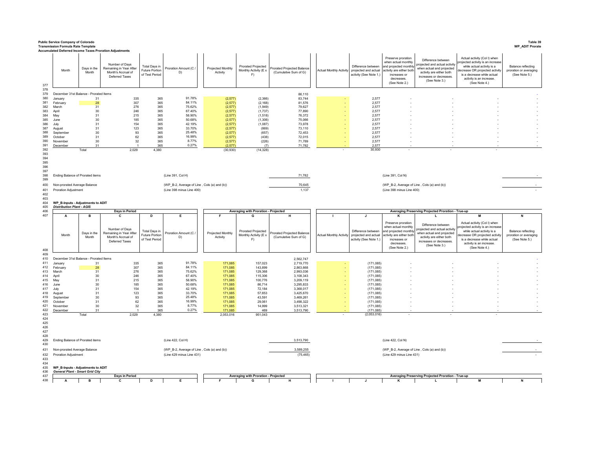|            | <b>Public Service Company of Colorado</b><br><b>Transmission Formula Rate Template</b> |                      |                                                                                                                                                     |                                                          |                                                                          |                               |                                                   |                                                     |                                |                                                                      |                                                                                                                                               |                                                                                                                                                         |                                                                                                                                                                                                             | Table 39<br><b>WP_ADIT Prorate</b>                                   |
|------------|----------------------------------------------------------------------------------------|----------------------|-----------------------------------------------------------------------------------------------------------------------------------------------------|----------------------------------------------------------|--------------------------------------------------------------------------|-------------------------------|---------------------------------------------------|-----------------------------------------------------|--------------------------------|----------------------------------------------------------------------|-----------------------------------------------------------------------------------------------------------------------------------------------|---------------------------------------------------------------------------------------------------------------------------------------------------------|-------------------------------------------------------------------------------------------------------------------------------------------------------------------------------------------------------------|----------------------------------------------------------------------|
| 377        | Month                                                                                  | Days in the<br>Month | <b>Accumulated Deferred Income Taxes Proration Adjustments</b><br>Number of Days<br>Remaining in Year After<br>Month's Accrual of<br>Deferred Taxes | Total Days in<br><b>Future Portion</b><br>of Test Period | Proration Amount (C)<br>D)                                               | Projected Monthly<br>Activity | Prorated Projected<br>Monthly Activity (E x<br>F) | Prorated Projected Balance<br>(Cumulative Sum of G) | <b>Actual Monthly Activity</b> | Difference between<br>projected and actual<br>activity (See Note 1.) | Preserve proration<br>when actual monthly<br>and projected monthly<br>activity are either both<br>increases or<br>decreases.<br>(See Note 2.) | Difference between<br>rojected and actual activity<br>when actual and projected<br>activity are either both<br>increases or decreases.<br>(See Note 3.) | Actual activity (Col I) when<br>rojected activity is an increase<br>while actual activity is a<br>lecrease OR projected activity<br>is a decrease while actual<br>activity is an increase.<br>(See Note 4.) | <b>Balance reflecting</b><br>proration or averaging<br>(See Note 5.) |
| 378<br>379 | December 31st Balance - Prorated Items                                                 |                      |                                                                                                                                                     |                                                          |                                                                          |                               |                                                   | 86,110                                              |                                |                                                                      |                                                                                                                                               |                                                                                                                                                         |                                                                                                                                                                                                             |                                                                      |
| 380        | January                                                                                | 31                   | 335                                                                                                                                                 | 365                                                      | 91.78%                                                                   | (2, 577)                      | (2,366)                                           | 83,744                                              |                                | 2,577                                                                |                                                                                                                                               |                                                                                                                                                         |                                                                                                                                                                                                             |                                                                      |
| 381        | February                                                                               | 28                   | 307                                                                                                                                                 | 365                                                      | 84.11%                                                                   | (2,577)                       | (2, 168)                                          | 81,576                                              |                                | 2,577                                                                |                                                                                                                                               |                                                                                                                                                         |                                                                                                                                                                                                             |                                                                      |
| 382<br>383 | March<br>April                                                                         | 31<br>30             | 276<br>246                                                                                                                                          | 365<br>365                                               | 75.62%<br>67.40%                                                         | (2,577)<br>(2,577)            | (1,949)<br>(1,737)                                | 79,627<br>77,890                                    |                                | 2,577<br>2,577                                                       |                                                                                                                                               |                                                                                                                                                         |                                                                                                                                                                                                             |                                                                      |
| 384        | May                                                                                    | 31                   | 215                                                                                                                                                 | 365                                                      | 58.90%                                                                   | (2,577)                       | (1,518)                                           | 76.372                                              |                                | 2.577                                                                |                                                                                                                                               |                                                                                                                                                         |                                                                                                                                                                                                             |                                                                      |
| 385        | June                                                                                   | 30                   | 185                                                                                                                                                 | 365                                                      | 50.68%                                                                   | (2, 577)                      | (1,306)                                           | 75,066                                              |                                | 2,577                                                                |                                                                                                                                               |                                                                                                                                                         |                                                                                                                                                                                                             |                                                                      |
| 386        | July                                                                                   | 31                   | 154                                                                                                                                                 | 365                                                      | 42.19%                                                                   | (2,577)                       | (1,087)                                           | 73,978                                              |                                | 2,577                                                                |                                                                                                                                               |                                                                                                                                                         |                                                                                                                                                                                                             |                                                                      |
| 387        | August                                                                                 | 31                   | 123                                                                                                                                                 | 365                                                      | 33.70%                                                                   | (2, 577)                      | (869)                                             | 73.110                                              |                                | 2.577                                                                |                                                                                                                                               |                                                                                                                                                         |                                                                                                                                                                                                             |                                                                      |
| 388<br>389 | September<br>October                                                                   | 30<br>31             | 93<br>62                                                                                                                                            | 365<br>365                                               | 25.48%<br>16.99%                                                         | (2.577)<br>(2, 577)           | (657)<br>(438)                                    | 72.453<br>72,015                                    |                                | 2.577<br>2,577                                                       |                                                                                                                                               |                                                                                                                                                         |                                                                                                                                                                                                             |                                                                      |
| 390        | November                                                                               | 30                   | 32                                                                                                                                                  | 365                                                      | 8.77%                                                                    | (2,577)                       | (226)                                             | 71,789                                              |                                | 2,577                                                                |                                                                                                                                               |                                                                                                                                                         |                                                                                                                                                                                                             |                                                                      |
| 391        | December                                                                               | 31                   |                                                                                                                                                     | 365                                                      | 0.27%                                                                    | (2, 577)                      | (7)                                               | 71,782                                              |                                | 2.577                                                                |                                                                                                                                               |                                                                                                                                                         |                                                                                                                                                                                                             |                                                                      |
| 392        |                                                                                        | Total                | 2,029                                                                                                                                               | 4,380                                                    |                                                                          | (30, 930)                     | (14, 328)                                         |                                                     |                                | 30,930                                                               |                                                                                                                                               |                                                                                                                                                         |                                                                                                                                                                                                             |                                                                      |
| 393<br>394 |                                                                                        |                      |                                                                                                                                                     |                                                          |                                                                          |                               |                                                   |                                                     |                                |                                                                      |                                                                                                                                               |                                                                                                                                                         |                                                                                                                                                                                                             |                                                                      |
| 395        |                                                                                        |                      |                                                                                                                                                     |                                                          |                                                                          |                               |                                                   |                                                     |                                |                                                                      |                                                                                                                                               |                                                                                                                                                         |                                                                                                                                                                                                             |                                                                      |
| 396        |                                                                                        |                      |                                                                                                                                                     |                                                          |                                                                          |                               |                                                   |                                                     |                                |                                                                      |                                                                                                                                               |                                                                                                                                                         |                                                                                                                                                                                                             |                                                                      |
| 397        |                                                                                        |                      |                                                                                                                                                     |                                                          |                                                                          |                               |                                                   |                                                     |                                |                                                                      |                                                                                                                                               |                                                                                                                                                         |                                                                                                                                                                                                             |                                                                      |
| 398<br>399 | Ending Balance of Prorated items                                                       |                      |                                                                                                                                                     |                                                          | (Line 391, Col H)                                                        |                               |                                                   | 71,782                                              |                                |                                                                      | (Line 391, Col N)                                                                                                                             |                                                                                                                                                         |                                                                                                                                                                                                             |                                                                      |
| 400        |                                                                                        |                      |                                                                                                                                                     |                                                          |                                                                          |                               |                                                   | 70,645                                              |                                |                                                                      |                                                                                                                                               |                                                                                                                                                         |                                                                                                                                                                                                             |                                                                      |
| 401        | Non-prorated Average Balance<br>Proration Adjustment                                   |                      |                                                                                                                                                     |                                                          | (WP_B-2, Average of Line, Cols (a) and (b))<br>(Line 398 minus Line 400) |                               |                                                   | 1,137                                               |                                |                                                                      | (WP_B-2, Average of Line, Cols (a) and (b))<br>(Line 398 minus Line 400)                                                                      |                                                                                                                                                         |                                                                                                                                                                                                             |                                                                      |
| 402        |                                                                                        |                      |                                                                                                                                                     |                                                          |                                                                          |                               |                                                   |                                                     |                                |                                                                      |                                                                                                                                               |                                                                                                                                                         |                                                                                                                                                                                                             |                                                                      |
| 403        |                                                                                        |                      |                                                                                                                                                     |                                                          |                                                                          |                               |                                                   |                                                     |                                |                                                                      |                                                                                                                                               |                                                                                                                                                         |                                                                                                                                                                                                             |                                                                      |
| 404        | WP_B-Inputs - Adjustments to ADIT                                                      |                      |                                                                                                                                                     |                                                          |                                                                          |                               |                                                   |                                                     |                                |                                                                      |                                                                                                                                               |                                                                                                                                                         |                                                                                                                                                                                                             |                                                                      |
| 405<br>406 | <b>Distribution Plant - AGIS</b>                                                       |                      | Days in Period                                                                                                                                      |                                                          |                                                                          |                               | Averaging with Proration - Projected              |                                                     |                                |                                                                      |                                                                                                                                               | Averaging Preserving Projected Proration - True-up                                                                                                      |                                                                                                                                                                                                             |                                                                      |
| 407        | A                                                                                      | в                    | c                                                                                                                                                   | D                                                        | E                                                                        |                               | G                                                 | н                                                   |                                | J.                                                                   | ĸ                                                                                                                                             |                                                                                                                                                         |                                                                                                                                                                                                             | N                                                                    |
|            |                                                                                        |                      |                                                                                                                                                     |                                                          |                                                                          |                               |                                                   |                                                     |                                |                                                                      | Preserve proration                                                                                                                            |                                                                                                                                                         | Actual activity (Col I) when                                                                                                                                                                                |                                                                      |
|            |                                                                                        |                      |                                                                                                                                                     |                                                          |                                                                          |                               |                                                   |                                                     |                                |                                                                      | when actual monthly                                                                                                                           | Difference between                                                                                                                                      | rojected activity is an increase                                                                                                                                                                            |                                                                      |
|            |                                                                                        | Days in the          | Number of Days<br>Remaining in Year After                                                                                                           | Total Days in                                            | Proration Amount (C.                                                     | Projected Monthly             | Prorated Projected                                | Prorated Projected Balance                          |                                | Difference between                                                   | and projected monthly                                                                                                                         | rojected and actual activity<br>when actual and projected                                                                                               | while actual activity is a                                                                                                                                                                                  | <b>Balance reflecting</b>                                            |
|            | Month                                                                                  | Month                | Month's Accrual of                                                                                                                                  | Future Portion                                           | D)                                                                       | Activity                      | Monthly Activity (E x                             | (Cumulative Sum of G)                               | <b>Actual Monthly Activity</b> | projected and actual                                                 | activity are either both                                                                                                                      | activity are either both                                                                                                                                | lecrease OR projected activity                                                                                                                                                                              | proration or averaging                                               |
|            |                                                                                        |                      | Deferred Taxes                                                                                                                                      | of Test Period                                           |                                                                          |                               | F)                                                |                                                     |                                | activity (See Note 1.)                                               | increases or<br>decreases.                                                                                                                    | increases or decreases.                                                                                                                                 | is a decrease while actual<br>activity is an increase.                                                                                                                                                      | (See Note 5.)                                                        |
|            |                                                                                        |                      |                                                                                                                                                     |                                                          |                                                                          |                               |                                                   |                                                     |                                |                                                                      | (See Note 2.)                                                                                                                                 | (See Note 3.)                                                                                                                                           | (See Note 4.)                                                                                                                                                                                               |                                                                      |
| 408<br>409 |                                                                                        |                      |                                                                                                                                                     |                                                          |                                                                          |                               |                                                   |                                                     |                                |                                                                      |                                                                                                                                               |                                                                                                                                                         |                                                                                                                                                                                                             |                                                                      |
| 410        | December 31st Balance - Prorated Items                                                 |                      |                                                                                                                                                     |                                                          |                                                                          |                               |                                                   | 2,562,747                                           |                                |                                                                      |                                                                                                                                               |                                                                                                                                                         |                                                                                                                                                                                                             |                                                                      |
| 411        | January                                                                                | 31                   | 335                                                                                                                                                 | 365                                                      | 91.78%                                                                   | 171,085                       | 157,023                                           | 2,719,770                                           |                                | (171, 085)                                                           |                                                                                                                                               |                                                                                                                                                         |                                                                                                                                                                                                             |                                                                      |
| 412        | February                                                                               | 28                   | 307                                                                                                                                                 | 365                                                      | 84.11%                                                                   | 171,085                       | 143,899                                           | 2,863,668                                           |                                | (171, 085)                                                           |                                                                                                                                               |                                                                                                                                                         |                                                                                                                                                                                                             |                                                                      |
| 413<br>414 | March<br>Anril                                                                         | 31<br>30             | 276<br>246                                                                                                                                          | 365<br>365                                               | 75.62%<br>67.40%                                                         | 171,085<br>171,085            | 129,368<br>115,306                                | 2,993,036<br>3,108,343                              |                                | (171, 085)                                                           |                                                                                                                                               |                                                                                                                                                         |                                                                                                                                                                                                             |                                                                      |
| 415        | May                                                                                    | 31                   | 215                                                                                                                                                 | 365                                                      | 58.90%                                                                   | 171,085                       | 100,776                                           | 3,209,119                                           |                                | (171, 085)<br>(171, 085)                                             |                                                                                                                                               |                                                                                                                                                         |                                                                                                                                                                                                             |                                                                      |
| 416        | June                                                                                   | 30                   | 185                                                                                                                                                 | 365                                                      | 50.68%                                                                   | 171,085                       | 86,714                                            | 3,295,833                                           |                                | (171, 085)                                                           |                                                                                                                                               |                                                                                                                                                         |                                                                                                                                                                                                             |                                                                      |
| 417        | July                                                                                   | 31                   | 154                                                                                                                                                 | 365                                                      | 42.19%                                                                   | 171,085                       | 72,184                                            | 3,368,017                                           |                                | (171, 085)                                                           |                                                                                                                                               |                                                                                                                                                         |                                                                                                                                                                                                             |                                                                      |
| 418        | August                                                                                 | 31                   | 123                                                                                                                                                 | 365                                                      | 33.70%<br>25.48%                                                         | 171.085                       | 57.653                                            | 3.425.670                                           |                                | (171.085)                                                            |                                                                                                                                               |                                                                                                                                                         |                                                                                                                                                                                                             |                                                                      |
| 419<br>420 | September<br>October                                                                   | 30<br>31             | 93<br>62                                                                                                                                            | 365<br>365                                               | 16.99%                                                                   | 171,085<br>171,085            | 43,591<br>29,061                                  | 3,469,261<br>3,498,322                              |                                | (171, 085)<br>(171, 085)                                             |                                                                                                                                               |                                                                                                                                                         |                                                                                                                                                                                                             |                                                                      |
| 421        | November                                                                               | 30                   | 32                                                                                                                                                  | 365                                                      | 8.77%                                                                    | 171,085                       | 14,999                                            | 3,513,321                                           |                                | (171, 085)                                                           |                                                                                                                                               |                                                                                                                                                         |                                                                                                                                                                                                             |                                                                      |
| 422        | December                                                                               | 31                   |                                                                                                                                                     | 365                                                      | 0.27%                                                                    | 171,085                       | 469                                               | 3,513,790                                           |                                | (171.085)                                                            |                                                                                                                                               |                                                                                                                                                         |                                                                                                                                                                                                             |                                                                      |
| 423<br>424 |                                                                                        | Total                | 2,029                                                                                                                                               | 4,380                                                    |                                                                          | 2,053,016                     | 951,043                                           |                                                     |                                | (2,053,016)                                                          |                                                                                                                                               |                                                                                                                                                         |                                                                                                                                                                                                             |                                                                      |
| 425        |                                                                                        |                      |                                                                                                                                                     |                                                          |                                                                          |                               |                                                   |                                                     |                                |                                                                      |                                                                                                                                               |                                                                                                                                                         |                                                                                                                                                                                                             |                                                                      |
| 426        |                                                                                        |                      |                                                                                                                                                     |                                                          |                                                                          |                               |                                                   |                                                     |                                |                                                                      |                                                                                                                                               |                                                                                                                                                         |                                                                                                                                                                                                             |                                                                      |
| 427        |                                                                                        |                      |                                                                                                                                                     |                                                          |                                                                          |                               |                                                   |                                                     |                                |                                                                      |                                                                                                                                               |                                                                                                                                                         |                                                                                                                                                                                                             |                                                                      |
| 428        |                                                                                        |                      |                                                                                                                                                     |                                                          |                                                                          |                               |                                                   |                                                     |                                |                                                                      |                                                                                                                                               |                                                                                                                                                         |                                                                                                                                                                                                             |                                                                      |
| 429<br>430 | Ending Balance of Prorated items                                                       |                      |                                                                                                                                                     |                                                          | (Line 422, Col H)                                                        |                               |                                                   | 3,513,790                                           |                                |                                                                      | (Line 422, Col N)                                                                                                                             |                                                                                                                                                         |                                                                                                                                                                                                             |                                                                      |
| 431        | Non-prorated Average Balance                                                           |                      |                                                                                                                                                     |                                                          | (WP_B-2, Average of Line, Cols (a) and (b))                              |                               |                                                   | 3,589,255                                           |                                |                                                                      | (WP_B-2, Average of Line, Cols (a) and (b))                                                                                                   |                                                                                                                                                         |                                                                                                                                                                                                             |                                                                      |
| 432        | Proration Adjustment                                                                   |                      |                                                                                                                                                     |                                                          | (Line 429 minus Line 431)                                                |                               |                                                   | (75, 465)                                           |                                |                                                                      | (Line 429 minus Line 431)                                                                                                                     |                                                                                                                                                         |                                                                                                                                                                                                             |                                                                      |
| 433        |                                                                                        |                      |                                                                                                                                                     |                                                          |                                                                          |                               |                                                   |                                                     |                                |                                                                      |                                                                                                                                               |                                                                                                                                                         |                                                                                                                                                                                                             |                                                                      |
| 434        |                                                                                        |                      |                                                                                                                                                     |                                                          |                                                                          |                               |                                                   |                                                     |                                |                                                                      |                                                                                                                                               |                                                                                                                                                         |                                                                                                                                                                                                             |                                                                      |
| 435<br>436 | WP_B-Inputs - Adjustments to ADIT                                                      |                      |                                                                                                                                                     |                                                          |                                                                          |                               |                                                   |                                                     |                                |                                                                      |                                                                                                                                               |                                                                                                                                                         |                                                                                                                                                                                                             |                                                                      |
|            |                                                                                        |                      |                                                                                                                                                     |                                                          |                                                                          |                               |                                                   |                                                     |                                |                                                                      |                                                                                                                                               |                                                                                                                                                         |                                                                                                                                                                                                             |                                                                      |
|            | <b>General Plant - Smart Grid City</b>                                                 |                      |                                                                                                                                                     |                                                          |                                                                          |                               |                                                   |                                                     |                                |                                                                      |                                                                                                                                               |                                                                                                                                                         |                                                                                                                                                                                                             |                                                                      |
| 437<br>438 | A                                                                                      |                      | Days in Period<br>с                                                                                                                                 | D                                                        |                                                                          |                               | Averaging with Proration - Projected<br>G         |                                                     |                                | J                                                                    | κ                                                                                                                                             | Averaging Preserving Projected Proration - True-up<br>L                                                                                                 | M                                                                                                                                                                                                           | N                                                                    |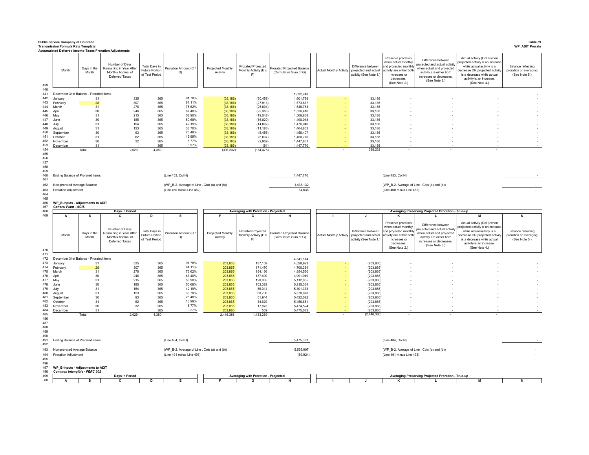|            | <b>Public Service Company of Colorado</b><br><b>Transmission Formula Rate Template</b> |                      | Accumulated Deferred Income Taxes Proration Adjustments                           |                                                          |                                             |                               |                                                   |                                                    |                                |                                                                                              |                                                                                                                                               |                                                                                                                                                         |                                                                                                                                                                                                             | Table 39<br><b>WP_ADIT Prorate</b>                            |
|------------|----------------------------------------------------------------------------------------|----------------------|-----------------------------------------------------------------------------------|----------------------------------------------------------|---------------------------------------------|-------------------------------|---------------------------------------------------|----------------------------------------------------|--------------------------------|----------------------------------------------------------------------------------------------|-----------------------------------------------------------------------------------------------------------------------------------------------|---------------------------------------------------------------------------------------------------------------------------------------------------------|-------------------------------------------------------------------------------------------------------------------------------------------------------------------------------------------------------------|---------------------------------------------------------------|
| 439        | Month                                                                                  | Days in the<br>Month | Number of Days<br>Remaining in Year After<br>Month's Accrual of<br>Deferred Taxes | Total Days in<br><b>Future Portion</b><br>of Test Period | Proration Amount (C /<br>D)                 | Projected Monthly<br>Activity | Prorated Projected<br>Monthly Activity (E x<br>F) | rorated Projected Balance<br>(Cumulative Sum of G) |                                | Difference between<br>Actual Monthly Activity projected and actual<br>activity (See Note 1.) | Preserve proration<br>when actual monthly<br>and projected monthly<br>activity are either both<br>increases or<br>decreases.<br>(See Note 2.) | Difference between<br>rojected and actual activity<br>when actual and projected<br>activity are either both<br>increases or decreases.<br>(See Note 3.) | Actual activity (Col I) when<br>rojected activity is an increase<br>while actual activity is a<br>lecrease OR projected activity<br>is a decrease while actual<br>activity is an increase.<br>(See Note 4.) | Balance reflecting<br>proration or averaging<br>(See Note 5.) |
| 440        |                                                                                        |                      |                                                                                   |                                                          |                                             |                               |                                                   |                                                    |                                |                                                                                              |                                                                                                                                               |                                                                                                                                                         |                                                                                                                                                                                                             |                                                               |
| 441<br>442 | December 31st Balance - Prorated Items<br>January                                      | 31                   | 335                                                                               | 365                                                      | 91.78%                                      | (33, 186)                     | (30, 458)                                         | 1,632,248<br>1,601,789                             |                                | 33,186                                                                                       |                                                                                                                                               |                                                                                                                                                         |                                                                                                                                                                                                             |                                                               |
| 443        | February                                                                               | 28                   | 307                                                                               | 365                                                      | 84.11%                                      | (33, 186)                     | (27, 913)                                         | 1,573,877                                          |                                | 33,186                                                                                       |                                                                                                                                               |                                                                                                                                                         |                                                                                                                                                                                                             |                                                               |
| 444        | March                                                                                  | 31                   | 276                                                                               | 365                                                      | 75.62%                                      | (33, 186)                     | (25,094)                                          | 1,548,783                                          |                                | 33,186                                                                                       |                                                                                                                                               |                                                                                                                                                         |                                                                                                                                                                                                             |                                                               |
| 445<br>446 | April<br>May                                                                           | 30<br>31             | 246<br>215                                                                        | 365<br>365                                               | 67.40%<br>58.90%                            | (33, 186)<br>(33, 186)        | (22, 366)<br>(19, 548)                            | 1,526,416<br>1,506,868                             |                                | 33,186<br>33.186                                                                             |                                                                                                                                               |                                                                                                                                                         |                                                                                                                                                                                                             |                                                               |
| 447        | June                                                                                   | 30                   | 185                                                                               | 365                                                      | 50.68%                                      | (33, 186)                     | (16, 820)                                         | 1,490,048                                          |                                | 33.186                                                                                       |                                                                                                                                               |                                                                                                                                                         |                                                                                                                                                                                                             |                                                               |
| 448        | July                                                                                   | 31                   | 154                                                                               | 365                                                      | 42.19%                                      | (33, 186)                     | (14,002)                                          | 1,476,046                                          |                                | 33,186                                                                                       |                                                                                                                                               |                                                                                                                                                         |                                                                                                                                                                                                             |                                                               |
| 449<br>450 | August                                                                                 | 31                   | 123<br>93                                                                         | 365<br>365                                               | 33.70%<br>25.48%                            | (33, 186)                     | (11, 183)                                         | 1,464,863                                          |                                | 33,186<br>33.186                                                                             |                                                                                                                                               |                                                                                                                                                         |                                                                                                                                                                                                             |                                                               |
| 451        | September<br>October                                                                   | 30<br>31             | 62                                                                                | 365                                                      | 16.99%                                      | (33, 186)<br>(33, 186)        | (8, 456)<br>(5,637)                               | 1,456,407<br>1,450,770                             |                                | 33,186                                                                                       |                                                                                                                                               |                                                                                                                                                         |                                                                                                                                                                                                             |                                                               |
| 452        | Novembe                                                                                | 30                   | 32                                                                                | 365                                                      | 8.77%                                       | (33, 186)                     | (2,909)                                           | 1,447,861                                          |                                | 33,186                                                                                       |                                                                                                                                               |                                                                                                                                                         |                                                                                                                                                                                                             |                                                               |
| 453        | December                                                                               | 31                   |                                                                                   | 365                                                      | 0.27%                                       | (33.186)                      | (91)                                              | 1,447,770                                          |                                | 33.186                                                                                       |                                                                                                                                               |                                                                                                                                                         |                                                                                                                                                                                                             |                                                               |
| 454<br>455 |                                                                                        | Total                | 2,029                                                                             | 4,380                                                    |                                             | (398, 232)                    | (184, 478)                                        |                                                    |                                | 398,232                                                                                      |                                                                                                                                               |                                                                                                                                                         |                                                                                                                                                                                                             |                                                               |
| 456        |                                                                                        |                      |                                                                                   |                                                          |                                             |                               |                                                   |                                                    |                                |                                                                                              |                                                                                                                                               |                                                                                                                                                         |                                                                                                                                                                                                             |                                                               |
| 457        |                                                                                        |                      |                                                                                   |                                                          |                                             |                               |                                                   |                                                    |                                |                                                                                              |                                                                                                                                               |                                                                                                                                                         |                                                                                                                                                                                                             |                                                               |
| 458        |                                                                                        |                      |                                                                                   |                                                          |                                             |                               |                                                   |                                                    |                                |                                                                                              |                                                                                                                                               |                                                                                                                                                         |                                                                                                                                                                                                             |                                                               |
| 459<br>460 | Ending Balance of Prorated items                                                       |                      |                                                                                   |                                                          | (Line 453, Col H)                           |                               |                                                   | 1,447,770                                          |                                |                                                                                              | (Line 453, Col N)                                                                                                                             |                                                                                                                                                         |                                                                                                                                                                                                             |                                                               |
| 461        |                                                                                        |                      |                                                                                   |                                                          |                                             |                               |                                                   |                                                    |                                |                                                                                              |                                                                                                                                               |                                                                                                                                                         |                                                                                                                                                                                                             |                                                               |
| 462        | Non-prorated Average Balance                                                           |                      |                                                                                   |                                                          | (WP_B-2, Average of Line, Cols (a) and (b)) |                               |                                                   | 1,433,132                                          |                                |                                                                                              |                                                                                                                                               | (WP_B-2, Average of Line, Cols (a) and (b))                                                                                                             |                                                                                                                                                                                                             |                                                               |
| 463        | Proration Adjustment                                                                   |                      |                                                                                   |                                                          | (Line 460 minus Line 462)                   |                               |                                                   | 14,638                                             |                                |                                                                                              | (Line 460 minus Line 462)                                                                                                                     |                                                                                                                                                         |                                                                                                                                                                                                             |                                                               |
| 464        |                                                                                        |                      |                                                                                   |                                                          |                                             |                               |                                                   |                                                    |                                |                                                                                              |                                                                                                                                               |                                                                                                                                                         |                                                                                                                                                                                                             |                                                               |
| 465<br>466 | WP_B-Inputs - Adjustments to ADIT                                                      |                      |                                                                                   |                                                          |                                             |                               |                                                   |                                                    |                                |                                                                                              |                                                                                                                                               |                                                                                                                                                         |                                                                                                                                                                                                             |                                                               |
| 467        | <b>General Plant - AGIS</b>                                                            |                      |                                                                                   |                                                          |                                             |                               |                                                   |                                                    |                                |                                                                                              |                                                                                                                                               |                                                                                                                                                         |                                                                                                                                                                                                             |                                                               |
| 468        |                                                                                        |                      | Days in Period                                                                    |                                                          |                                             |                               | Averaging with Proration - Projected              |                                                    |                                |                                                                                              |                                                                                                                                               | Averaging Preserving Projected Proration - True-up                                                                                                      |                                                                                                                                                                                                             |                                                               |
| 469        | A                                                                                      | в                    | c                                                                                 | D                                                        | Е                                           |                               | G                                                 | н                                                  |                                | $\mathbf{J}$                                                                                 | к                                                                                                                                             | L                                                                                                                                                       |                                                                                                                                                                                                             | N                                                             |
|            |                                                                                        |                      |                                                                                   |                                                          |                                             |                               |                                                   |                                                    |                                |                                                                                              | Preserve proration                                                                                                                            | Difference between                                                                                                                                      | Actual activity (Col I) when                                                                                                                                                                                |                                                               |
|            |                                                                                        |                      | Number of Days                                                                    |                                                          |                                             |                               |                                                   |                                                    |                                |                                                                                              | when actual monthly                                                                                                                           | projected and actual activity                                                                                                                           | ojected activity is an increase                                                                                                                                                                             |                                                               |
|            | Month                                                                                  | Days in the          | Remaining in Year After                                                           | Total Days in<br>Future Portion                          | Proration Amount (C)                        | Projected Monthly             | Prorated Projected<br>Monthly Activity (E x       | rorated Projected Balance                          | <b>Actual Monthly Activity</b> | Difference between<br>projected and actual                                                   | and projected monthly<br>activity are either both                                                                                             | when actual and projected                                                                                                                               | while actual activity is a<br>ecrease OR projected activit                                                                                                                                                  | <b>Balance reflecting</b><br>proration or averaging           |
|            |                                                                                        | Month                | Month's Accrual of<br>Deferred Taxes                                              | of Test Period                                           | D)                                          | Activity                      | F)                                                | (Cumulative Sum of G)                              |                                | activity (See Note 1.)                                                                       | increases or                                                                                                                                  | activity are either both<br>increases or decreases.                                                                                                     | is a decrease while actual                                                                                                                                                                                  | (See Note 5.)                                                 |
|            |                                                                                        |                      |                                                                                   |                                                          |                                             |                               |                                                   |                                                    |                                |                                                                                              | decreases.                                                                                                                                    | (See Note 3.)                                                                                                                                           | activity is an increase.                                                                                                                                                                                    |                                                               |
| 470        |                                                                                        |                      |                                                                                   |                                                          |                                             |                               |                                                   |                                                    |                                |                                                                                              | (See Note 2.)                                                                                                                                 |                                                                                                                                                         | (See Note 4.)                                                                                                                                                                                               |                                                               |
| 471        |                                                                                        |                      |                                                                                   |                                                          |                                             |                               |                                                   |                                                    |                                |                                                                                              |                                                                                                                                               |                                                                                                                                                         |                                                                                                                                                                                                             |                                                               |
| 472<br>473 | December 31st Balance - Prorated Items<br>January                                      | 31                   | 335                                                                               | 365                                                      | 91.78%                                      | 203,865                       | 187,109                                           | 4,341,814<br>4,528,923                             |                                | (203, 865)                                                                                   |                                                                                                                                               |                                                                                                                                                         |                                                                                                                                                                                                             |                                                               |
| 474        | February                                                                               | 28                   | 307                                                                               | 365                                                      | 84.11%                                      | 203,865                       | 171.470                                           | 4,700,394                                          |                                | (203, 865)                                                                                   |                                                                                                                                               |                                                                                                                                                         |                                                                                                                                                                                                             |                                                               |
| 475        | March                                                                                  | 31                   | 276                                                                               | 365                                                      | 75.62%                                      | 203,865                       | 154,156                                           | 4,854,550                                          |                                | (203, 865)                                                                                   |                                                                                                                                               |                                                                                                                                                         |                                                                                                                                                                                                             |                                                               |
| 476        | April                                                                                  | 30                   | 246                                                                               | 365                                                      | 67.40%                                      | 203,865                       | 137,400                                           | 4,991,949                                          |                                | (203, 865)                                                                                   |                                                                                                                                               |                                                                                                                                                         |                                                                                                                                                                                                             |                                                               |
| 477<br>478 | May<br>June                                                                            | 31<br>30             | 215<br>185                                                                        | 365<br>365                                               | 58.90%<br>50.68%                            | 203,865<br>203,865            | 120,085<br>103.329                                | 5,112,035<br>5,215,364                             |                                | (203, 865)<br>(203.865)                                                                      |                                                                                                                                               |                                                                                                                                                         |                                                                                                                                                                                                             |                                                               |
| 479        | July                                                                                   | 31                   | 154                                                                               | 365                                                      | 42.19%                                      | 203,865                       | 86,014                                            | 5,301,378                                          |                                | (203, 865)                                                                                   |                                                                                                                                               |                                                                                                                                                         |                                                                                                                                                                                                             |                                                               |
| 480        | August                                                                                 | 31                   | 123                                                                               | 365                                                      | 33.70%                                      | 203,865                       | 68,700                                            | 5,370,078                                          |                                | (203, 865)                                                                                   |                                                                                                                                               |                                                                                                                                                         |                                                                                                                                                                                                             |                                                               |
| 481        | September                                                                              | 30                   | 93                                                                                | 365                                                      | 25.48%                                      | 203,865                       | 51.944                                            | 5,422,022                                          |                                | (203, 865)                                                                                   |                                                                                                                                               |                                                                                                                                                         |                                                                                                                                                                                                             |                                                               |
| 482<br>483 | October                                                                                | 31<br>30             | 62<br>$32\,$                                                                      | 365<br>365                                               | 16.99%<br>8.77%                             | 203,865<br>203,865            | 34,629<br>17,873                                  | 5,456,651<br>5,474,524                             |                                | (203, 865)<br>(203, 865)                                                                     |                                                                                                                                               |                                                                                                                                                         |                                                                                                                                                                                                             |                                                               |
| 484        | November<br>December                                                                   | 31                   |                                                                                   | 365                                                      | 0.27%                                       | 203,865                       | 559                                               | 5,475,083                                          |                                | (203, 865)                                                                                   |                                                                                                                                               |                                                                                                                                                         |                                                                                                                                                                                                             |                                                               |
| 485        |                                                                                        | Total                | 2,029                                                                             | 4.380                                                    |                                             | 2,446,386                     | 1,133,269                                         |                                                    |                                | (2, 446, 386)                                                                                |                                                                                                                                               |                                                                                                                                                         |                                                                                                                                                                                                             |                                                               |
| 486        |                                                                                        |                      |                                                                                   |                                                          |                                             |                               |                                                   |                                                    |                                |                                                                                              |                                                                                                                                               |                                                                                                                                                         |                                                                                                                                                                                                             |                                                               |
| 487<br>488 |                                                                                        |                      |                                                                                   |                                                          |                                             |                               |                                                   |                                                    |                                |                                                                                              |                                                                                                                                               |                                                                                                                                                         |                                                                                                                                                                                                             |                                                               |
| 489        |                                                                                        |                      |                                                                                   |                                                          |                                             |                               |                                                   |                                                    |                                |                                                                                              |                                                                                                                                               |                                                                                                                                                         |                                                                                                                                                                                                             |                                                               |
| 490        |                                                                                        |                      |                                                                                   |                                                          |                                             |                               |                                                   |                                                    |                                |                                                                                              |                                                                                                                                               |                                                                                                                                                         |                                                                                                                                                                                                             |                                                               |
| 491        | Ending Balance of Prorated items                                                       |                      |                                                                                   |                                                          | (Line 484, Col H)                           |                               |                                                   | 5,475,083                                          |                                |                                                                                              | (Line 484, Col N)                                                                                                                             |                                                                                                                                                         |                                                                                                                                                                                                             |                                                               |
| 492        |                                                                                        |                      |                                                                                   |                                                          |                                             |                               |                                                   |                                                    |                                |                                                                                              |                                                                                                                                               |                                                                                                                                                         |                                                                                                                                                                                                             |                                                               |
| 493        | Non-prorated Average Balance                                                           |                      |                                                                                   |                                                          | (WP_B-2, Average of Line, Cols (a) and (b)) |                               |                                                   | 5,565,007                                          |                                |                                                                                              |                                                                                                                                               | (WP_B-2, Average of Line, Cols (a) and (b))                                                                                                             |                                                                                                                                                                                                             |                                                               |
| 494<br>495 | <b>Proration Adjustment</b>                                                            |                      |                                                                                   |                                                          | (Line 491 minus Line 493)                   |                               |                                                   | (89, 924)                                          |                                |                                                                                              | (Line 491 minus Line 493)                                                                                                                     |                                                                                                                                                         |                                                                                                                                                                                                             |                                                               |
| 496        |                                                                                        |                      |                                                                                   |                                                          |                                             |                               |                                                   |                                                    |                                |                                                                                              |                                                                                                                                               |                                                                                                                                                         |                                                                                                                                                                                                             |                                                               |
| 497        | WP_B-Inputs - Adjustments to ADIT                                                      |                      |                                                                                   |                                                          |                                             |                               |                                                   |                                                    |                                |                                                                                              |                                                                                                                                               |                                                                                                                                                         |                                                                                                                                                                                                             |                                                               |
| 498<br>499 | Common Intangible - FERC 302                                                           |                      | Days in Period                                                                    |                                                          |                                             |                               | Averaging with Proration - Projected              |                                                    |                                |                                                                                              |                                                                                                                                               | Averaging Preserving Projected Proration - True-up                                                                                                      |                                                                                                                                                                                                             |                                                               |
| 500        | A                                                                                      | в                    | c                                                                                 | D                                                        | Е                                           |                               | G                                                 | н                                                  |                                | J                                                                                            | к                                                                                                                                             | L.                                                                                                                                                      | м                                                                                                                                                                                                           | N                                                             |
|            |                                                                                        |                      |                                                                                   |                                                          |                                             |                               |                                                   |                                                    |                                |                                                                                              |                                                                                                                                               |                                                                                                                                                         |                                                                                                                                                                                                             |                                                               |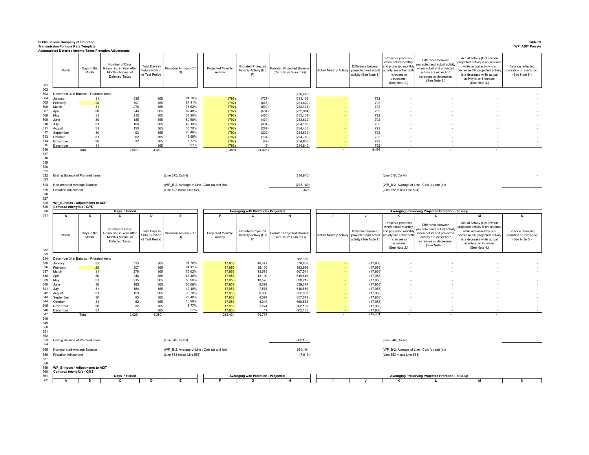|                                 | <b>Public Service Company of Colorado</b><br><b>Transmission Formula Rate Template</b> |                      |                                                                                                                                                     |                                                          |                                             |                               |                                                   |                                                     |                                |                                                                      |                                                                                                                                               |                                                                                                                                                         |                                                                                                                                                                                                             | Table 39<br><b>WP_ADIT Prorate</b>                                   |
|---------------------------------|----------------------------------------------------------------------------------------|----------------------|-----------------------------------------------------------------------------------------------------------------------------------------------------|----------------------------------------------------------|---------------------------------------------|-------------------------------|---------------------------------------------------|-----------------------------------------------------|--------------------------------|----------------------------------------------------------------------|-----------------------------------------------------------------------------------------------------------------------------------------------|---------------------------------------------------------------------------------------------------------------------------------------------------------|-------------------------------------------------------------------------------------------------------------------------------------------------------------------------------------------------------------|----------------------------------------------------------------------|
| 501                             | Month                                                                                  | Days in the<br>Month | <b>Accumulated Deferred Income Taxes Proration Adjustments</b><br>Number of Days<br>Remaining in Year After<br>Month's Accrual of<br>Deferred Taxes | Total Days in<br><b>Future Portion</b><br>of Test Period | Proration Amount (C)<br>D)                  | Projected Monthly<br>Activity | Prorated Projected<br>Monthly Activity (E x<br>F) | Prorated Projected Balance<br>(Cumulative Sum of G) | <b>Actual Monthly Activity</b> | Difference between<br>projected and actual<br>activity (See Note 1.) | Preserve proration<br>when actual monthly<br>and projected monthly<br>activity are either both<br>increases or<br>decreases<br>(See Note 2.)  | Difference between<br>rojected and actual activity<br>when actual and projected<br>activity are either both<br>increases or decreases.<br>(See Note 3.) | Actual activity (Col I) when<br>rojected activity is an increase<br>while actual activity is a<br>lecrease OR projected activity<br>is a decrease while actual<br>activity is an increase.<br>(See Note 4.) | <b>Balance reflecting</b><br>proration or averaging<br>(See Note 5.) |
| 502<br>503                      | December 31st Balance - Prorated Items                                                 |                      |                                                                                                                                                     |                                                          |                                             |                               |                                                   | (230, 440)                                          |                                |                                                                      |                                                                                                                                               |                                                                                                                                                         |                                                                                                                                                                                                             |                                                                      |
| 504                             | January                                                                                | 31                   | 335                                                                                                                                                 | 365                                                      | 91.78%                                      | (792)                         | (727)                                             | (231, 166)                                          |                                | 792                                                                  |                                                                                                                                               |                                                                                                                                                         |                                                                                                                                                                                                             |                                                                      |
| 505<br>506                      | February<br>March                                                                      | 28<br>31             | 307<br>276                                                                                                                                          | 365<br>365                                               | 84.11%<br>75.62%                            | (792)                         | (666)<br>(599)                                    | (231, 832)                                          |                                | 792<br>792                                                           |                                                                                                                                               |                                                                                                                                                         |                                                                                                                                                                                                             |                                                                      |
| 507                             | April                                                                                  | 30                   | 246                                                                                                                                                 | 365                                                      | 67 40%                                      | (792)<br>(792)                | (534)                                             | (232, 431)<br>(232, 964)                            |                                | 792                                                                  |                                                                                                                                               |                                                                                                                                                         |                                                                                                                                                                                                             |                                                                      |
| 508                             | May                                                                                    | 31                   | 215                                                                                                                                                 | 365                                                      | 58.90%                                      | (792)                         | (466)                                             | (233, 431)                                          |                                | 792                                                                  |                                                                                                                                               |                                                                                                                                                         |                                                                                                                                                                                                             |                                                                      |
| 509                             | June                                                                                   | 30                   | 185                                                                                                                                                 | 365                                                      | 50.68%                                      | (792)                         | (401)                                             | (233, 832)                                          |                                | 792                                                                  |                                                                                                                                               |                                                                                                                                                         |                                                                                                                                                                                                             |                                                                      |
| 510<br>511                      | July<br>August                                                                         | 31<br>31             | 154<br>123                                                                                                                                          | 365<br>365                                               | 42.19%<br>33.70%                            | (792)<br>(792)                | (334)<br>(267)                                    | (234, 166)<br>(234, 433)                            |                                | 792<br>792                                                           |                                                                                                                                               |                                                                                                                                                         |                                                                                                                                                                                                             |                                                                      |
| 512                             | September                                                                              | 30                   | 93                                                                                                                                                  | 365                                                      | 25.48%                                      | (792)                         | (202)                                             | (234, 634)                                          |                                | 792                                                                  |                                                                                                                                               |                                                                                                                                                         |                                                                                                                                                                                                             |                                                                      |
| 513                             | October                                                                                | 31                   | 62                                                                                                                                                  | 365                                                      | 16.99%                                      | (792)                         | (134)                                             | (234, 769)                                          |                                | 792                                                                  |                                                                                                                                               |                                                                                                                                                         |                                                                                                                                                                                                             |                                                                      |
| 514<br>515                      | November                                                                               | 30<br>31             | 32                                                                                                                                                  | 365<br>365                                               | 8.77%<br>0.27%                              | (792)                         | (69)<br>(2)                                       | (234, 838)                                          |                                | 792<br>792                                                           |                                                                                                                                               |                                                                                                                                                         |                                                                                                                                                                                                             |                                                                      |
| 516                             | December                                                                               | Total                | 2,029                                                                                                                                               | 4,380                                                    |                                             | (792)<br>(9, 499)             | (4, 401)                                          | (234, 840)                                          |                                | 9,499                                                                |                                                                                                                                               |                                                                                                                                                         |                                                                                                                                                                                                             |                                                                      |
| 517<br>518<br>519<br>520<br>521 |                                                                                        |                      |                                                                                                                                                     |                                                          |                                             |                               |                                                   |                                                     |                                |                                                                      |                                                                                                                                               |                                                                                                                                                         |                                                                                                                                                                                                             |                                                                      |
| 522<br>523                      | Ending Balance of Prorated items                                                       |                      |                                                                                                                                                     |                                                          | (Line 515, Col H)                           |                               |                                                   | (234, 840)                                          |                                |                                                                      | (Line 515, Col N)                                                                                                                             |                                                                                                                                                         |                                                                                                                                                                                                             |                                                                      |
| 524                             | Non-prorated Average Balance                                                           |                      |                                                                                                                                                     |                                                          | (WP_B-2, Average of Line, Cols (a) and (b)) |                               |                                                   | (235, 189)                                          |                                |                                                                      | (WP_B-2, Average of Line, Cols (a) and (b))                                                                                                   |                                                                                                                                                         |                                                                                                                                                                                                             |                                                                      |
| 525<br>526                      | Proration Adjustment                                                                   |                      |                                                                                                                                                     |                                                          | (Line 522 minus Line 524)                   |                               |                                                   | 349                                                 |                                |                                                                      | (Line 522 minus Line 524)                                                                                                                     |                                                                                                                                                         |                                                                                                                                                                                                             |                                                                      |
| 527<br>528<br>529<br>530        | WP_B-Inputs - Adjustments to ADIT<br>Common Intangible - CRS                           |                      | Days in Period                                                                                                                                      |                                                          |                                             |                               | Averaging with Proration - Projected              |                                                     |                                |                                                                      |                                                                                                                                               | Averaging Preserving Projected Proration - True-up                                                                                                      |                                                                                                                                                                                                             |                                                                      |
|                                 |                                                                                        |                      |                                                                                                                                                     |                                                          |                                             |                               |                                                   |                                                     |                                |                                                                      |                                                                                                                                               |                                                                                                                                                         |                                                                                                                                                                                                             |                                                                      |
| 531                             | A                                                                                      | в                    | C                                                                                                                                                   | D                                                        | Е                                           |                               | G                                                 | н                                                   |                                | J.                                                                   | ĸ                                                                                                                                             |                                                                                                                                                         | M                                                                                                                                                                                                           |                                                                      |
| 532                             | Month                                                                                  | Days in the<br>Month | Number of Days<br>Remaining in Year After<br>Month's Accrual of<br>Deferred Taxes                                                                   | Total Days in<br>Future Portion<br>of Test Period        | Proration Amount (C.<br>D)                  | Projected Monthly<br>Activity | Prorated Projected<br>Monthly Activity (E ><br>F) | Prorated Projected Balance<br>(Cumulative Sum of G) | <b>Actual Monthly Activity</b> | Difference between<br>projected and actual<br>activity (See Note 1.) | Preserve proration<br>when actual monthly<br>and proiected monthly<br>activity are either both<br>increases or<br>decreases.<br>(See Note 2.) | Difference between<br>rojected and actual activity<br>when actual and projected<br>activity are either both<br>increases or decreases.<br>(See Note 3.) | Actual activity (Col I) when<br>rojected activity is an increase<br>while actual activity is a<br>lecrease OR projected activity<br>is a decrease while actual<br>activity is an increase.<br>(See Note 4.) | Balance reflecting<br>proration or averaging<br>(See Note 5.)        |
| 533                             |                                                                                        |                      |                                                                                                                                                     |                                                          |                                             |                               |                                                   |                                                     |                                |                                                                      |                                                                                                                                               |                                                                                                                                                         |                                                                                                                                                                                                             |                                                                      |
| 534                             | December 31st Balance - Prorated Items<br>January                                      |                      |                                                                                                                                                     |                                                          |                                             |                               |                                                   | 562,389                                             |                                |                                                                      |                                                                                                                                               |                                                                                                                                                         |                                                                                                                                                                                                             |                                                                      |
| 535<br>536                      | February                                                                               | 31<br>28             | 335<br>307                                                                                                                                          | 365<br>365                                               | 91.78%<br>84.11%                            | 17,953<br>17,953              | 16,477<br>15,100                                  | 578,866<br>593,966                                  |                                | (17, 953)<br>(17, 953)                                               |                                                                                                                                               |                                                                                                                                                         |                                                                                                                                                                                                             |                                                                      |
| 537                             | March                                                                                  | 31                   | 276                                                                                                                                                 | 365                                                      | 75.62%                                      | 17,953                        | 13,575                                            | 607,541                                             |                                | (17, 953)                                                            |                                                                                                                                               |                                                                                                                                                         |                                                                                                                                                                                                             |                                                                      |
| 538                             | April                                                                                  | 30                   | 246                                                                                                                                                 | 365                                                      | 67.40%                                      | 17,953                        | 12,100                                            | 619,640                                             |                                | (17, 953)                                                            |                                                                                                                                               |                                                                                                                                                         |                                                                                                                                                                                                             |                                                                      |
| 539<br>540                      | May<br>June                                                                            | 31<br>30             | 215<br>185                                                                                                                                          | 365<br>365                                               | 58.90%<br>50.68%                            | 17,953<br>17,953              | 10,575<br>9,099                                   | 630,215<br>639,314                                  |                                | (17, 953)<br>(17, 953)                                               |                                                                                                                                               |                                                                                                                                                         |                                                                                                                                                                                                             |                                                                      |
| 541                             | .lulv                                                                                  | 31                   | 154                                                                                                                                                 | 365                                                      | 42.19%                                      | 17,953                        | 7.575                                             | 646.889                                             |                                | (17, 953)                                                            |                                                                                                                                               |                                                                                                                                                         |                                                                                                                                                                                                             |                                                                      |
| 542                             | August                                                                                 | 31                   | 123                                                                                                                                                 | 365                                                      | 33.70%<br>25 48%                            | 17,953                        | 6,050                                             | 652,939                                             |                                | (17, 953)                                                            |                                                                                                                                               |                                                                                                                                                         |                                                                                                                                                                                                             |                                                                      |
| 543<br>544                      | September<br>October                                                                   | 30<br>31             | 93<br>62                                                                                                                                            | 365<br>365                                               | 16.99%                                      | 17,953<br>17,953              | 4,574<br>3,049                                    | 657,513<br>660,562                                  |                                | (17, 953)<br>(17, 953)                                               |                                                                                                                                               |                                                                                                                                                         |                                                                                                                                                                                                             |                                                                      |
| 545                             | November                                                                               | 30                   | 32                                                                                                                                                  | 365                                                      | 8.77%                                       | 17,953                        | 1,574                                             | 662,136                                             |                                | (17, 953)                                                            |                                                                                                                                               |                                                                                                                                                         |                                                                                                                                                                                                             |                                                                      |
| 546                             | December                                                                               | 31                   |                                                                                                                                                     | 365                                                      | 0.27%                                       | 17,953                        | 49                                                | 662,185                                             |                                | (17, 953)                                                            |                                                                                                                                               |                                                                                                                                                         |                                                                                                                                                                                                             |                                                                      |
| 547<br>548                      |                                                                                        | Total                | 2,029                                                                                                                                               | 4,380                                                    |                                             | 215,431                       | 99,797                                            |                                                     |                                | (215, 431)                                                           |                                                                                                                                               |                                                                                                                                                         |                                                                                                                                                                                                             |                                                                      |
| 549<br>550<br>551<br>552        |                                                                                        |                      |                                                                                                                                                     |                                                          |                                             |                               |                                                   |                                                     |                                |                                                                      |                                                                                                                                               |                                                                                                                                                         |                                                                                                                                                                                                             |                                                                      |
| 553<br>554                      | Ending Balance of Prorated items                                                       |                      |                                                                                                                                                     |                                                          | (Line 546, Col H)                           |                               |                                                   | 662,185                                             |                                |                                                                      | (Line 546, Col N)                                                                                                                             |                                                                                                                                                         |                                                                                                                                                                                                             |                                                                      |
| 555                             | Non-prorated Average Balance                                                           |                      |                                                                                                                                                     |                                                          | (WP_B-2, Average of Line, Cols (a) and (b)) |                               |                                                   | 670,104                                             |                                |                                                                      | (WP_B-2, Average of Line, Cols (a) and (b))                                                                                                   |                                                                                                                                                         |                                                                                                                                                                                                             |                                                                      |
| 556                             | Proration Adjustment                                                                   |                      |                                                                                                                                                     |                                                          | (Line 553 minus Line 555)                   |                               |                                                   | (7,919)                                             |                                |                                                                      | (Line 553 minus Line 555)                                                                                                                     |                                                                                                                                                         |                                                                                                                                                                                                             |                                                                      |
| 557                             |                                                                                        |                      |                                                                                                                                                     |                                                          |                                             |                               |                                                   |                                                     |                                |                                                                      |                                                                                                                                               |                                                                                                                                                         |                                                                                                                                                                                                             |                                                                      |
| 558<br>559                      | WP_B-Inputs - Adjustments to ADIT                                                      |                      |                                                                                                                                                     |                                                          |                                             |                               |                                                   |                                                     |                                |                                                                      |                                                                                                                                               |                                                                                                                                                         |                                                                                                                                                                                                             |                                                                      |
| 560<br>561                      | Common Intangible - OMS                                                                |                      | Days in Period                                                                                                                                      |                                                          |                                             |                               | Averaging with Proration - Projected              |                                                     |                                |                                                                      |                                                                                                                                               | Averaging Preserving Projected Proration - True-up                                                                                                      |                                                                                                                                                                                                             |                                                                      |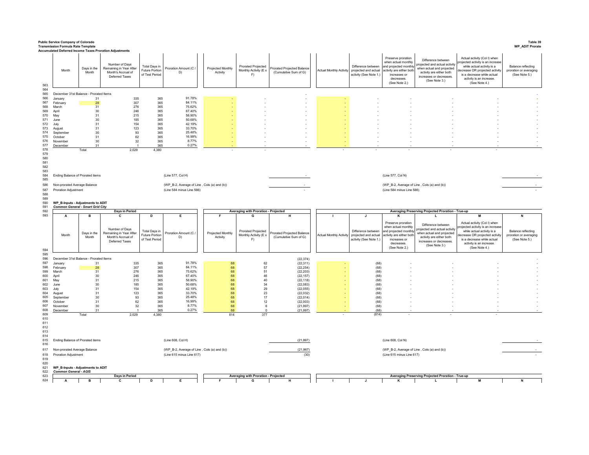|                                               | <b>Public Service Company of Colorado</b><br><b>Transmission Formula Rate Template</b> |                      |                                                                                                                                              |                                                   |                                             |                               |                                                   |                                                     |                         |                                                                                              |                                                                                                                                               |                                                                                                                                                          |                                                                                                                                                                                                             | Table 39<br><b>WP_ADIT Prorate</b>                                   |
|-----------------------------------------------|----------------------------------------------------------------------------------------|----------------------|----------------------------------------------------------------------------------------------------------------------------------------------|---------------------------------------------------|---------------------------------------------|-------------------------------|---------------------------------------------------|-----------------------------------------------------|-------------------------|----------------------------------------------------------------------------------------------|-----------------------------------------------------------------------------------------------------------------------------------------------|----------------------------------------------------------------------------------------------------------------------------------------------------------|-------------------------------------------------------------------------------------------------------------------------------------------------------------------------------------------------------------|----------------------------------------------------------------------|
| 563                                           | Month                                                                                  | Days in the<br>Month | Accumulated Deferred Income Taxes Proration Adjustments<br>Number of Days<br>Remaining in Year After<br>Month's Accrual of<br>Deferred Taxes | Total Days in<br>Future Portion<br>of Test Period | Proration Amount (C /<br>D)                 | Projected Monthly<br>Activity | Prorated Projected<br>Monthly Activity (E x<br>F) | Prorated Projected Balance<br>(Cumulative Sum of G) |                         | Difference between<br>Actual Monthly Activity projected and actual<br>activity (See Note 1.) | Preserve proration<br>when actual monthly<br>and projected monthly<br>activity are either both<br>increases or<br>decreases<br>(See Note 2.)  | Difference between<br>projected and actual activity<br>when actual and projected<br>activity are either both<br>increases or decreases.<br>(See Note 3.) | Actual activity (Col I) when<br>rojected activity is an increase<br>while actual activity is a<br>decrease OR projected activity<br>is a decrease while actual<br>activity is an increase.<br>(See Note 4.) | <b>Balance reflecting</b><br>proration or averaging<br>(See Note 5.) |
| 564<br>565                                    | December 31st Balance - Prorated Items                                                 |                      |                                                                                                                                              |                                                   |                                             |                               |                                                   |                                                     |                         |                                                                                              |                                                                                                                                               |                                                                                                                                                          |                                                                                                                                                                                                             |                                                                      |
| 566                                           | January                                                                                | 31                   | 335                                                                                                                                          | 365                                               | 91.78%                                      |                               |                                                   |                                                     |                         |                                                                                              |                                                                                                                                               |                                                                                                                                                          |                                                                                                                                                                                                             |                                                                      |
| 567                                           | February                                                                               | 28                   | 307                                                                                                                                          | 365<br>365                                        | 84.11%                                      |                               |                                                   |                                                     |                         |                                                                                              |                                                                                                                                               |                                                                                                                                                          |                                                                                                                                                                                                             |                                                                      |
| 568<br>569                                    | March<br>April                                                                         | 31<br>30             | 276<br>246                                                                                                                                   | 365                                               | 75.62%<br>67 40%                            |                               |                                                   |                                                     |                         |                                                                                              |                                                                                                                                               |                                                                                                                                                          |                                                                                                                                                                                                             |                                                                      |
| 570                                           | May                                                                                    | 31                   | 215                                                                                                                                          | 365                                               | 58.90%                                      |                               |                                                   |                                                     |                         |                                                                                              |                                                                                                                                               |                                                                                                                                                          |                                                                                                                                                                                                             |                                                                      |
| 571<br>572                                    | .lune<br>July                                                                          | 30<br>31             | 185<br>154                                                                                                                                   | 365<br>365                                        | 50.68%<br>42.19%                            |                               |                                                   |                                                     |                         |                                                                                              |                                                                                                                                               |                                                                                                                                                          |                                                                                                                                                                                                             |                                                                      |
| 573                                           | August                                                                                 | 31                   | 123                                                                                                                                          | 365                                               | 33.70%                                      |                               |                                                   |                                                     |                         |                                                                                              |                                                                                                                                               |                                                                                                                                                          |                                                                                                                                                                                                             |                                                                      |
| 574                                           | September                                                                              | 30                   | 93                                                                                                                                           | 365                                               | 25.48%                                      |                               |                                                   |                                                     |                         |                                                                                              |                                                                                                                                               |                                                                                                                                                          |                                                                                                                                                                                                             |                                                                      |
| 575<br>576                                    | October<br>November                                                                    | 31<br>30             | 62<br>32                                                                                                                                     | 365<br>365                                        | 16.99%<br>8.77%                             |                               |                                                   |                                                     |                         |                                                                                              |                                                                                                                                               |                                                                                                                                                          |                                                                                                                                                                                                             |                                                                      |
| 577                                           | December                                                                               | 31                   |                                                                                                                                              | 365                                               | 0.27%                                       |                               |                                                   |                                                     |                         |                                                                                              |                                                                                                                                               |                                                                                                                                                          |                                                                                                                                                                                                             |                                                                      |
| 578                                           |                                                                                        | Total                | 2,029                                                                                                                                        | 4,380                                             |                                             |                               |                                                   |                                                     |                         |                                                                                              |                                                                                                                                               |                                                                                                                                                          |                                                                                                                                                                                                             |                                                                      |
| 579<br>580<br>581<br>582<br>583               |                                                                                        |                      |                                                                                                                                              |                                                   |                                             |                               |                                                   |                                                     |                         |                                                                                              |                                                                                                                                               |                                                                                                                                                          |                                                                                                                                                                                                             |                                                                      |
| 584<br>585                                    | Ending Balance of Prorated items                                                       |                      |                                                                                                                                              |                                                   | (Line 577, Col H)                           |                               |                                                   |                                                     |                         |                                                                                              | (Line 577, Col N)                                                                                                                             |                                                                                                                                                          |                                                                                                                                                                                                             |                                                                      |
| 586                                           | Non-prorated Average Balance                                                           |                      |                                                                                                                                              |                                                   | (WP_B-2, Average of Line, Cols (a) and (b)) |                               |                                                   |                                                     |                         |                                                                                              |                                                                                                                                               | (WP_B-2, Average of Line, Cols (a) and (b))                                                                                                              |                                                                                                                                                                                                             |                                                                      |
| 587<br>588                                    | Proration Adjustment                                                                   |                      |                                                                                                                                              |                                                   | (Line 584 minus Line 586)                   |                               |                                                   |                                                     |                         |                                                                                              | (Line 584 minus Line 586)                                                                                                                     |                                                                                                                                                          |                                                                                                                                                                                                             |                                                                      |
| 589<br>590<br>591<br>592<br>593               | WP_B-Inputs - Adjustments to ADIT<br><b>Common General - Smart Grid City</b>           |                      | Days in Period                                                                                                                               |                                                   |                                             |                               | Averaging with Proration - Projected<br>G         | н                                                   |                         |                                                                                              |                                                                                                                                               | Averaging Preserving Projected Proration - True-up                                                                                                       |                                                                                                                                                                                                             |                                                                      |
|                                               | A                                                                                      | в                    | c                                                                                                                                            | D                                                 | E                                           |                               |                                                   |                                                     |                         |                                                                                              |                                                                                                                                               |                                                                                                                                                          |                                                                                                                                                                                                             |                                                                      |
|                                               |                                                                                        |                      |                                                                                                                                              |                                                   |                                             |                               |                                                   |                                                     |                         | J.                                                                                           | κ                                                                                                                                             |                                                                                                                                                          | м                                                                                                                                                                                                           | N                                                                    |
| 594                                           | Month                                                                                  | Days in the<br>Month | Number of Days<br>Remaining in Year After<br>Month's Accrual of<br>Deferred Taxes                                                            | Total Days in<br>Future Portion<br>of Test Period | Proration Amount (C)<br>D)                  | Projected Monthly<br>Activity | Prorated Projected<br>Monthly Activity (E x<br>F) | Prorated Projected Balance<br>(Cumulative Sum of G) | Actual Monthly Activity | Difference between<br>projected and actual<br>activity (See Note 1.)                         | Preserve proration<br>when actual monthly<br>and projected monthly<br>activity are either both<br>increases or<br>decreases.<br>(See Note 2.) | Difference between<br>projected and actual activity<br>when actual and projected<br>activity are either both<br>increases or decreases.<br>(See Note 3.) | Actual activity (Col I) when<br>rojected activity is an increase<br>while actual activity is a<br>ecrease OR projected activity<br>is a decrease while actual<br>activity is an increase.<br>(See Note 4.)  | <b>Balance reflecting</b><br>proration or averaging<br>(See Note 5.) |
| 595                                           |                                                                                        |                      |                                                                                                                                              |                                                   |                                             |                               |                                                   |                                                     |                         |                                                                                              |                                                                                                                                               |                                                                                                                                                          |                                                                                                                                                                                                             |                                                                      |
| 596<br>597                                    | December 31st Balance - Prorated Items<br>January                                      | 31                   | 335                                                                                                                                          | 365                                               | 91.78%                                      | 68                            | 62                                                | (22, 374)<br>(22, 311)                              |                         | (68)                                                                                         |                                                                                                                                               |                                                                                                                                                          |                                                                                                                                                                                                             |                                                                      |
| 598                                           | Februan                                                                                | 28                   | 307                                                                                                                                          | 365                                               | 84.11%                                      | 68                            | 57                                                | (22, 254)                                           |                         | (68)                                                                                         |                                                                                                                                               |                                                                                                                                                          |                                                                                                                                                                                                             |                                                                      |
| 599<br>600                                    | March<br>April                                                                         | 31<br>30             | 276<br>246                                                                                                                                   | 365<br>365                                        | 75.62%<br>67.40%                            | 68<br>68                      | 51<br>46                                          | (22, 203)<br>(22, 157)                              |                         | (68)<br>(68)                                                                                 |                                                                                                                                               |                                                                                                                                                          |                                                                                                                                                                                                             |                                                                      |
| 601                                           | May                                                                                    | 31                   | 215                                                                                                                                          | 365                                               | 58.90%                                      | 68                            | 40                                                | (22, 118)                                           |                         | (68)                                                                                         |                                                                                                                                               |                                                                                                                                                          |                                                                                                                                                                                                             |                                                                      |
| 602                                           | June                                                                                   | 30                   | 185                                                                                                                                          | 365                                               | 50.68%                                      | 68                            | 34                                                | (22, 083)                                           |                         | (68)                                                                                         |                                                                                                                                               |                                                                                                                                                          |                                                                                                                                                                                                             |                                                                      |
| 603<br>604                                    | July<br>August                                                                         | 31<br>31             | 154<br>123                                                                                                                                   | 365<br>365                                        | 42.19%<br>33.70%                            | 68<br>68                      | 29<br>23                                          | (22, 055)<br>(22, 032)                              |                         | (68)<br>(68)                                                                                 |                                                                                                                                               |                                                                                                                                                          |                                                                                                                                                                                                             |                                                                      |
| 605                                           | September                                                                              | 30                   | 93                                                                                                                                           | 365                                               | 25.48%                                      | 68                            | 17                                                | (22.014)                                            |                         | (68)                                                                                         |                                                                                                                                               |                                                                                                                                                          |                                                                                                                                                                                                             |                                                                      |
| 606<br>607                                    | October                                                                                | 31                   | 62                                                                                                                                           | 365                                               | 16.99%                                      | 68                            | 12                                                | (22,003)                                            |                         | (68)                                                                                         |                                                                                                                                               |                                                                                                                                                          |                                                                                                                                                                                                             |                                                                      |
| 608                                           | November<br>December                                                                   | 30<br>31             | 32<br>$\overline{1}$                                                                                                                         | 365<br>365                                        | 8.77%<br>0.27%                              | 68<br>68                      | 6<br>$\Omega$                                     | (21, 997)<br>(21, 997)                              |                         | (68)<br>(68)                                                                                 |                                                                                                                                               |                                                                                                                                                          |                                                                                                                                                                                                             |                                                                      |
| 609                                           |                                                                                        | Total                | 2,029                                                                                                                                        | 4,380                                             |                                             | 814                           | 377                                               |                                                     |                         | (814)                                                                                        |                                                                                                                                               |                                                                                                                                                          |                                                                                                                                                                                                             |                                                                      |
| 610<br>611<br>612<br>613<br>614<br>615<br>616 | Ending Balance of Prorated items                                                       |                      |                                                                                                                                              |                                                   | (Line 608, Col H)                           |                               |                                                   | (21, 997)                                           |                         |                                                                                              | (Line 608, Col N)                                                                                                                             |                                                                                                                                                          |                                                                                                                                                                                                             |                                                                      |
| 617                                           | Non-prorated Average Balance                                                           |                      |                                                                                                                                              |                                                   | (WP_B-2, Average of Line, Cols (a) and (b)) |                               |                                                   | (21, 967)                                           |                         |                                                                                              |                                                                                                                                               | (WP_B-2, Average of Line, Cols (a) and (b))                                                                                                              |                                                                                                                                                                                                             |                                                                      |
| 618                                           | Proration Adjustment                                                                   |                      |                                                                                                                                              |                                                   | (Line 615 minus Line 617)                   |                               |                                                   | (30)                                                |                         |                                                                                              | (Line 615 minus Line 617)                                                                                                                     |                                                                                                                                                          |                                                                                                                                                                                                             |                                                                      |
| 619<br>620<br>621<br>622<br>623               | WP_B-Inputs - Adjustments to ADIT<br><b>Common General - AGIS</b>                      |                      | Days in Period                                                                                                                               |                                                   |                                             |                               | Averaging with Proration - Projected              |                                                     |                         |                                                                                              |                                                                                                                                               | Averaging Preserving Projected Proration - True-up                                                                                                       |                                                                                                                                                                                                             |                                                                      |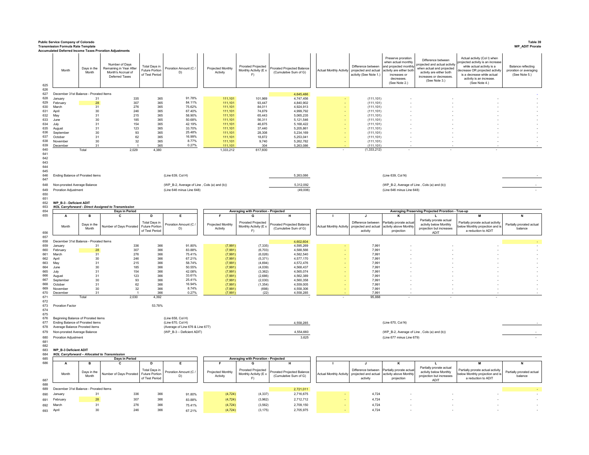| Public Service Company of Colorado<br>Table 39<br><b>WP_ADIT Prorate</b><br><b>Transmission Formula Rate Template</b> |                                                     |                                                                                                                             |                                                                                                                                                     |                                                                 |                                             |                               |                                                   |                                                                                            |                                             |                                                                      |                                                                                                                                             |                                                                                                                                                        |                                                                                                                                                                                                            |                                                               |  |
|-----------------------------------------------------------------------------------------------------------------------|-----------------------------------------------------|-----------------------------------------------------------------------------------------------------------------------------|-----------------------------------------------------------------------------------------------------------------------------------------------------|-----------------------------------------------------------------|---------------------------------------------|-------------------------------|---------------------------------------------------|--------------------------------------------------------------------------------------------|---------------------------------------------|----------------------------------------------------------------------|---------------------------------------------------------------------------------------------------------------------------------------------|--------------------------------------------------------------------------------------------------------------------------------------------------------|------------------------------------------------------------------------------------------------------------------------------------------------------------------------------------------------------------|---------------------------------------------------------------|--|
| 625<br>626                                                                                                            | Month                                               | Days in the<br>Month                                                                                                        | <b>Accumulated Deferred Income Taxes Proration Adjustments</b><br>Number of Days<br>Remaining in Year After<br>Month's Accrual of<br>Deferred Taxes | <b>Total Days in</b><br><b>Future Portion</b><br>of Test Period | Proration Amount (C /<br>D)                 | Projected Monthly<br>Activity | Prorated Projected<br>Monthly Activity (E x<br>F) | Prorated Projected Balance<br>(Cumulative Sum of G)                                        | <b>Actual Monthly Activity</b>              | Difference between<br>projected and actual<br>activity (See Note 1.) | Preserve proration<br>when actual monthly<br>and projected monthl<br>activity are either both<br>increases or<br>decreases<br>(See Note 2.) | Difference between<br>ojected and actual activity<br>when actual and projected<br>activity are either both<br>increases or decreases.<br>(See Note 3.) | Actual activity (Col I) when<br>rojected activity is an increase<br>while actual activity is a<br>lecrease OR projected activit<br>is a decrease while actual<br>activity is an increase.<br>(See Note 4.) | Balance reflecting<br>proration or averaging<br>(See Note 5.) |  |
| 627                                                                                                                   | December 31st Balance - Prorated Items              |                                                                                                                             |                                                                                                                                                     |                                                                 |                                             |                               |                                                   | 4,645,486                                                                                  |                                             |                                                                      |                                                                                                                                             |                                                                                                                                                        |                                                                                                                                                                                                            |                                                               |  |
| 628<br>629                                                                                                            | January<br>February                                 | 31<br>28                                                                                                                    | 335<br>307                                                                                                                                          | 365<br>365                                                      | 91.78%<br>84.11%                            | 111,101<br>111.101            | 101,969<br>93.447                                 | 4,747,456<br>4,840,902                                                                     |                                             | (111, 101)<br>(111, 101)                                             |                                                                                                                                             |                                                                                                                                                        |                                                                                                                                                                                                            |                                                               |  |
| 630                                                                                                                   | March                                               | 31                                                                                                                          | 276                                                                                                                                                 | 365                                                             | 75.62%                                      | 111,101                       | 84,011                                            | 4,924,913                                                                                  |                                             | (111, 101)                                                           |                                                                                                                                             |                                                                                                                                                        |                                                                                                                                                                                                            |                                                               |  |
| 631                                                                                                                   | April                                               | 30                                                                                                                          | 246                                                                                                                                                 | 365                                                             | 67.40%                                      | 111,101                       | 74.879                                            | 4.999.792                                                                                  |                                             | (111.101)                                                            |                                                                                                                                             |                                                                                                                                                        |                                                                                                                                                                                                            |                                                               |  |
| 632<br>633                                                                                                            | May<br>June                                         | 31<br>30                                                                                                                    | 215<br>185                                                                                                                                          | 365<br>365                                                      | 58.90%<br>50.68%                            | 111,101<br>111.101            | 65,443<br>56,311                                  | 5,065,235<br>5.121.546                                                                     |                                             | (111, 101)<br>(111.101)                                              |                                                                                                                                             |                                                                                                                                                        |                                                                                                                                                                                                            |                                                               |  |
| 634                                                                                                                   | July                                                | 31                                                                                                                          | 154                                                                                                                                                 | 365                                                             | 42.19%                                      | 111,101                       | 46,875                                            | 5,168,422                                                                                  |                                             | (111, 101)                                                           |                                                                                                                                             |                                                                                                                                                        |                                                                                                                                                                                                            |                                                               |  |
| 635                                                                                                                   | August                                              | 31                                                                                                                          | 123                                                                                                                                                 | 365                                                             | 33.70%<br>25.48%                            | 111.101                       | 37,440                                            | 5.205.861                                                                                  |                                             | (111.101)                                                            |                                                                                                                                             |                                                                                                                                                        |                                                                                                                                                                                                            |                                                               |  |
| 636<br>637                                                                                                            | September<br>October                                | 30<br>31                                                                                                                    | 93<br>62                                                                                                                                            | 365<br>365                                                      | 16.99%                                      | 111,101<br>111.101            | 28,308<br>18.872                                  | 5,234,169<br>5.253.041                                                                     |                                             | (111, 101)<br>(111.101)                                              |                                                                                                                                             |                                                                                                                                                        |                                                                                                                                                                                                            |                                                               |  |
| 638                                                                                                                   | November                                            | 30                                                                                                                          | 32                                                                                                                                                  | 365                                                             | 8.77%                                       | 111,101                       | 9,740                                             | 5,262,782                                                                                  |                                             | (111, 101)                                                           |                                                                                                                                             |                                                                                                                                                        |                                                                                                                                                                                                            |                                                               |  |
| 639<br>640                                                                                                            | December                                            | 31<br>Total                                                                                                                 | 2.029                                                                                                                                               | 365<br>4.380                                                    | 0.27%                                       | 111.101<br>1.333.212          | 304<br>617,600                                    | 5,263,086                                                                                  |                                             | (111, 101)<br>(1,333,212)                                            |                                                                                                                                             |                                                                                                                                                        |                                                                                                                                                                                                            |                                                               |  |
| 641                                                                                                                   |                                                     |                                                                                                                             |                                                                                                                                                     |                                                                 |                                             |                               |                                                   |                                                                                            |                                             |                                                                      |                                                                                                                                             |                                                                                                                                                        |                                                                                                                                                                                                            |                                                               |  |
| 642<br>643<br>644<br>645<br>646<br>647                                                                                | Ending Balance of Prorated items                    |                                                                                                                             |                                                                                                                                                     |                                                                 | (Line 639, Col H)                           |                               |                                                   | 5,263,086                                                                                  | (Line 639, Col N)                           |                                                                      |                                                                                                                                             |                                                                                                                                                        |                                                                                                                                                                                                            |                                                               |  |
| 648<br>649                                                                                                            | Non-prorated Average Balance                        |                                                                                                                             |                                                                                                                                                     |                                                                 | (WP_B-2, Average of Line, Cols (a) and (b)) |                               |                                                   | 5,312,092<br>(49,006)                                                                      |                                             |                                                                      | (WP_B-2, Average of Line, Cols (a) and (b))                                                                                                 |                                                                                                                                                        |                                                                                                                                                                                                            |                                                               |  |
| 650                                                                                                                   | Proration Adjustment                                |                                                                                                                             |                                                                                                                                                     |                                                                 | (Line 646 minus Line 648)                   |                               |                                                   |                                                                                            | (Line 646 minus Line 648)                   |                                                                      |                                                                                                                                             |                                                                                                                                                        |                                                                                                                                                                                                            |                                                               |  |
| 651<br>652                                                                                                            |                                                     | WP B-3 - Deficient ADIT                                                                                                     |                                                                                                                                                     |                                                                 |                                             |                               |                                                   |                                                                                            |                                             |                                                                      |                                                                                                                                             |                                                                                                                                                        |                                                                                                                                                                                                            |                                                               |  |
| 653                                                                                                                   |                                                     |                                                                                                                             | <b>NOL Carryforward - Direct Assigned to Transmission</b>                                                                                           |                                                                 |                                             |                               |                                                   |                                                                                            |                                             |                                                                      |                                                                                                                                             |                                                                                                                                                        |                                                                                                                                                                                                            |                                                               |  |
| 654                                                                                                                   |                                                     |                                                                                                                             | Days in Period                                                                                                                                      |                                                                 |                                             |                               |                                                   | Averaging with Proration - Projected<br>Averaging Preserving Projected Proration - True-up |                                             |                                                                      |                                                                                                                                             |                                                                                                                                                        |                                                                                                                                                                                                            |                                                               |  |
| 655                                                                                                                   | A                                                   | B                                                                                                                           |                                                                                                                                                     | D                                                               | Е                                           |                               | G                                                 |                                                                                            |                                             | $\mathbf{J}$                                                         |                                                                                                                                             |                                                                                                                                                        | M                                                                                                                                                                                                          |                                                               |  |
|                                                                                                                       | Month                                               | Days in the                                                                                                                 | Number of Days Prorated                                                                                                                             | Total Days in<br>Future Portion                                 | Proration Amount (C /                       | Projected Monthly             | Prorated Projected<br>Monthly Activity (E x       | Prorated Projected Balance                                                                 | <b>Actual Monthly Activity</b>              | Difference between<br>projected and actual                           | artially prorate actua<br>activity above Monthly                                                                                            | Partially prorate actual<br>activity below Monthly                                                                                                     | Partially prorate actual activity<br>elow Monthly projection and i                                                                                                                                         | Partially prorated actual                                     |  |
| 656                                                                                                                   |                                                     | Month                                                                                                                       |                                                                                                                                                     | of Test Period                                                  | D)                                          | Activity                      | F)                                                | (Cumulative Sum of G)                                                                      |                                             | activity                                                             | projection                                                                                                                                  | projection but increases<br><b>ADIT</b>                                                                                                                | a reduction to ADIT                                                                                                                                                                                        | balance                                                       |  |
| 657                                                                                                                   |                                                     |                                                                                                                             |                                                                                                                                                     |                                                                 |                                             |                               |                                                   |                                                                                            |                                             |                                                                      |                                                                                                                                             |                                                                                                                                                        |                                                                                                                                                                                                            |                                                               |  |
| 658                                                                                                                   | December 31st Balance - Prorated Items              |                                                                                                                             |                                                                                                                                                     |                                                                 |                                             |                               |                                                   | 4,602,604                                                                                  |                                             |                                                                      |                                                                                                                                             |                                                                                                                                                        |                                                                                                                                                                                                            |                                                               |  |
| 659<br>660                                                                                                            | January<br>February                                 | 31<br>28                                                                                                                    | 336<br>307                                                                                                                                          | 366<br>366                                                      | 91.80%<br>83.88%                            | (7,991)<br>(7,991)            | (7, 335)<br>(6, 703)                              | 4,595,269<br>4.588.566                                                                     |                                             | 7,991<br>7.991                                                       |                                                                                                                                             |                                                                                                                                                        |                                                                                                                                                                                                            |                                                               |  |
| 661                                                                                                                   | March                                               | 31                                                                                                                          | 276                                                                                                                                                 | 366                                                             | 75.41%                                      | (7,991)                       | (6,026)                                           | 4,582,540                                                                                  |                                             | 7,991                                                                |                                                                                                                                             |                                                                                                                                                        |                                                                                                                                                                                                            |                                                               |  |
| 662<br>663                                                                                                            | April                                               | 30                                                                                                                          | 246<br>215                                                                                                                                          | 366<br>366                                                      | 67.21%<br>58.74%                            | (7,991)<br>(7,991)            | (5, 371)<br>(4,694)                               | 4.577.170<br>4,572,476                                                                     |                                             | 7.991                                                                |                                                                                                                                             |                                                                                                                                                        |                                                                                                                                                                                                            |                                                               |  |
| 664                                                                                                                   | May<br>.lune                                        | 31<br>30                                                                                                                    | 185                                                                                                                                                 | 366                                                             | 50.55%                                      | (7,991)                       | (4,039)                                           | 4.568.437                                                                                  |                                             | 7,991<br>7.991                                                       |                                                                                                                                             |                                                                                                                                                        |                                                                                                                                                                                                            |                                                               |  |
| 665                                                                                                                   | July                                                | 31                                                                                                                          | 154                                                                                                                                                 | 366                                                             | 42.08%                                      | (7,991)                       | (3, 362)                                          | 4,565,074                                                                                  |                                             | 7,991                                                                |                                                                                                                                             |                                                                                                                                                        |                                                                                                                                                                                                            |                                                               |  |
| 666<br>667                                                                                                            | August<br>September                                 | 31<br>30                                                                                                                    | 123<br>93                                                                                                                                           | 366<br>366                                                      | 33.61%<br>25.41%                            | (7,991)<br>(7,991)            | (2,686)<br>(2,030)                                | 4.562.389<br>4,560,358                                                                     |                                             | 7.991<br>7,991                                                       |                                                                                                                                             |                                                                                                                                                        |                                                                                                                                                                                                            |                                                               |  |
| 668                                                                                                                   | October                                             | 31                                                                                                                          | 62                                                                                                                                                  | 366                                                             | 16.94%                                      | (7,991)                       | (1, 354)                                          | 4,559,005                                                                                  |                                             | 7,991                                                                |                                                                                                                                             |                                                                                                                                                        |                                                                                                                                                                                                            |                                                               |  |
| 669                                                                                                                   | Novembe                                             | 30                                                                                                                          | 32                                                                                                                                                  | 366                                                             | 8.74%                                       | (7, 991)                      | (698)                                             | 4,558,306                                                                                  |                                             | 7,991                                                                |                                                                                                                                             |                                                                                                                                                        |                                                                                                                                                                                                            |                                                               |  |
| 670<br>671                                                                                                            | December                                            | 31<br>Total                                                                                                                 | 2.030                                                                                                                                               | 366<br>4 3 9 2                                                  | 0.27%                                       | (7,991)                       | (22)                                              | 4,558,285                                                                                  |                                             | 7,991<br>95888                                                       |                                                                                                                                             |                                                                                                                                                        |                                                                                                                                                                                                            |                                                               |  |
| 672                                                                                                                   |                                                     |                                                                                                                             |                                                                                                                                                     |                                                                 |                                             |                               |                                                   |                                                                                            |                                             |                                                                      |                                                                                                                                             |                                                                                                                                                        |                                                                                                                                                                                                            |                                                               |  |
| 673<br>674                                                                                                            | <b>Proration Factor</b>                             |                                                                                                                             |                                                                                                                                                     | 53.78%                                                          |                                             |                               |                                                   |                                                                                            |                                             |                                                                      |                                                                                                                                             |                                                                                                                                                        |                                                                                                                                                                                                            |                                                               |  |
| 675                                                                                                                   |                                                     |                                                                                                                             |                                                                                                                                                     |                                                                 |                                             |                               |                                                   |                                                                                            |                                             |                                                                      |                                                                                                                                             |                                                                                                                                                        |                                                                                                                                                                                                            |                                                               |  |
| 676<br>677                                                                                                            | Beginning Balance of Prorated items                 |                                                                                                                             |                                                                                                                                                     |                                                                 | (Line 658, Col H)                           |                               |                                                   |                                                                                            |                                             |                                                                      |                                                                                                                                             |                                                                                                                                                        |                                                                                                                                                                                                            |                                                               |  |
| 678                                                                                                                   |                                                     | (Line 670, Col H)<br>Ending Balance of Prorated items<br>Average Balance Prorated items<br>(Average of Line 676 & Line 677) |                                                                                                                                                     |                                                                 |                                             |                               |                                                   | 4,558,285                                                                                  | (Line 670, Col N)                           |                                                                      |                                                                                                                                             |                                                                                                                                                        |                                                                                                                                                                                                            |                                                               |  |
| 679                                                                                                                   |                                                     | (WP_B-3 - Deficient ADIT)<br>Non-prorated Average Balance                                                                   |                                                                                                                                                     |                                                                 |                                             |                               |                                                   | 4,554,660                                                                                  | (WP_B-2, Average of Line, Cols (a) and (b)) |                                                                      |                                                                                                                                             |                                                                                                                                                        |                                                                                                                                                                                                            |                                                               |  |
| 680                                                                                                                   | Proration Adjustment                                |                                                                                                                             |                                                                                                                                                     |                                                                 |                                             |                               |                                                   | 3,625                                                                                      | (Line 677 minus Line 679)                   |                                                                      |                                                                                                                                             |                                                                                                                                                        |                                                                                                                                                                                                            |                                                               |  |
| 681<br>682                                                                                                            |                                                     |                                                                                                                             |                                                                                                                                                     |                                                                 |                                             |                               |                                                   |                                                                                            |                                             |                                                                      |                                                                                                                                             |                                                                                                                                                        |                                                                                                                                                                                                            |                                                               |  |
| 683                                                                                                                   | WP_B-3 Deficient ADIT                               |                                                                                                                             |                                                                                                                                                     |                                                                 |                                             |                               |                                                   |                                                                                            |                                             |                                                                      |                                                                                                                                             |                                                                                                                                                        |                                                                                                                                                                                                            |                                                               |  |
| 684                                                                                                                   | <b>NOL Carryforward - Allocated to Transmission</b> |                                                                                                                             |                                                                                                                                                     |                                                                 |                                             |                               |                                                   |                                                                                            |                                             |                                                                      |                                                                                                                                             |                                                                                                                                                        |                                                                                                                                                                                                            |                                                               |  |
| 685<br>686                                                                                                            |                                                     | B                                                                                                                           | Days in Period                                                                                                                                      | D                                                               | Е                                           |                               | Averaging with Proration - Projected              |                                                                                            |                                             |                                                                      | κ                                                                                                                                           |                                                                                                                                                        | M                                                                                                                                                                                                          | N                                                             |  |
|                                                                                                                       |                                                     |                                                                                                                             |                                                                                                                                                     | <b>Total Days in</b>                                            |                                             |                               | Prorated Projected                                |                                                                                            |                                             | Difference between                                                   | Partially prorate actual                                                                                                                    | Partially prorate actual                                                                                                                               | Partially prorate actual activity                                                                                                                                                                          |                                                               |  |
|                                                                                                                       | Month                                               | Days in the<br>Month                                                                                                        | Number of Days Prorated                                                                                                                             | Future Portion                                                  | Proration Amount (C /<br>D)                 | Projected Monthly<br>Activity | Monthly Activity (E x                             | Prorated Projected Balance<br>(Cumulative Sum of G)                                        | <b>Actual Monthly Activity</b>              | projected and actual                                                 | activity above Monthly                                                                                                                      | activity below Monthly<br>projection but increases                                                                                                     | below Monthly projection and is                                                                                                                                                                            | Partially prorated actual<br>balance                          |  |
| 687                                                                                                                   |                                                     |                                                                                                                             |                                                                                                                                                     | of Test Period                                                  |                                             |                               | F)                                                |                                                                                            |                                             | activity                                                             | projection                                                                                                                                  | ADIT                                                                                                                                                   | a reduction to ADIT                                                                                                                                                                                        |                                                               |  |
| 688<br>689                                                                                                            | December 31st Balance - Prorated Items              |                                                                                                                             |                                                                                                                                                     |                                                                 |                                             |                               |                                                   |                                                                                            |                                             |                                                                      |                                                                                                                                             |                                                                                                                                                        |                                                                                                                                                                                                            |                                                               |  |
| 690                                                                                                                   | January                                             | 31                                                                                                                          | 336                                                                                                                                                 | 366                                                             | 91.80%                                      | (4, 724)                      | (4, 337)                                          | 2,721,011<br>2,716,675                                                                     |                                             | 4,724                                                                |                                                                                                                                             |                                                                                                                                                        |                                                                                                                                                                                                            |                                                               |  |
|                                                                                                                       |                                                     |                                                                                                                             |                                                                                                                                                     |                                                                 |                                             |                               |                                                   |                                                                                            |                                             |                                                                      |                                                                                                                                             |                                                                                                                                                        |                                                                                                                                                                                                            |                                                               |  |
| 691                                                                                                                   | February                                            | 28                                                                                                                          | 307                                                                                                                                                 | 366                                                             | 83.88%                                      | (4, 724)                      | (3,962)                                           | 2,712,712                                                                                  |                                             | 4,724                                                                |                                                                                                                                             |                                                                                                                                                        |                                                                                                                                                                                                            |                                                               |  |
| 692                                                                                                                   | March                                               | 31                                                                                                                          | 276                                                                                                                                                 | 366                                                             | 75.41%                                      | (4, 724)                      | (3, 562)                                          | 2,709,150                                                                                  |                                             | 4,724                                                                |                                                                                                                                             |                                                                                                                                                        |                                                                                                                                                                                                            |                                                               |  |